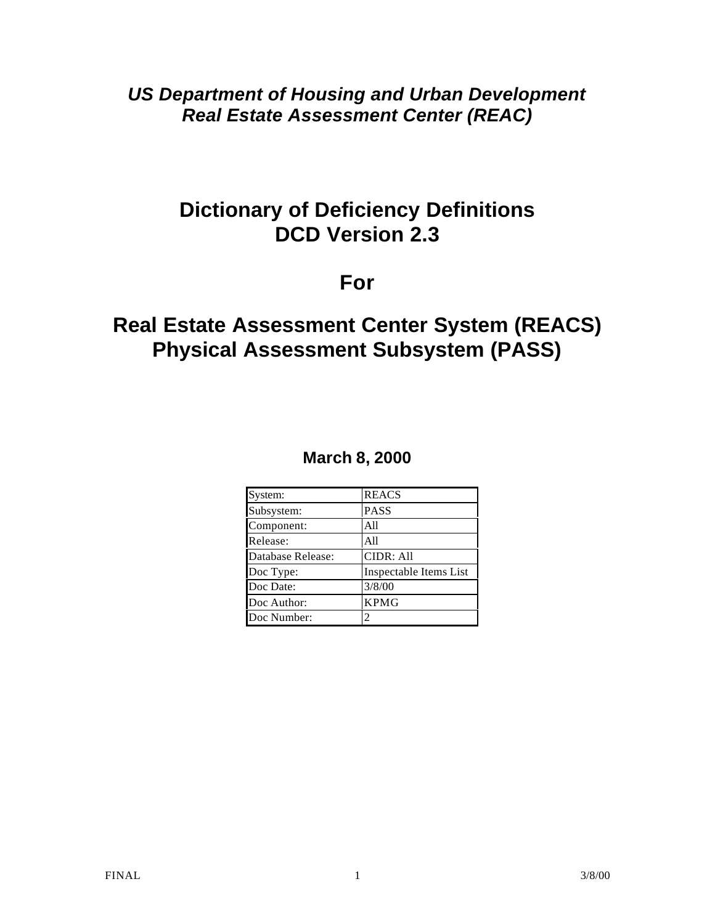*US Department of Housing and Urban Development Real Estate Assessment Center (REAC)*

# **Dictionary of Deficiency Definitions DCD Version 2.3**

# **For**

# **Real Estate Assessment Center System (REACS) Physical Assessment Subsystem (PASS)**

# **March 8, 2000**

| System:           | <b>REACS</b>           |
|-------------------|------------------------|
| Subsystem:        | <b>PASS</b>            |
| Component:        | A11                    |
| Release:          | All                    |
| Database Release: | <b>CIDR: All</b>       |
| Doc Type:         | Inspectable Items List |
| Doc Date:         | 3/8/00                 |
| Doc Author:       | <b>KPMG</b>            |
| Doc Number:       |                        |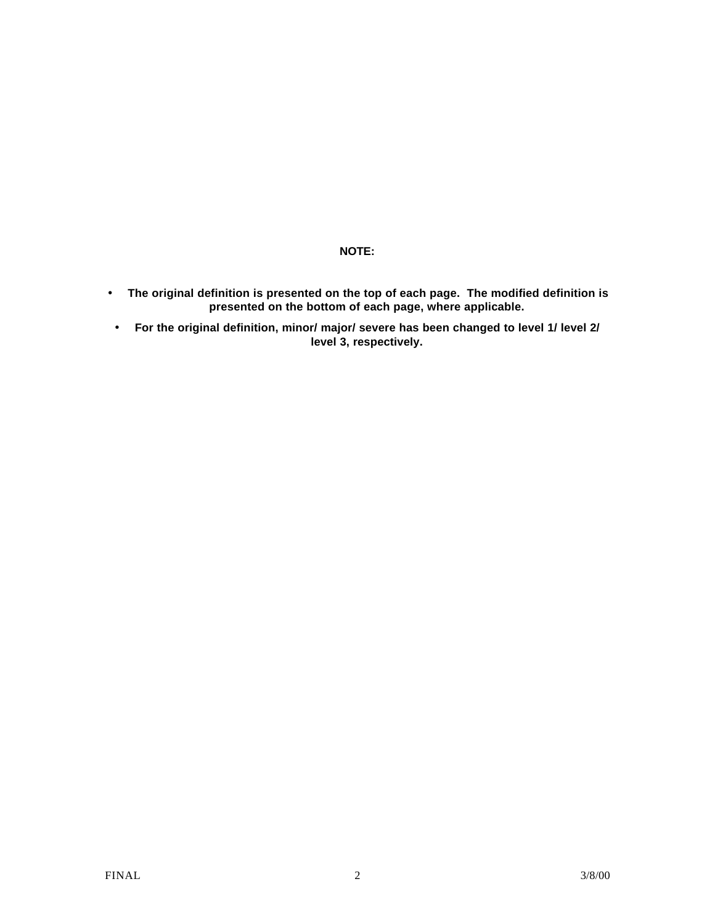#### **NOTE:**

- **The original definition is presented on the top of each page. The modified definition is presented on the bottom of each page, where applicable.**
- **For the original definition, minor/ major/ severe has been changed to level 1/ level 2/ level 3, respectively.**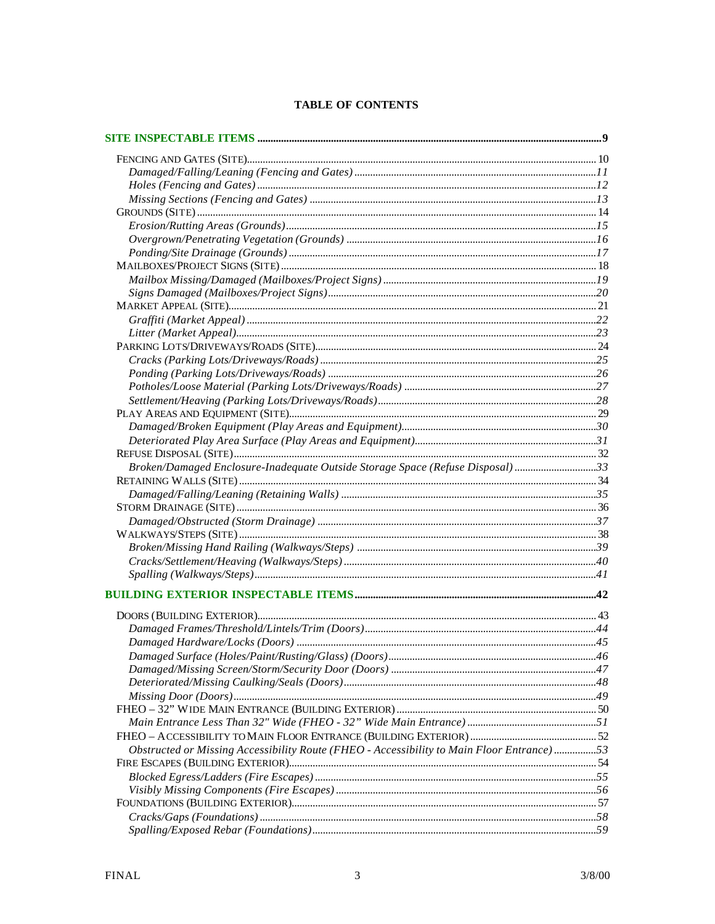#### **TABLE OF CONTENTS**

| Broken/Damaged Enclosure-Inadequate Outside Storage Space (Refuse Disposal)33             |  |
|-------------------------------------------------------------------------------------------|--|
|                                                                                           |  |
|                                                                                           |  |
|                                                                                           |  |
|                                                                                           |  |
|                                                                                           |  |
|                                                                                           |  |
|                                                                                           |  |
|                                                                                           |  |
|                                                                                           |  |
|                                                                                           |  |
|                                                                                           |  |
|                                                                                           |  |
|                                                                                           |  |
|                                                                                           |  |
|                                                                                           |  |
|                                                                                           |  |
|                                                                                           |  |
|                                                                                           |  |
|                                                                                           |  |
| Obstructed or Missing Accessibility Route (FHEO - Accessibility to Main Floor Entrance)53 |  |
|                                                                                           |  |
|                                                                                           |  |
|                                                                                           |  |
|                                                                                           |  |
|                                                                                           |  |
|                                                                                           |  |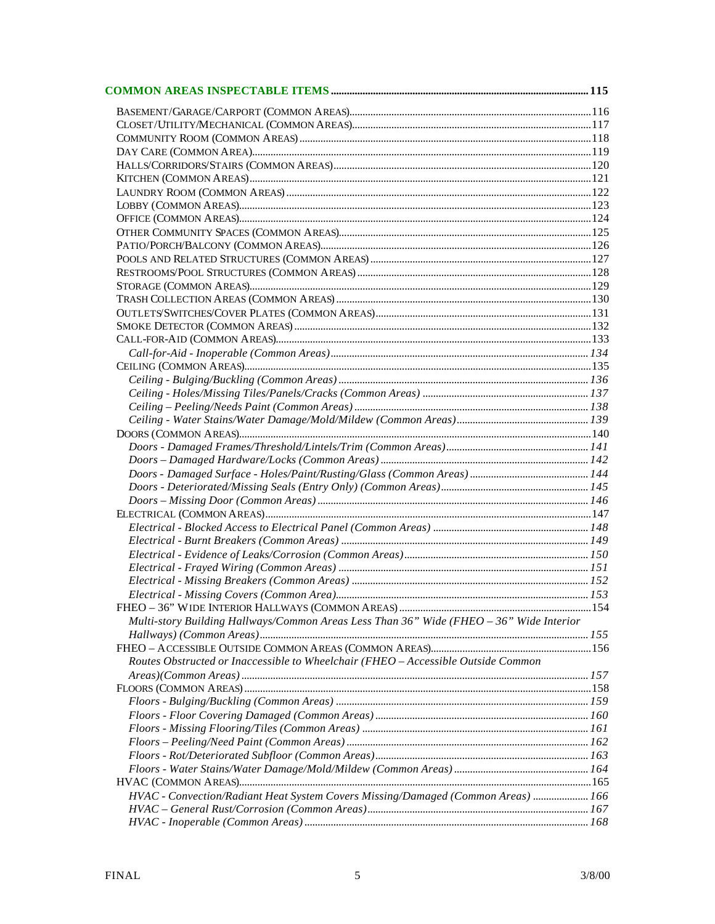| Multi-story Building Hallways/Common Areas Less Than 36" Wide (FHEO - 36" Wide Interior |  |
|-----------------------------------------------------------------------------------------|--|
|                                                                                         |  |
|                                                                                         |  |
| Routes Obstructed or Inaccessible to Wheelchair (FHEO - Accessible Outside Common       |  |
|                                                                                         |  |
|                                                                                         |  |
|                                                                                         |  |
|                                                                                         |  |
|                                                                                         |  |
|                                                                                         |  |
|                                                                                         |  |
|                                                                                         |  |
|                                                                                         |  |
| HVAC - Convection/Radiant Heat System Covers Missing/Damaged (Common Areas)  166        |  |
|                                                                                         |  |
|                                                                                         |  |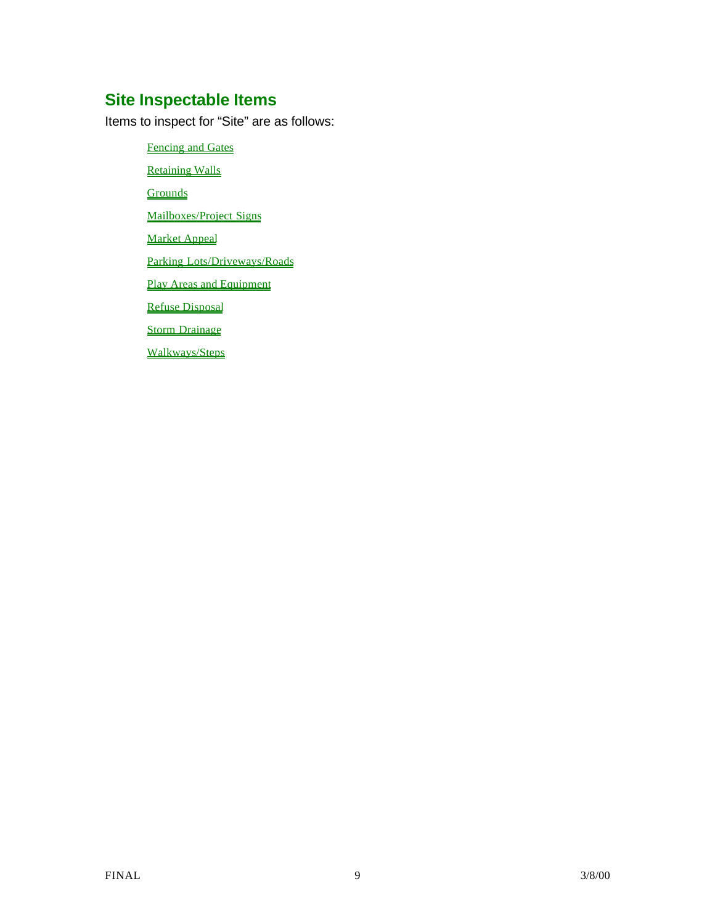# **Site Inspectable Items**

Items to inspect for "Site" are as follows:

Fencing and Gates Retaining Walls **Grounds** Mailboxes/Project Signs Market Appeal Parking Lots/Driveways/Roads Play Areas and Equipment Refuse Disposal Storm Drainage Walkways/Steps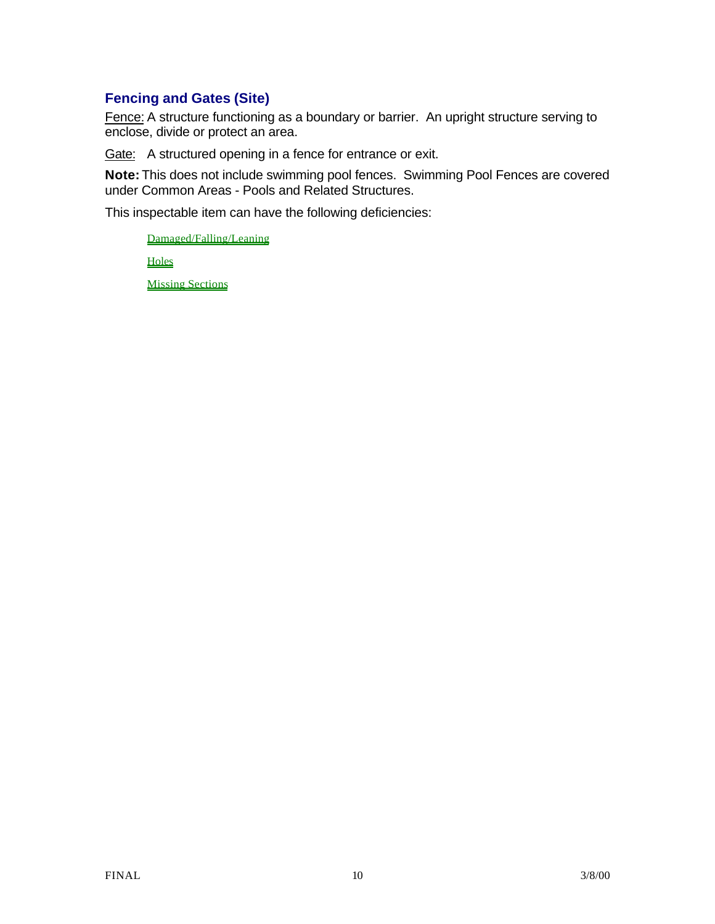## **Fencing and Gates (Site)**

Fence: A structure functioning as a boundary or barrier. An upright structure serving to enclose, divide or protect an area.

Gate: A structured opening in a fence for entrance or exit.

**Note:** This does not include swimming pool fences. Swimming Pool Fences are covered under Common Areas - Pools and Related Structures.

This inspectable item can have the following deficiencies:

Damaged/Falling/Leaning

**Holes** 

Missing Sections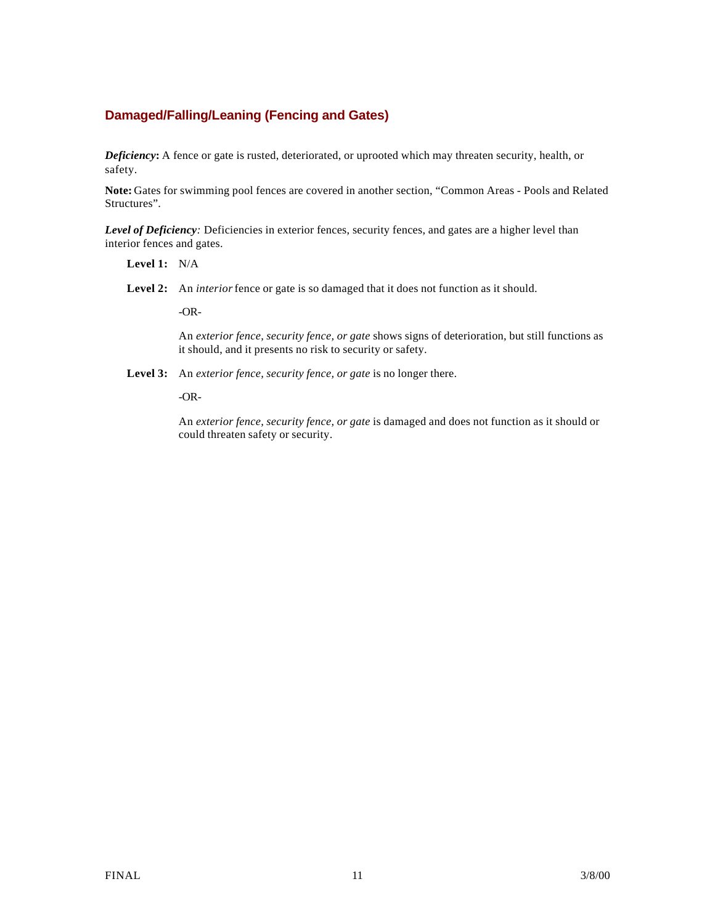### **Damaged/Falling/Leaning (Fencing and Gates)**

*Deficiency***:** A fence or gate is rusted, deteriorated, or uprooted which may threaten security, health, or safety.

**Note:** Gates for swimming pool fences are covered in another section, "Common Areas - Pools and Related Structures".

*Level of Deficiency:* Deficiencies in exterior fences, security fences, and gates are a higher level than interior fences and gates.

- **Level 1:** N/A
- Level 2: An *interior* fence or gate is so damaged that it does not function as it should.

-OR-

An *exterior fence, security fence, or gate* shows signs of deterioration, but still functions as it should, and it presents no risk to security or safety.

**Level 3:** An *exterior fence, security fence, or gate* is no longer there.

-OR-

An *exterior fence, security fence, or gate* is damaged and does not function as it should or could threaten safety or security.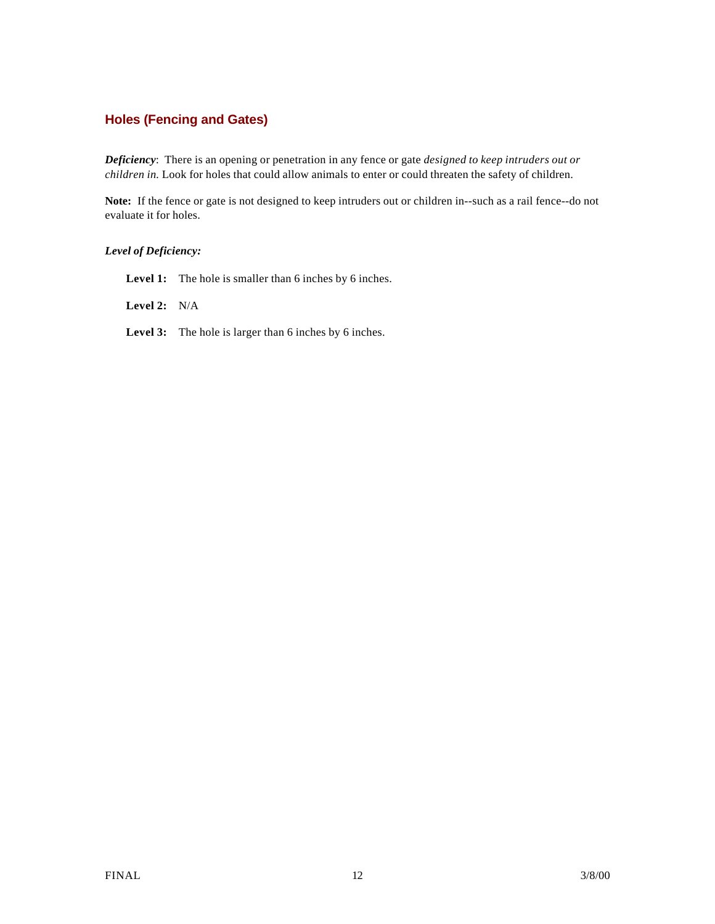### **Holes (Fencing and Gates)**

*Deficiency*: There is an opening or penetration in any fence or gate *designed to keep intruders out or children in.* Look for holes that could allow animals to enter or could threaten the safety of children.

**Note:** If the fence or gate is not designed to keep intruders out or children in--such as a rail fence--do not evaluate it for holes.

#### *Level of Deficiency:*

Level 1: The hole is smaller than 6 inches by 6 inches.

**Level 2:** N/A

Level 3: The hole is larger than 6 inches by 6 inches.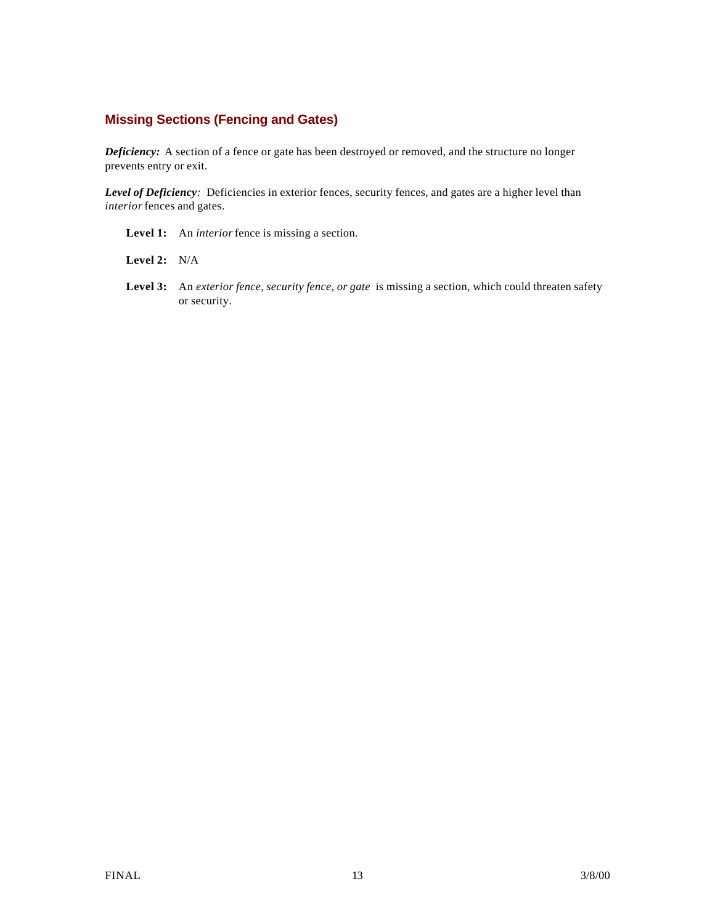### **Missing Sections (Fencing and Gates)**

*Deficiency:* A section of a fence or gate has been destroyed or removed, and the structure no longer prevents entry or exit.

*Level of Deficiency:* Deficiencies in exterior fences, security fences, and gates are a higher level than *interior* fences and gates.

**Level 1:** An *interior* fence is missing a section.

**Level 2:** N/A

**Level 3:** An *exterior fence, security fence, or gate* is missing a section, which could threaten safety or security.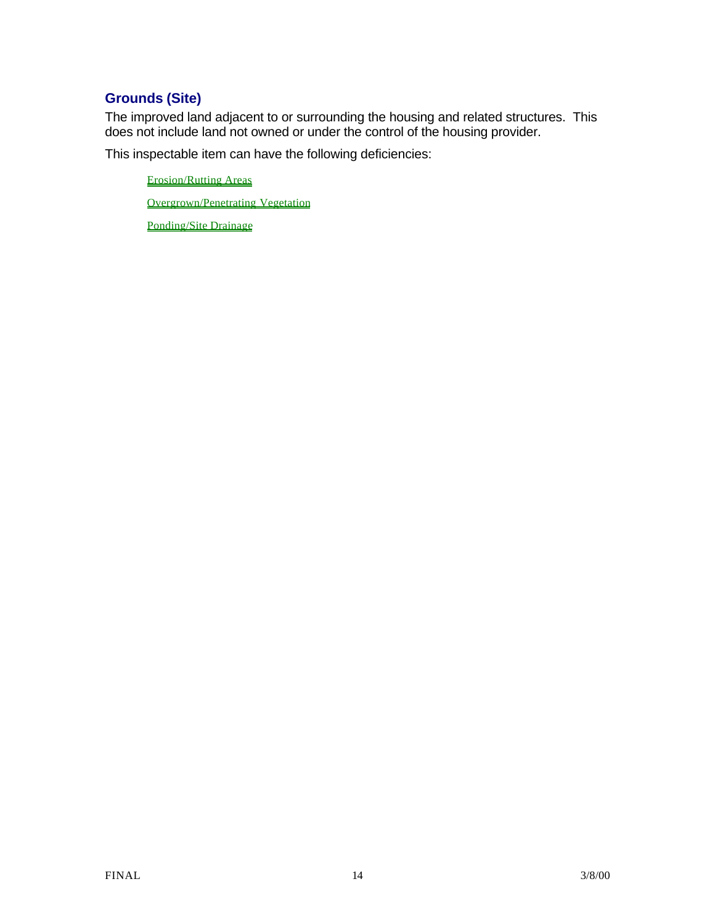## **Grounds (Site)**

The improved land adjacent to or surrounding the housing and related structures. This does not include land not owned or under the control of the housing provider.

This inspectable item can have the following deficiencies:

Erosion/Rutting Areas

Overgrown/Penetrating Vegetation

Ponding/Site Drainage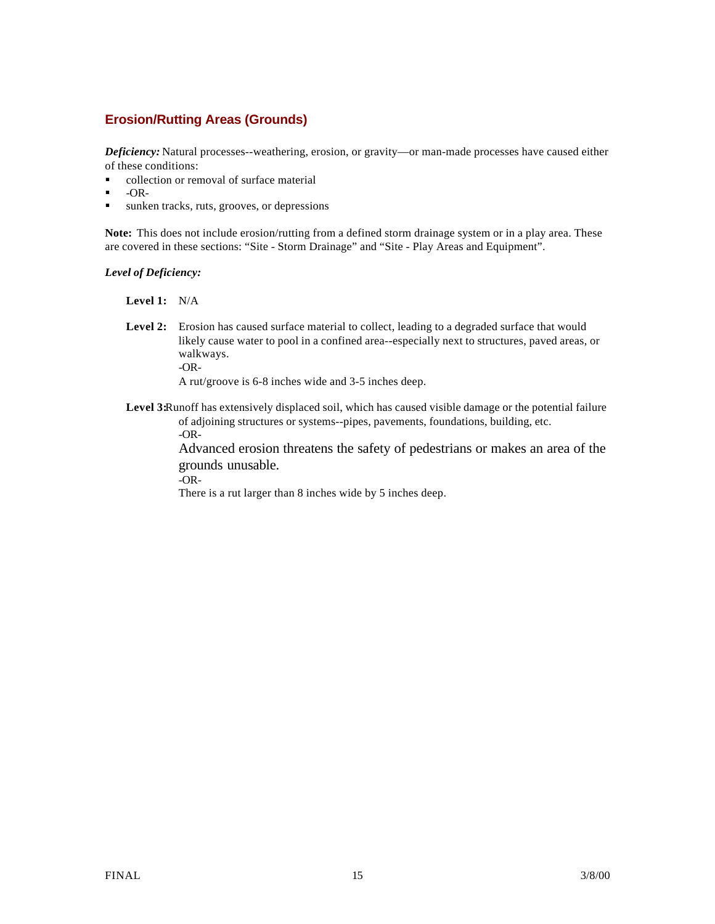### **Erosion/Rutting Areas (Grounds)**

*Deficiency:* Natural processes--weathering, erosion, or gravity—or man-made processes have caused either of these conditions:

- collection or removal of surface material
- $-OR-$
- I sunken tracks, ruts, grooves, or depressions

**Note:** This does not include erosion/rutting from a defined storm drainage system or in a play area. These are covered in these sections: "Site - Storm Drainage" and "Site - Play Areas and Equipment".

*Level of Deficiency:*

**Level 1:** N/A

**Level 2:** Erosion has caused surface material to collect, leading to a degraded surface that would likely cause water to pool in a confined area--especially next to structures, paved areas, or walkways. -OR-

A rut/groove is 6-8 inches wide and 3-5 inches deep.

**Level 3:**Runoff has extensively displaced soil, which has caused visible damage or the potential failure of adjoining structures or systems--pipes, pavements, foundations, building, etc. -OR-

> Advanced erosion threatens the safety of pedestrians or makes an area of the grounds unusable.

-OR-

There is a rut larger than 8 inches wide by 5 inches deep.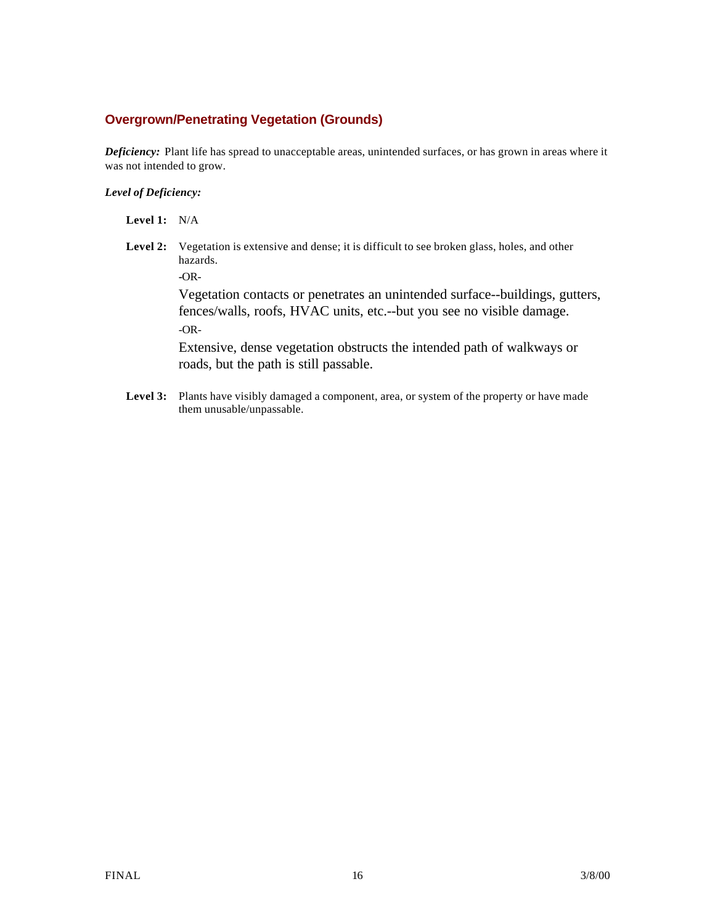### **Overgrown/Penetrating Vegetation (Grounds)**

*Deficiency:* Plant life has spread to unacceptable areas, unintended surfaces, or has grown in areas where it was not intended to grow.

#### *Level of Deficiency:*

- **Level 1:** N/A
- Level 2: Vegetation is extensive and dense; it is difficult to see broken glass, holes, and other hazards.

**-**OR-

Vegetation contacts or penetrates an unintended surface--buildings, gutters, fences/walls, roofs, HVAC units, etc.--but you see no visible damage. -OR-

Extensive, dense vegetation obstructs the intended path of walkways or roads, but the path is still passable.

Level 3: Plants have visibly damaged a component, area, or system of the property or have made them unusable/unpassable.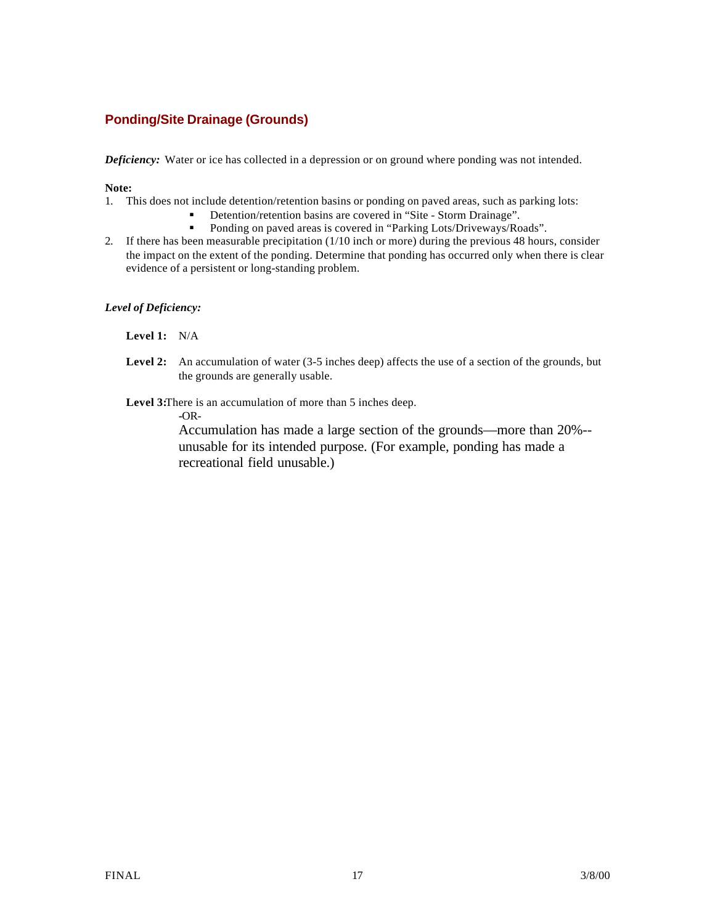### **Ponding/Site Drainage (Grounds)**

*Deficiency:* Water or ice has collected in a depression or on ground where ponding was not intended.

#### **Note:**

- 1. This does not include detention/retention basins or ponding on paved areas, such as parking lots:
	- Detention/retention basins are covered in "Site Storm Drainage".<br>■ Ponding on payed areas is covered in "Parking Lots/Driveways/Ro
	- ß Ponding on paved areas is covered in "Parking Lots/Driveways/Roads".
- 2. If there has been measurable precipitation (1/10 inch or more) during the previous 48 hours, consider the impact on the extent of the ponding. Determine that ponding has occurred only when there is clear evidence of a persistent or long-standing problem.

*Level of Deficiency:*

**Level 1:** N/A

- Level 2: An accumulation of water (3-5 inches deep) affects the use of a section of the grounds, but the grounds are generally usable.
- **Level 3:**There is an accumulation of more than 5 inches deep.

**-**OR-

Accumulation has made a large section of the grounds—more than 20%- unusable for its intended purpose. (For example, ponding has made a recreational field unusable.)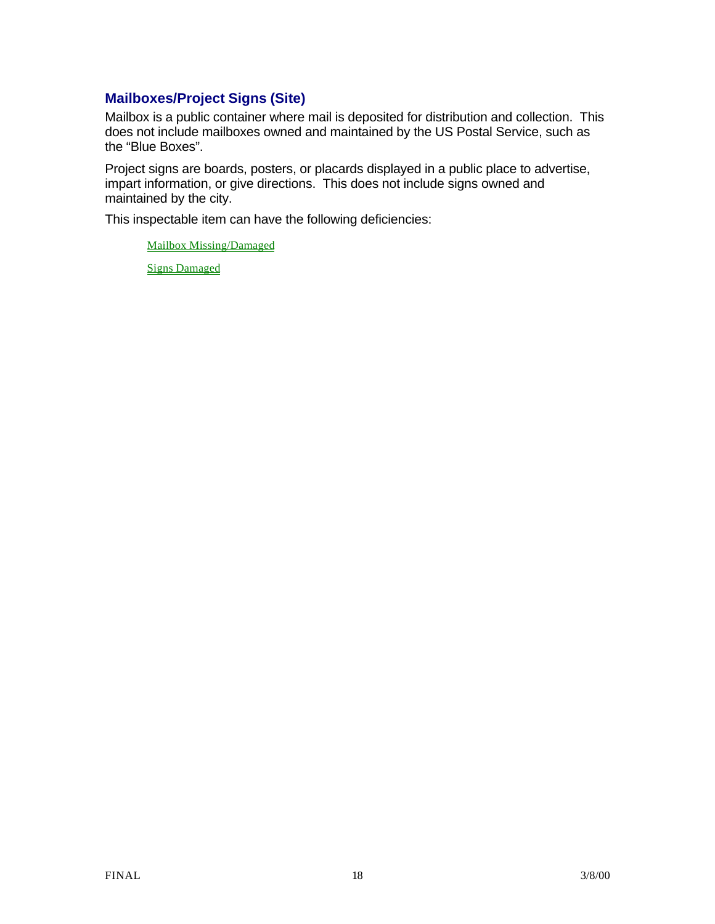## **Mailboxes/Project Signs (Site)**

Mailbox is a public container where mail is deposited for distribution and collection. This does not include mailboxes owned and maintained by the US Postal Service, such as the "Blue Boxes".

Project signs are boards, posters, or placards displayed in a public place to advertise, impart information, or give directions. This does not include signs owned and maintained by the city.

This inspectable item can have the following deficiencies:

Mailbox Missing/Damaged

Signs Damaged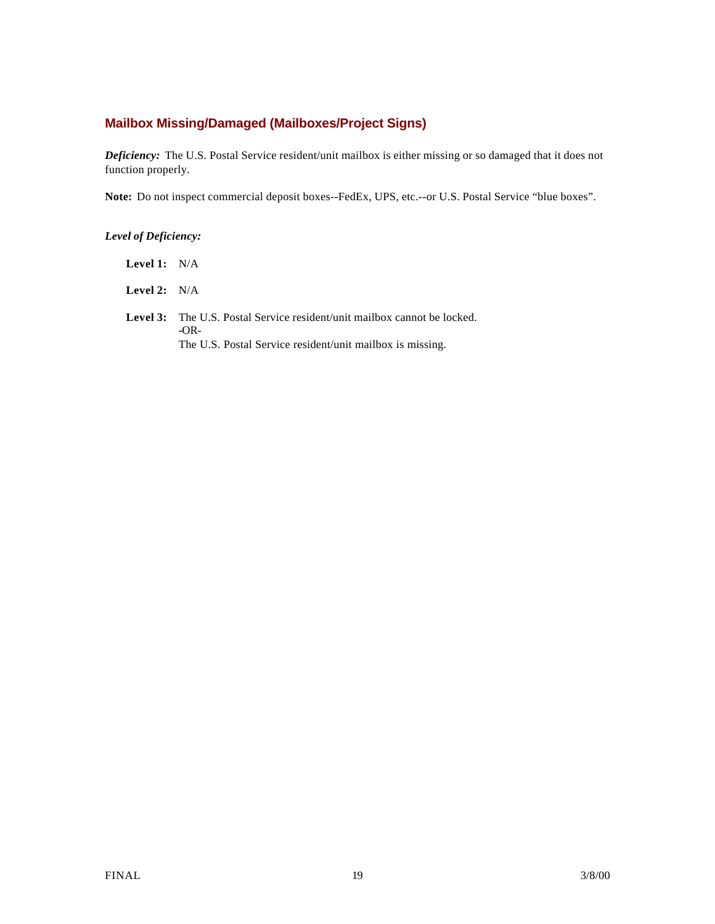### **Mailbox Missing/Damaged (Mailboxes/Project Signs)**

*Deficiency:* The U.S. Postal Service resident/unit mailbox is either missing or so damaged that it does not function properly.

**Note:** Do not inspect commercial deposit boxes--FedEx, UPS, etc.--or U.S. Postal Service "blue boxes".

#### *Level of Deficiency:*

**Level 1:** N/A

**Level 2:** N/A

Level 3: The U.S. Postal Service resident/unit mailbox cannot be locked. **-**OR-The U.S. Postal Service resident/unit mailbox is missing.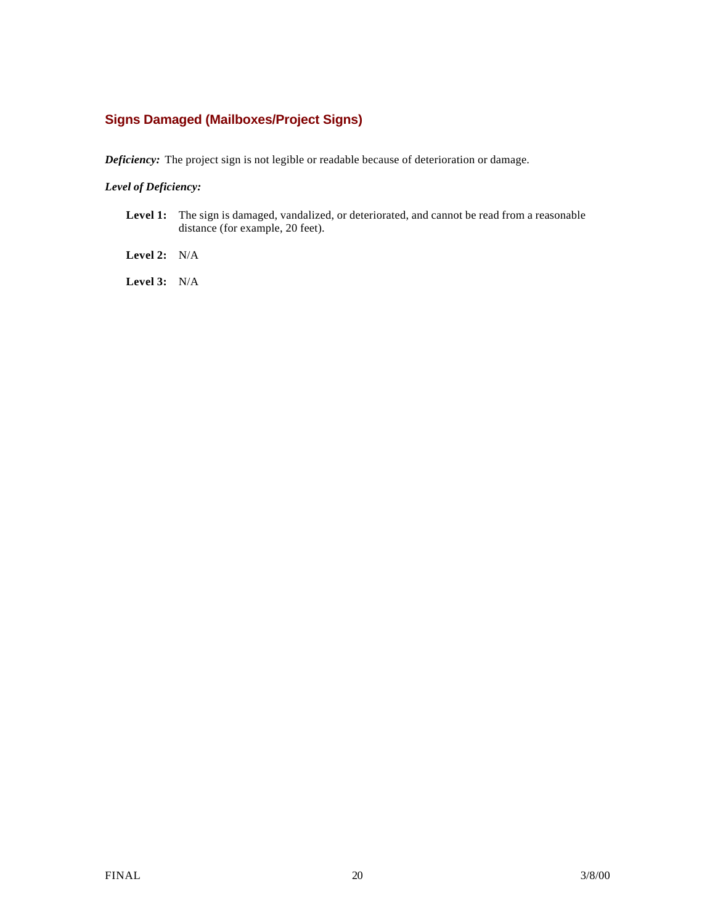### **Signs Damaged (Mailboxes/Project Signs)**

*Deficiency:* The project sign is not legible or readable because of deterioration or damage.

#### *Level of Deficiency:*

**Level 1:** The sign is damaged, vandalized, or deteriorated, and cannot be read from a reasonable distance (for example, 20 feet).

**Level 2:** N/A

**Level 3:** N/A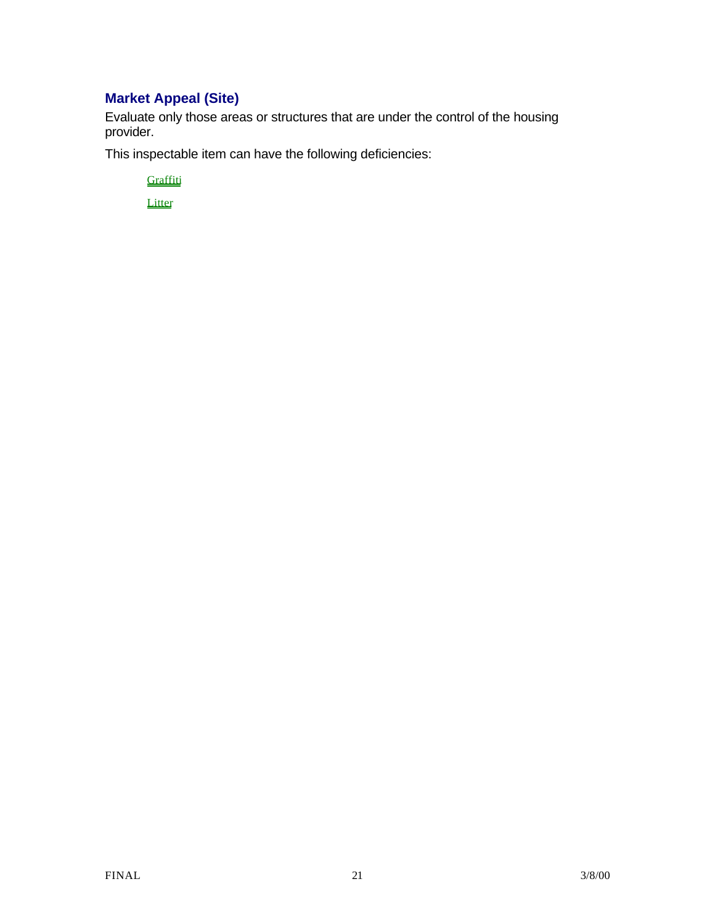# **Market Appeal (Site)**

Evaluate only those areas or structures that are under the control of the housing provider.

This inspectable item can have the following deficiencies:

**Graffiti** 

**Litter**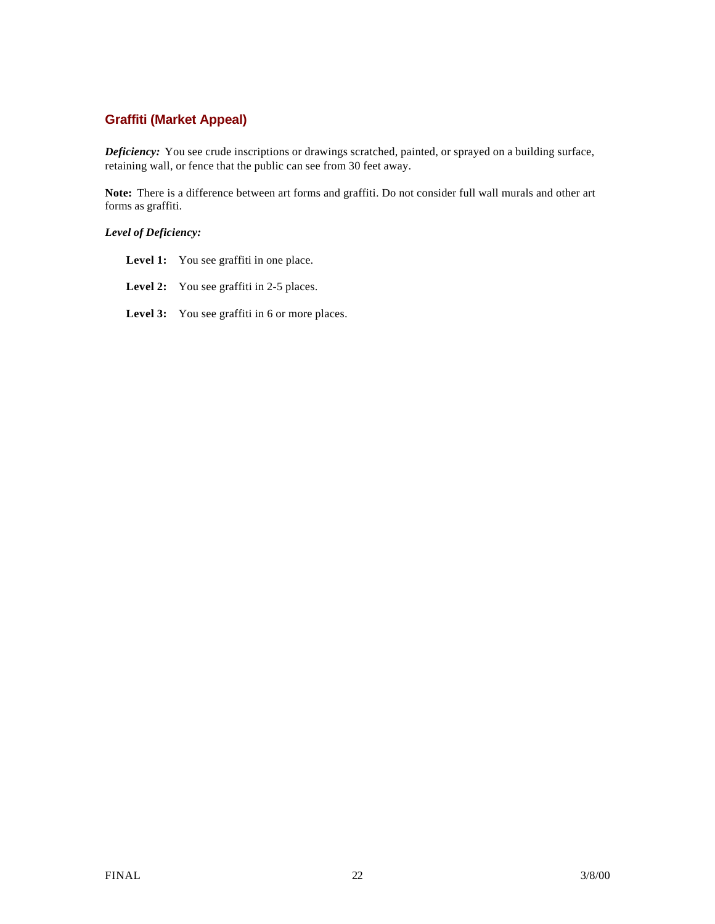### **Graffiti (Market Appeal)**

*Deficiency:* You see crude inscriptions or drawings scratched, painted, or sprayed on a building surface, retaining wall, or fence that the public can see from 30 feet away.

**Note:** There is a difference between art forms and graffiti. Do not consider full wall murals and other art forms as graffiti.

#### *Level of Deficiency:*

- Level 1: You see graffiti in one place.
- Level 2: You see graffiti in 2-5 places.
- Level 3: You see graffiti in 6 or more places.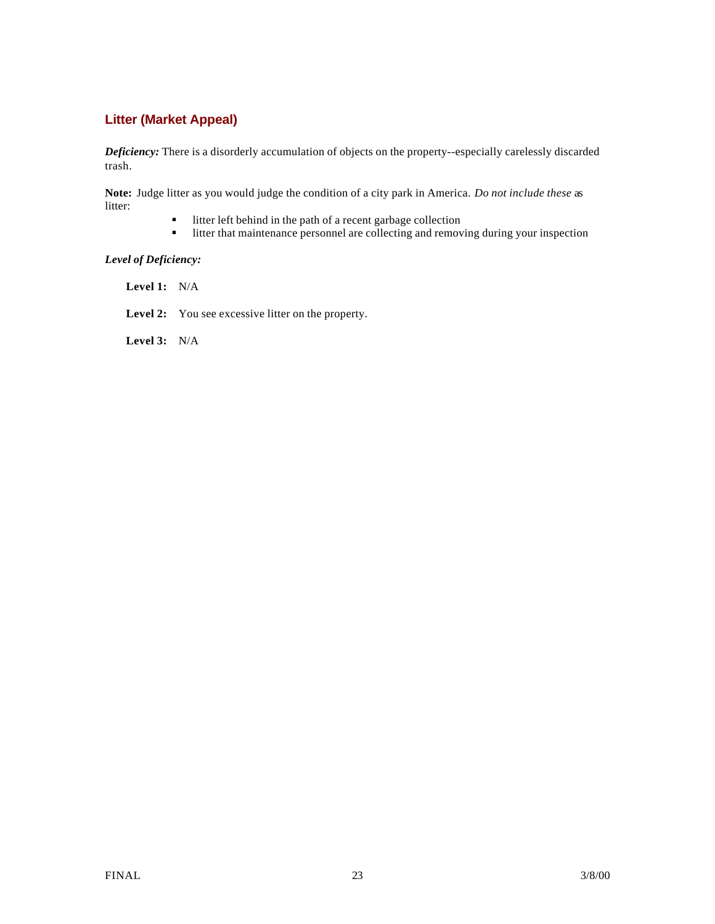### **Litter (Market Appeal)**

*Deficiency:* There is a disorderly accumulation of objects on the property--especially carelessly discarded trash.

**Note:** Judge litter as you would judge the condition of a city park in America. *Do not include these* as litter:

- litter left behind in the path of a recent garbage collection<br>■ litter that maintenance personnel are collecting and remov
- litter that maintenance personnel are collecting and removing during your inspection

#### *Level of Deficiency:*

**Level 1:** N/A

Level 2: You see excessive litter on the property.

**Level 3:** N/A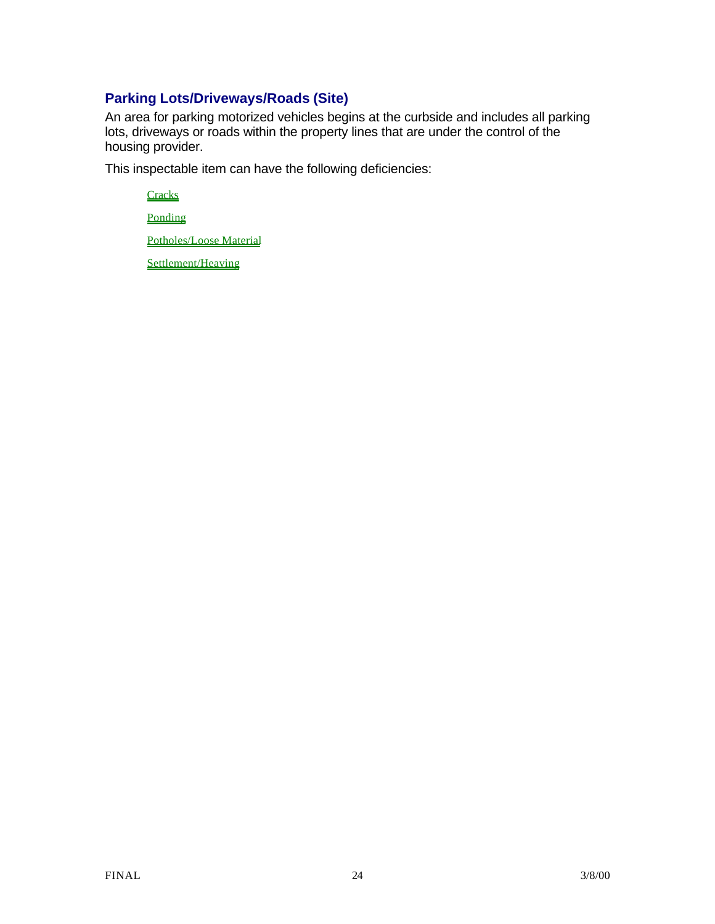### **Parking Lots/Driveways/Roads (Site)**

An area for parking motorized vehicles begins at the curbside and includes all parking lots, driveways or roads within the property lines that are under the control of the housing provider.

This inspectable item can have the following deficiencies:

**Cracks** Ponding

Potholes/Loose Material

Settlement/Heaving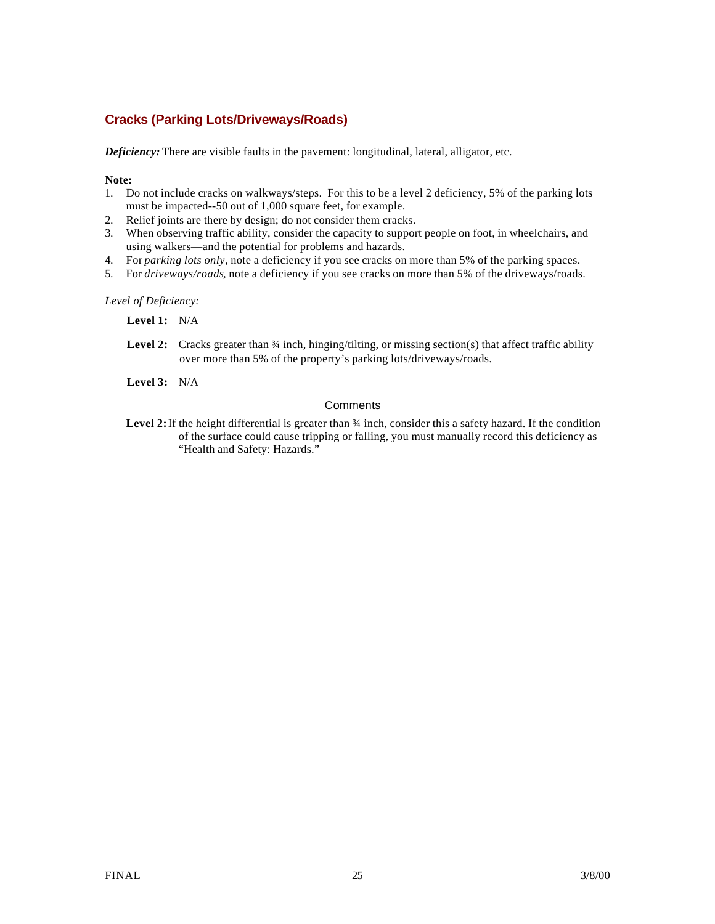### **Cracks (Parking Lots/Driveways/Roads)**

*Deficiency:* There are visible faults in the pavement: longitudinal, lateral, alligator, etc.

#### **Note:**

- 1. Do not include cracks on walkways/steps. For this to be a level 2 deficiency, 5% of the parking lots must be impacted--50 out of 1,000 square feet, for example.
- 2. Relief joints are there by design; do not consider them cracks.
- 3. When observing traffic ability, consider the capacity to support people on foot, in wheelchairs, and using walkers—and the potential for problems and hazards.
- 4. For *parking lots only*, note a deficiency if you see cracks on more than 5% of the parking spaces.
- 5. For *driveways/roads*, note a deficiency if you see cracks on more than 5% of the driveways/roads.

*Level of Deficiency:*

**Level 1:** N/A

- Level 2: Cracks greater than  $\frac{3}{4}$  inch, hinging/tilting, or missing section(s) that affect traffic ability over more than 5% of the property's parking lots/driveways/roads.
- **Level 3:** N/A

#### **Comments**

Level 2: If the height differential is greater than  $\frac{3}{4}$  inch, consider this a safety hazard. If the condition of the surface could cause tripping or falling, you must manually record this deficiency as "Health and Safety: Hazards."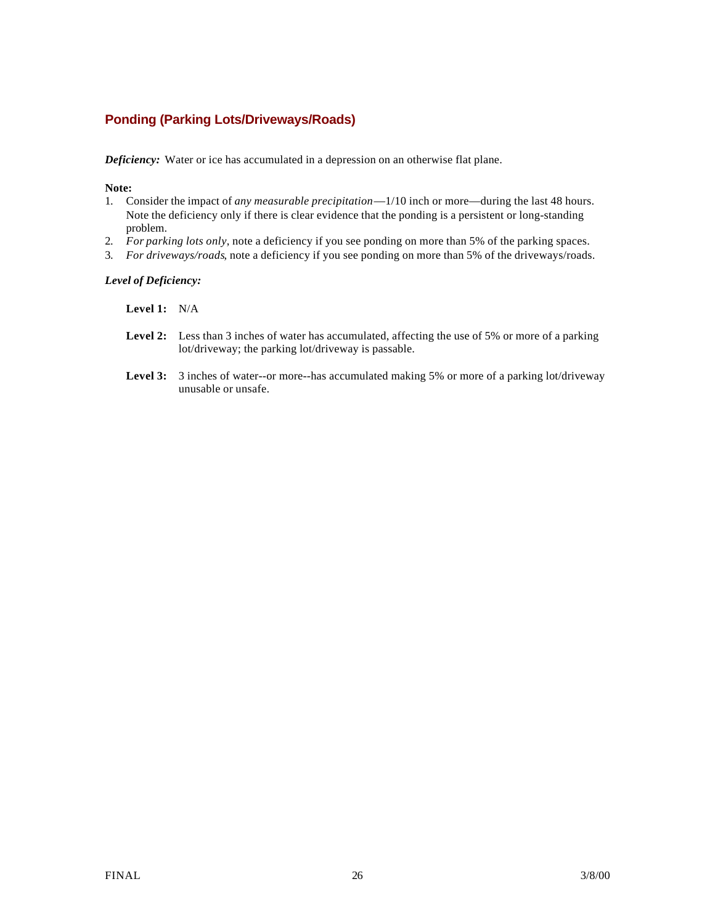### **Ponding (Parking Lots/Driveways/Roads)**

*Deficiency:* Water or ice has accumulated in a depression on an otherwise flat plane.

**Note:**

- 1. Consider the impact of *any measurable precipitation*—1/10 inch or more—during the last 48 hours. Note the deficiency only if there is clear evidence that the ponding is a persistent or long-standing problem.
- 2. *For parking lots only*, note a deficiency if you see ponding on more than 5% of the parking spaces.
- 3. *For driveways/roads*, note a deficiency if you see ponding on more than 5% of the driveways/roads.

#### *Level of Deficiency:*

#### **Level 1:** N/A

- Level 2: Less than 3 inches of water has accumulated, affecting the use of 5% or more of a parking lot/driveway; the parking lot/driveway is passable.
- Level 3: 3 inches of water--or more--has accumulated making 5% or more of a parking lot/driveway unusable or unsafe.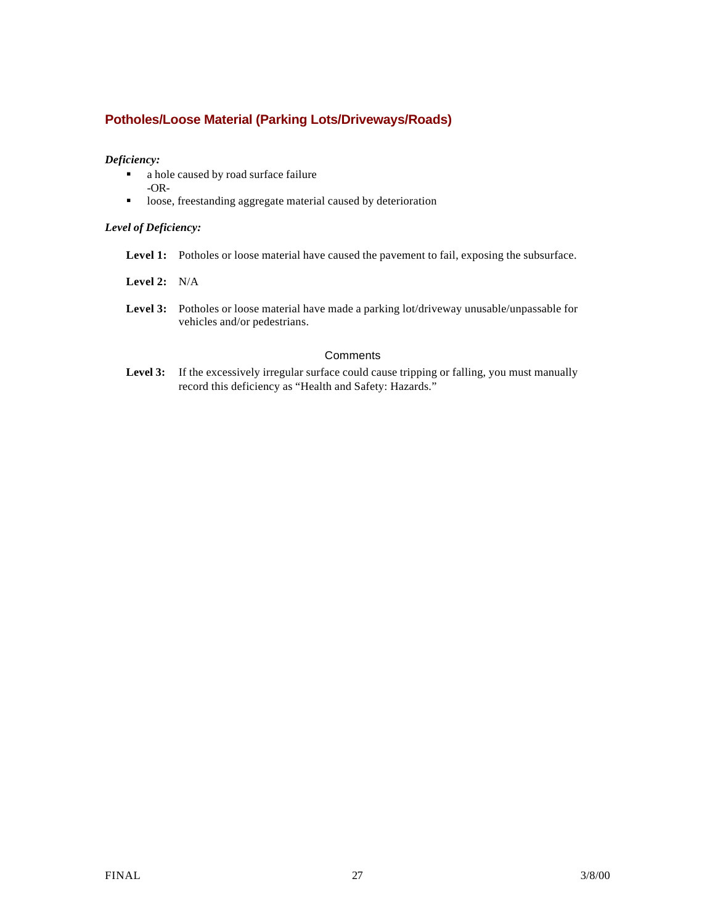### **Potholes/Loose Material (Parking Lots/Driveways/Roads)**

#### *Deficiency:*

- a hole caused by road surface failure -OR-
- **•** loose, freestanding aggregate material caused by deterioration

#### *Level of Deficiency:*

- **Level 1:** Potholes or loose material have caused the pavement to fail, exposing the subsurface.
- **Level 2:** N/A
- Level 3: Potholes or loose material have made a parking lot/driveway unusable/unpassable for vehicles and/or pedestrians.

#### **Comments**

Level 3: If the excessively irregular surface could cause tripping or falling, you must manually record this deficiency as "Health and Safety: Hazards."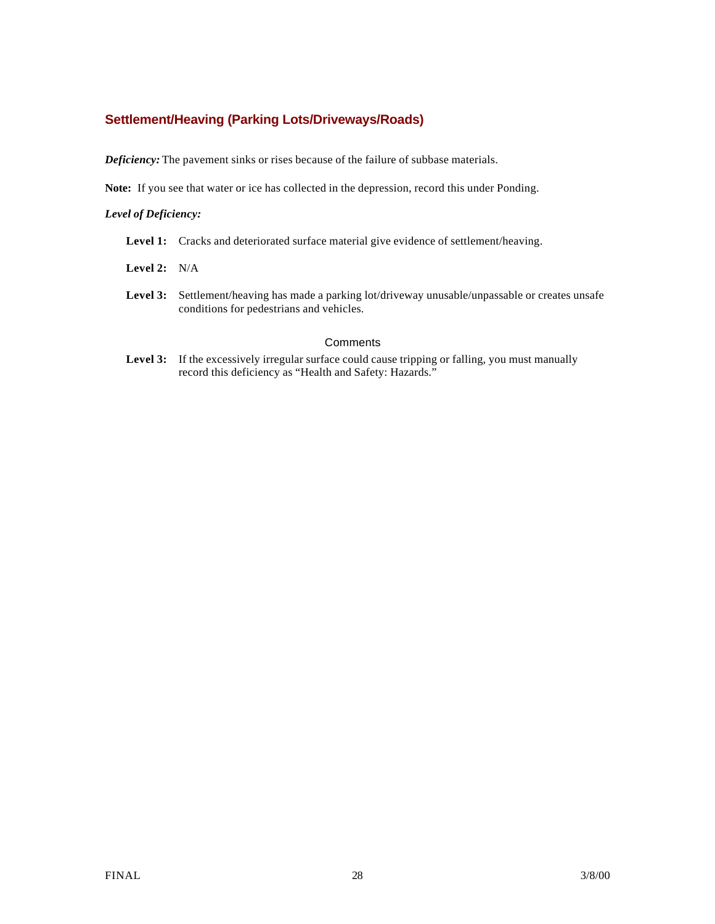### **Settlement/Heaving (Parking Lots/Driveways/Roads)**

*Deficiency:* The pavement sinks or rises because of the failure of subbase materials.

**Note:** If you see that water or ice has collected in the depression, record this under Ponding.

#### *Level of Deficiency:*

- Level 1: Cracks and deteriorated surface material give evidence of settlement/heaving.
- **Level 2:** N/A
- Level 3: Settlement/heaving has made a parking lot/driveway unusable/unpassable or creates unsafe conditions for pedestrians and vehicles.

#### **Comments**

Level 3: If the excessively irregular surface could cause tripping or falling, you must manually record this deficiency as "Health and Safety: Hazards."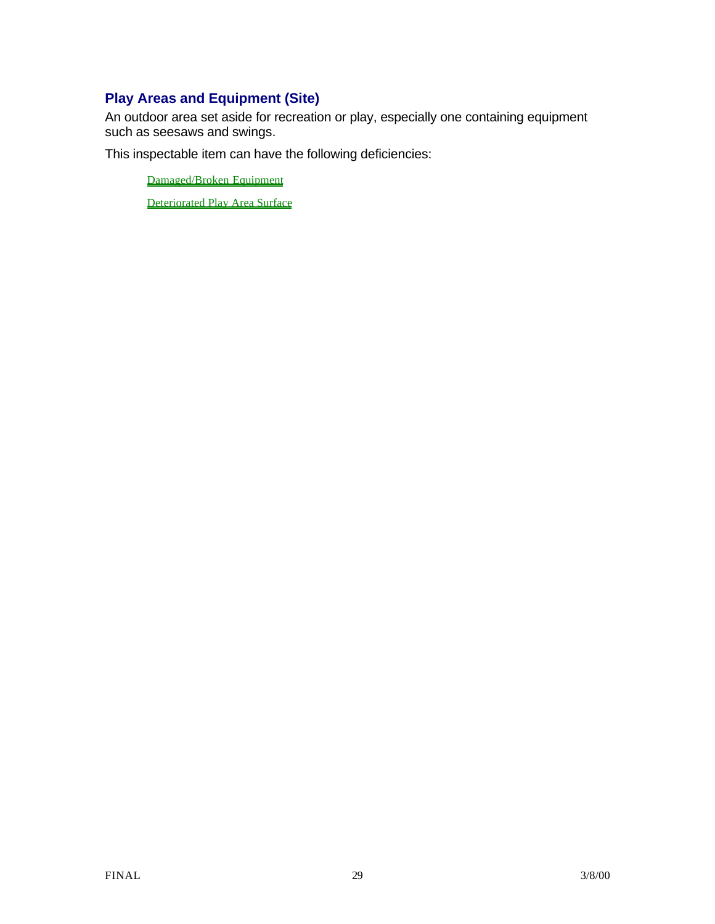# **Play Areas and Equipment (Site)**

An outdoor area set aside for recreation or play, especially one containing equipment such as seesaws and swings.

This inspectable item can have the following deficiencies:

Damaged/Broken Equipment

Deteriorated Play Area Surface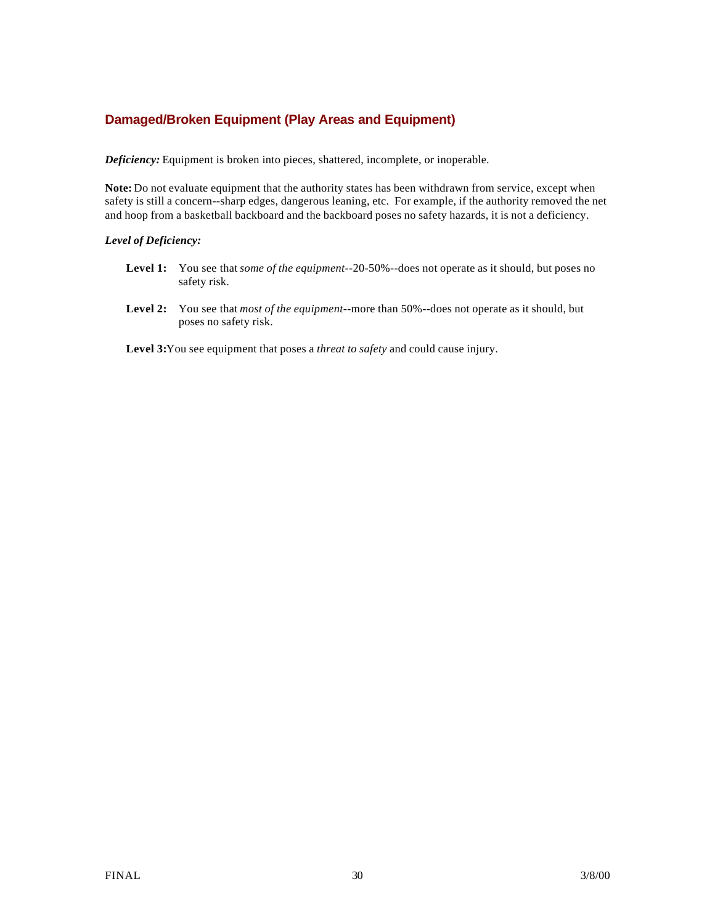### **Damaged/Broken Equipment (Play Areas and Equipment)**

*Deficiency:* Equipment is broken into pieces, shattered, incomplete, or inoperable.

**Note:** Do not evaluate equipment that the authority states has been withdrawn from service, except when safety is still a concern--sharp edges, dangerous leaning, etc. For example, if the authority removed the net and hoop from a basketball backboard and the backboard poses no safety hazards, it is not a deficiency.

#### *Level of Deficiency:*

- **Level 1:** You see that *some of the equipment*--20-50%--does not operate as it should, but poses no safety risk.
- **Level 2:** You see that *most of the equipment*--more than 50%--does not operate as it should, but poses no safety risk.

**Level 3:**You see equipment that poses a *threat to safety* and could cause injury.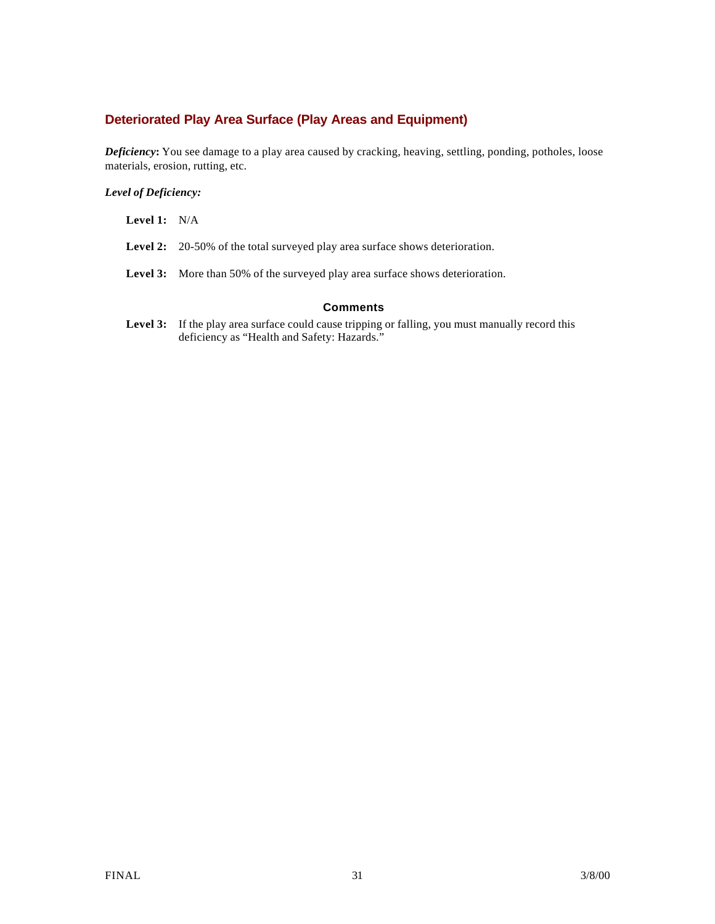### **Deteriorated Play Area Surface (Play Areas and Equipment)**

*Deficiency***:** You see damage to a play area caused by cracking, heaving, settling, ponding, potholes, loose materials, erosion, rutting, etc.

*Level of Deficiency:*

**Level 1:** N/A

Level 2: 20-50% of the total surveyed play area surface shows deterioration.

**Level 3:** More than 50% of the surveyed play area surface shows deterioration.

#### **Comments**

Level 3: If the play area surface could cause tripping or falling, you must manually record this deficiency as "Health and Safety: Hazards."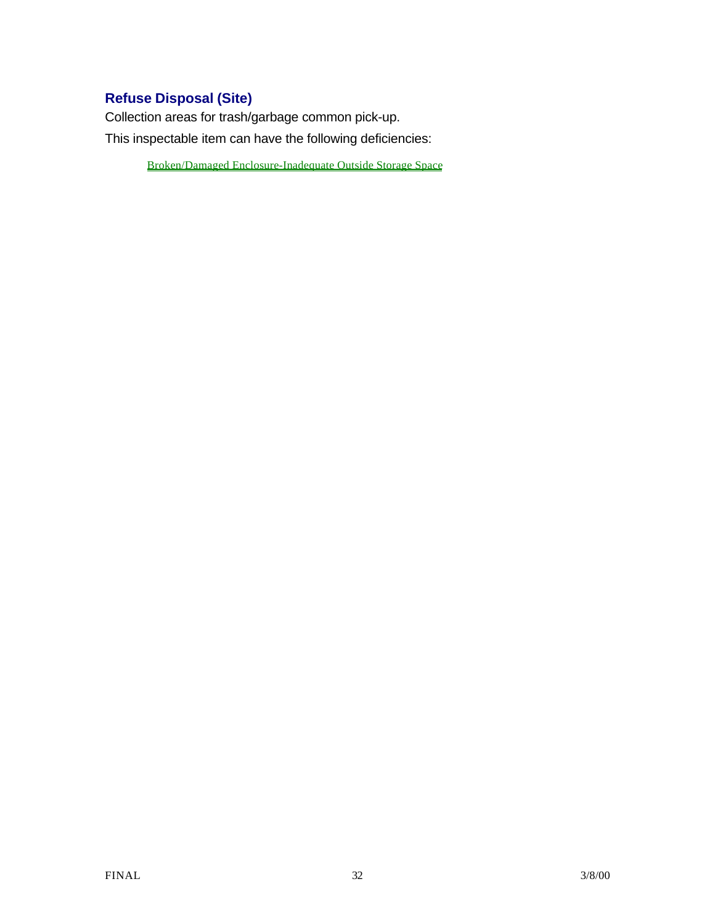# **Refuse Disposal (Site)**

Collection areas for trash/garbage common pick-up. This inspectable item can have the following deficiencies:

Broken/Damaged Enclosure-Inadequate Outside Storage Space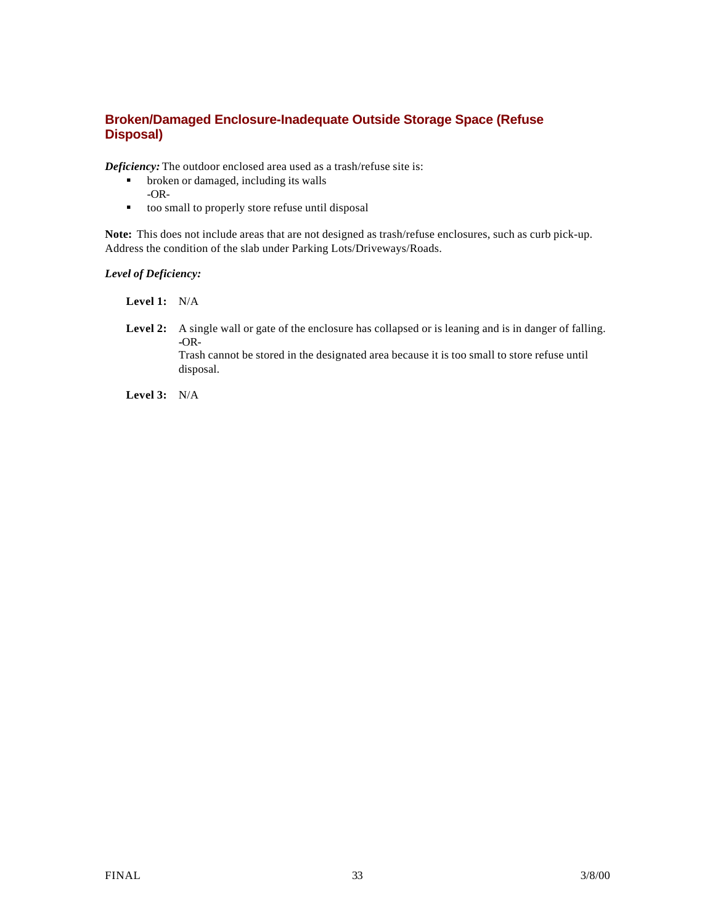#### **Broken/Damaged Enclosure-Inadequate Outside Storage Space (Refuse Disposal)**

*Deficiency:* The outdoor enclosed area used as a trash/refuse site is:

- $\bullet$  broken or damaged, including its walls -OR-
- $\bullet$  too small to properly store refuse until disposal

**Note:** This does not include areas that are not designed as trash/refuse enclosures, such as curb pick-up. Address the condition of the slab under Parking Lots/Driveways/Roads.

#### *Level of Deficiency:*

**Level 1:** N/A

Level 2: A single wall or gate of the enclosure has collapsed or is leaning and is in danger of falling. **-**OR-Trash cannot be stored in the designated area because it is too small to store refuse until disposal.

**Level 3:** N/A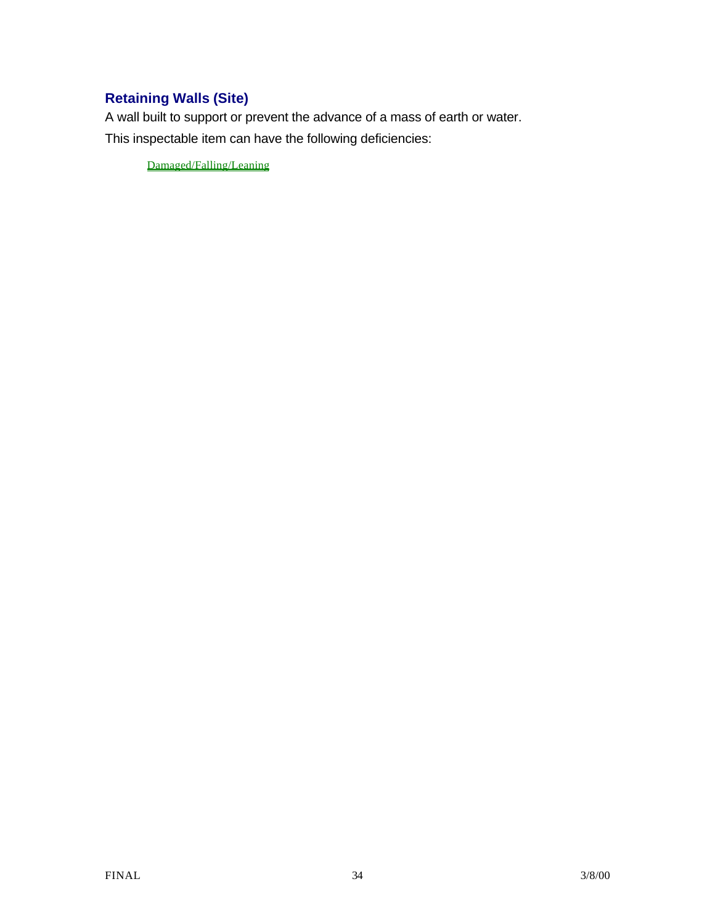# **Retaining Walls (Site)**

A wall built to support or prevent the advance of a mass of earth or water. This inspectable item can have the following deficiencies:

Damaged/Falling/Leaning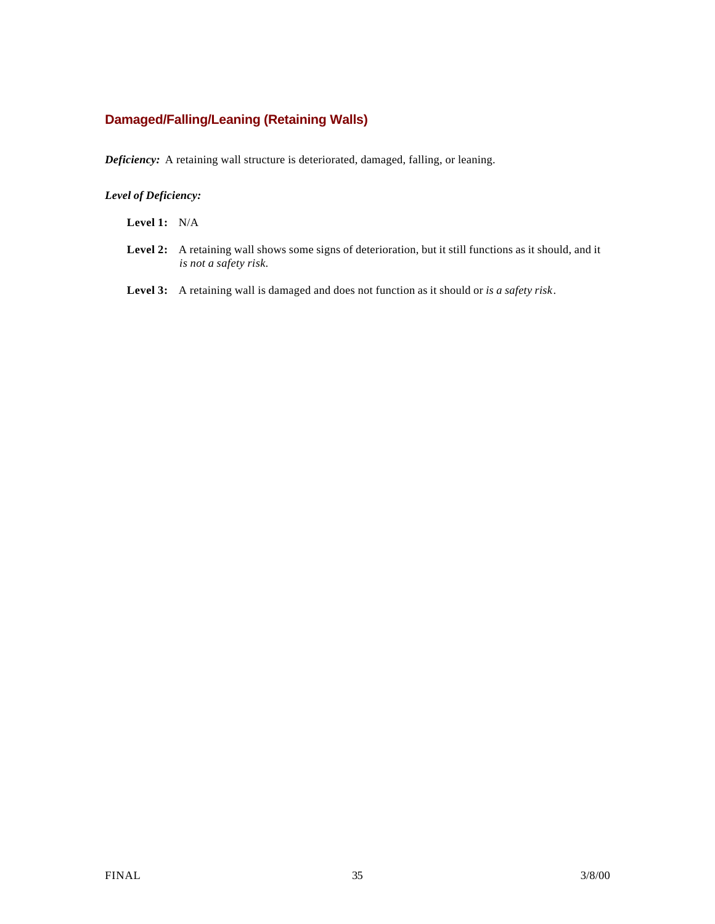### **Damaged/Falling/Leaning (Retaining Walls)**

*Deficiency:* A retaining wall structure is deteriorated, damaged, falling, or leaning.

#### *Level of Deficiency:*

**Level 1:** N/A

- Level 2: A retaining wall shows some signs of deterioration, but it still functions as it should, and it *is not a safety risk.*
- **Level 3:** A retaining wall is damaged and does not function as it should or *is a safety risk*.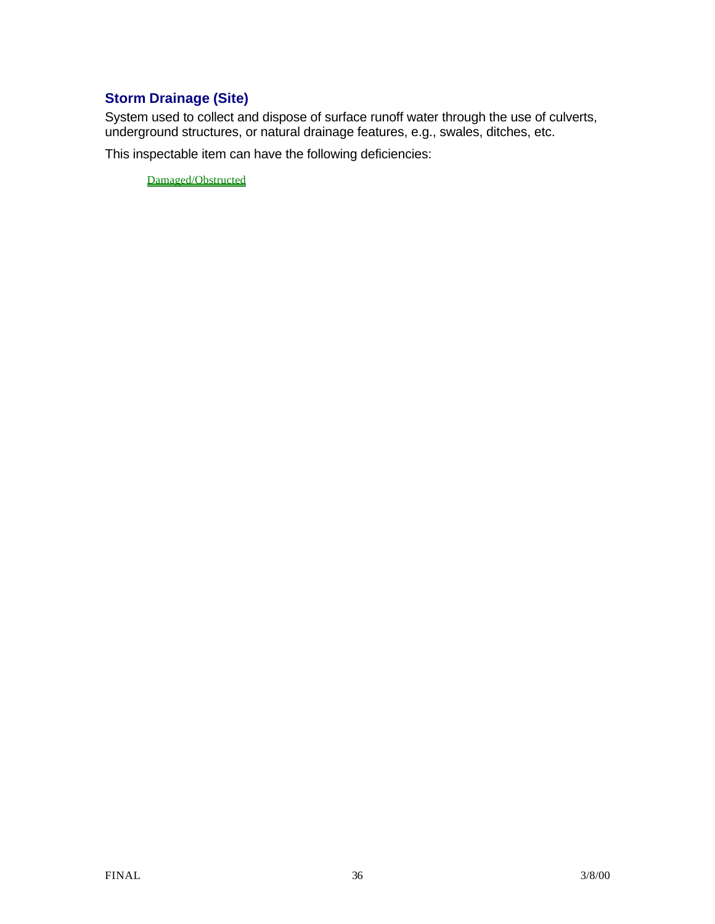### **Storm Drainage (Site)**

System used to collect and dispose of surface runoff water through the use of culverts, underground structures, or natural drainage features, e.g., swales, ditches, etc.

This inspectable item can have the following deficiencies:

Damaged/Obstructed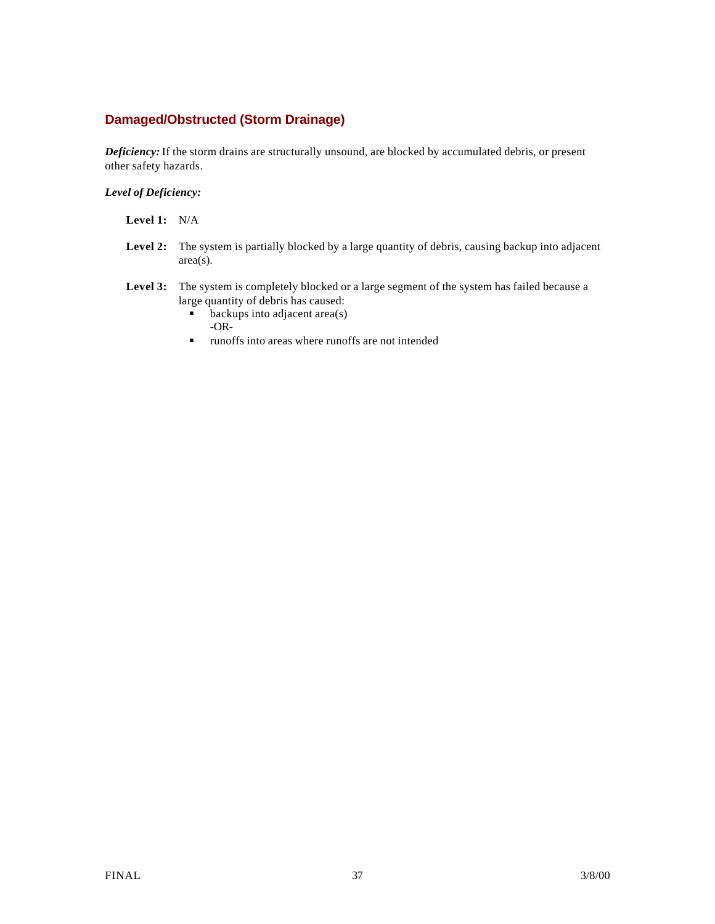## **Damaged/Obstructed (Storm Drainage)**

*Deficiency:* If the storm drains are structurally unsound, are blocked by accumulated debris, or present other safety hazards.

### *Level of Deficiency:*

**Level 1:** N/A

- Level 2: The system is partially blocked by a large quantity of debris, causing backup into adjacent area(s).
- **Level 3:** The system is completely blocked or a large segment of the system has failed because a large quantity of debris has caused:
	- $\bullet$  backups into adjacent area(s) -OR-
	- **u.** runoffs into areas where runoffs are not intended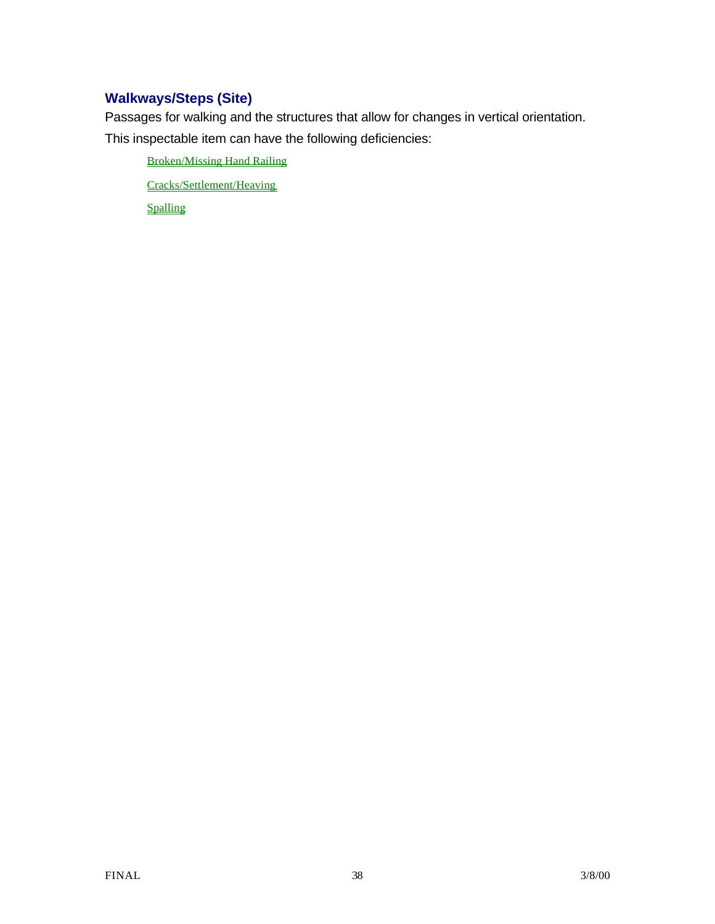# **Walkways/Steps (Site)**

Passages for walking and the structures that allow for changes in vertical orientation.

This inspectable item can have the following deficiencies:

Broken/Missing Hand Railing

Cracks/Settlement/Heaving

Spalling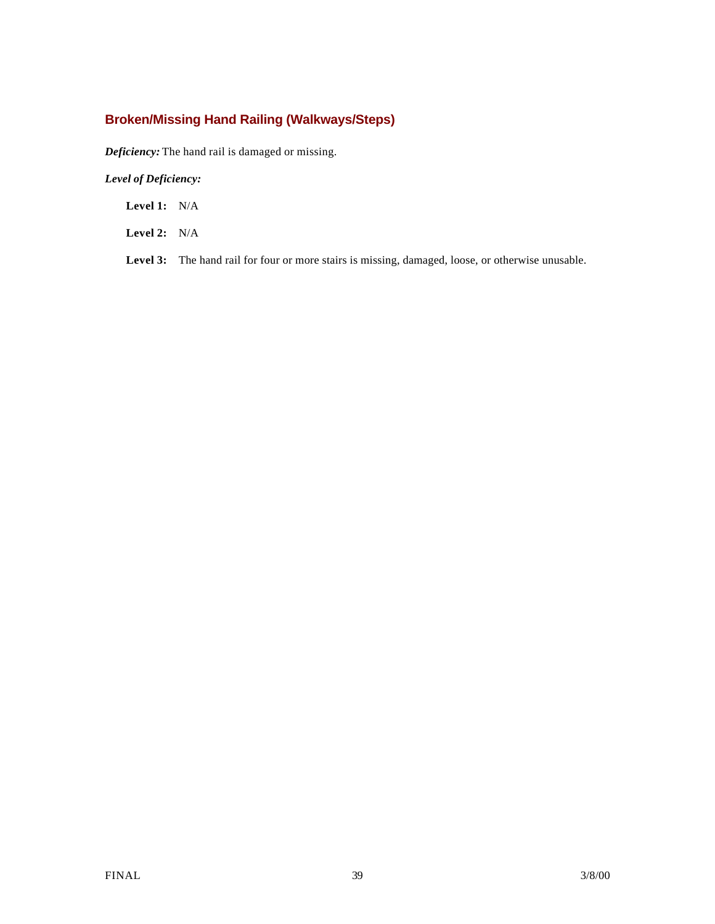# **Broken/Missing Hand Railing (Walkways/Steps)**

*Deficiency:* The hand rail is damaged or missing.

### *Level of Deficiency:*

**Level 1:** N/A

**Level 2:** N/A

Level 3: The hand rail for four or more stairs is missing, damaged, loose, or otherwise unusable.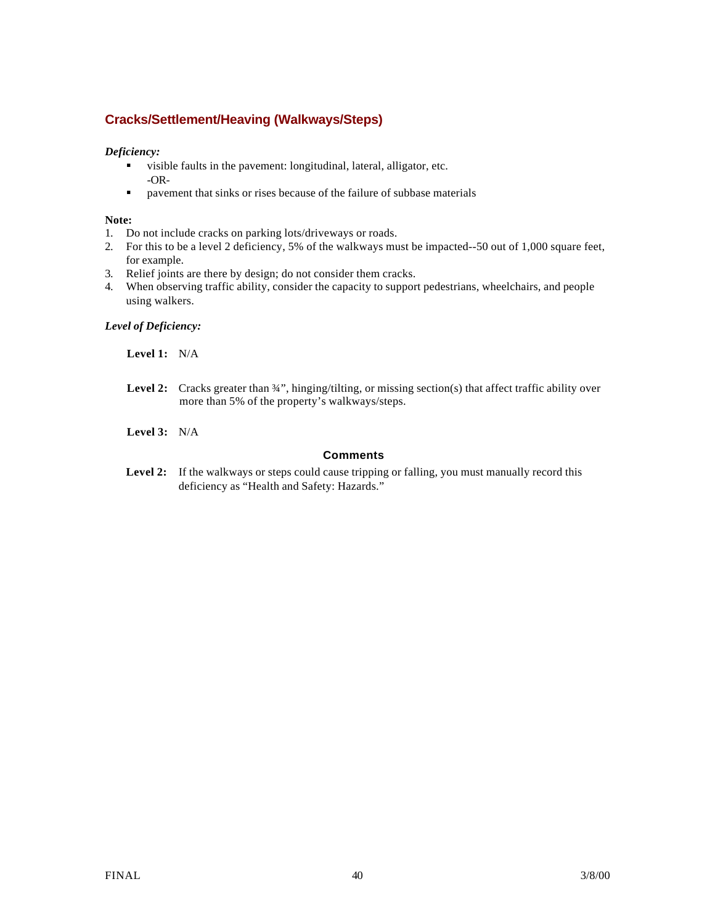## **Cracks/Settlement/Heaving (Walkways/Steps)**

#### *Deficiency:*

- visible faults in the pavement: longitudinal, lateral, alligator, etc. -OR-
- **•** pavement that sinks or rises because of the failure of subbase materials

### **Note:**

- 1. Do not include cracks on parking lots/driveways or roads.
- 2. For this to be a level 2 deficiency, 5% of the walkways must be impacted--50 out of 1,000 square feet, for example.
- 3. Relief joints are there by design; do not consider them cracks.
- 4. When observing traffic ability, consider the capacity to support pedestrians, wheelchairs, and people using walkers.

#### *Level of Deficiency:*

**Level 1:** N/A

Level 2: Cracks greater than  $\frac{3}{4}$ ", hinging/tilting, or missing section(s) that affect traffic ability over more than 5% of the property's walkways/steps.

**Level 3:** N/A

### **Comments**

Level 2: If the walkways or steps could cause tripping or falling, you must manually record this deficiency as "Health and Safety: Hazards."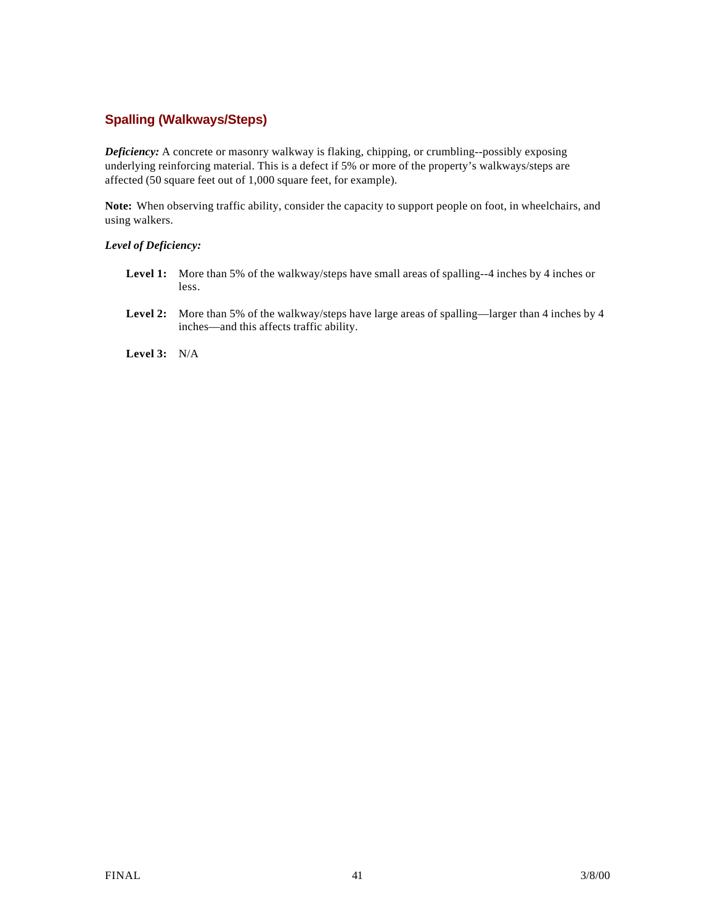## **Spalling (Walkways/Steps)**

*Deficiency:* A concrete or masonry walkway is flaking, chipping, or crumbling--possibly exposing underlying reinforcing material. This is a defect if 5% or more of the property's walkways/steps are affected (50 square feet out of 1,000 square feet, for example).

**Note:** When observing traffic ability, consider the capacity to support people on foot, in wheelchairs, and using walkers.

#### *Level of Deficiency:*

- Level 1: More than 5% of the walkway/steps have small areas of spalling--4 inches by 4 inches or less.
- Level 2: More than 5% of the walkway/steps have large areas of spalling—larger than 4 inches by 4 inches—and this affects traffic ability.

**Level 3:** N/A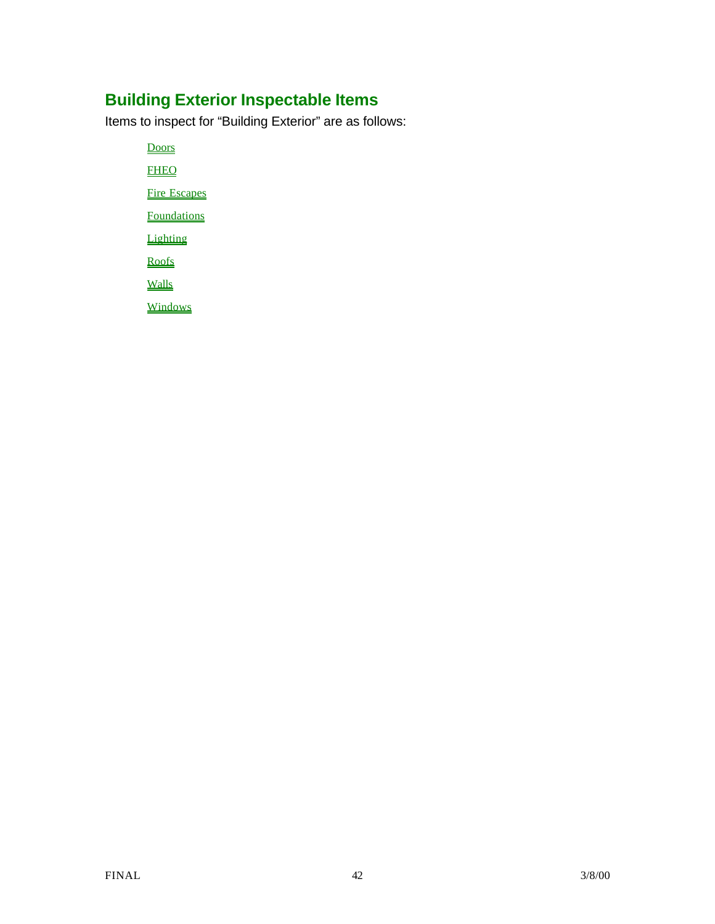# **Building Exterior Inspectable Items**

Items to inspect for "Building Exterior" are as follows:

**Doors FHEO** 

Fire Escapes

**Foundations** 

**Lighting** 

Roofs

**Walls** 

**Windows**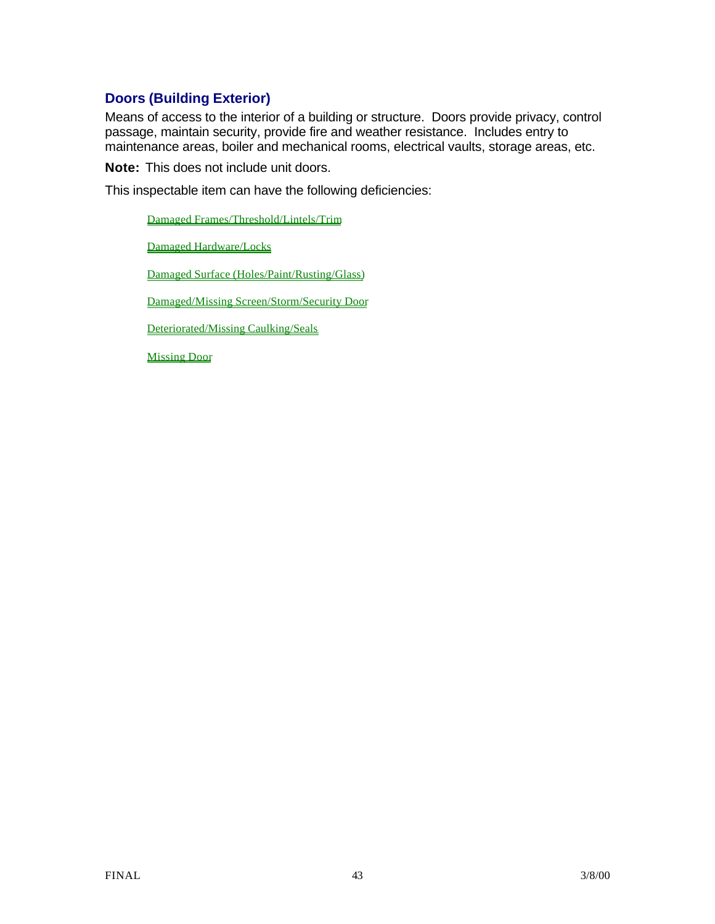# **Doors (Building Exterior)**

Means of access to the interior of a building or structure. Doors provide privacy, control passage, maintain security, provide fire and weather resistance. Includes entry to maintenance areas, boiler and mechanical rooms, electrical vaults, storage areas, etc.

**Note:** This does not include unit doors.

This inspectable item can have the following deficiencies:

Damaged Frames/Threshold/Lintels/Trim

Damaged Hardware/Locks

Damaged Surface (Holes/Paint/Rusting/Glass)

Damaged/Missing Screen/Storm/Security Door

Deteriorated/Missing Caulking/Seals

Missing Door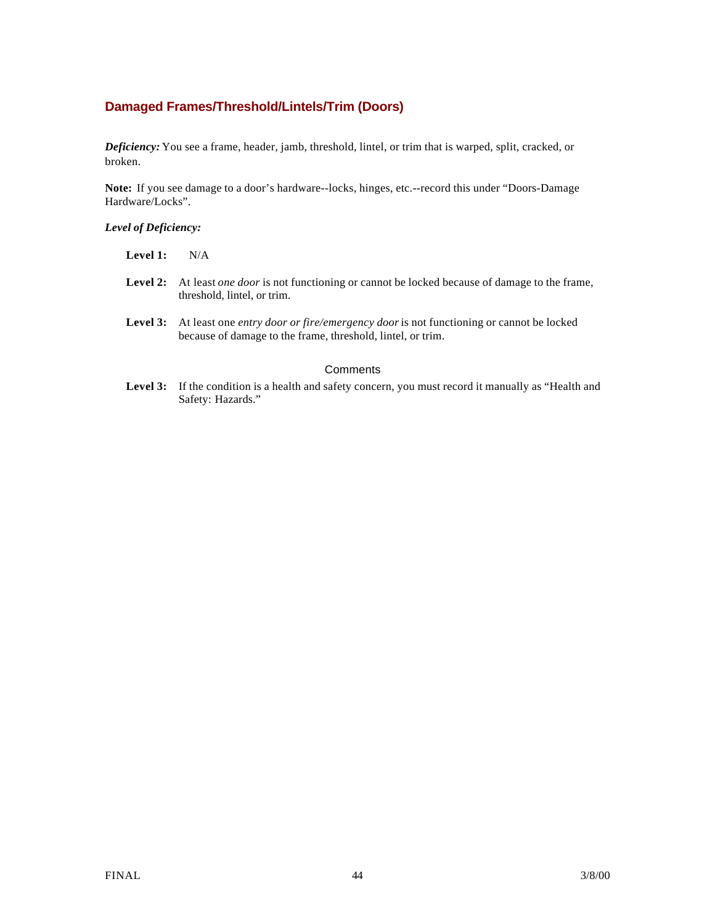## **Damaged Frames/Threshold/Lintels/Trim (Doors)**

Safety: Hazards."

*Deficiency:* You see a frame, header, jamb, threshold, lintel, or trim that is warped, split, cracked, or broken.

**Note:** If you see damage to a door's hardware--locks, hinges, etc.--record this under "Doors-Damage Hardware/Locks".

#### *Level of Deficiency:*

| Level 1: | N/A                                                                                                                                                                         |
|----------|-----------------------------------------------------------------------------------------------------------------------------------------------------------------------------|
|          | <b>Level 2:</b> At least <i>one door</i> is not functioning or cannot be locked because of damage to the frame,<br>threshold, lintel, or trim.                              |
|          | <b>Level 3:</b> At least one <i>entry door or fire/emergency door</i> is not functioning or cannot be locked<br>because of damage to the frame, threshold, lintel, or trim. |
|          | Comments                                                                                                                                                                    |
|          | <b>Level 3:</b> If the condition is a health and safety concern, you must record it manually as "Health and                                                                 |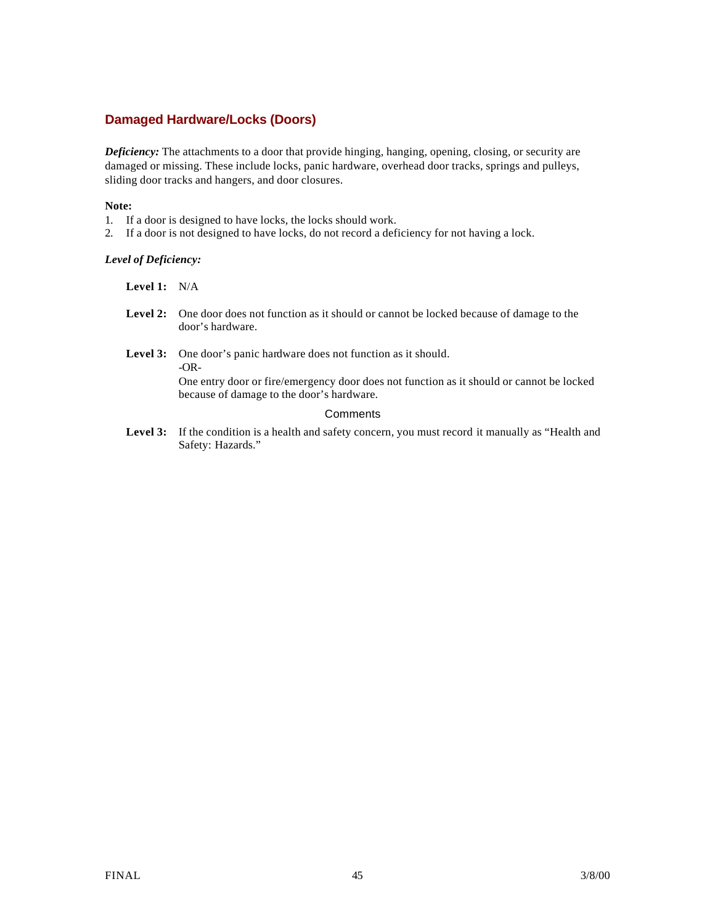### **Damaged Hardware/Locks (Doors)**

*Deficiency:* The attachments to a door that provide hinging, hanging, opening, closing, or security are damaged or missing. These include locks, panic hardware, overhead door tracks, springs and pulleys, sliding door tracks and hangers, and door closures.

#### **Note:**

- 1. If a door is designed to have locks, the locks should work.
- 2. If a door is not designed to have locks, do not record a deficiency for not having a lock.

#### *Level of Deficiency:*

**Level 1:** N/A

- **Level 2:** One door does not function as it should or cannot be locked because of damage to the door's hardware.
- Level 3: One door's panic hardware does not function as it should. -OR-

One entry door or fire/emergency door does not function as it should or cannot be locked because of damage to the door's hardware.

#### **Comments**

Level 3: If the condition is a health and safety concern, you must record it manually as "Health and Safety: Hazards."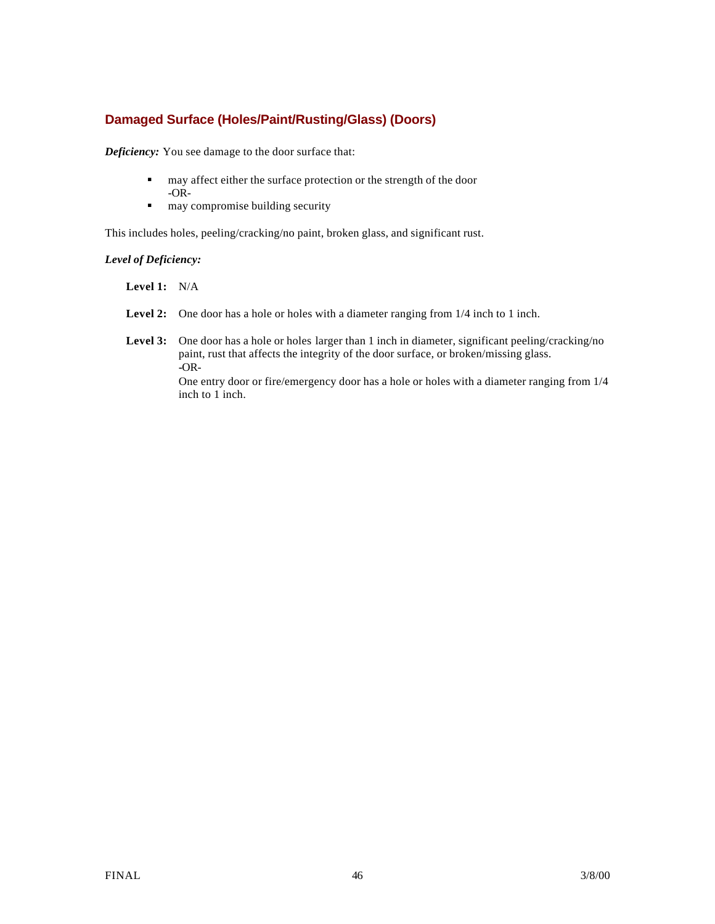## **Damaged Surface (Holes/Paint/Rusting/Glass) (Doors)**

*Deficiency:* You see damage to the door surface that:

- $\blacksquare$  may affect either the surface protection or the strength of the door -OR-
- $\blacksquare$  may compromise building security

This includes holes, peeling/cracking/no paint, broken glass, and significant rust.

#### *Level of Deficiency:*

- **Level 1:** N/A
- **Level 2:** One door has a hole or holes with a diameter ranging from 1/4 inch to 1 inch.
- Level 3: One door has a hole or holes larger than 1 inch in diameter, significant peeling/cracking/no paint, rust that affects the integrity of the door surface, or broken/missing glass. **-**OR-

One entry door or fire/emergency door has a hole or holes with a diameter ranging from 1/4 inch to 1 inch.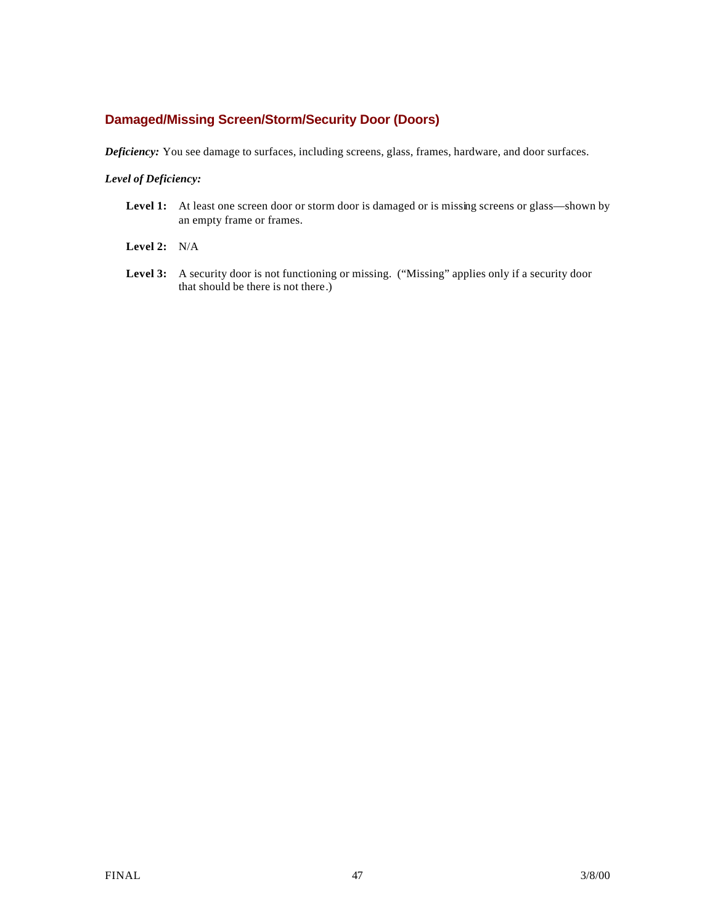### **Damaged/Missing Screen/Storm/Security Door (Doors)**

*Deficiency:* You see damage to surfaces, including screens, glass, frames, hardware, and door surfaces.

#### *Level of Deficiency:*

- Level 1: At least one screen door or storm door is damaged or is missing screens or glass—shown by an empty frame or frames.
- **Level 2:** N/A
- Level 3: A security door is not functioning or missing. ("Missing" applies only if a security door that should be there is not there.)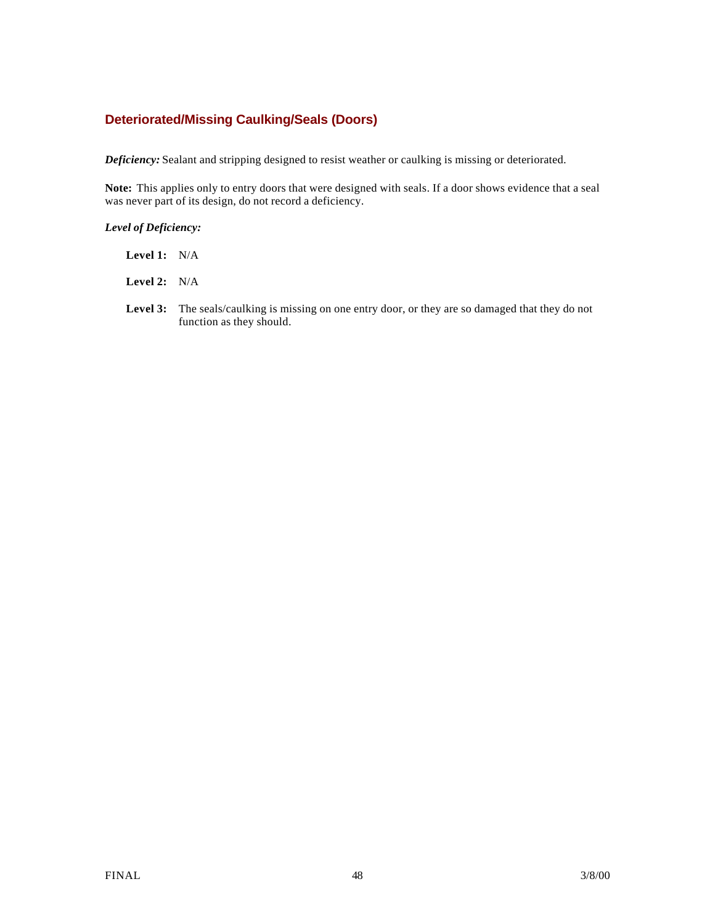### **Deteriorated/Missing Caulking/Seals (Doors)**

*Deficiency:* Sealant and stripping designed to resist weather or caulking is missing or deteriorated.

**Note:** This applies only to entry doors that were designed with seals. If a door shows evidence that a seal was never part of its design, do not record a deficiency.

### *Level of Deficiency:*

| Level 1: | N/A |
|----------|-----|
|          |     |

**Level 2:** N/A

Level 3: The seals/caulking is missing on one entry door, or they are so damaged that they do not function as they should.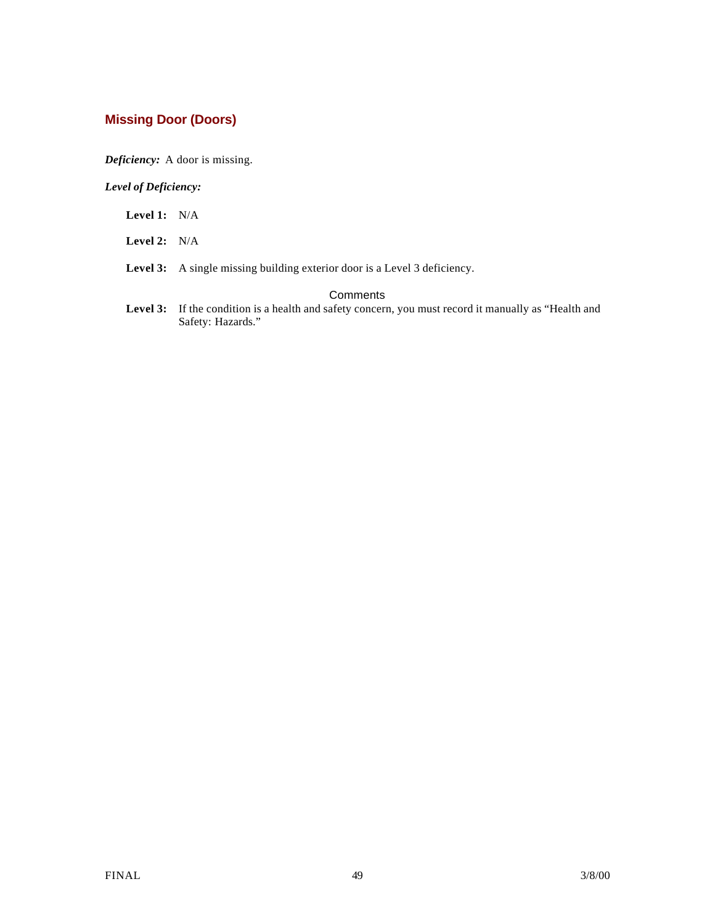# **Missing Door (Doors)**

*Deficiency:* A door is missing.

*Level of Deficiency:*

- **Level 1:** N/A
- **Level 2:** N/A
- Level 3: A single missing building exterior door is a Level 3 deficiency.

#### **Comments**

Level 3: If the condition is a health and safety concern, you must record it manually as "Health and Safety: Hazards."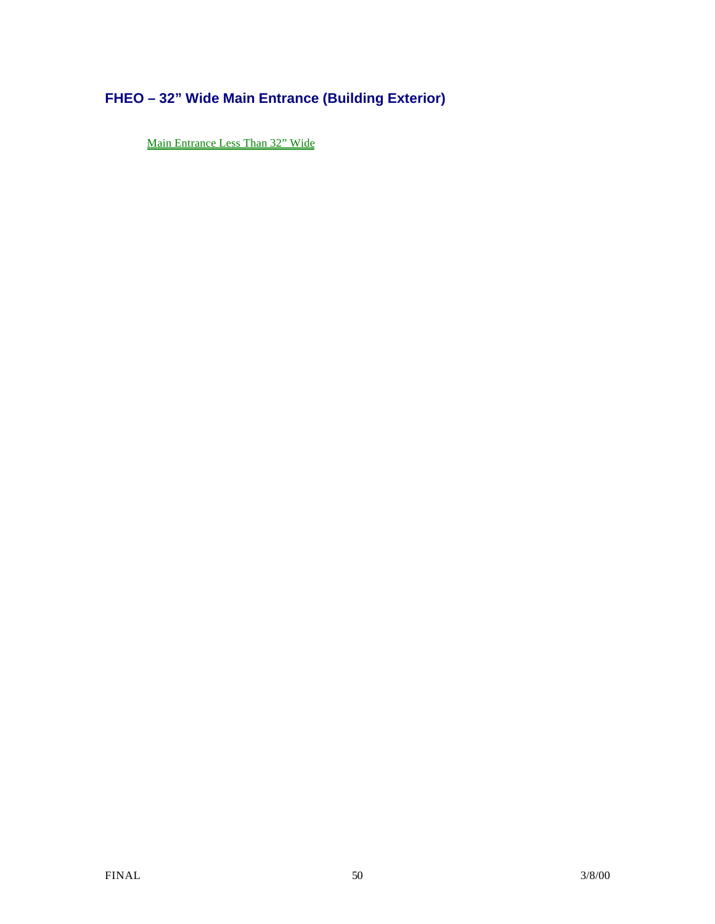# **FHEO – 32" Wide Main Entrance (Building Exterior)**

Main Entrance Less Than 32" Wide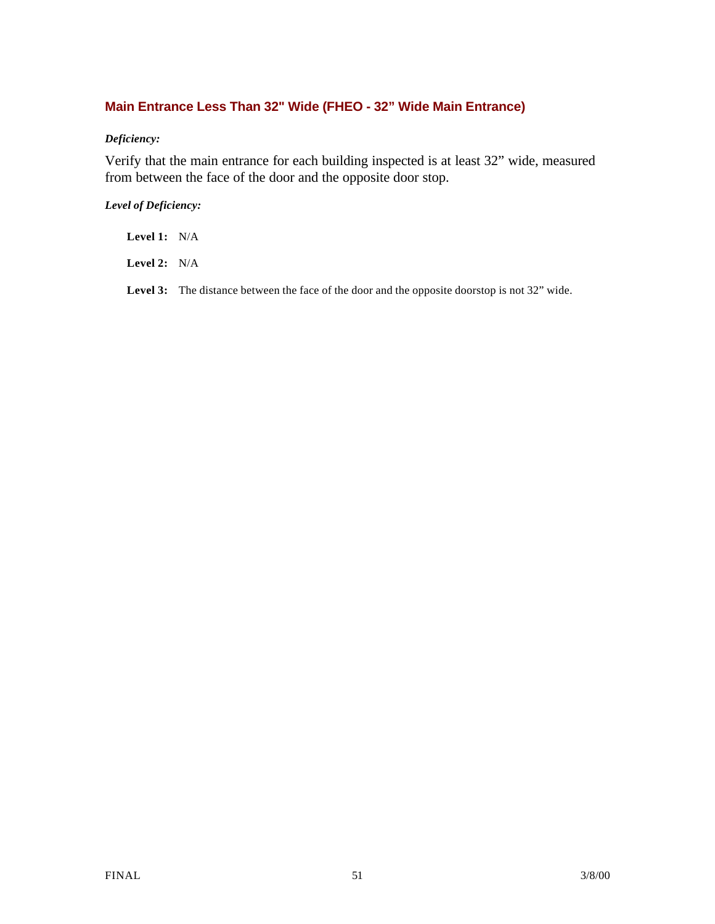# **Main Entrance Less Than 32" Wide (FHEO - 32" Wide Main Entrance)**

### *Deficiency:*

Verify that the main entrance for each building inspected is at least 32" wide, measured from between the face of the door and the opposite door stop.

### *Level of Deficiency:*

**Level 1:** N/A

**Level 2:** N/A

**Level 3:** The distance between the face of the door and the opposite doorstop is not 32" wide.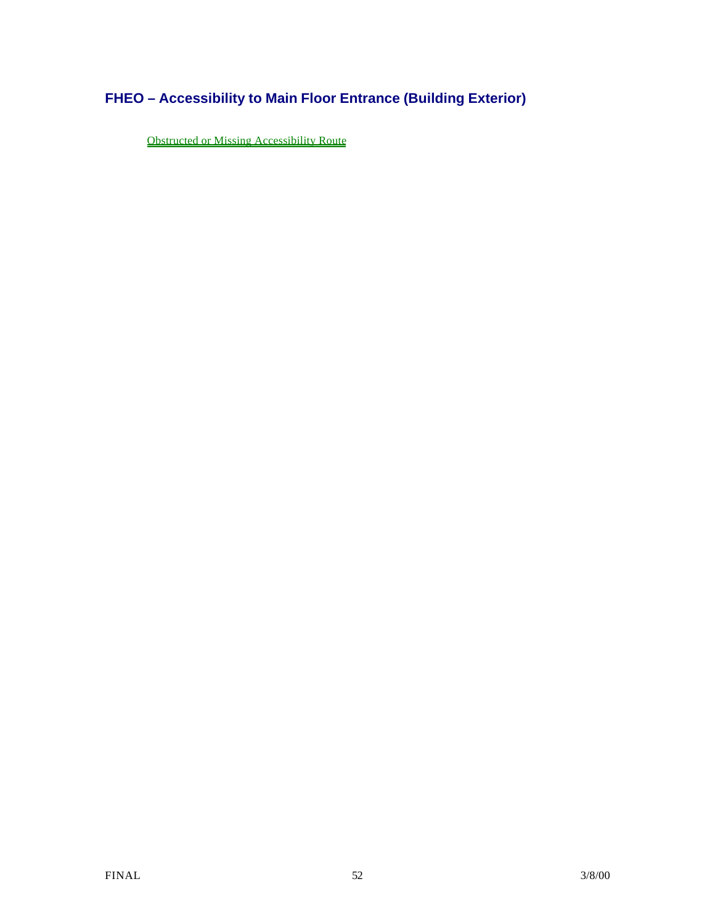# **FHEO – Accessibility to Main Floor Entrance (Building Exterior)**

Obstructed or Missing Accessibility Route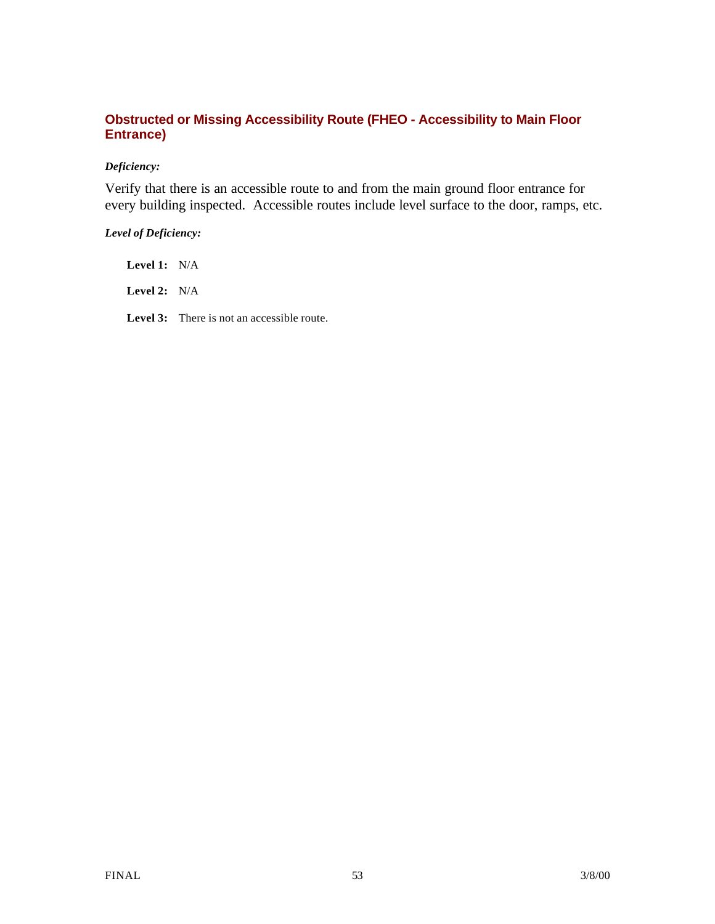## **Obstructed or Missing Accessibility Route (FHEO - Accessibility to Main Floor Entrance)**

### *Deficiency:*

Verify that there is an accessible route to and from the main ground floor entrance for every building inspected. Accessible routes include level surface to the door, ramps, etc.

### *Level of Deficiency:*

**Level 1:** N/A **Level 2:** N/A **Level 3:** There is not an accessible route.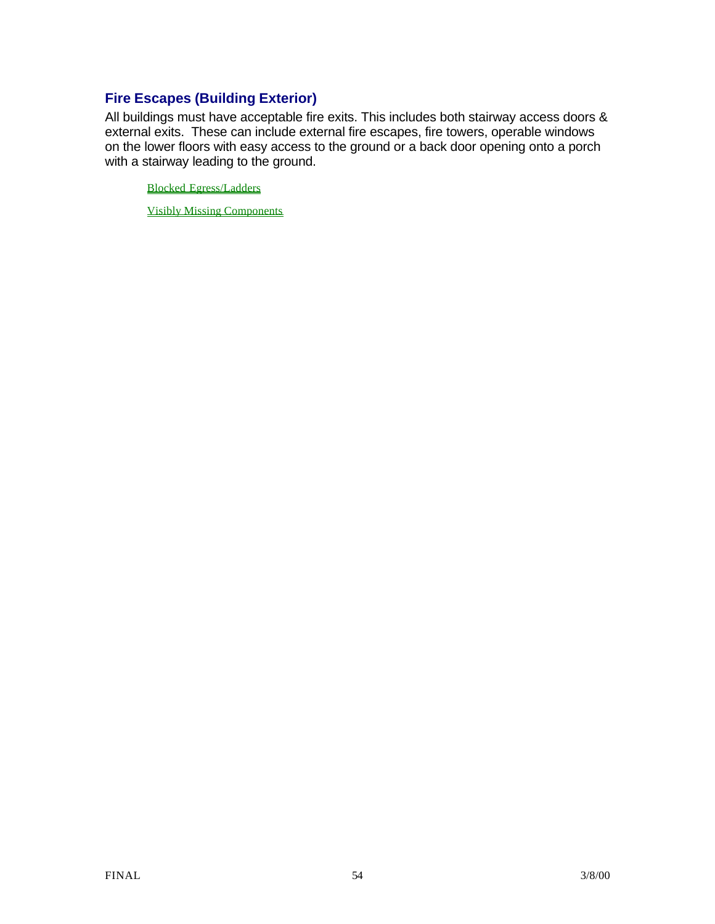# **Fire Escapes (Building Exterior)**

All buildings must have acceptable fire exits. This includes both stairway access doors & external exits. These can include external fire escapes, fire towers, operable windows on the lower floors with easy access to the ground or a back door opening onto a porch with a stairway leading to the ground.

Blocked Egress/Ladders

Visibly Missing Components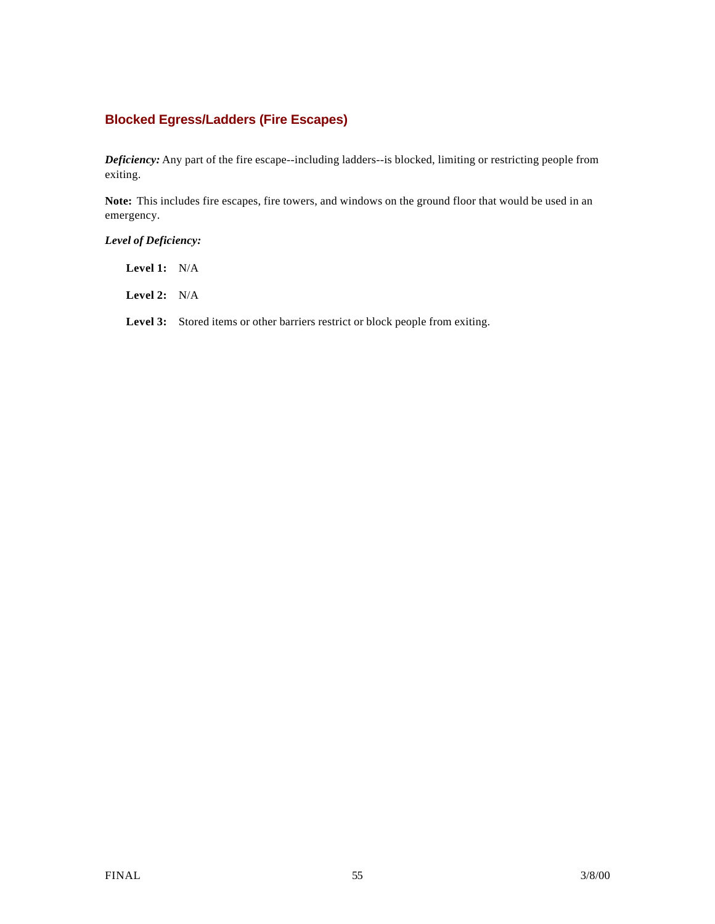### **Blocked Egress/Ladders (Fire Escapes)**

*Deficiency:* Any part of the fire escape--including ladders--is blocked, limiting or restricting people from exiting.

**Note:** This includes fire escapes, fire towers, and windows on the ground floor that would be used in an emergency.

### *Level of Deficiency:*

**Level 1:** N/A

**Level 2:** N/A

Level 3: Stored items or other barriers restrict or block people from exiting.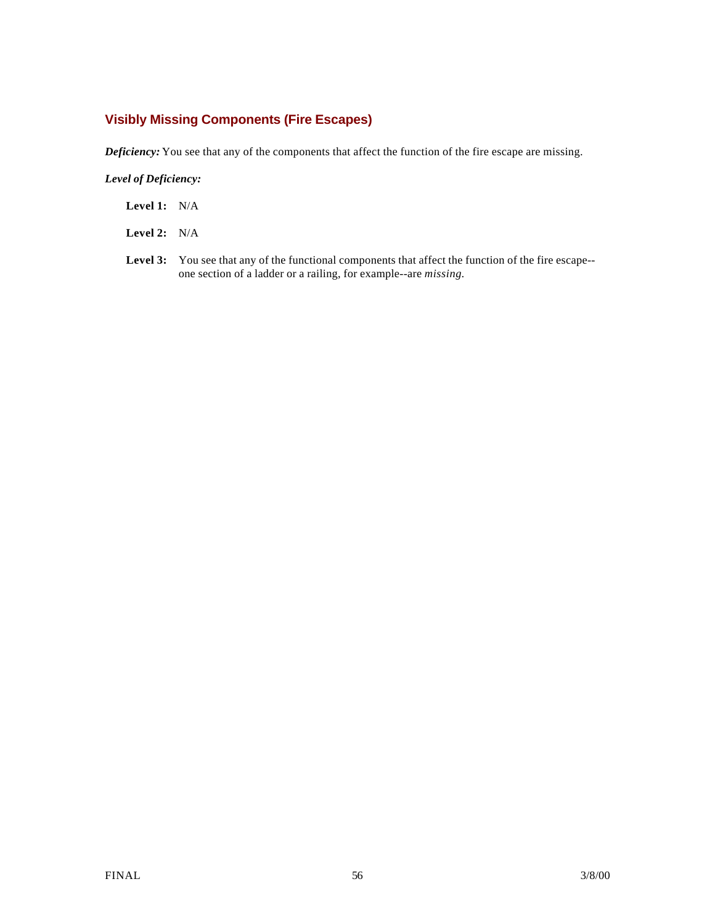# **Visibly Missing Components (Fire Escapes)**

*Deficiency:* You see that any of the components that affect the function of the fire escape are missing.

#### *Level of Deficiency:*

**Level 1:** N/A

**Level 2:** N/A

**Level 3:** You see that any of the functional components that affect the function of the fire escape- one section of a ladder or a railing, for example--are *missing.*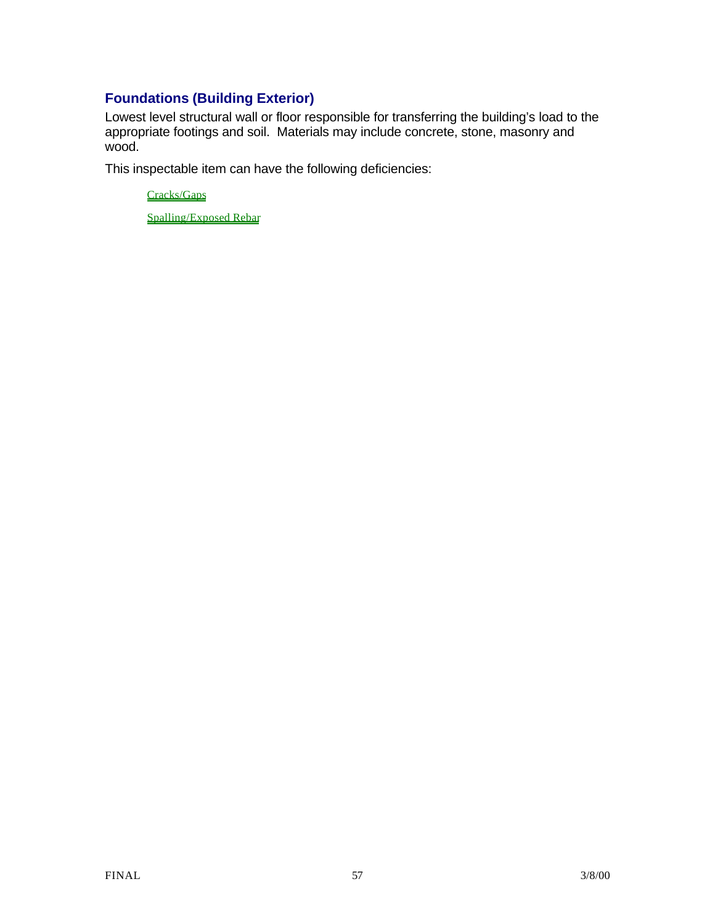# **Foundations (Building Exterior)**

Lowest level structural wall or floor responsible for transferring the building's load to the appropriate footings and soil. Materials may include concrete, stone, masonry and wood.

This inspectable item can have the following deficiencies:

Cracks/Gaps

Spalling/Exposed Rebar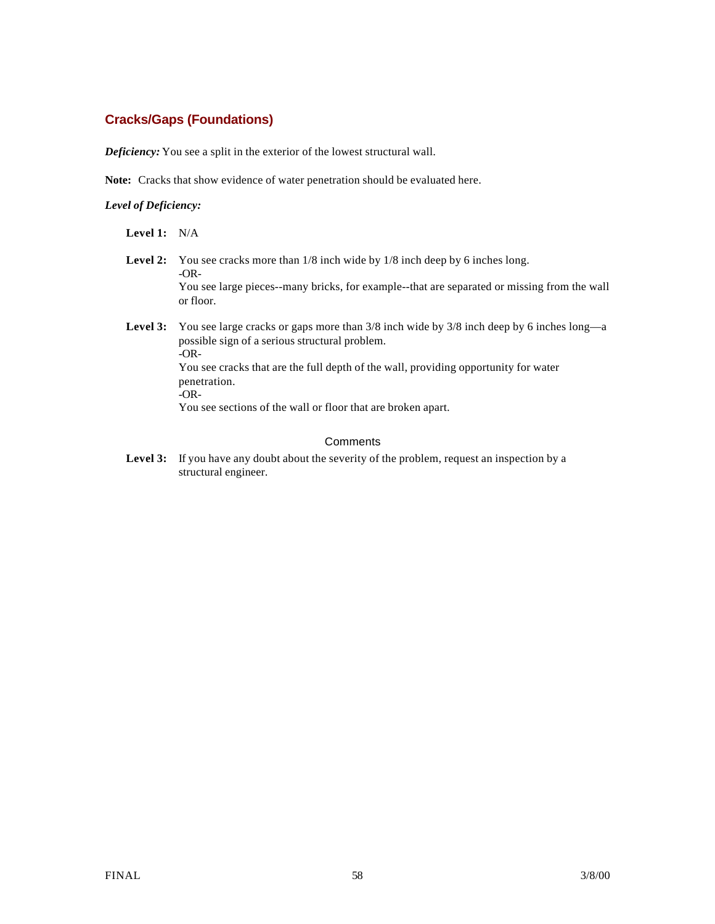## **Cracks/Gaps (Foundations)**

*Deficiency:* You see a split in the exterior of the lowest structural wall.

**Note:** Cracks that show evidence of water penetration should be evaluated here.

#### *Level of Deficiency:*

**Level 1:** N/A

- Level 2: You see cracks more than  $1/8$  inch wide by  $1/8$  inch deep by 6 inches long. -OR-You see large pieces--many bricks, for example--that are separated or missing from the wall or floor.
- Level 3: You see large cracks or gaps more than  $3/8$  inch wide by  $3/8$  inch deep by 6 inches long—a possible sign of a serious structural problem. -OR-You see cracks that are the full depth of the wall, providing opportunity for water penetration. -OR-You see sections of the wall or floor that are broken apart.

#### **Comments**

Level 3: If you have any doubt about the severity of the problem, request an inspection by a structural engineer.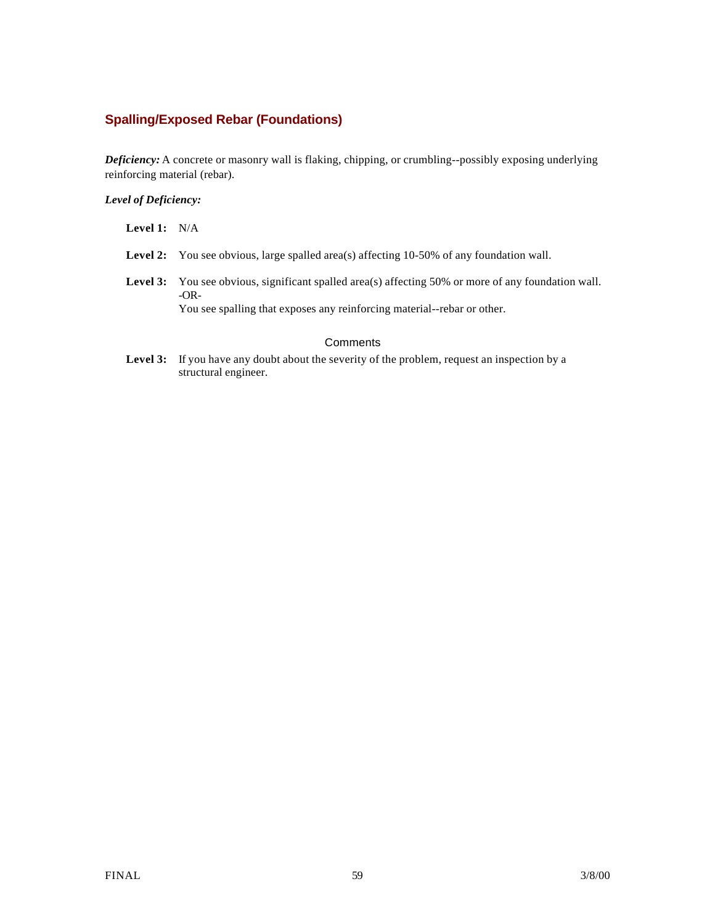# **Spalling/Exposed Rebar (Foundations)**

*Deficiency:* A concrete or masonry wall is flaking, chipping, or crumbling--possibly exposing underlying reinforcing material (rebar).

### *Level of Deficiency:*

| <b>Level 1:</b> $N/A$ |                                                                                                                                                                                                |  |  |
|-----------------------|------------------------------------------------------------------------------------------------------------------------------------------------------------------------------------------------|--|--|
|                       | <b>Level 2:</b> You see obvious, large spalled area(s) affecting 10-50% of any foundation wall.                                                                                                |  |  |
|                       | <b>Level 3:</b> You see obvious, significant spalled area(s) affecting 50% or more of any foundation wall.<br>$-OR-$<br>You see spalling that exposes any reinforcing material-rebar or other. |  |  |
| Comments              |                                                                                                                                                                                                |  |  |

Level 3: If you have any doubt about the severity of the problem, request an inspection by a structural engineer.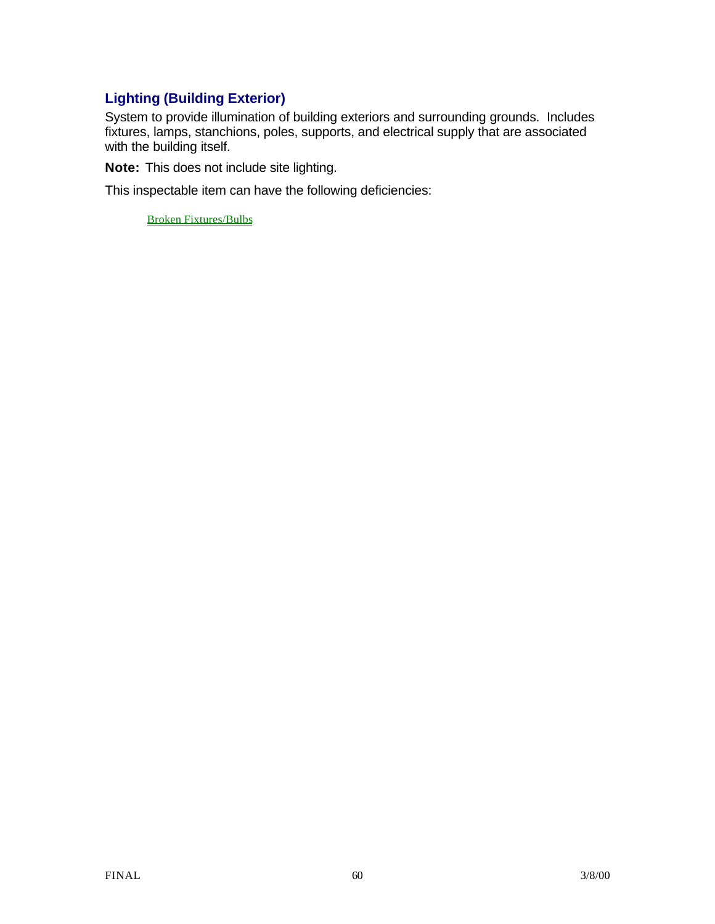# **Lighting (Building Exterior)**

System to provide illumination of building exteriors and surrounding grounds. Includes fixtures, lamps, stanchions, poles, supports, and electrical supply that are associated with the building itself.

**Note:** This does not include site lighting.

This inspectable item can have the following deficiencies:

Broken Fixtures/Bulbs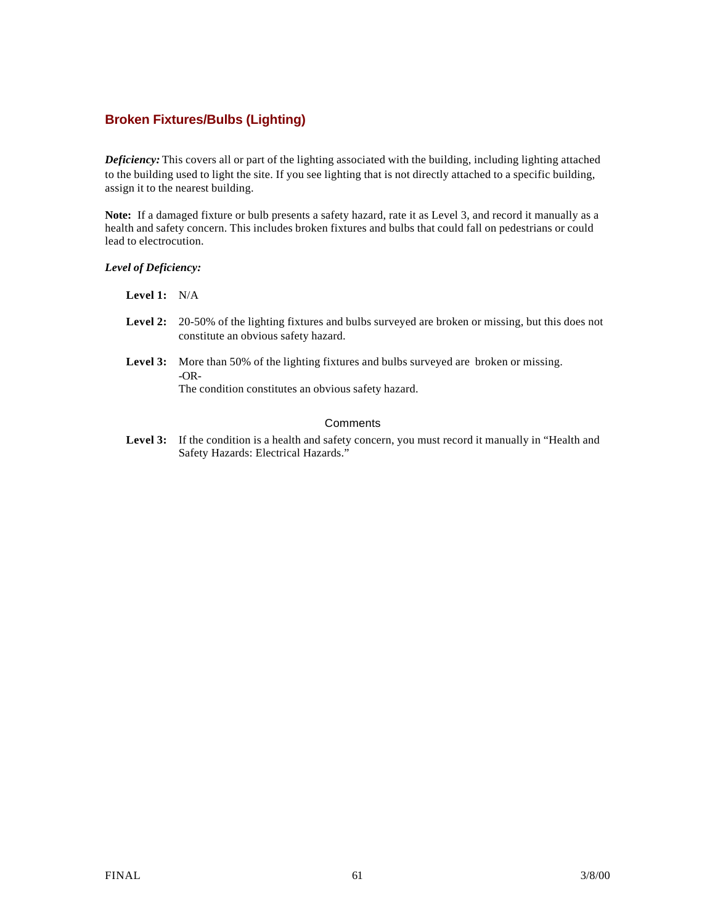### **Broken Fixtures/Bulbs (Lighting)**

*Deficiency:* This covers all or part of the lighting associated with the building, including lighting attached to the building used to light the site. If you see lighting that is not directly attached to a specific building, assign it to the nearest building.

**Note:** If a damaged fixture or bulb presents a safety hazard, rate it as Level 3, and record it manually as a health and safety concern. This includes broken fixtures and bulbs that could fall on pedestrians or could lead to electrocution.

#### *Level of Deficiency:*

#### **Level 1:** N/A

- **Level 2:** 20-50% of the lighting fixtures and bulbs surveyed are broken or missing, but this does not constitute an obvious safety hazard.
- **Level 3:** More than 50% of the lighting fixtures and bulbs surveyed are broken or missing. -OR-

The condition constitutes an obvious safety hazard.

### **Comments**

Level 3: If the condition is a health and safety concern, you must record it manually in "Health and Safety Hazards: Electrical Hazards."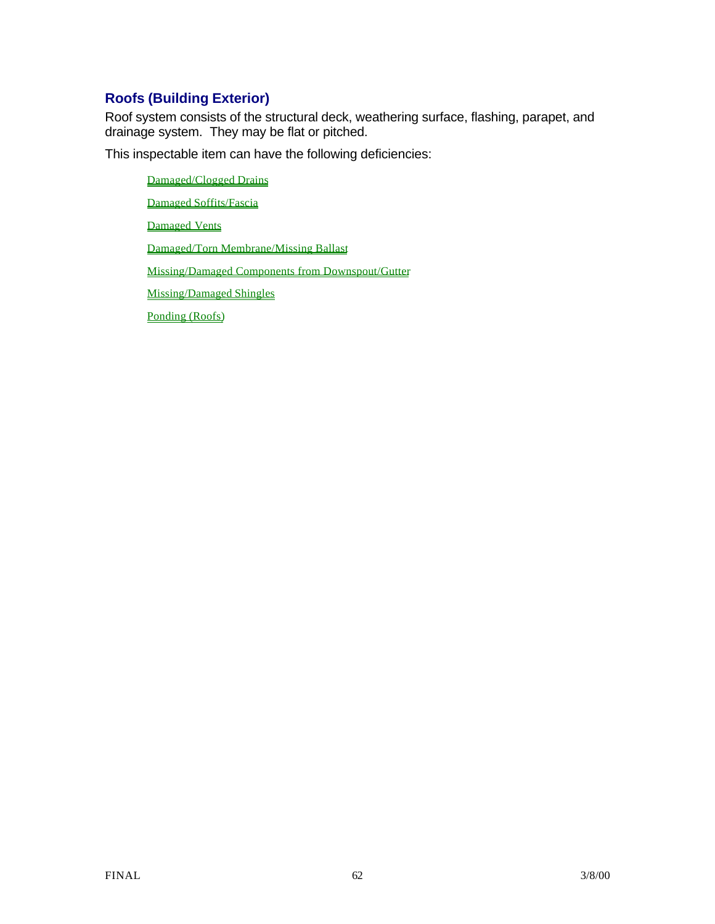# **Roofs (Building Exterior)**

Roof system consists of the structural deck, weathering surface, flashing, parapet, and drainage system. They may be flat or pitched.

This inspectable item can have the following deficiencies:

Damaged/Clogged Drains Damaged Soffits/Fascia Damaged Vents Damaged/Torn Membrane/Missing Ballast Missing/Damaged Components from Downspout/Gutter Missing/Damaged Shingles Ponding (Roofs)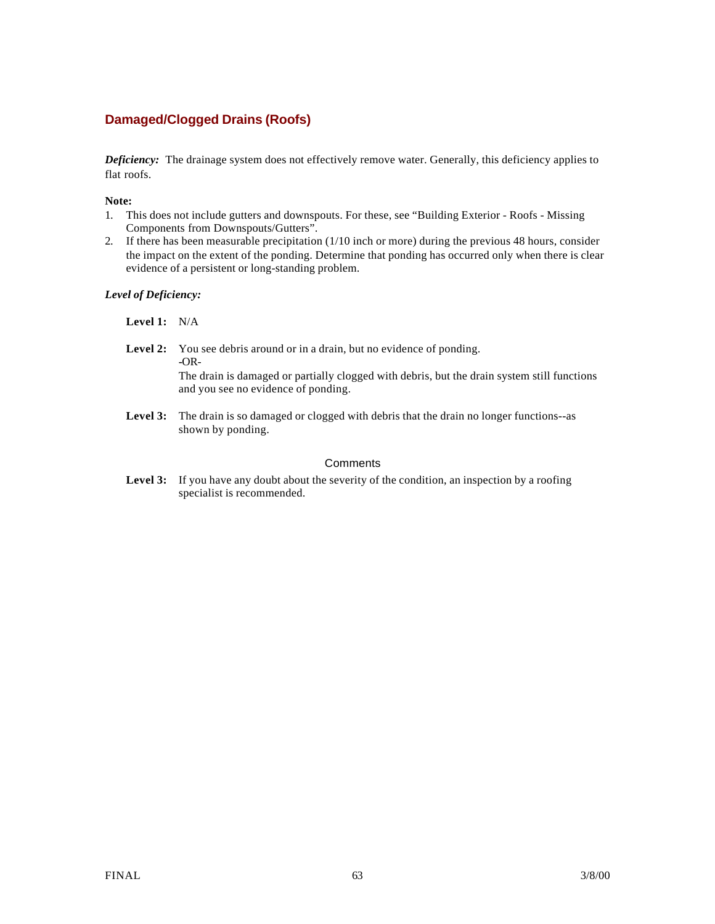## **Damaged/Clogged Drains (Roofs)**

*Deficiency:* The drainage system does not effectively remove water. Generally, this deficiency applies to flat roofs.

#### **Note:**

- 1. This does not include gutters and downspouts. For these, see "Building Exterior Roofs Missing Components from Downspouts/Gutters".
- 2. If there has been measurable precipitation (1/10 inch or more) during the previous 48 hours, consider the impact on the extent of the ponding. Determine that ponding has occurred only when there is clear evidence of a persistent or long-standing problem.

#### *Level of Deficiency:*

**Level 1:** N/A

Level 2: You see debris around or in a drain, but no evidence of ponding. **-**OR-The drain is damaged or partially clogged with debris, but the drain system still functions

and you see no evidence of ponding.

Level 3: The drain is so damaged or clogged with debris that the drain no longer functions--as shown by ponding.

### **Comments**

Level 3: If you have any doubt about the severity of the condition, an inspection by a roofing specialist is recommended.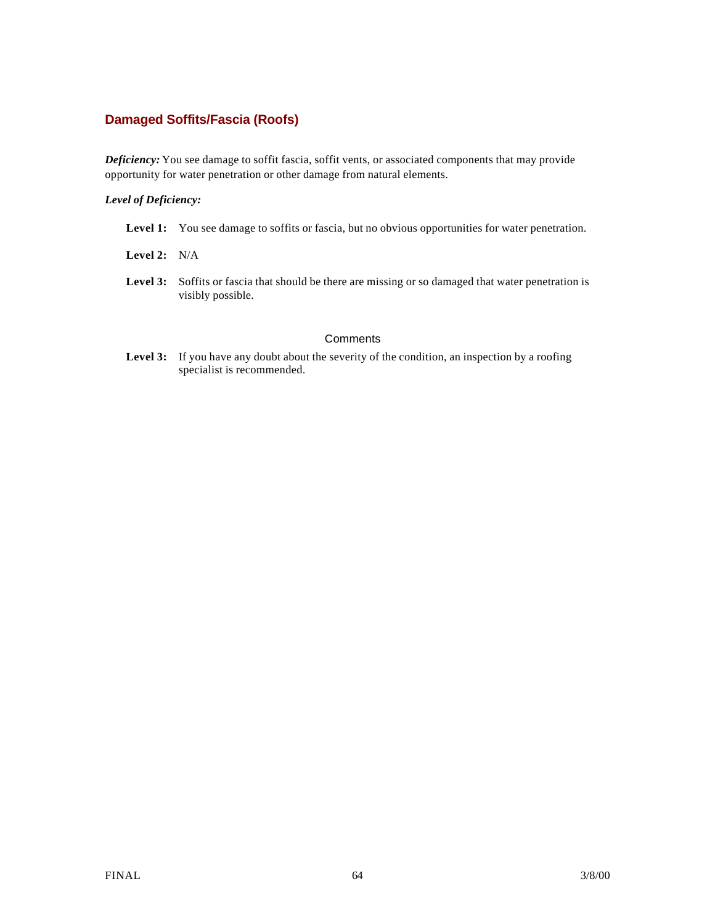### **Damaged Soffits/Fascia (Roofs)**

*Deficiency:* You see damage to soffit fascia, soffit vents, or associated components that may provide opportunity for water penetration or other damage from natural elements.

#### *Level of Deficiency:*

- Level 1: You see damage to soffits or fascia, but no obvious opportunities for water penetration.
- **Level 2:** N/A
- Level 3: Soffits or fascia that should be there are missing or so damaged that water penetration is visibly possible.

#### **Comments**

Level 3: If you have any doubt about the severity of the condition, an inspection by a roofing specialist is recommended.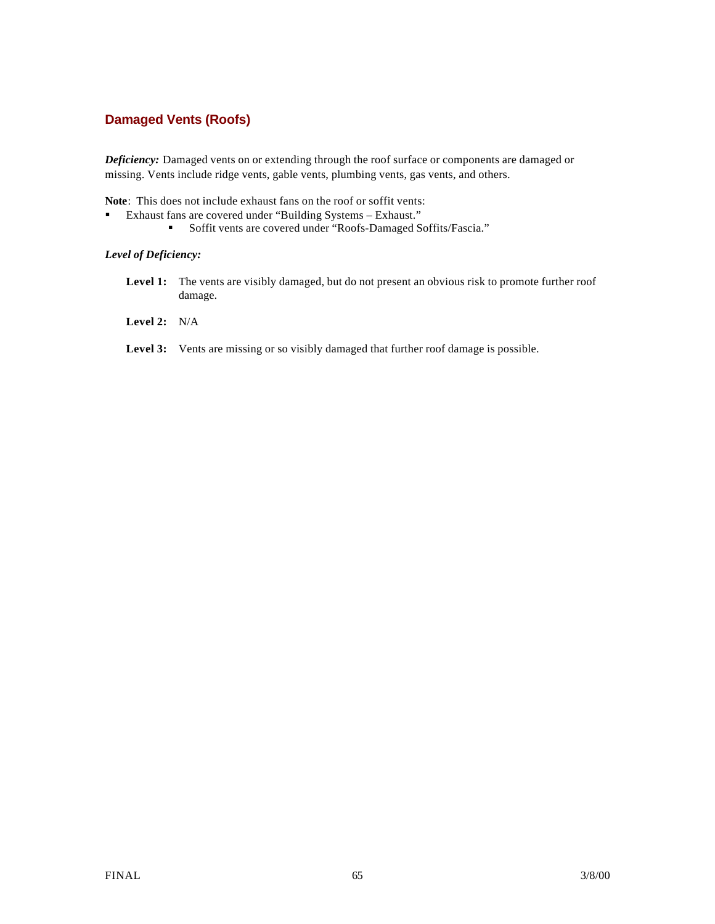### **Damaged Vents (Roofs)**

*Deficiency:* Damaged vents on or extending through the roof surface or components are damaged or missing. Vents include ridge vents, gable vents, plumbing vents, gas vents, and others.

**Note**: This does not include exhaust fans on the roof or soffit vents:

- ß Exhaust fans are covered under "Building Systems Exhaust."
	- **Soffit vents are covered under "Roofs-Damaged Soffits/Fascia."**

#### *Level of Deficiency:*

- Level 1: The vents are visibly damaged, but do not present an obvious risk to promote further roof damage.
- **Level 2:** N/A
- Level 3: Vents are missing or so visibly damaged that further roof damage is possible.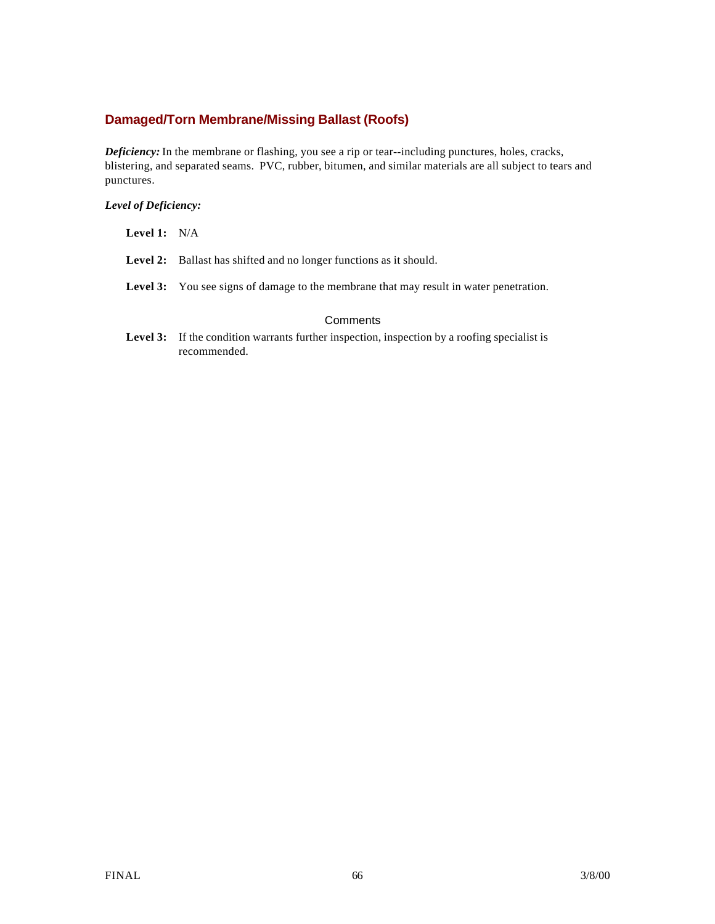## **Damaged/Torn Membrane/Missing Ballast (Roofs)**

*Deficiency:* In the membrane or flashing, you see a rip or tear--including punctures, holes, cracks, blistering, and separated seams. PVC, rubber, bitumen, and similar materials are all subject to tears and punctures.

### *Level of Deficiency:*

| <b>Level 1:</b> $N/A$ |                                                                                               |  |  |
|-----------------------|-----------------------------------------------------------------------------------------------|--|--|
|                       | <b>Level 2:</b> Ballast has shifted and no longer functions as it should.                     |  |  |
|                       | <b>Level 3:</b> You see signs of damage to the membrane that may result in water penetration. |  |  |
| Comments              |                                                                                               |  |  |

Level 3: If the condition warrants further inspection, inspection by a roofing specialist is recommended.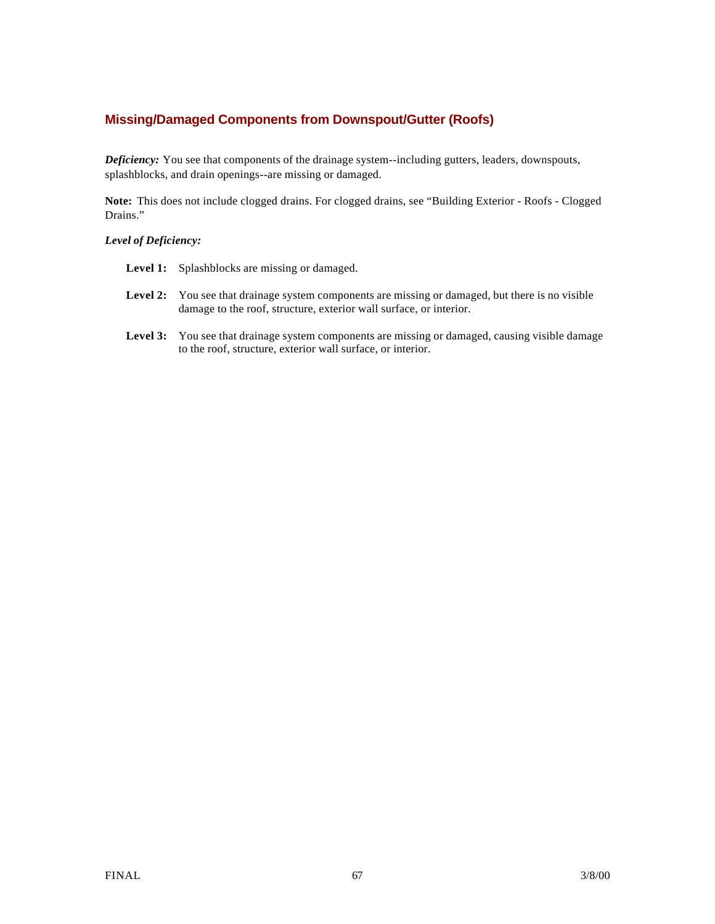### **Missing/Damaged Components from Downspout/Gutter (Roofs)**

*Deficiency:* You see that components of the drainage system--including gutters, leaders, downspouts, splashblocks, and drain openings--are missing or damaged.

**Note:** This does not include clogged drains. For clogged drains, see "Building Exterior - Roofs - Clogged Drains."

#### *Level of Deficiency:*

- Level 1: Splashblocks are missing or damaged.
- Level 2: You see that drainage system components are missing or damaged, but there is no visible damage to the roof, structure, exterior wall surface, or interior.
- Level 3: You see that drainage system components are missing or damaged, causing visible damage to the roof, structure, exterior wall surface, or interior.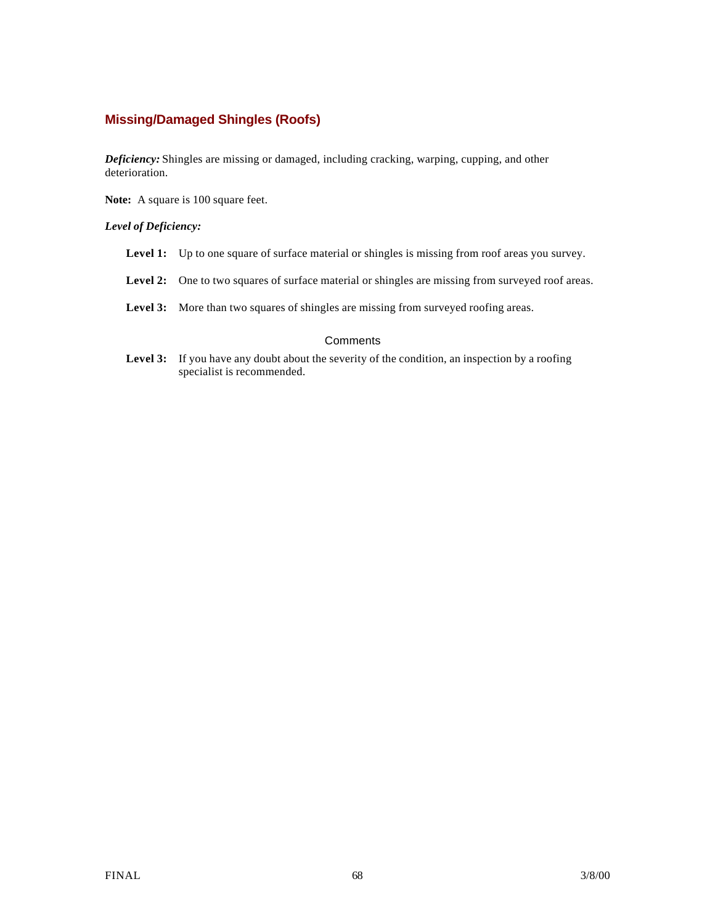### **Missing/Damaged Shingles (Roofs)**

*Deficiency:* Shingles are missing or damaged, including cracking, warping, cupping, and other deterioration.

**Note:** A square is 100 square feet.

#### *Level of Deficiency:*

- Level 1: Up to one square of surface material or shingles is missing from roof areas you survey.
- Level 2: One to two squares of surface material or shingles are missing from surveyed roof areas.
- **Level 3:** More than two squares of shingles are missing from surveyed roofing areas.

#### **Comments**

Level 3: If you have any doubt about the severity of the condition, an inspection by a roofing specialist is recommended.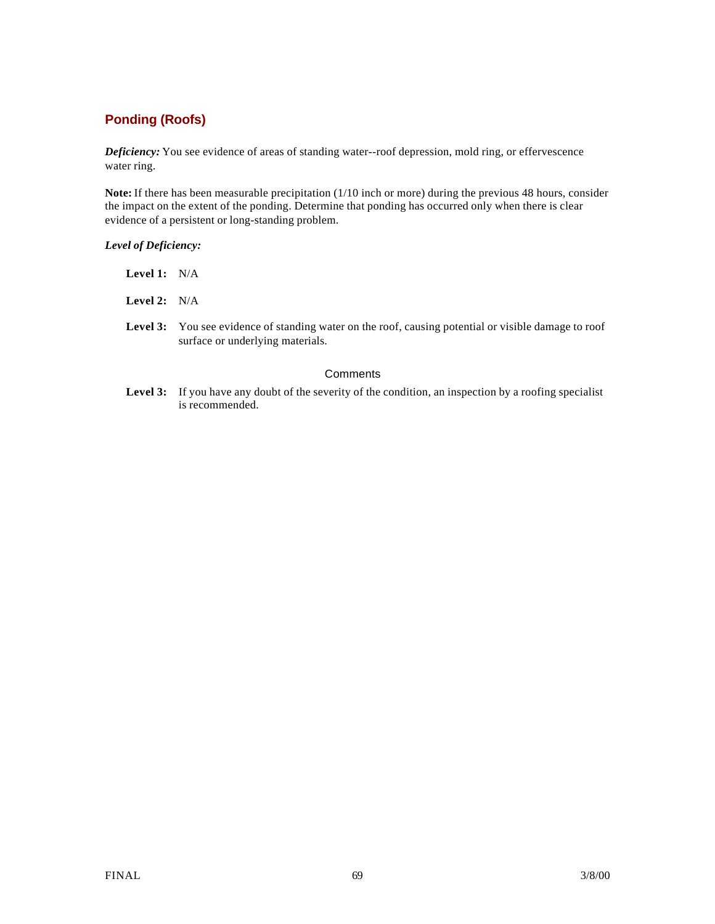# **Ponding (Roofs)**

*Deficiency:* You see evidence of areas of standing water--roof depression, mold ring, or effervescence water ring.

**Note:** If there has been measurable precipitation (1/10 inch or more) during the previous 48 hours, consider the impact on the extent of the ponding. Determine that ponding has occurred only when there is clear evidence of a persistent or long-standing problem.

#### *Level of Deficiency:*

| Level 1: | N/A |
|----------|-----|
|----------|-----|

**Level 2:** N/A

**Level 3:** You see evidence of standing water on the roof, causing potential or visible damage to roof surface or underlying materials.

#### **Comments**

Level 3: If you have any doubt of the severity of the condition, an inspection by a roofing specialist is recommended.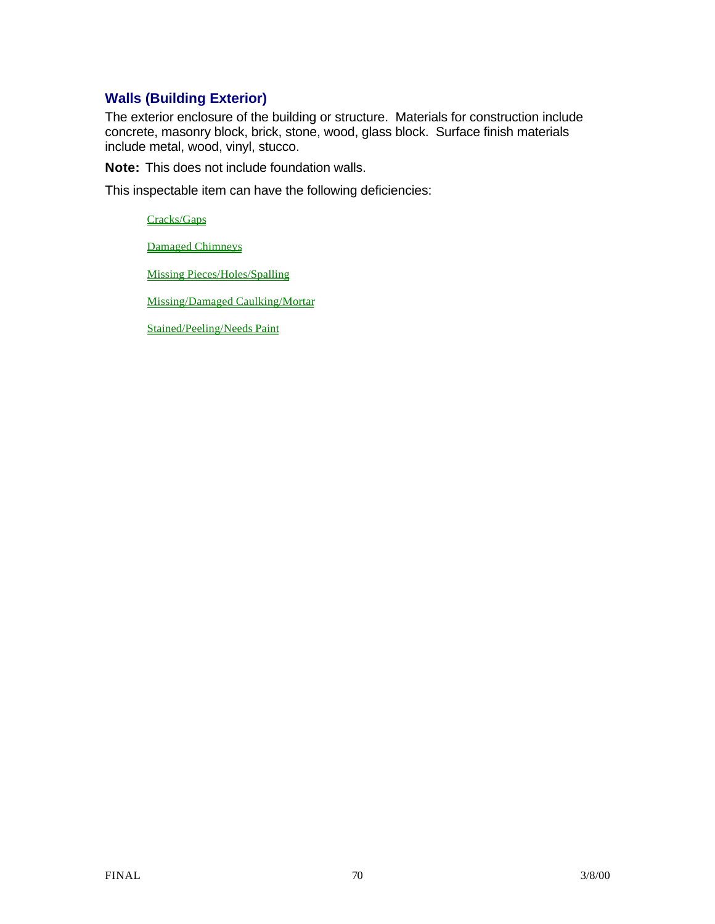# **Walls (Building Exterior)**

The exterior enclosure of the building or structure. Materials for construction include concrete, masonry block, brick, stone, wood, glass block. Surface finish materials include metal, wood, vinyl, stucco.

**Note:** This does not include foundation walls.

This inspectable item can have the following deficiencies:

Cracks/Gaps

Damaged Chimneys

Missing Pieces/Holes/Spalling

Missing/Damaged Caulking/Mortar

Stained/Peeling/Needs Paint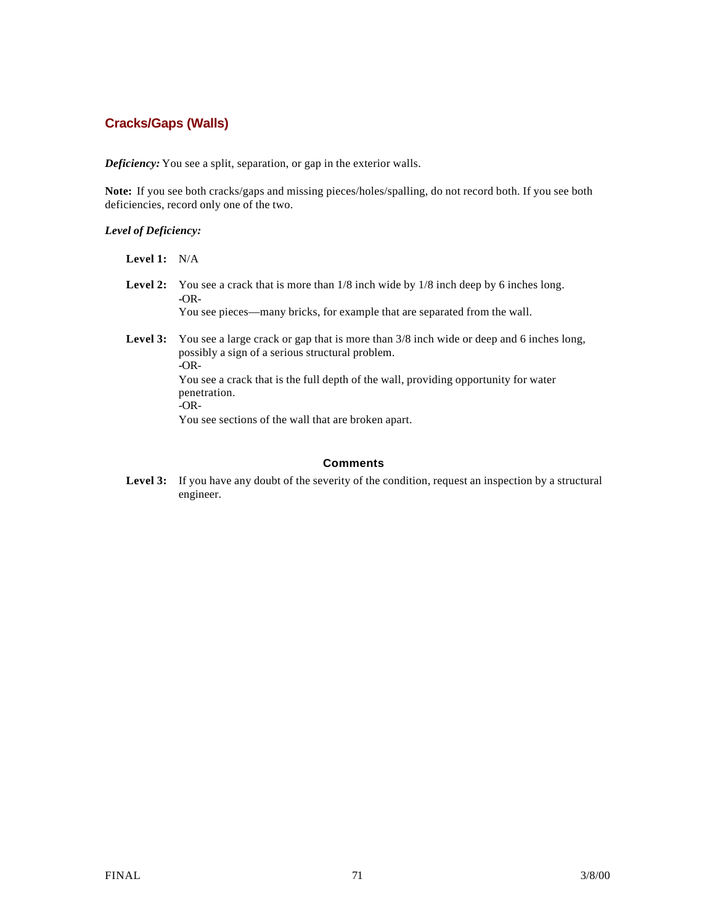### **Cracks/Gaps (Walls)**

*Deficiency:* You see a split, separation, or gap in the exterior walls.

**Note:** If you see both cracks/gaps and missing pieces/holes/spalling, do not record both. If you see both deficiencies, record only one of the two.

*Level of Deficiency:*

**Level 1:** N/A

Level 2: You see a crack that is more than  $1/8$  inch wide by  $1/8$  inch deep by 6 inches long. **-**OR-

You see pieces—many bricks, for example that are separated from the wall.

**Level 3:** You see a large crack or gap that is more than 3/8 inch wide or deep and 6 inches long, possibly a sign of a serious structural problem. **-**OR-You see a crack that is the full depth of the wall, providing opportunity for water penetration.  $-CR$ -

You see sections of the wall that are broken apart.

### **Comments**

Level 3: If you have any doubt of the severity of the condition, request an inspection by a structural engineer.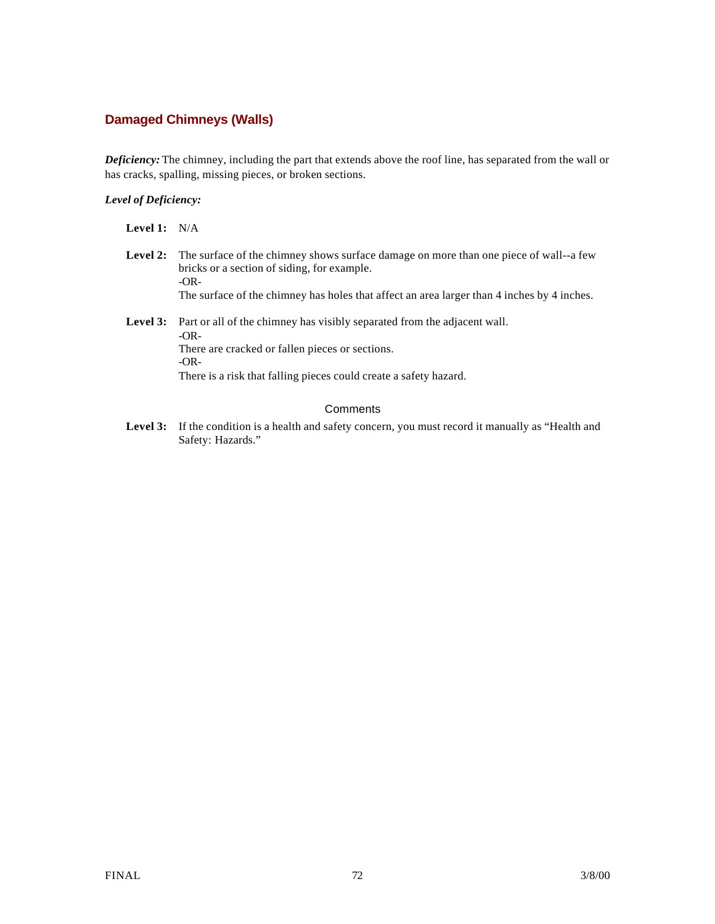## **Damaged Chimneys (Walls)**

*Deficiency:* The chimney, including the part that extends above the roof line, has separated from the wall or has cracks, spalling, missing pieces, or broken sections.

#### *Level of Deficiency:*

**Level 1:** N/A

- **Level 2:** The surface of the chimney shows surface damage on more than one piece of wall--a few bricks or a section of siding, for example. -OR-The surface of the chimney has holes that affect an area larger than 4 inches by 4 inches.
- Level 3: Part or all of the chimney has visibly separated from the adjacent wall. -OR-There are cracked or fallen pieces or sections. -OR-There is a risk that falling pieces could create a safety hazard.

#### **Comments**

Level 3: If the condition is a health and safety concern, you must record it manually as "Health and Safety: Hazards."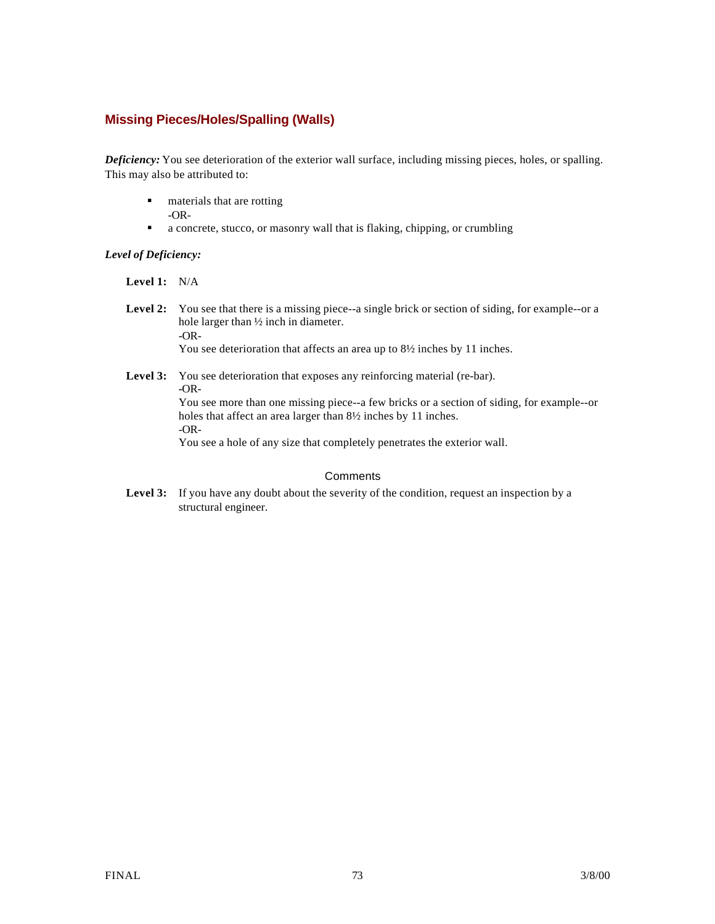### **Missing Pieces/Holes/Spalling (Walls)**

*Deficiency:* You see deterioration of the exterior wall surface, including missing pieces, holes, or spalling. This may also be attributed to:

- **n** materials that are rotting
	- -OR-
- a concrete, stucco, or masonry wall that is flaking, chipping, or crumbling

### *Level of Deficiency:*

**Level 1:** N/A

Level 2: You see that there is a missing piece--a single brick or section of siding, for example--or a hole larger than ½ inch in diameter. -OR-You see deterioration that affects an area up to  $8\frac{1}{2}$  inches by 11 inches.

#### Level 3: You see deterioration that exposes any reinforcing material (re-bar). **-**OR-You see more than one missing piece--a few bricks or a section of siding, for example--or holes that affect an area larger than  $8\frac{1}{2}$  inches by 11 inches. -OR-You see a hole of any size that completely penetrates the exterior wall.

**Comments** 

Level 3: If you have any doubt about the severity of the condition, request an inspection by a structural engineer.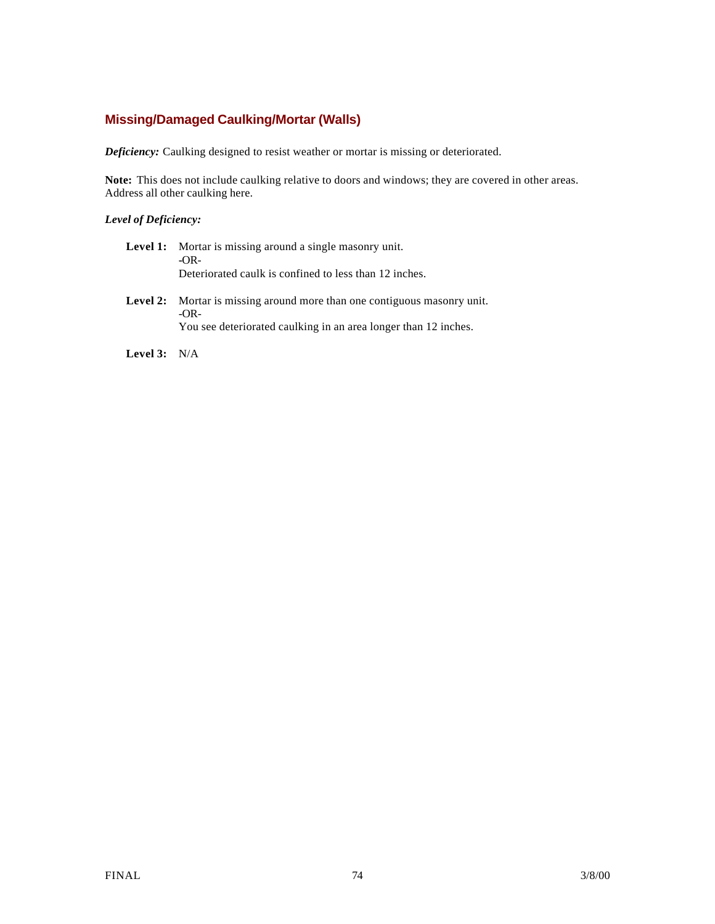## **Missing/Damaged Caulking/Mortar (Walls)**

*Deficiency:* Caulking designed to resist weather or mortar is missing or deteriorated.

**Note:** This does not include caulking relative to doors and windows; they are covered in other areas. Address all other caulking here.

### *Level of Deficiency:*

| <b>Level 1:</b> Mortar is missing around a single masonry unit.<br>$-OR-$<br>Deteriorated caulk is confined to less than 12 inches.                   |
|-------------------------------------------------------------------------------------------------------------------------------------------------------|
| Level 2: Mortar is missing around more than one contiguous masonry unit.<br>$-OR-$<br>You see deteriorated caulking in an area longer than 12 inches. |

**Level 3:** N/A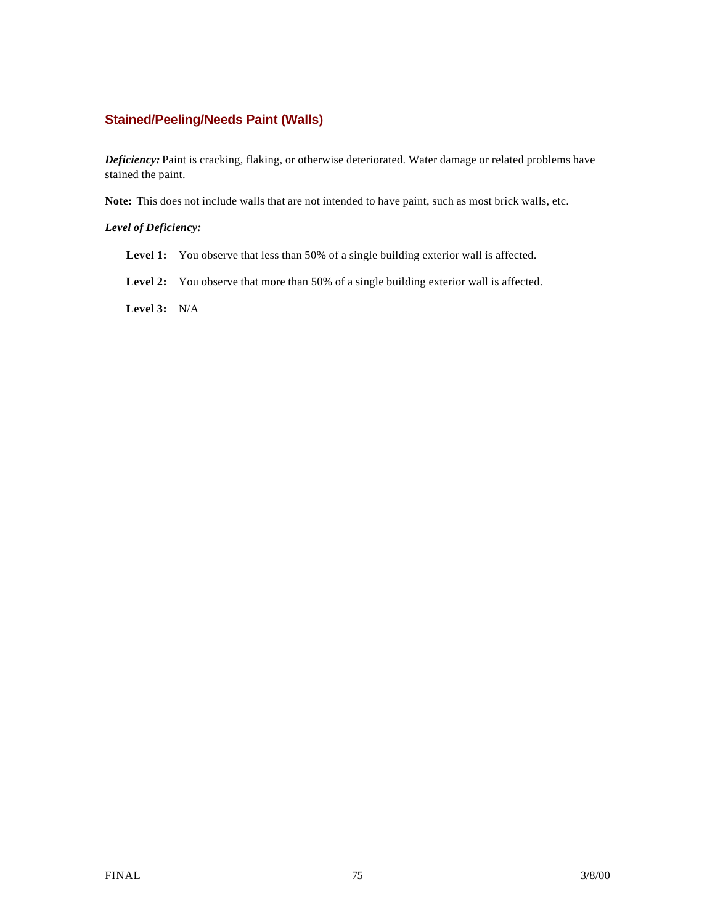### **Stained/Peeling/Needs Paint (Walls)**

*Deficiency:* Paint is cracking, flaking, or otherwise deteriorated. Water damage or related problems have stained the paint.

**Note:** This does not include walls that are not intended to have paint, such as most brick walls, etc.

### *Level of Deficiency:*

- Level 1: You observe that less than 50% of a single building exterior wall is affected.
- Level 2: You observe that more than 50% of a single building exterior wall is affected.

**Level 3:** N/A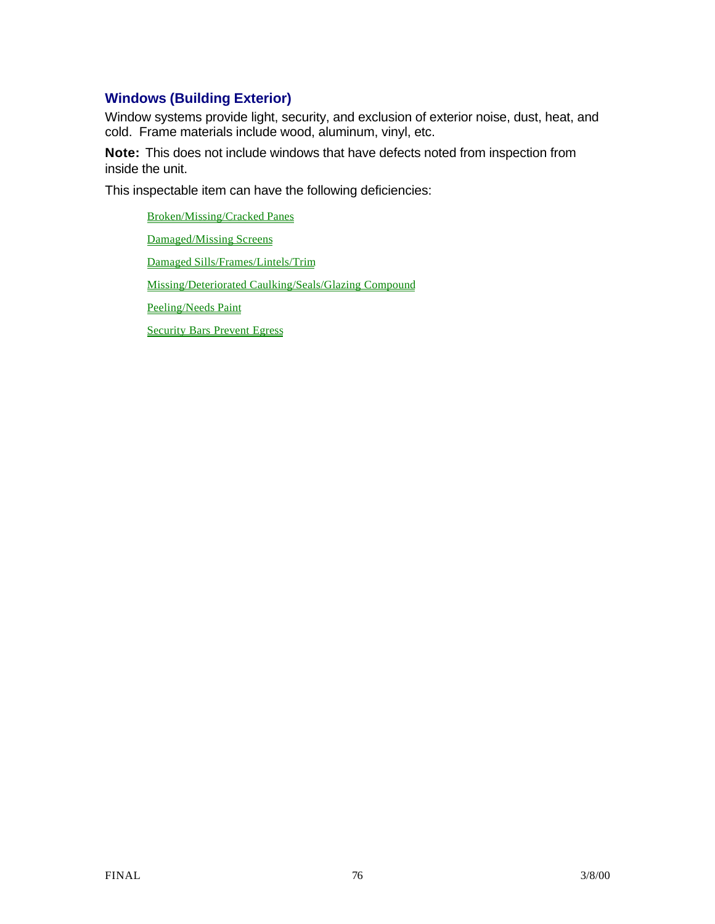## **Windows (Building Exterior)**

Window systems provide light, security, and exclusion of exterior noise, dust, heat, and cold. Frame materials include wood, aluminum, vinyl, etc.

**Note:** This does not include windows that have defects noted from inspection from inside the unit.

This inspectable item can have the following deficiencies:

Broken/Missing/Cracked Panes Damaged/Missing Screens Damaged Sills/Frames/Lintels/Trim Missing/Deteriorated Caulking/Seals/Glazing Compound Peeling/Needs Paint Security Bars Prevent Egress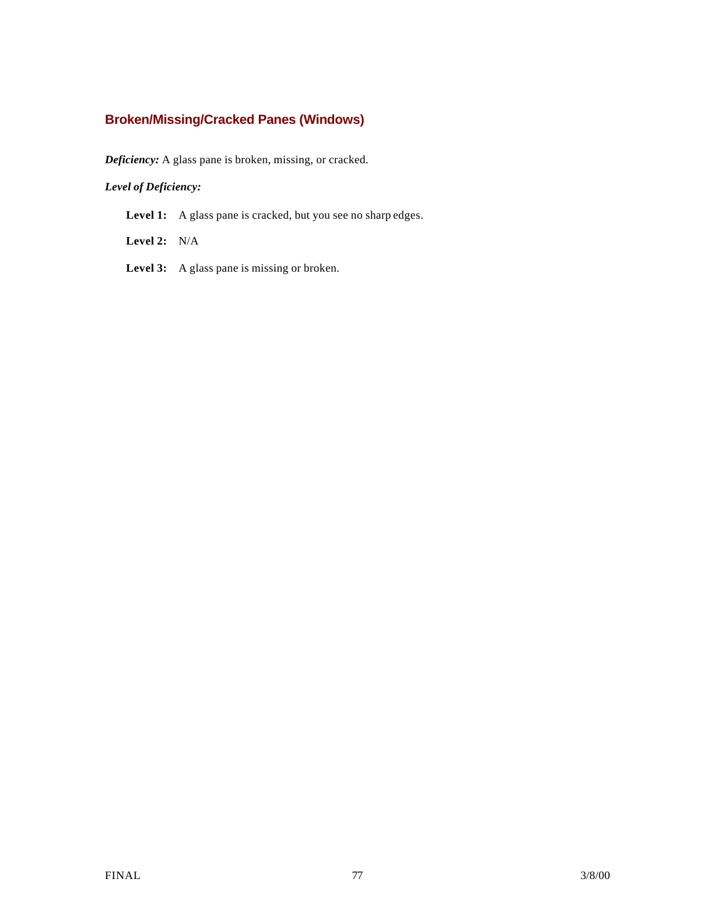## **Broken/Missing/Cracked Panes (Windows)**

*Deficiency:* A glass pane is broken, missing, or cracked.

### *Level of Deficiency:*

Level 1: A glass pane is cracked, but you see no sharp edges.

**Level 2:** N/A

**Level 3:** A glass pane is missing or broken.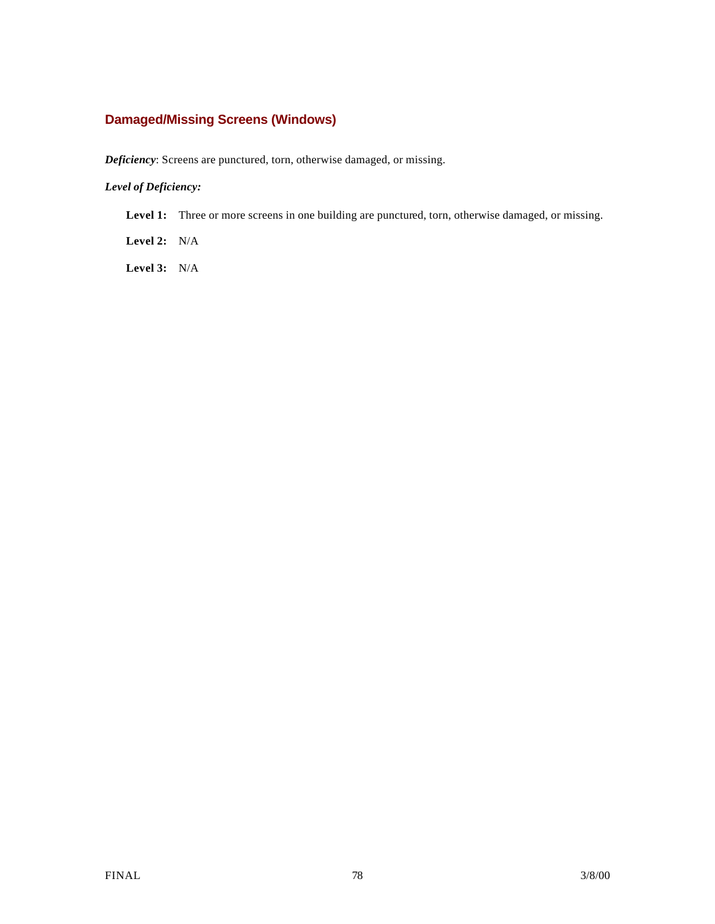## **Damaged/Missing Screens (Windows)**

*Deficiency*: Screens are punctured, torn, otherwise damaged, or missing.

### *Level of Deficiency:*

Level 1: Three or more screens in one building are punctured, torn, otherwise damaged, or missing.

**Level 2:** N/A

**Level 3:** N/A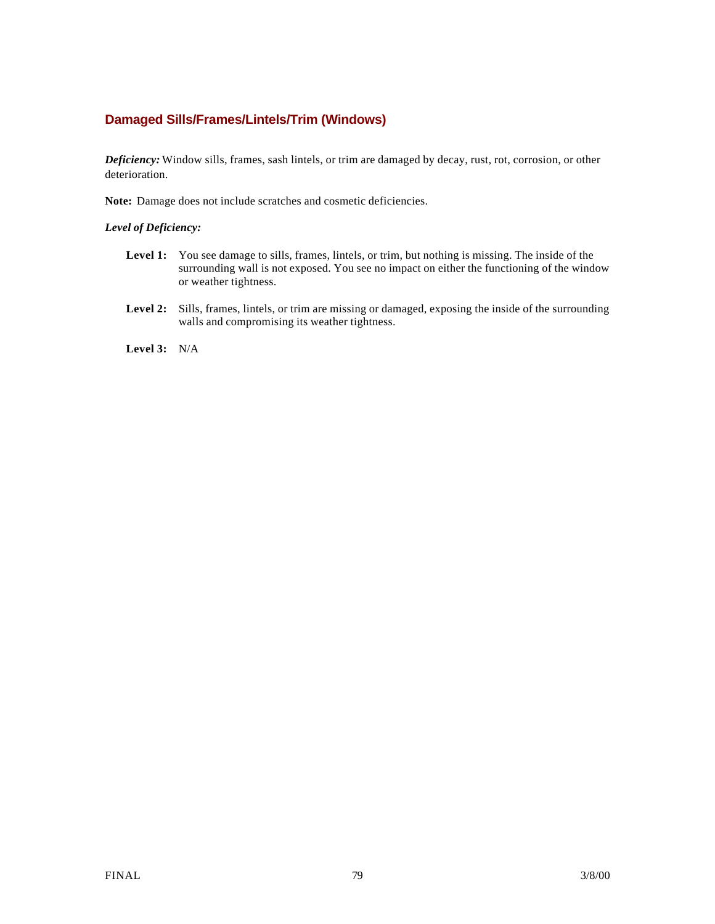### **Damaged Sills/Frames/Lintels/Trim (Windows)**

*Deficiency:* Window sills, frames, sash lintels, or trim are damaged by decay, rust, rot, corrosion, or other deterioration.

**Note:** Damage does not include scratches and cosmetic deficiencies.

*Level of Deficiency:*

- Level 1: You see damage to sills, frames, lintels, or trim, but nothing is missing. The inside of the surrounding wall is not exposed. You see no impact on either the functioning of the window or weather tightness.
- **Level 2:** Sills, frames, lintels, or trim are missing or damaged, exposing the inside of the surrounding walls and compromising its weather tightness.

**Level 3:** N/A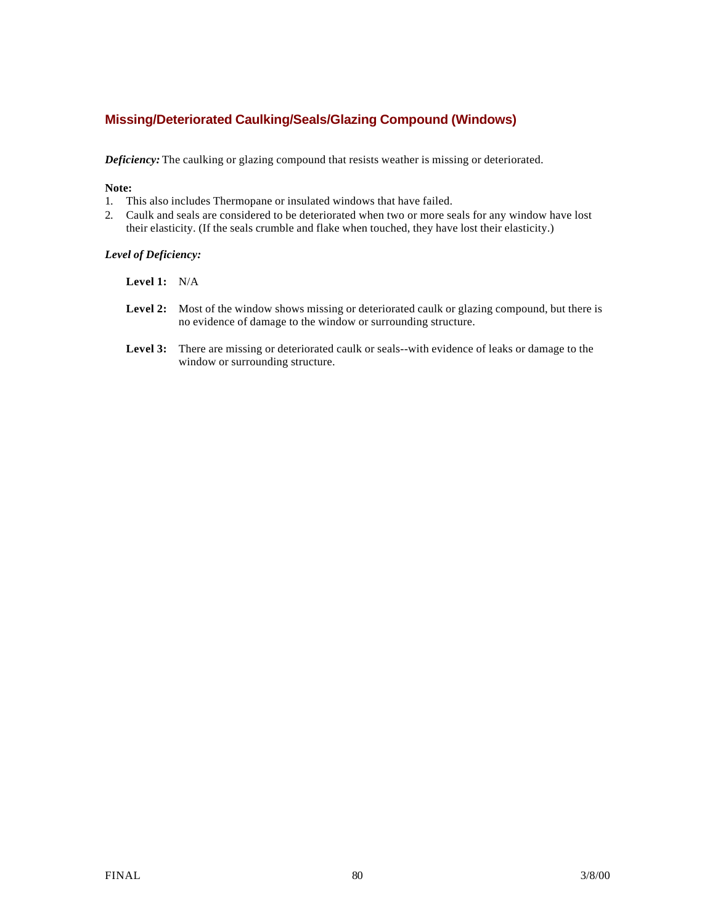### **Missing/Deteriorated Caulking/Seals/Glazing Compound (Windows)**

*Deficiency:* The caulking or glazing compound that resists weather is missing or deteriorated.

#### **Note:**

- 1. This also includes Thermopane or insulated windows that have failed.
- 2. Caulk and seals are considered to be deteriorated when two or more seals for any window have lost their elasticity. (If the seals crumble and flake when touched, they have lost their elasticity.)

#### *Level of Deficiency:*

- **Level 1:** N/A
- Level 2: Most of the window shows missing or deteriorated caulk or glazing compound, but there is no evidence of damage to the window or surrounding structure.
- **Level 3:** There are missing or deteriorated caulk or seals--with evidence of leaks or damage to the window or surrounding structure.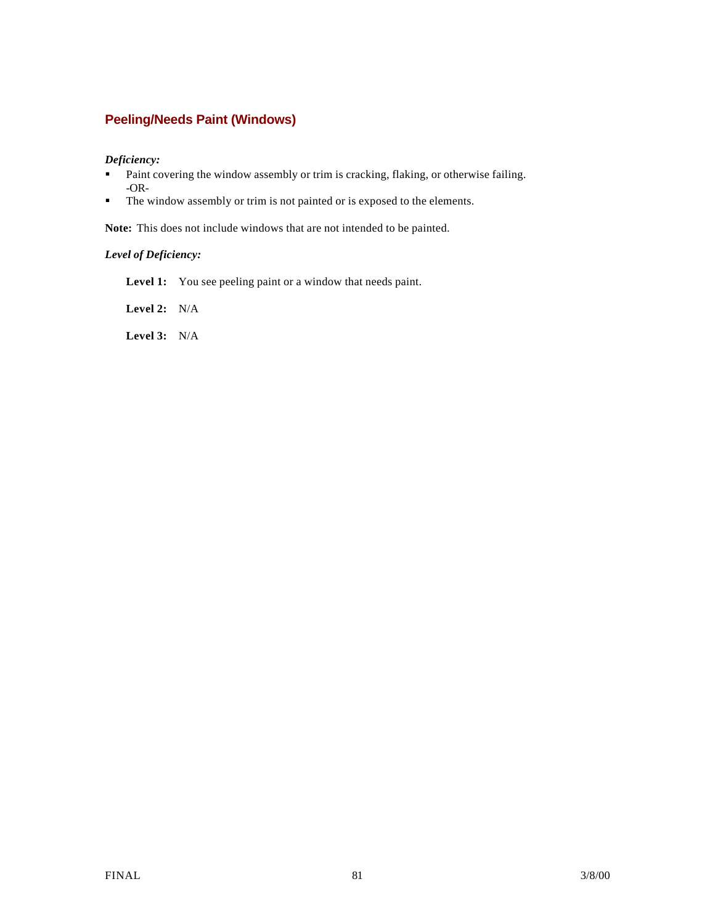## **Peeling/Needs Paint (Windows)**

#### *Deficiency:*

- **•** Paint covering the window assembly or trim is cracking, flaking, or otherwise failing. -OR-
- $\blacksquare$  The window assembly or trim is not painted or is exposed to the elements.

**Note:** This does not include windows that are not intended to be painted.

### *Level of Deficiency:*

Level 1: You see peeling paint or a window that needs paint.

**Level 2:** N/A

**Level 3:** N/A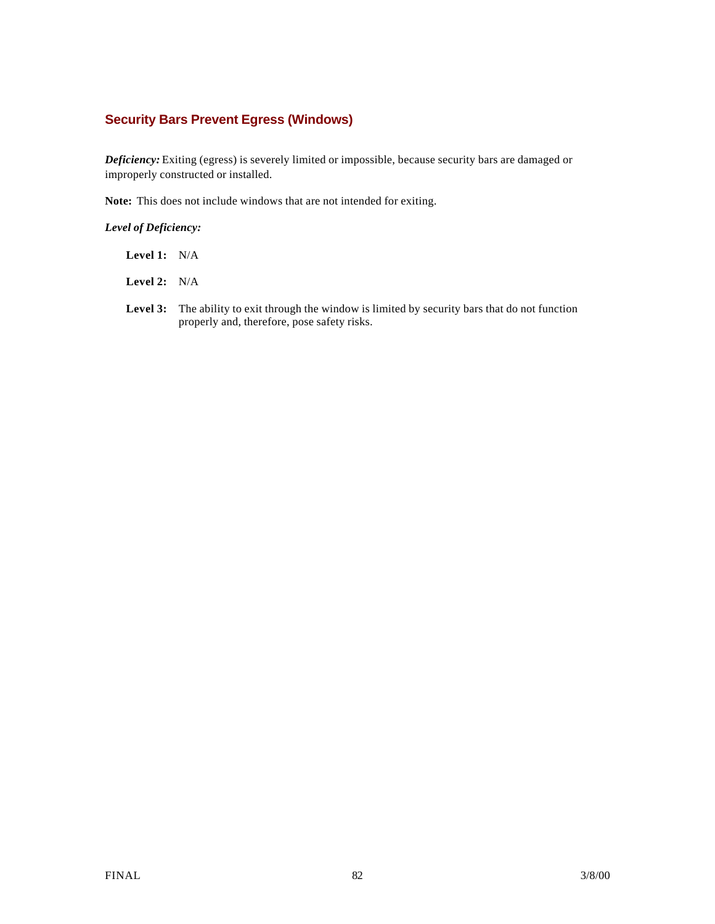### **Security Bars Prevent Egress (Windows)**

*Deficiency:* Exiting (egress) is severely limited or impossible, because security bars are damaged or improperly constructed or installed.

**Note:** This does not include windows that are not intended for exiting.

#### *Level of Deficiency:*

| Level 1: | N/A |
|----------|-----|
|          |     |

- **Level 2:** N/A
- Level 3: The ability to exit through the window is limited by security bars that do not function properly and, therefore, pose safety risks.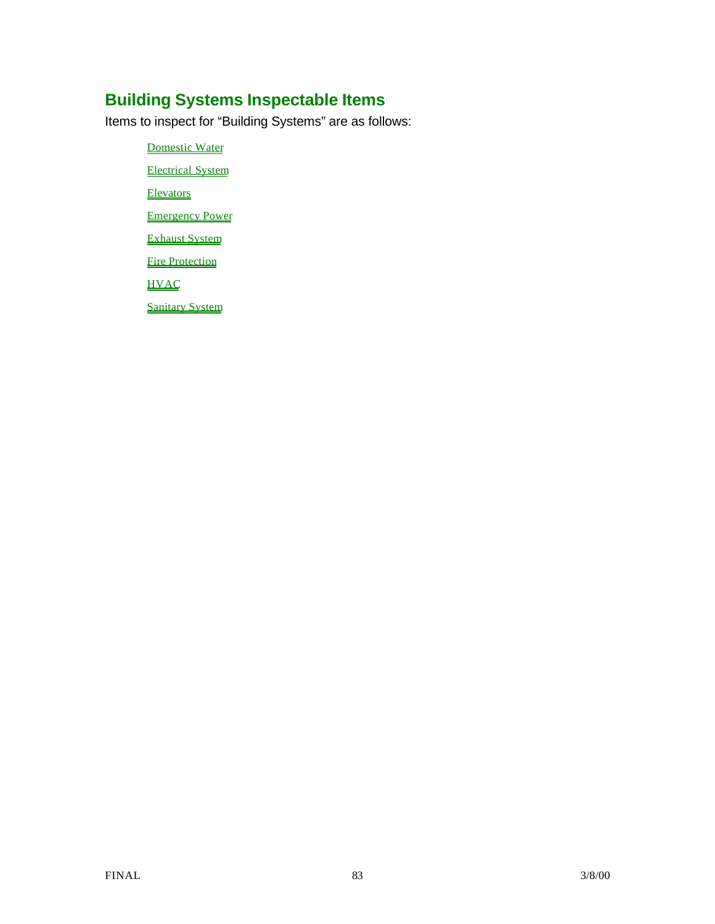# **Building Systems Inspectable Items**

Items to inspect for "Building Systems" are as follows:

Domestic Water Electrical System Elevators Emergency Power Exhaust System

**Fire Protection** 

**HVAC** 

Sanitary System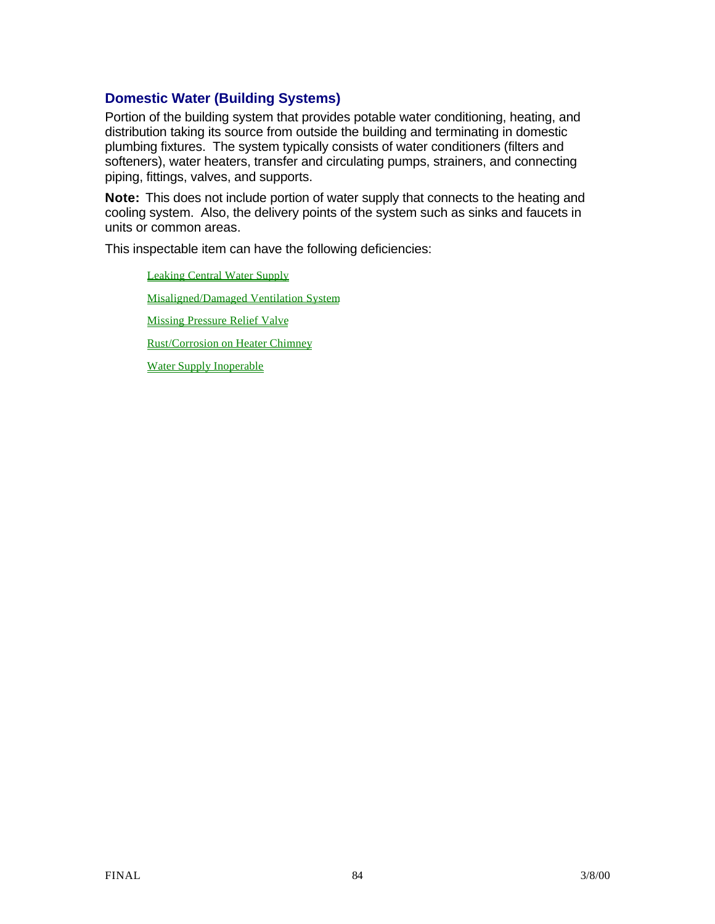## **Domestic Water (Building Systems)**

Portion of the building system that provides potable water conditioning, heating, and distribution taking its source from outside the building and terminating in domestic plumbing fixtures. The system typically consists of water conditioners (filters and softeners), water heaters, transfer and circulating pumps, strainers, and connecting piping, fittings, valves, and supports.

**Note:** This does not include portion of water supply that connects to the heating and cooling system. Also, the delivery points of the system such as sinks and faucets in units or common areas.

This inspectable item can have the following deficiencies:

Leaking Central Water Supply Misaligned/Damaged Ventilation System Missing Pressure Relief Valve Rust/Corrosion on Heater Chimney Water Supply Inoperable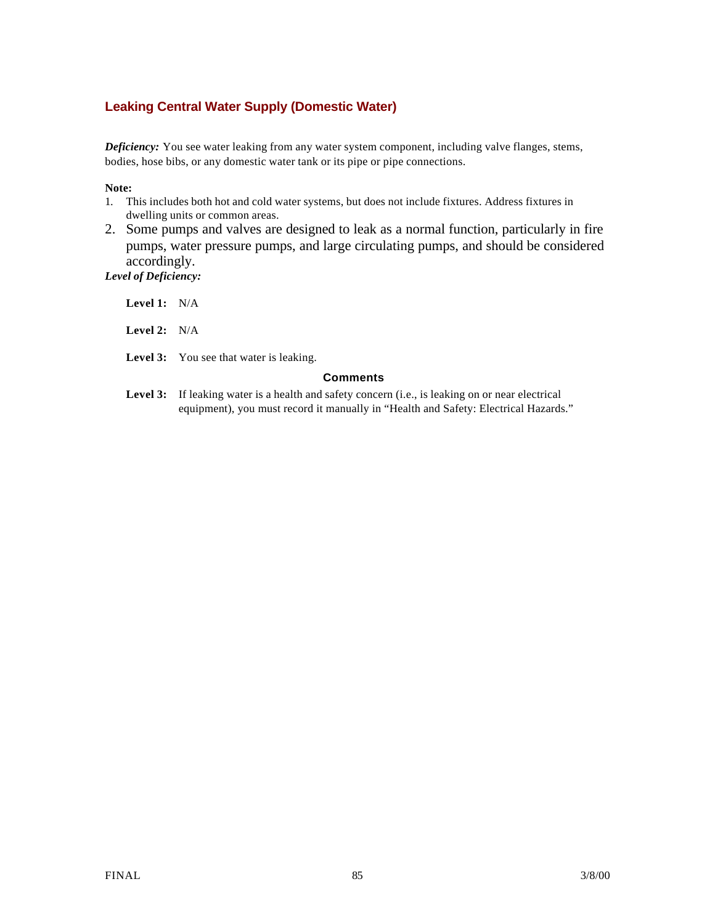## **Leaking Central Water Supply (Domestic Water)**

*Deficiency:* You see water leaking from any water system component, including valve flanges, stems, bodies, hose bibs, or any domestic water tank or its pipe or pipe connections.

#### **Note:**

- 1. This includes both hot and cold water systems, but does not include fixtures. Address fixtures in dwelling units or common areas.
- 2. Some pumps and valves are designed to leak as a normal function, particularly in fire pumps, water pressure pumps, and large circulating pumps, and should be considered accordingly. *Level of Deficiency:*

| <b>Level 1:</b> $N/A$ |                                                                                                                                                                                                |  |  |
|-----------------------|------------------------------------------------------------------------------------------------------------------------------------------------------------------------------------------------|--|--|
| <b>Level 2:</b> $N/A$ |                                                                                                                                                                                                |  |  |
|                       | <b>Level 3:</b> You see that water is leaking.                                                                                                                                                 |  |  |
| <b>Comments</b>       |                                                                                                                                                                                                |  |  |
|                       | <b>Level 3:</b> If leaking water is a health and safety concern (i.e., is leaking on or near electrical<br>equipment), you must record it manually in "Health and Safety: Electrical Hazards." |  |  |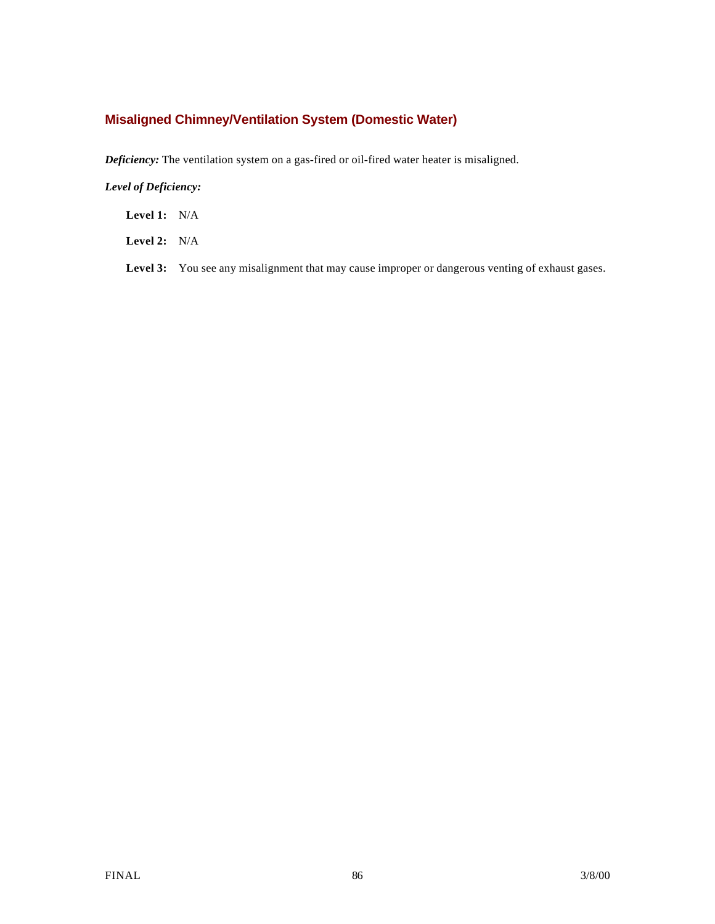## **Misaligned Chimney/Ventilation System (Domestic Water)**

*Deficiency:* The ventilation system on a gas-fired or oil-fired water heater is misaligned.

### *Level of Deficiency:*

**Level 1:** N/A

**Level 2:** N/A

Level 3: You see any misalignment that may cause improper or dangerous venting of exhaust gases.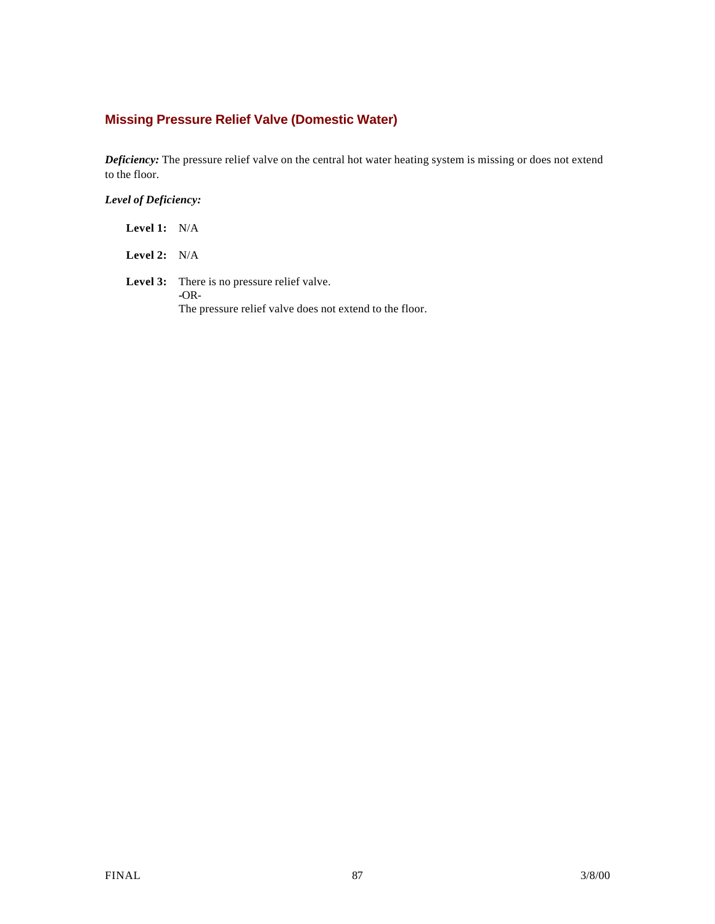## **Missing Pressure Relief Valve (Domestic Water)**

*Deficiency:* The pressure relief valve on the central hot water heating system is missing or does not extend to the floor.

*Level of Deficiency:*

| <b>Level 1:</b> $N/A$ |                                                                                                                         |
|-----------------------|-------------------------------------------------------------------------------------------------------------------------|
| <b>Level 2:</b> $N/A$ |                                                                                                                         |
|                       | <b>Level 3:</b> There is no pressure relief valve.<br>$-OR-$<br>The pressure relief valve does not extend to the floor. |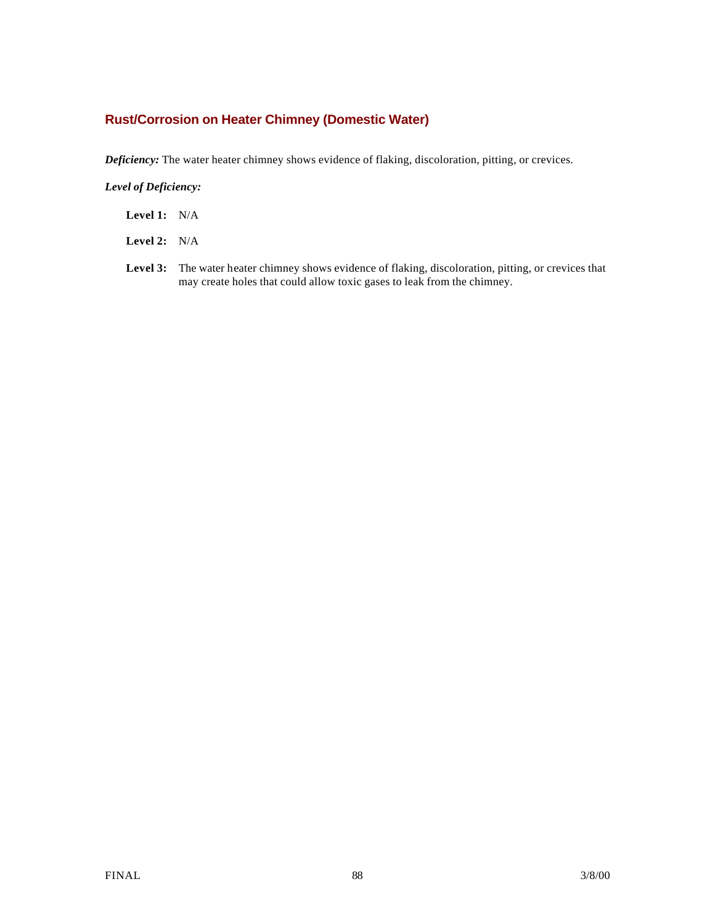### **Rust/Corrosion on Heater Chimney (Domestic Water)**

*Deficiency:* The water heater chimney shows evidence of flaking, discoloration, pitting, or crevices.

*Level of Deficiency:*

- **Level 1:** N/A
- **Level 2:** N/A
- **Level 3:** The water heater chimney shows evidence of flaking, discoloration, pitting, or crevices that may create holes that could allow toxic gases to leak from the chimney.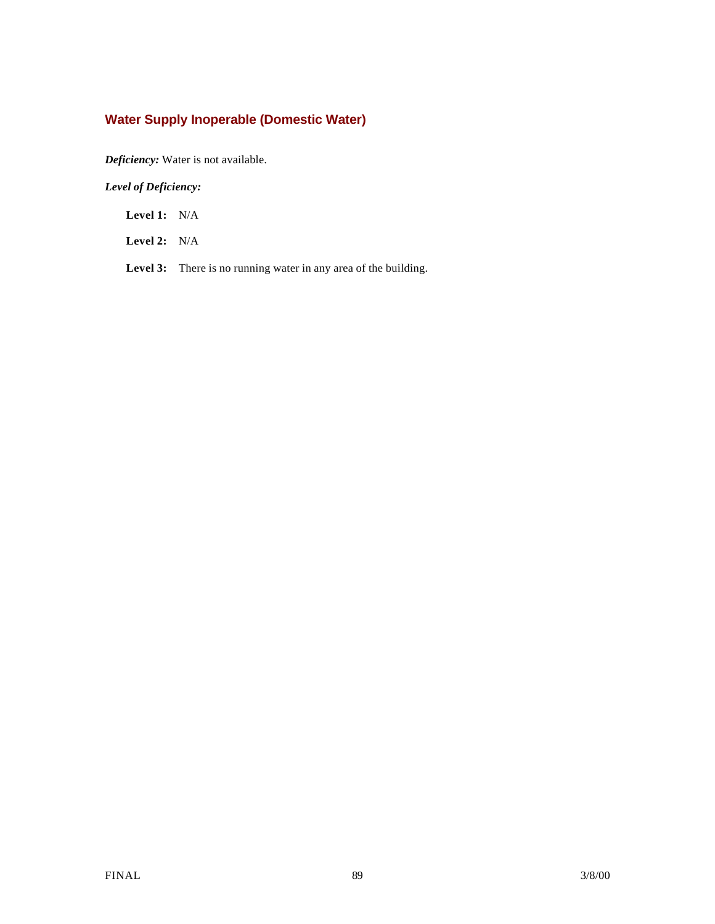## **Water Supply Inoperable (Domestic Water)**

*Deficiency:* Water is not available.

*Level of Deficiency:*

**Level 1:** N/A

**Level 2:** N/A

Level 3: There is no running water in any area of the building.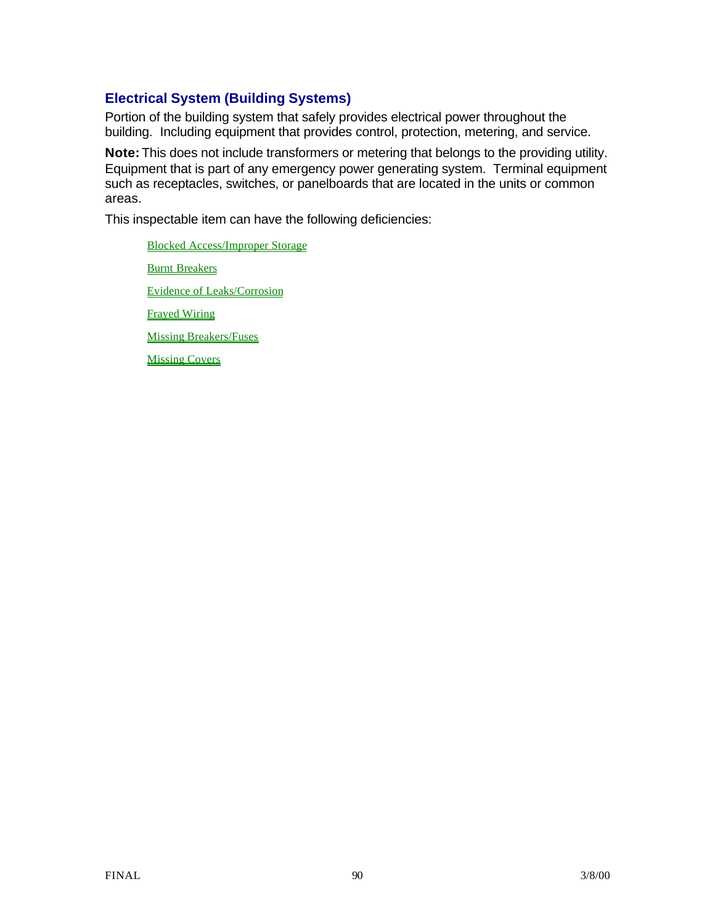## **Electrical System (Building Systems)**

Portion of the building system that safely provides electrical power throughout the building. Including equipment that provides control, protection, metering, and service.

**Note:** This does not include transformers or metering that belongs to the providing utility. Equipment that is part of any emergency power generating system. Terminal equipment such as receptacles, switches, or panelboards that are located in the units or common areas.

This inspectable item can have the following deficiencies:

Blocked Access/Improper Storage Burnt Breakers Evidence of Leaks/Corrosion Frayed Wiring Missing Breakers/Fuses Missing Covers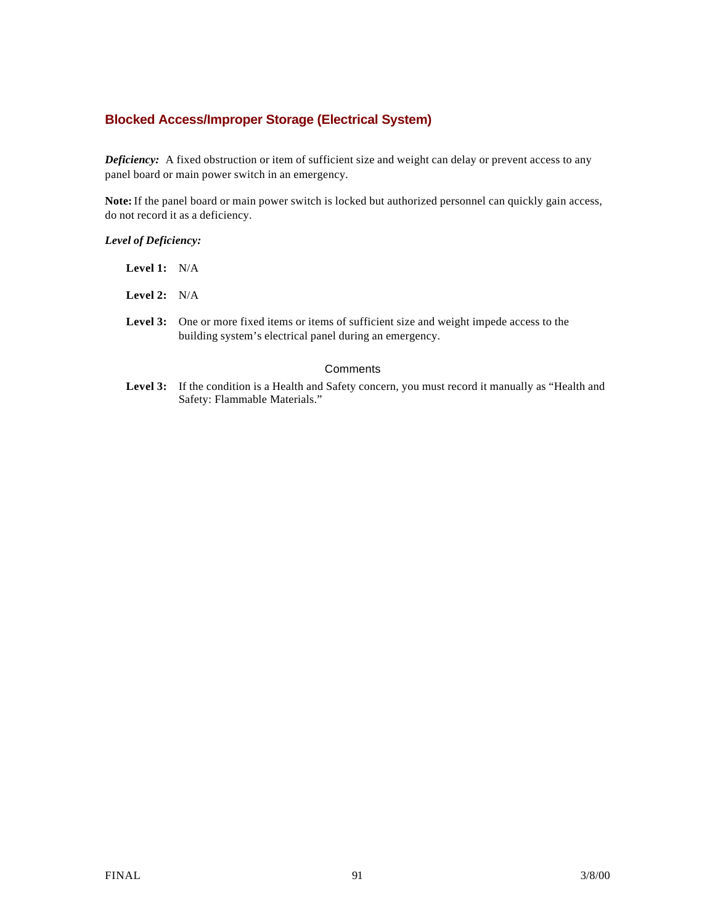### **Blocked Access/Improper Storage (Electrical System)**

*Deficiency:* A fixed obstruction or item of sufficient size and weight can delay or prevent access to any panel board or main power switch in an emergency.

**Note:** If the panel board or main power switch is locked but authorized personnel can quickly gain access, do not record it as a deficiency.

#### *Level of Deficiency:*

| Level 1: $N/A$ |                                                  |
|----------------|--------------------------------------------------|
| Level 2: $N/A$ |                                                  |
|                | <b>Level 3:</b> One or more<br>$building \alpha$ |

### re fixed items or items of sufficient size and weight impede access to the building system's electrical panel during an emergency.

#### **Comments**

Level 3: If the condition is a Health and Safety concern, you must record it manually as "Health and Safety: Flammable Materials."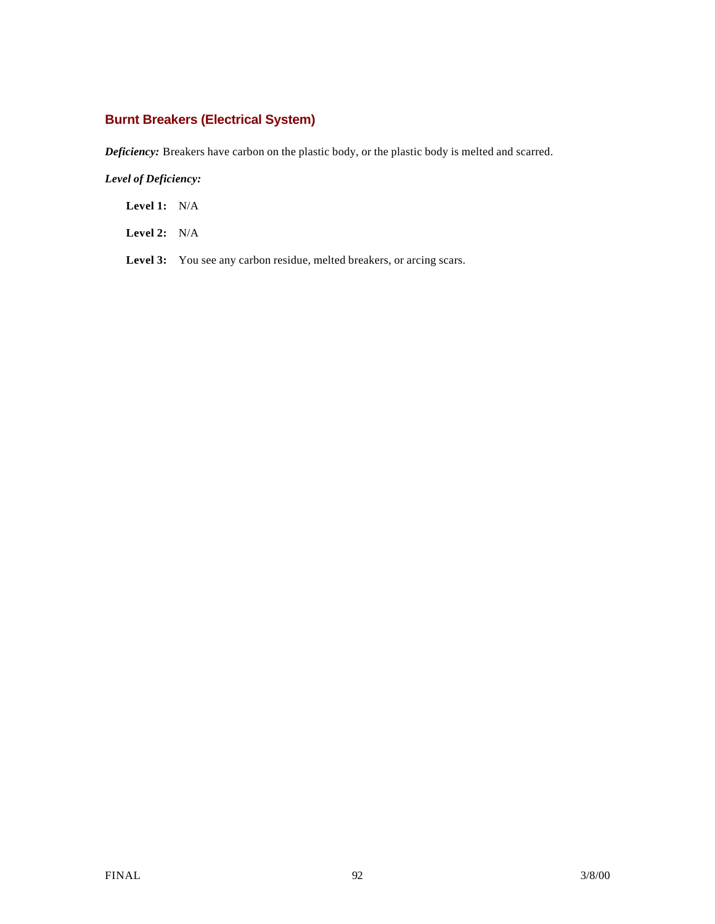## **Burnt Breakers (Electrical System)**

*Deficiency:* Breakers have carbon on the plastic body, or the plastic body is melted and scarred.

### *Level of Deficiency:*

**Level 1:** N/A

**Level 2:** N/A

Level 3: You see any carbon residue, melted breakers, or arcing scars.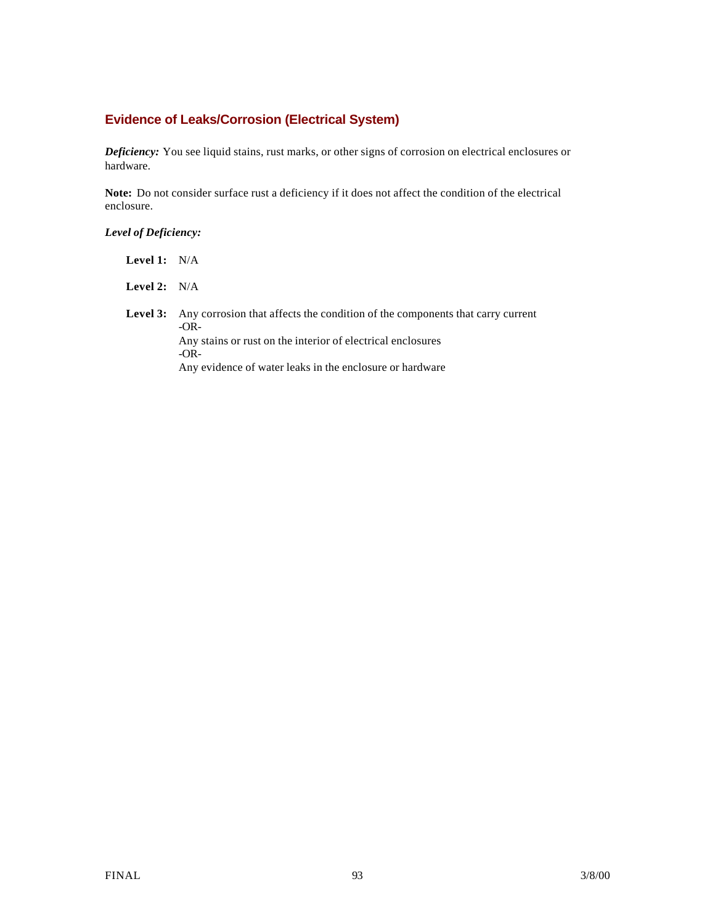### **Evidence of Leaks/Corrosion (Electrical System)**

*Deficiency:* You see liquid stains, rust marks, or other signs of corrosion on electrical enclosures or hardware.

**Note:** Do not consider surface rust a deficiency if it does not affect the condition of the electrical enclosure.

### *Level of Deficiency:*

**Level 1:** N/A

**Level 2:** N/A

Level 3: Any corrosion that affects the condition of the components that carry current -OR-Any stains or rust on the interior of electrical enclosures -OR-Any evidence of water leaks in the enclosure or hardware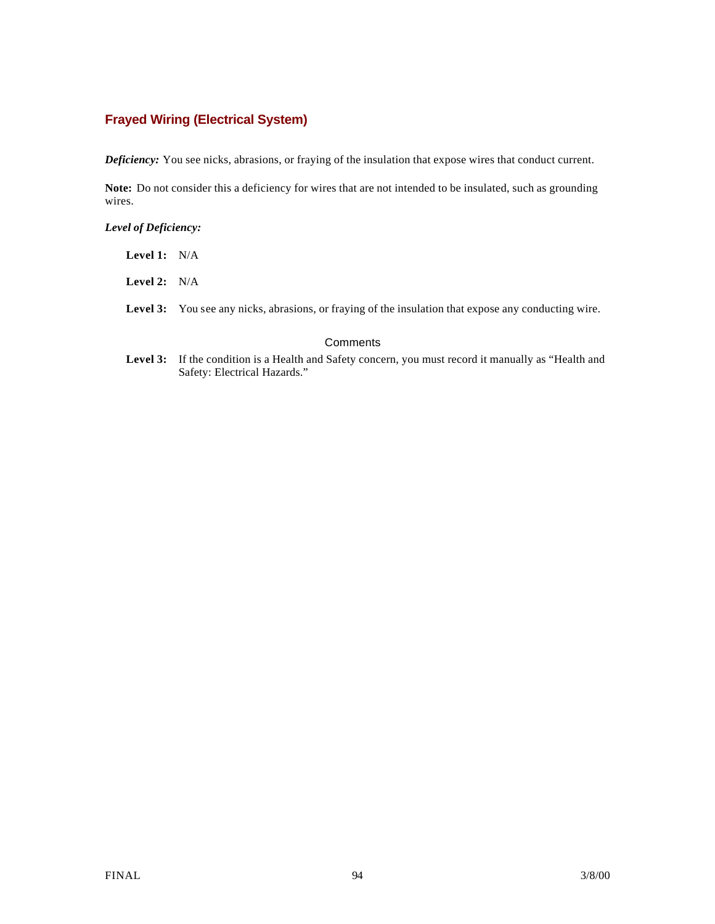### **Frayed Wiring (Electrical System)**

*Deficiency:* You see nicks, abrasions, or fraying of the insulation that expose wires that conduct current.

**Note:** Do not consider this a deficiency for wires that are not intended to be insulated, such as grounding wires.

#### *Level of Deficiency:*

| <b>Level 1:</b> $N/A$ |                                                                                                             |
|-----------------------|-------------------------------------------------------------------------------------------------------------|
| <b>Level 2:</b> $N/A$ |                                                                                                             |
|                       | <b>Level 3:</b> You see any nicks, abrasions, or fraying of the insulation that expose any conducting wire. |

#### **Comments**

**Level 3:** If the condition is a Health and Safety concern, you must record it manually as "Health and Safety: Electrical Hazards."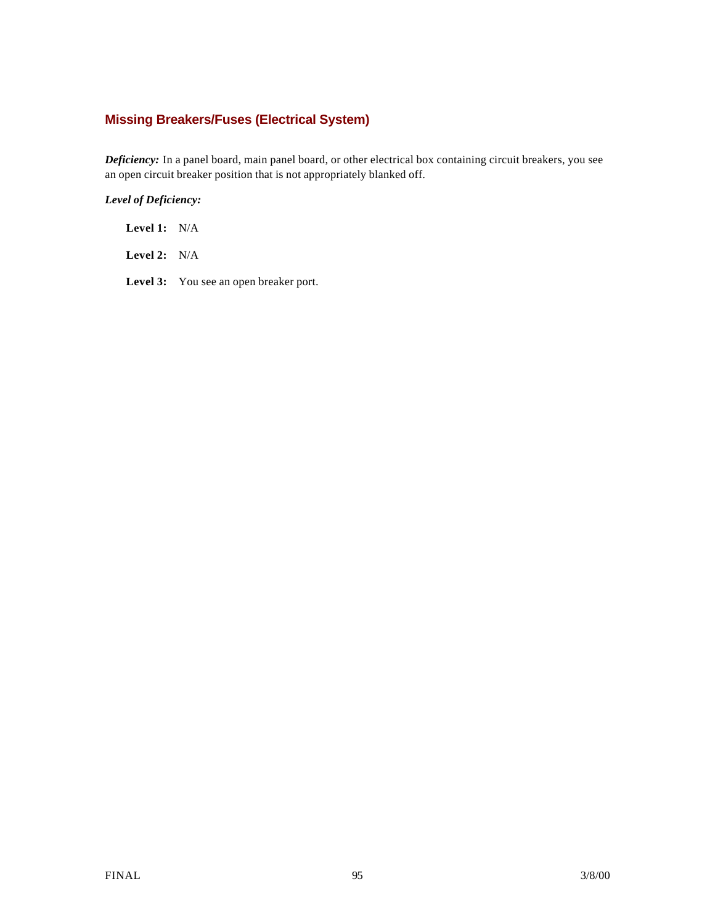## **Missing Breakers/Fuses (Electrical System)**

*Deficiency:* In a panel board, main panel board, or other electrical box containing circuit breakers, you see an open circuit breaker position that is not appropriately blanked off.

### *Level of Deficiency:*

**Level 1:** N/A

**Level 2:** N/A

Level 3: You see an open breaker port.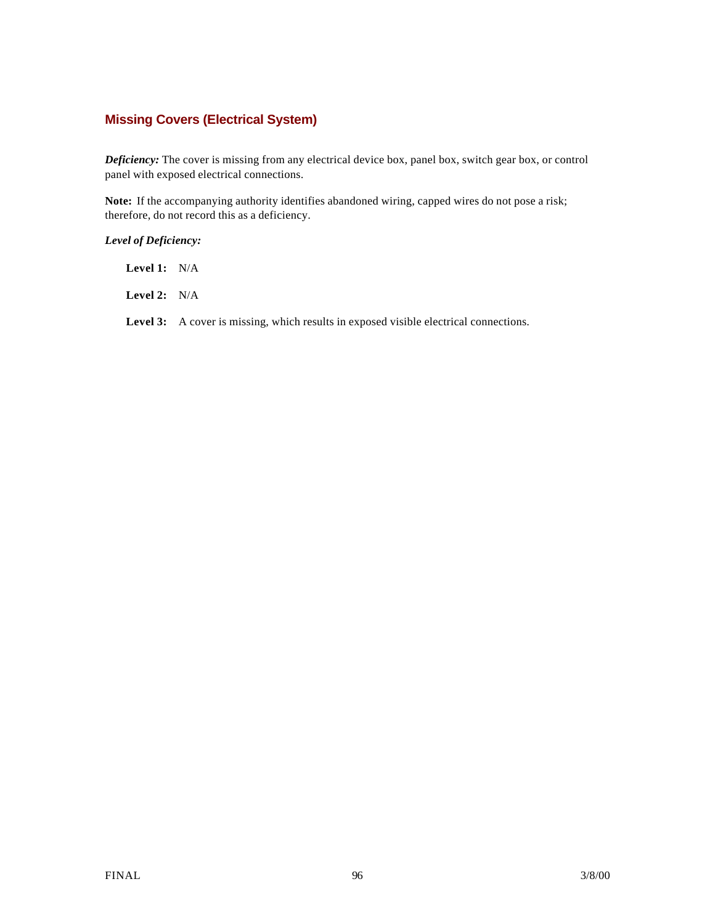### **Missing Covers (Electrical System)**

*Deficiency:* The cover is missing from any electrical device box, panel box, switch gear box, or control panel with exposed electrical connections.

**Note:** If the accompanying authority identifies abandoned wiring, capped wires do not pose a risk; therefore, do not record this as a deficiency.

#### *Level of Deficiency:*

**Level 1:** N/A

**Level 2:** N/A

Level 3: A cover is missing, which results in exposed visible electrical connections.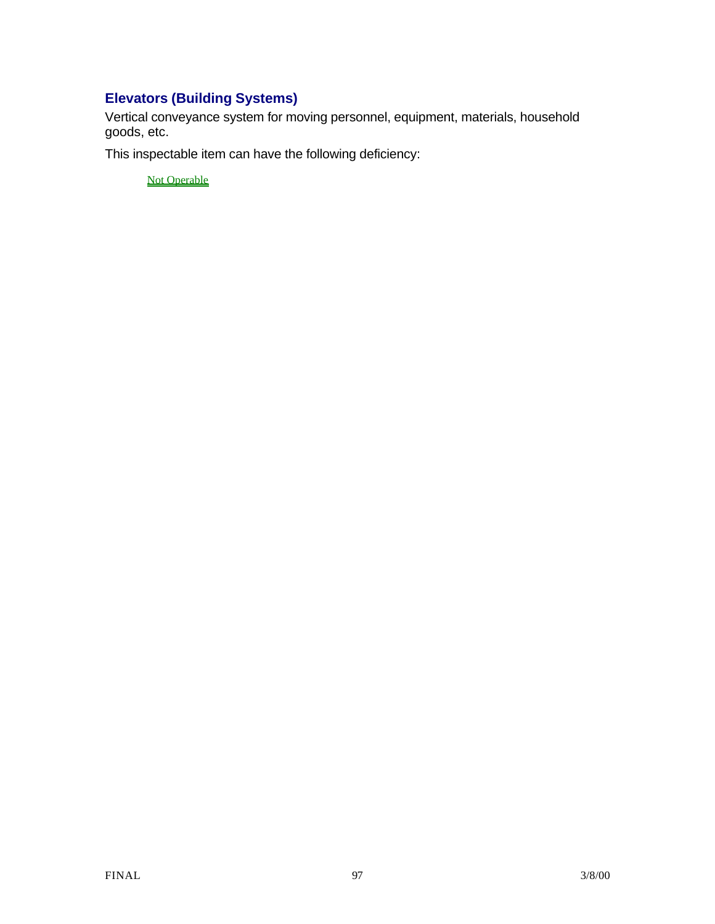## **Elevators (Building Systems)**

Vertical conveyance system for moving personnel, equipment, materials, household goods, etc.

This inspectable item can have the following deficiency:

**Not Operable**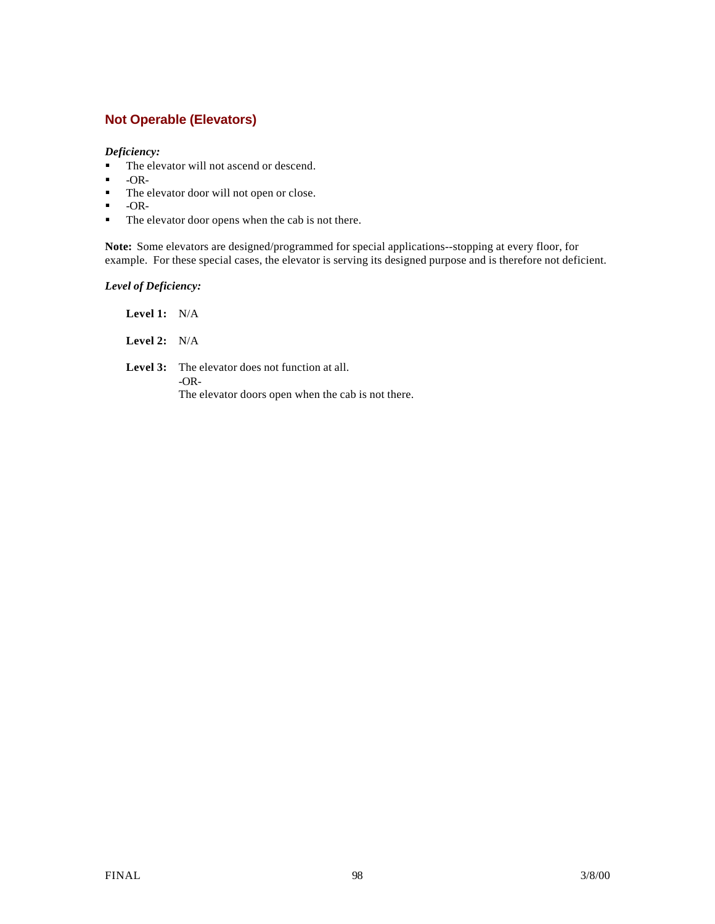## **Not Operable (Elevators)**

### *Deficiency:*

- The elevator will not ascend or descend.
- $\bullet$  -OR-<br> $\bullet$  The e
- The elevator door will not open or close.
- $\blacksquare$  -OR-
- The elevator door opens when the cab is not there.

**Note:** Some elevators are designed/programmed for special applications--stopping at every floor, for example. For these special cases, the elevator is serving its designed purpose and is therefore not deficient.

*Level of Deficiency:*

**Level 1:** N/A **Level 2:** N/A Level 3: The elevator does not function at all. -OR-The elevator doors open when the cab is not there.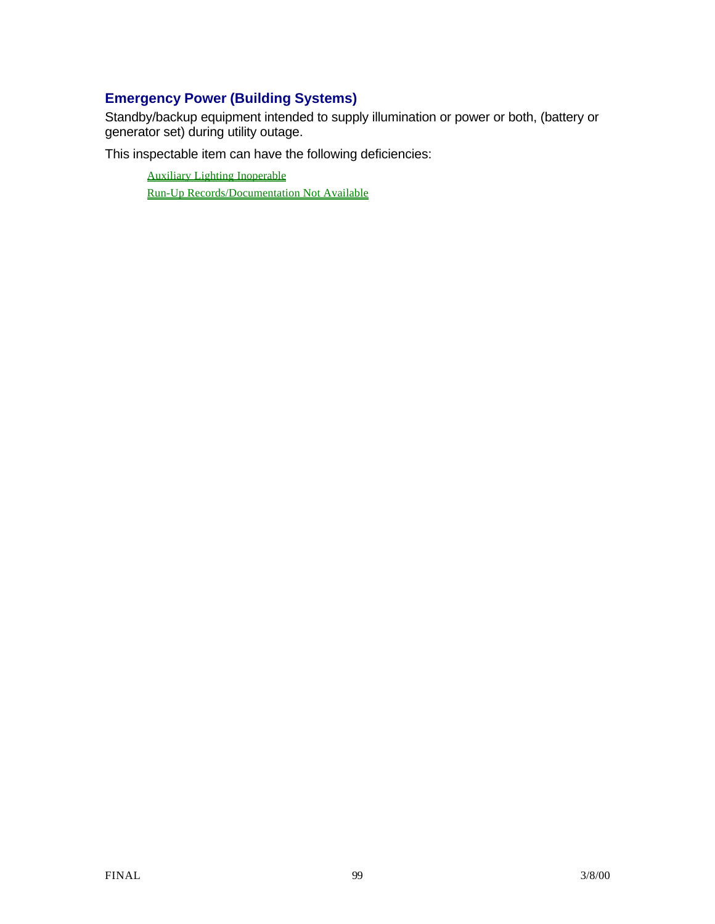## **Emergency Power (Building Systems)**

Standby/backup equipment intended to supply illumination or power or both, (battery or generator set) during utility outage.

This inspectable item can have the following deficiencies:

Auxiliary Lighting Inoperable Run-Up Records/Documentation Not Available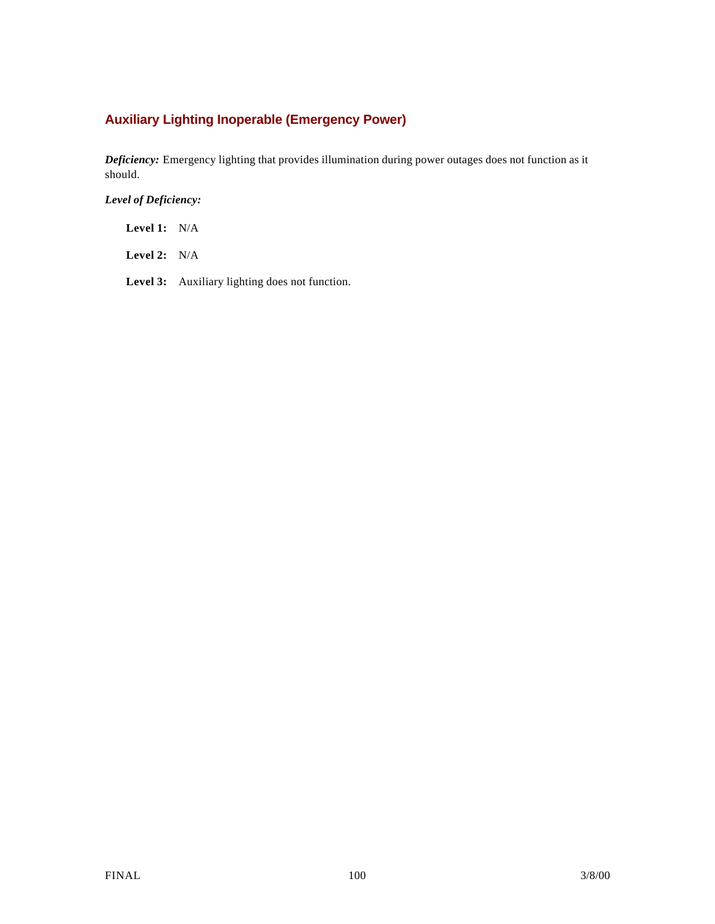## **Auxiliary Lighting Inoperable (Emergency Power)**

*Deficiency:* Emergency lighting that provides illumination during power outages does not function as it should.

*Level of Deficiency:*

**Level 1:** N/A

**Level 2:** N/A

**Level 3:** Auxiliary lighting does not function.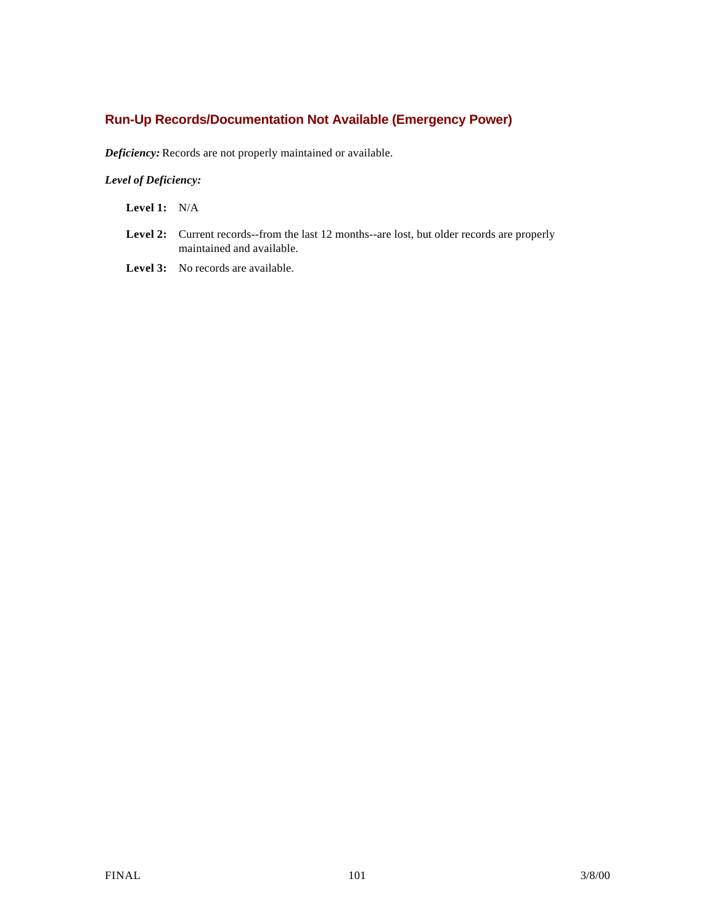## **Run-Up Records/Documentation Not Available (Emergency Power)**

*Deficiency:* Records are not properly maintained or available.

### *Level of Deficiency:*

**Level 1:** N/A

Level 2: Current records--from the last 12 months--are lost, but older records are properly maintained and available.

Level 3: No records are available.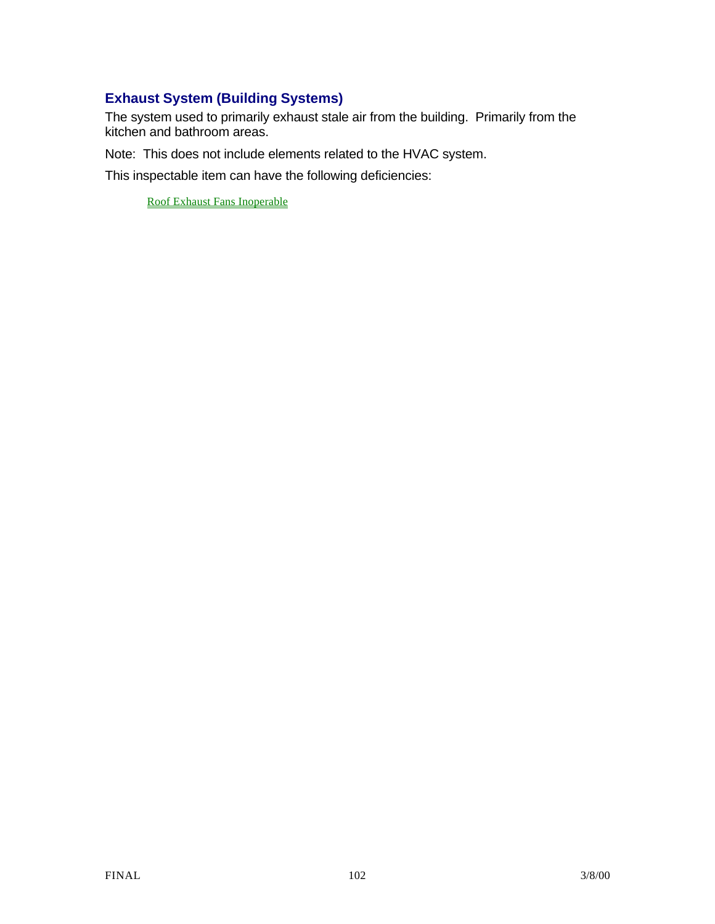## **Exhaust System (Building Systems)**

The system used to primarily exhaust stale air from the building. Primarily from the kitchen and bathroom areas.

Note: This does not include elements related to the HVAC system.

This inspectable item can have the following deficiencies:

Roof Exhaust Fans Inoperable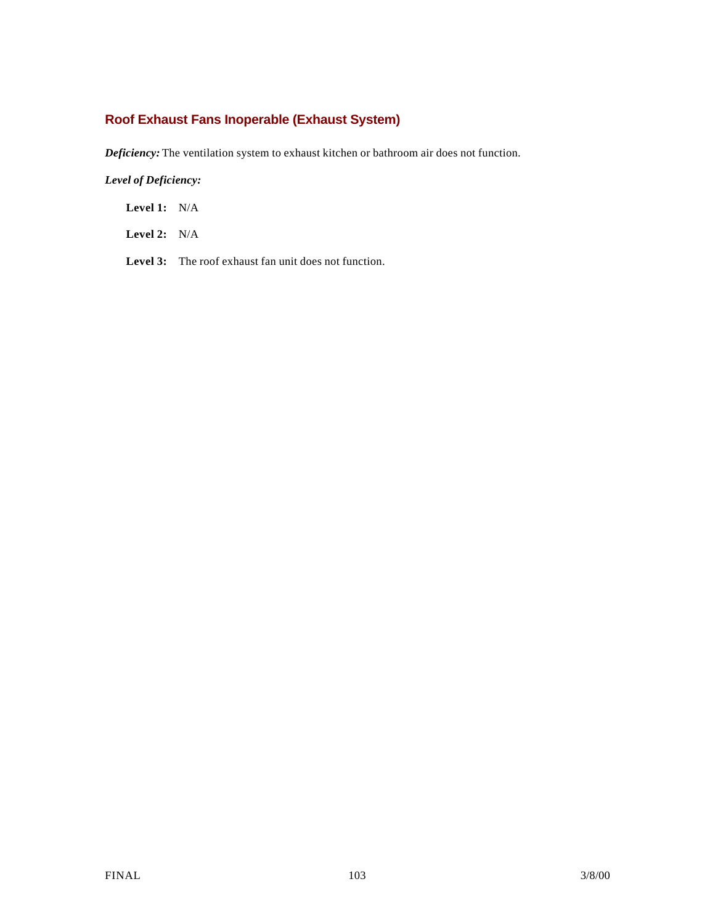## **Roof Exhaust Fans Inoperable (Exhaust System)**

*Deficiency:* The ventilation system to exhaust kitchen or bathroom air does not function.

*Level of Deficiency:*

**Level 1:** N/A

**Level 2:** N/A

Level 3: The roof exhaust fan unit does not function.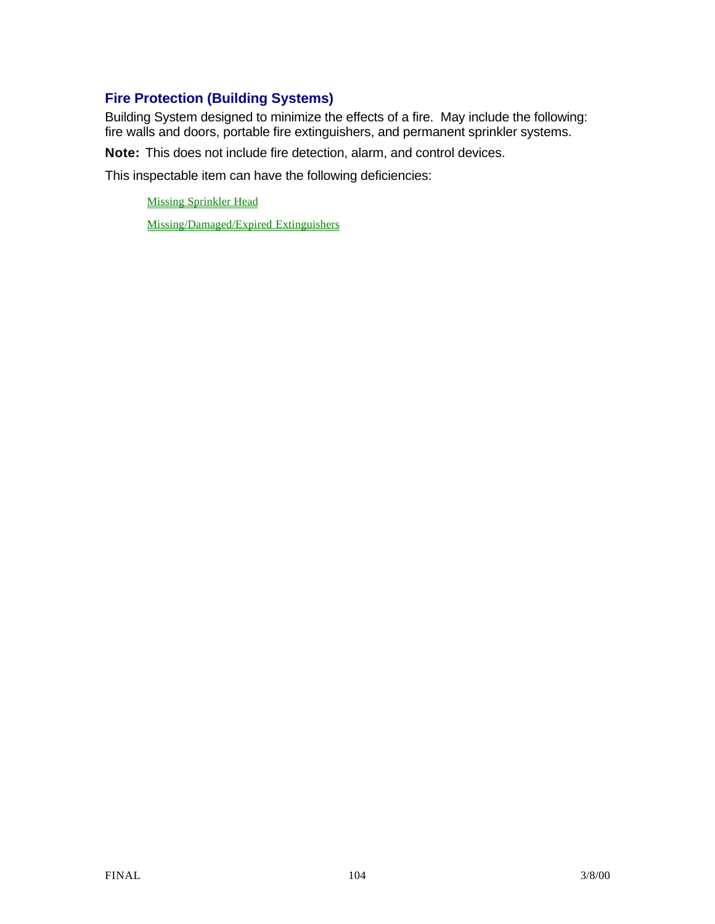## **Fire Protection (Building Systems)**

Building System designed to minimize the effects of a fire. May include the following: fire walls and doors, portable fire extinguishers, and permanent sprinkler systems.

**Note:** This does not include fire detection, alarm, and control devices.

This inspectable item can have the following deficiencies:

Missing Sprinkler Head

Missing/Damaged/Expired Extinguishers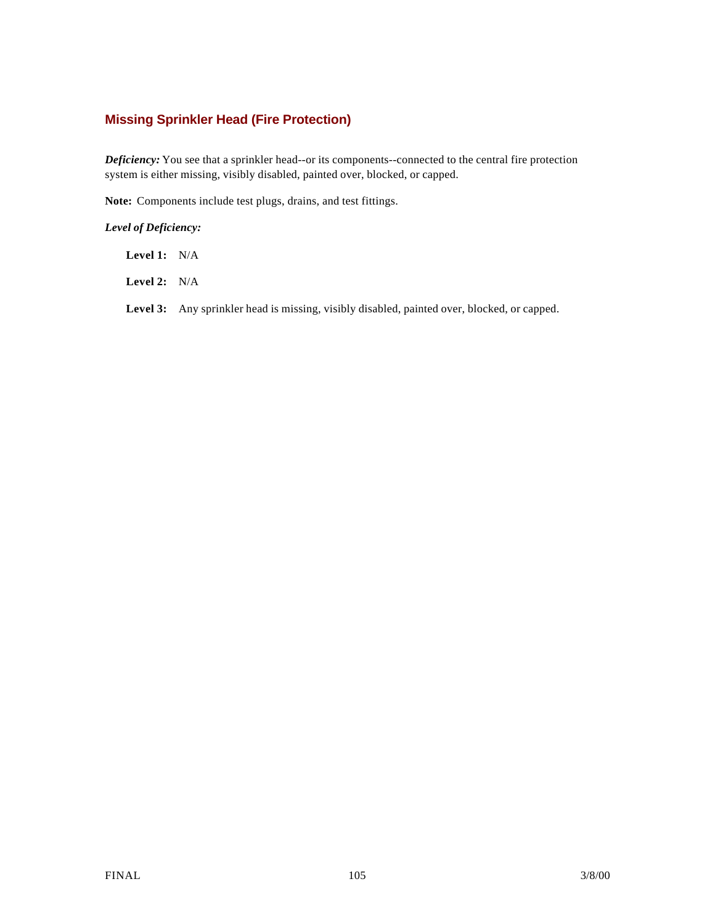### **Missing Sprinkler Head (Fire Protection)**

*Deficiency:* You see that a sprinkler head--or its components--connected to the central fire protection system is either missing, visibly disabled, painted over, blocked, or capped.

**Note:** Components include test plugs, drains, and test fittings.

### *Level of Deficiency:*

**Level 1:** N/A

**Level 2:** N/A

Level 3: Any sprinkler head is missing, visibly disabled, painted over, blocked, or capped.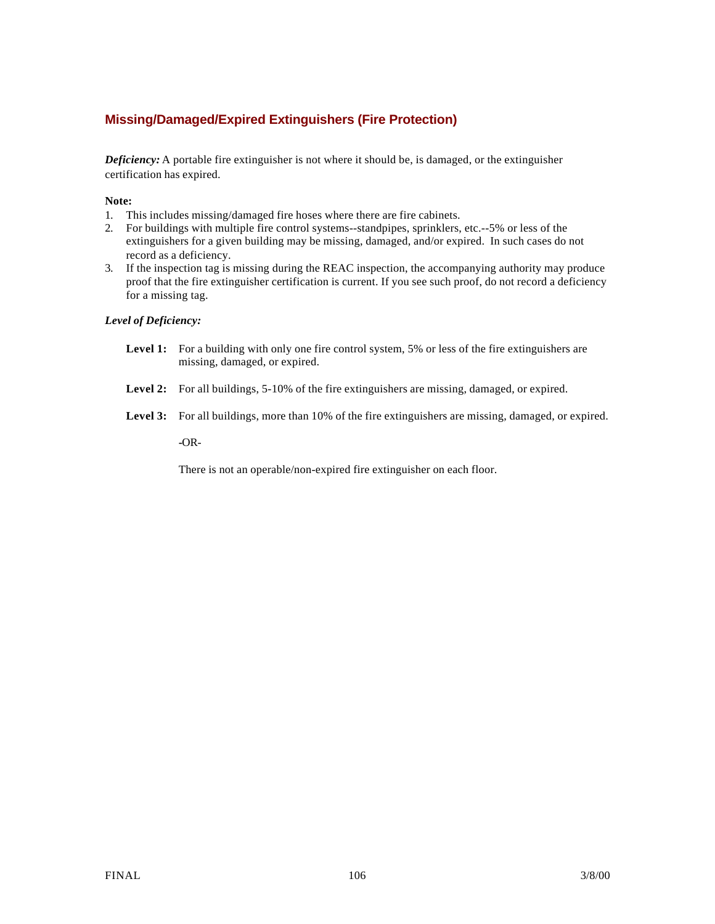### **Missing/Damaged/Expired Extinguishers (Fire Protection)**

*Deficiency:* A portable fire extinguisher is not where it should be, is damaged, or the extinguisher certification has expired.

#### **Note:**

- 1. This includes missing/damaged fire hoses where there are fire cabinets.
- 2. For buildings with multiple fire control systems--standpipes, sprinklers, etc.--5% or less of the extinguishers for a given building may be missing, damaged, and/or expired. In such cases do not record as a deficiency.
- 3. If the inspection tag is missing during the REAC inspection, the accompanying authority may produce proof that the fire extinguisher certification is current. If you see such proof, do not record a deficiency for a missing tag.

#### *Level of Deficiency:*

- Level 1: For a building with only one fire control system, 5% or less of the fire extinguishers are missing, damaged, or expired.
- **Level 2:** For all buildings, 5-10% of the fire extinguishers are missing, damaged, or expired.
- **Level 3:** For all buildings, more than 10% of the fire extinguishers are missing, damaged, or expired.

**-**OR-

There is not an operable/non-expired fire extinguisher on each floor.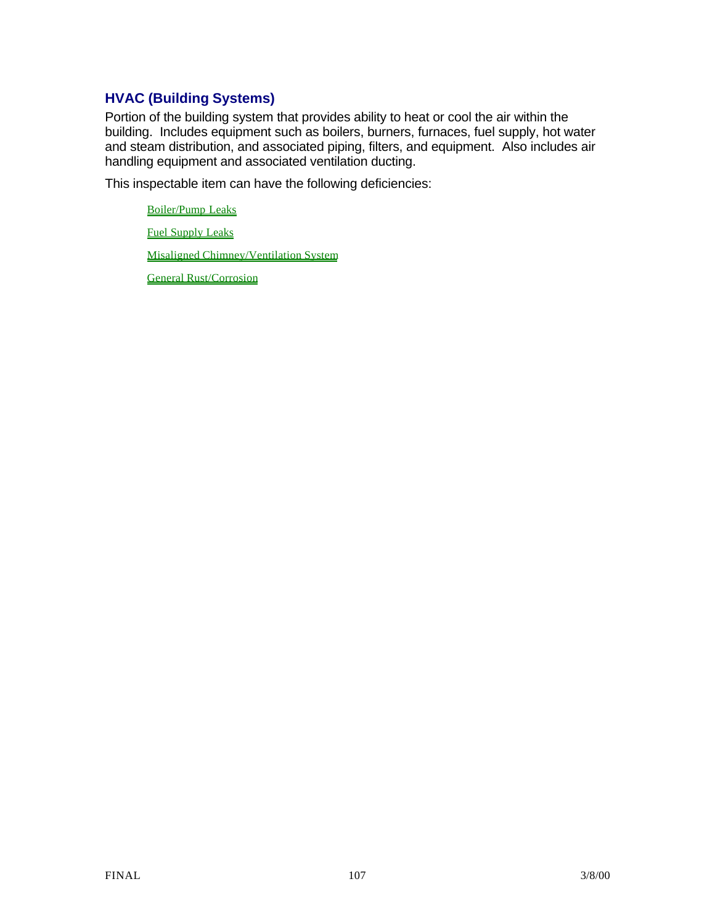## **HVAC (Building Systems)**

Portion of the building system that provides ability to heat or cool the air within the building. Includes equipment such as boilers, burners, furnaces, fuel supply, hot water and steam distribution, and associated piping, filters, and equipment. Also includes air handling equipment and associated ventilation ducting.

This inspectable item can have the following deficiencies:

Boiler/Pump Leaks Fuel Supply Leaks Misaligned Chimney/Ventilation System General Rust/Corrosion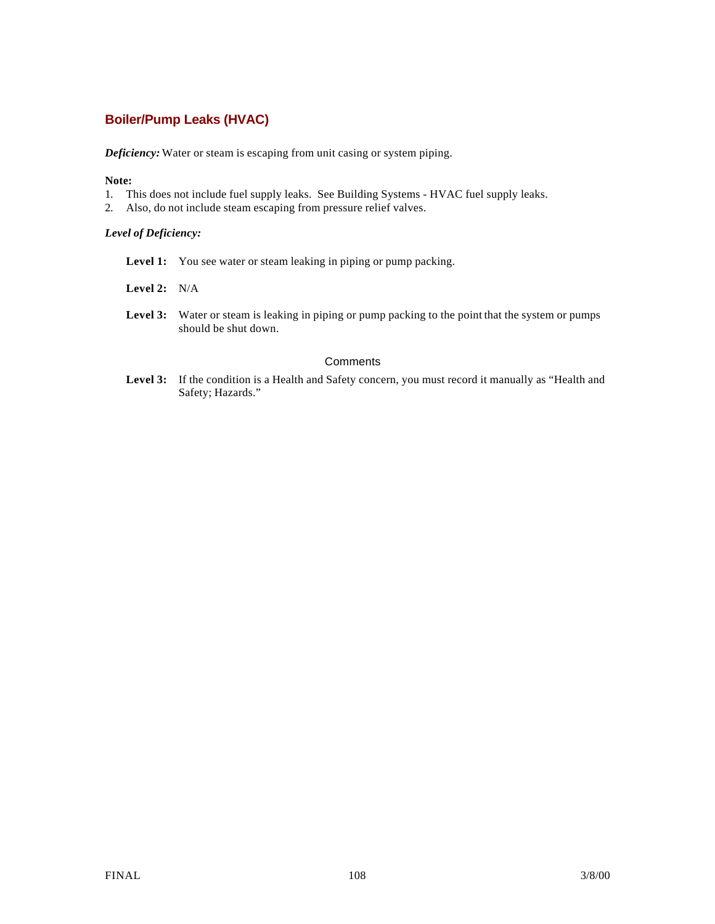## **Boiler/Pump Leaks (HVAC)**

*Deficiency:* Water or steam is escaping from unit casing or system piping.

### **Note:**

- 1. This does not include fuel supply leaks. See Building Systems HVAC fuel supply leaks.
- 2. Also, do not include steam escaping from pressure relief valves.

#### *Level of Deficiency:*

- Level 1: You see water or steam leaking in piping or pump packing.
- **Level 2:** N/A
- Level 3: Water or steam is leaking in piping or pump packing to the point that the system or pumps should be shut down.

#### **Comments**

Level 3: If the condition is a Health and Safety concern, you must record it manually as "Health and Safety; Hazards."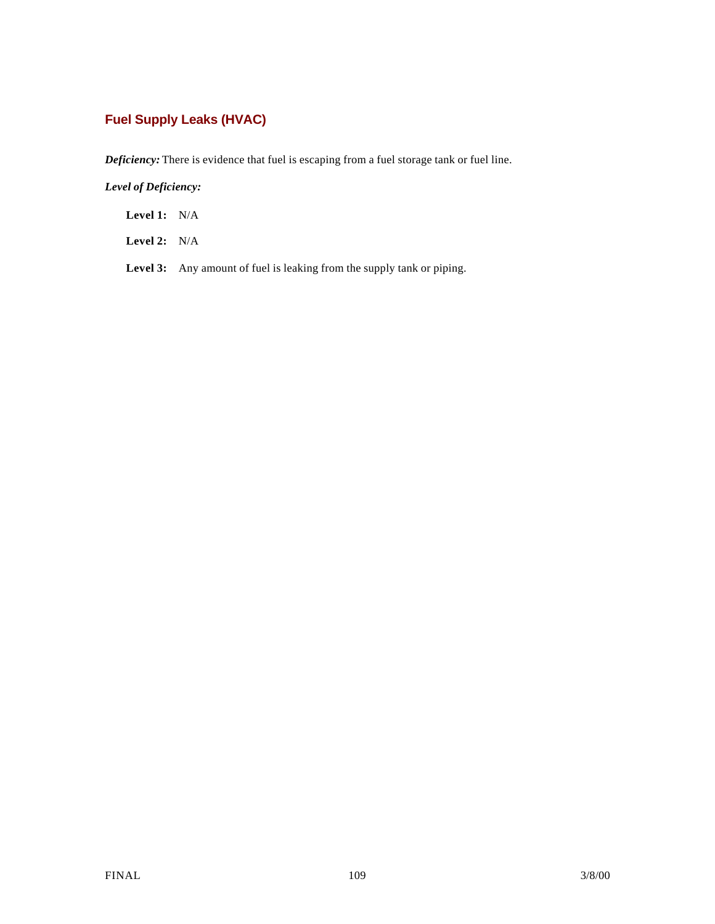# **Fuel Supply Leaks (HVAC)**

*Deficiency:* There is evidence that fuel is escaping from a fuel storage tank or fuel line.

*Level of Deficiency:*

**Level 1:** N/A

**Level 2:** N/A

Level 3: Any amount of fuel is leaking from the supply tank or piping.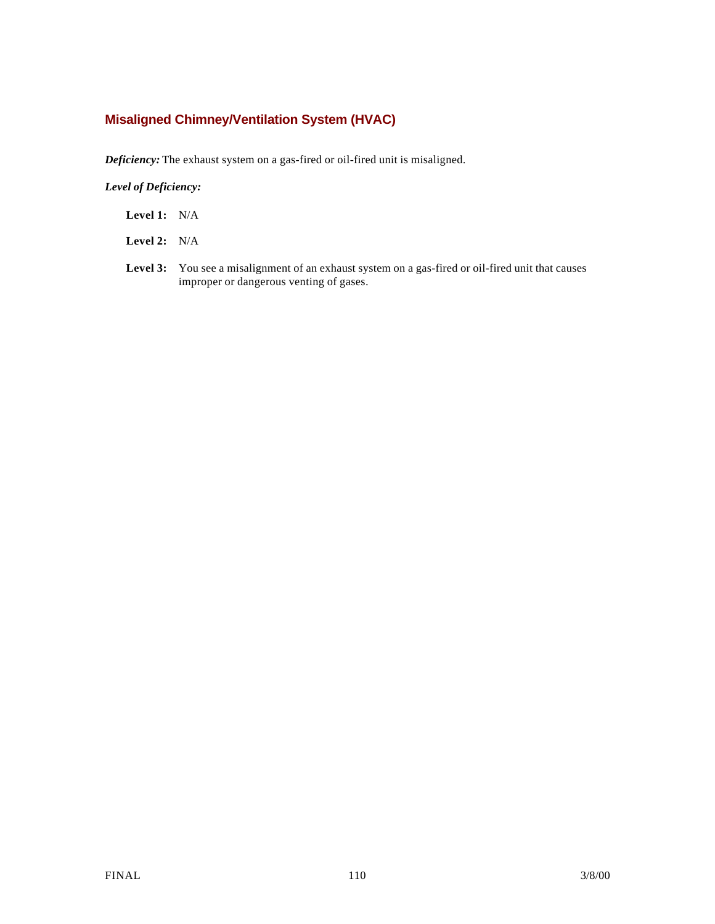## **Misaligned Chimney/Ventilation System (HVAC)**

*Deficiency:* The exhaust system on a gas-fired or oil-fired unit is misaligned.

*Level of Deficiency:*

- **Level 1:** N/A
- **Level 2:** N/A
- Level 3: You see a misalignment of an exhaust system on a gas-fired or oil-fired unit that causes improper or dangerous venting of gases.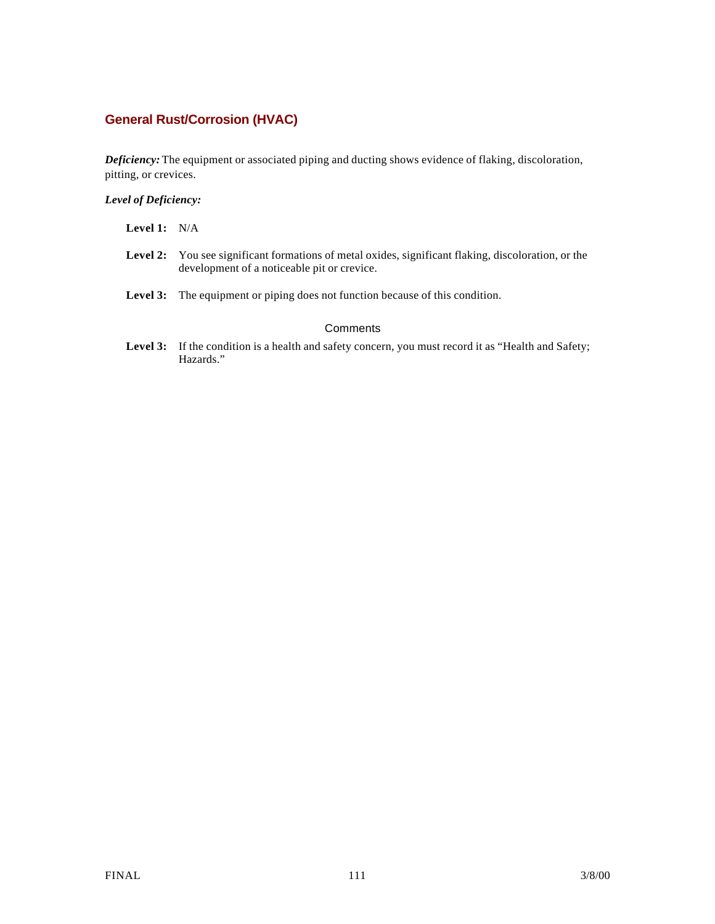# **General Rust/Corrosion (HVAC)**

*Deficiency:* The equipment or associated piping and ducting shows evidence of flaking, discoloration, pitting, or crevices.

#### *Level of Deficiency:*

| <b>Level 1:</b> $N/A$ |                                                                                                                                                           |
|-----------------------|-----------------------------------------------------------------------------------------------------------------------------------------------------------|
|                       | <b>Level 2:</b> You see significant formations of metal oxides, significant flaking, discoloration, or the<br>development of a noticeable pit or crevice. |
|                       | <b>Level 3:</b> The equipment or piping does not function because of this condition.                                                                      |
|                       | Comments                                                                                                                                                  |
|                       | <b>Level 3:</b> If the condition is a health and safety concern, you must record it as "Health and Safety;<br>Hazards."                                   |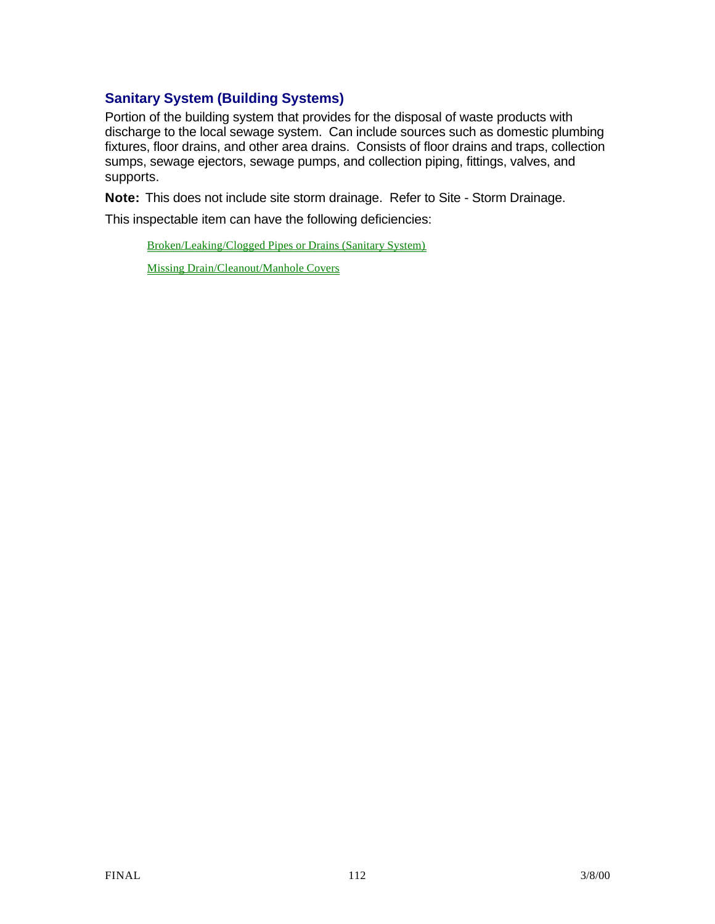# **Sanitary System (Building Systems)**

Portion of the building system that provides for the disposal of waste products with discharge to the local sewage system. Can include sources such as domestic plumbing fixtures, floor drains, and other area drains. Consists of floor drains and traps, collection sumps, sewage ejectors, sewage pumps, and collection piping, fittings, valves, and supports.

**Note:** This does not include site storm drainage. Refer to Site - Storm Drainage.

This inspectable item can have the following deficiencies:

Broken/Leaking/Clogged Pipes or Drains (Sanitary System) Missing Drain/Cleanout/Manhole Covers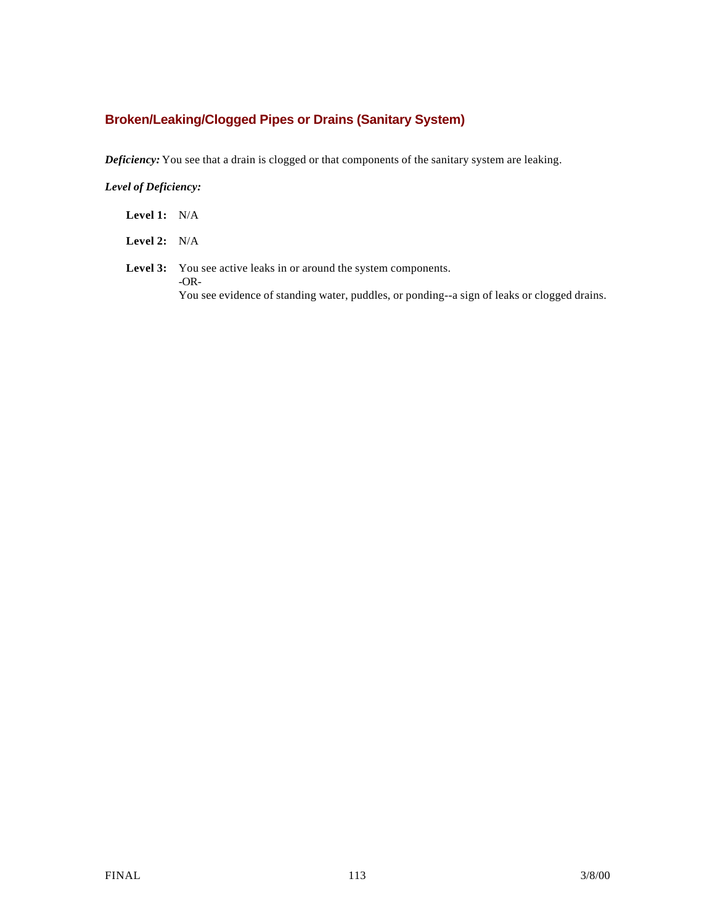## **Broken/Leaking/Clogged Pipes or Drains (Sanitary System)**

*Deficiency:* You see that a drain is clogged or that components of the sanitary system are leaking.

*Level of Deficiency:*

**Level 1:** N/A

**Level 2:** N/A

Level 3: You see active leaks in or around the system components. -OR-You see evidence of standing water, puddles, or ponding--a sign of leaks or clogged drains.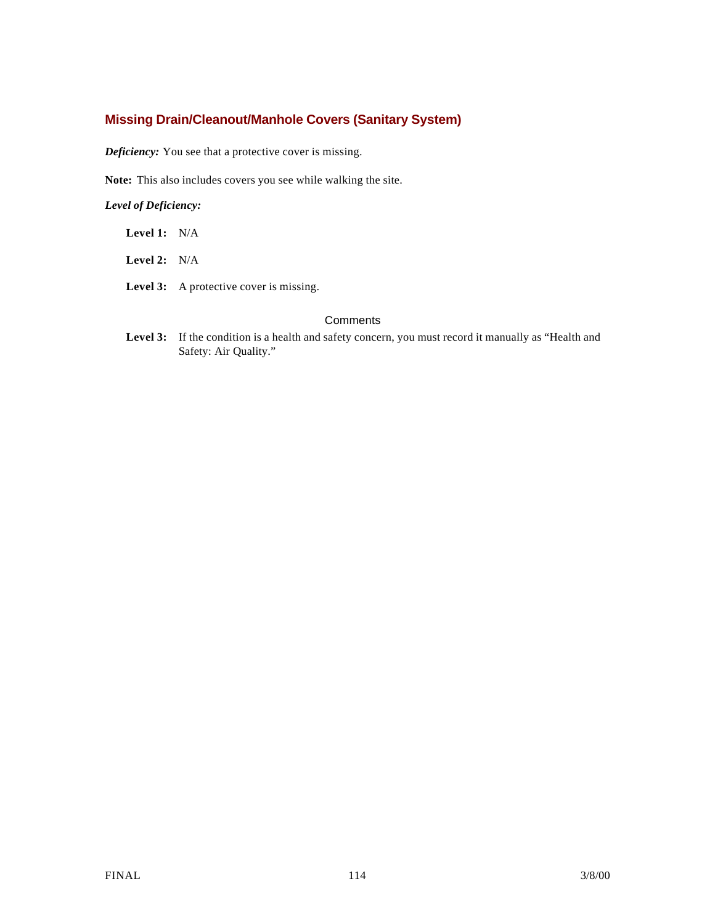### **Missing Drain/Cleanout/Manhole Covers (Sanitary System)**

*Deficiency:* You see that a protective cover is missing.

**Note:** This also includes covers you see while walking the site.

#### *Level of Deficiency:*

| Level 1: | N/A |
|----------|-----|
|          |     |

**Level 2:** N/A

Level 3: A protective cover is missing.

#### **Comments**

Level 3: If the condition is a health and safety concern, you must record it manually as "Health and Safety: Air Quality."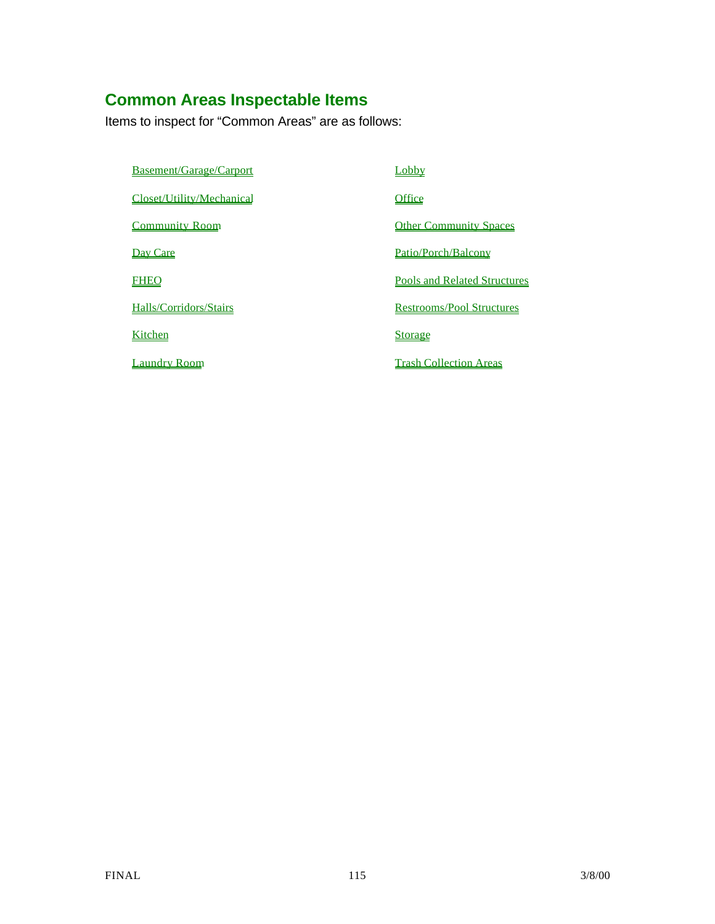# **Common Areas Inspectable Items**

Items to inspect for "Common Areas" are as follows:

Basement/Garage/Carport Carport Lobby

Closet/Utility/Mechanical Office

**Community Room Other Community Spaces** 

Day Care **Patio/Porch/Balcony** 

FHEO **Pools and Related Structures** 

Halls/Corridors/Stairs Restrooms/Pool Structures

Kitchen Storage Storage

Laundry Room Trash Collection Areas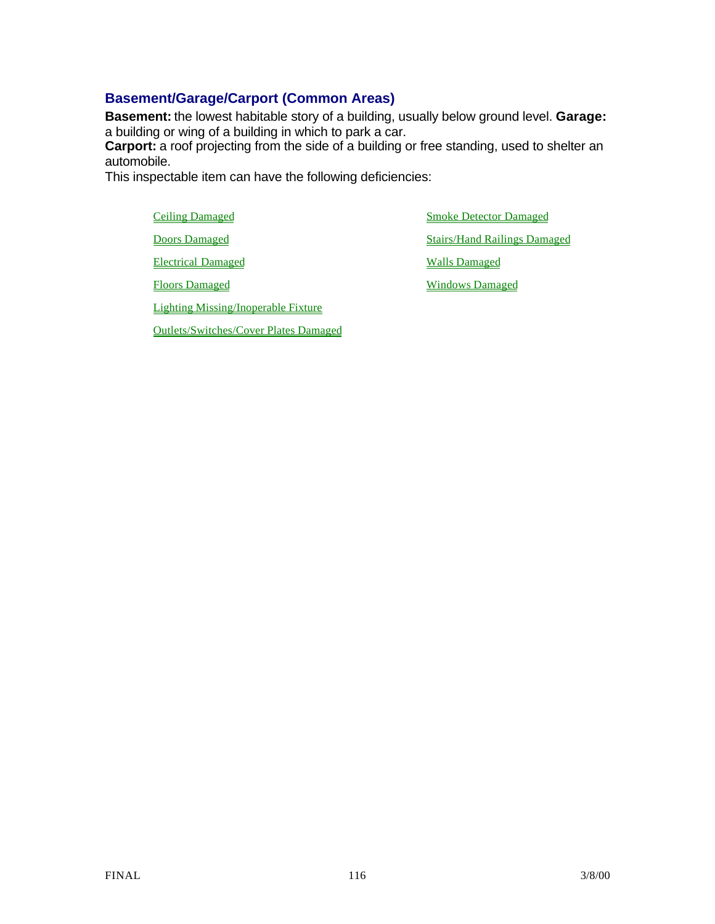## **Basement/Garage/Carport (Common Areas)**

**Basement:** the lowest habitable story of a building, usually below ground level. **Garage:** a building or wing of a building in which to park a car.

**Carport:** a roof projecting from the side of a building or free standing, used to shelter an automobile.

This inspectable item can have the following deficiencies:

Electrical Damaged Walls Damaged

Lighting Missing/Inoperable Fixture

Outlets/Switches/Cover Plates Damaged

Ceiling Damaged Smoke Detector Damaged **Doors Damaged Stairs/Hand Railings Damaged** 

Floors Damaged Windows Damaged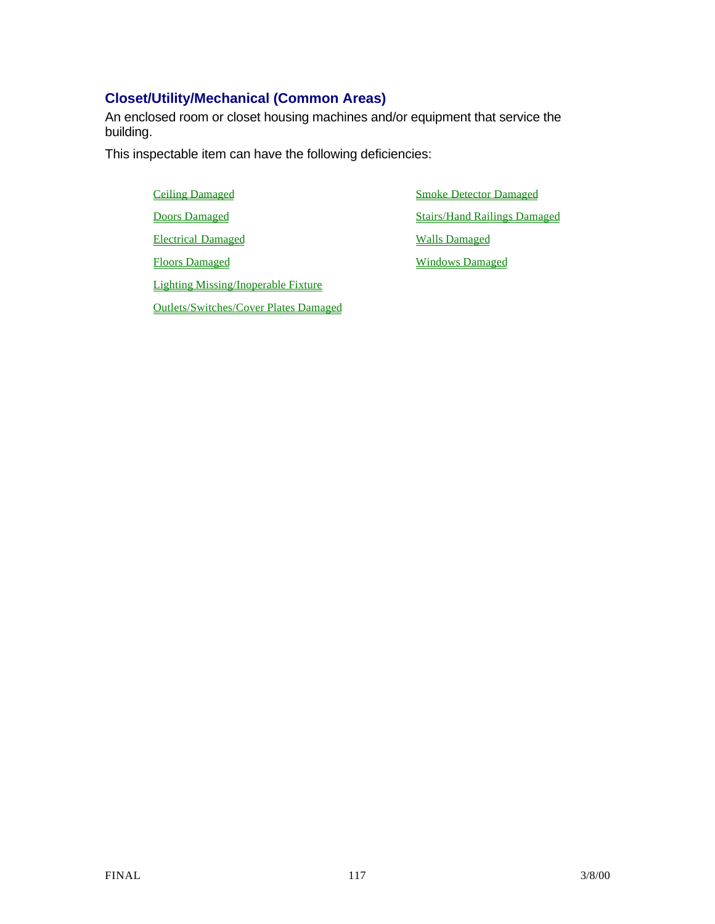# **Closet/Utility/Mechanical (Common Areas)**

An enclosed room or closet housing machines and/or equipment that service the building.

This inspectable item can have the following deficiencies:

**Ceiling Damaged Smoke Detector Damaged** Electrical Damaged Walls Damaged Floors Damaged Windows Damaged Lighting Missing/Inoperable Fixture

Outlets/Switches/Cover Plates Damaged

**Doors Damaged Stairs/Hand Railings Damaged** Stairs/Hand Railings Damaged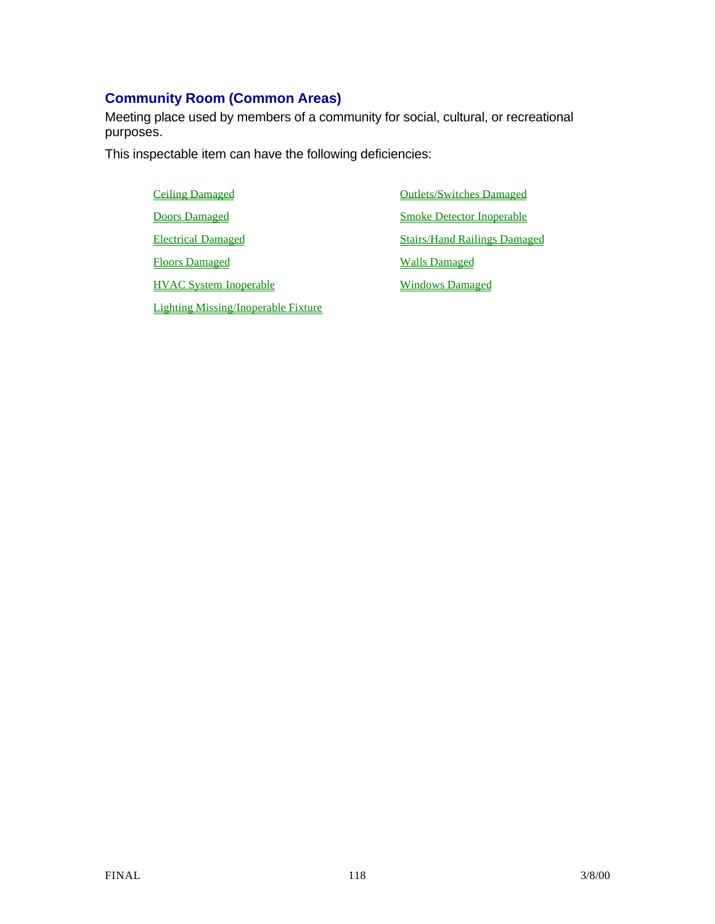# **Community Room (Common Areas)**

Meeting place used by members of a community for social, cultural, or recreational purposes.

This inspectable item can have the following deficiencies:

| <b>Ceiling Damaged</b>        |  |
|-------------------------------|--|
| <b>Doors Damaged</b>          |  |
| <b>Electrical Damaged</b>     |  |
| <b>Floors Damaged</b>         |  |
| <b>HVAC System Inoperable</b> |  |
|                               |  |

Lighting Missing/Inoperable Fixture

**Outlets/Switches Damaged Smoke Detector Inoperable Stairs/Hand Railings Damaged Walls Damaged Windows Damaged**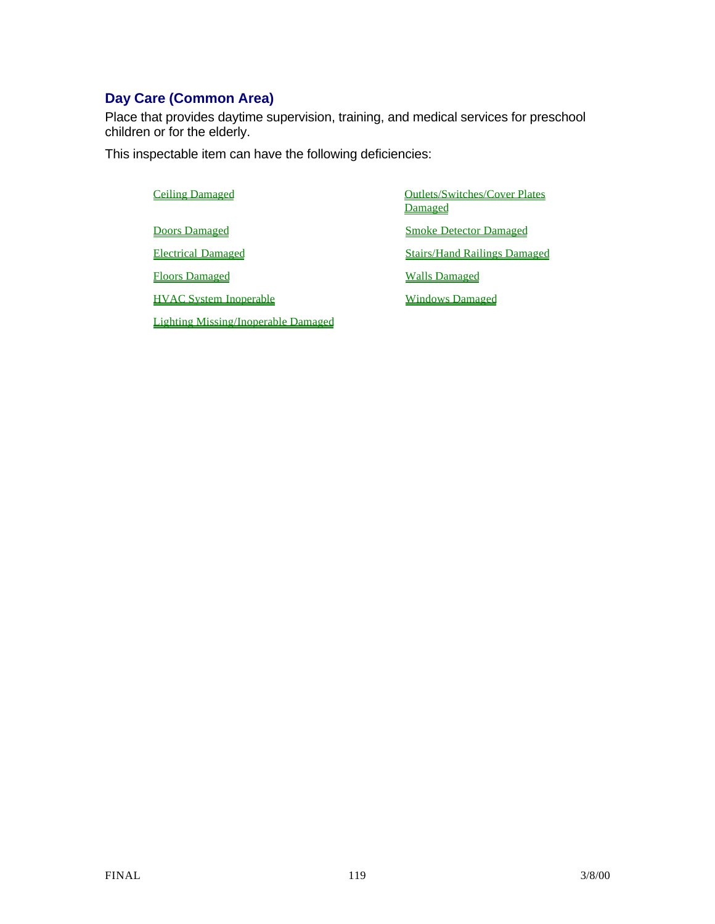# **Day Care (Common Area)**

Place that provides daytime supervision, training, and medical services for preschool children or for the elderly.

This inspectable item can have the following deficiencies:

Lighting Missing/Inoperable Damaged

# Ceiling Damaged **Outlets/Switches/Cover Plates** Damaged **Doors Damaged Smoke Detector Damaged** Electrical Damaged Stairs/Hand Railings Damaged Floors Damaged Walls Damaged HVAC System Inoperable Windows Damaged

FINAL 119 3/8/00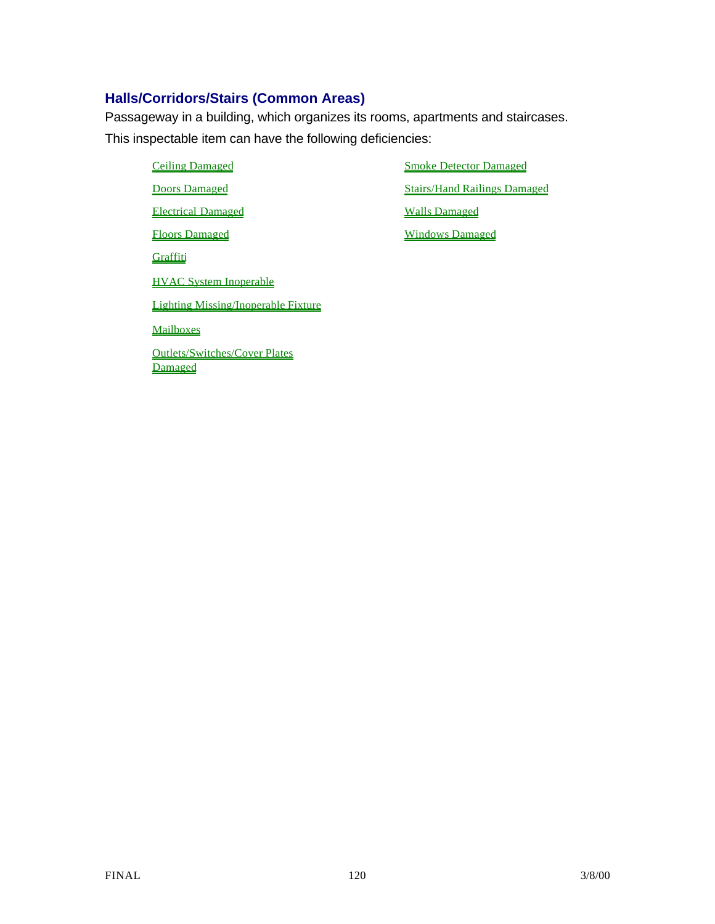## **Halls/Corridors/Stairs (Common Areas)**

Passageway in a building, which organizes its rooms, apartments and staircases. This inspectable item can have the following deficiencies:

- Ceiling Damaged Smoke Detector Damaged **Doors Damaged Stairs/Hand Railings Damaged** Electrical Damaged Walls Damaged Floors Damaged Windows Damaged **Graffiti** HVAC System Inoperable Lighting Missing/Inoperable Fixture Mailboxes Outlets/Switches/Cover Plates Damaged
-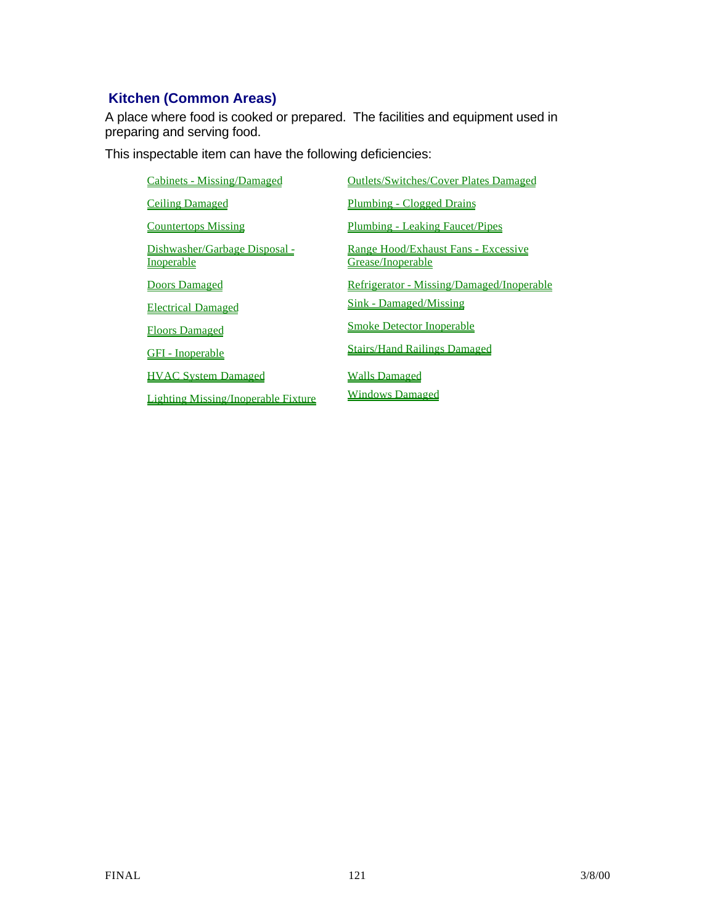# **Kitchen (Common Areas)**

A place where food is cooked or prepared. The facilities and equipment used in preparing and serving food.

This inspectable item can have the following deficiencies:

| <b>Cabinets - Missing/Damaged</b>                  | <b>Outlets/Switches/Cover Plates Damaged</b>             |
|----------------------------------------------------|----------------------------------------------------------|
| <b>Ceiling Damaged</b>                             | Plumbing - Clogged Drains                                |
| <b>Countertops Missing</b>                         | <b>Plumbing - Leaking Faucet/Pipes</b>                   |
| Dishwasher/Garbage Disposal -<br><b>Inoperable</b> | Range Hood/Exhaust Fans - Excessive<br>Grease/Inoperable |
| <b>Doors Damaged</b>                               | Refrigerator - Missing/Damaged/Inoperable                |
| <b>Electrical Damaged</b>                          | <b>Sink - Damaged/Missing</b>                            |
| <b>Floors Damaged</b>                              | <b>Smoke Detector Inoperable</b>                         |
| <b>GFI</b> - Inoperable                            | <b>Stairs/Hand Railings Damaged</b>                      |
| <b>HVAC System Damaged</b>                         | <b>Walls Damaged</b>                                     |
| Lighting Missing/Inoperable Fixture                | <b>Windows Damaged</b>                                   |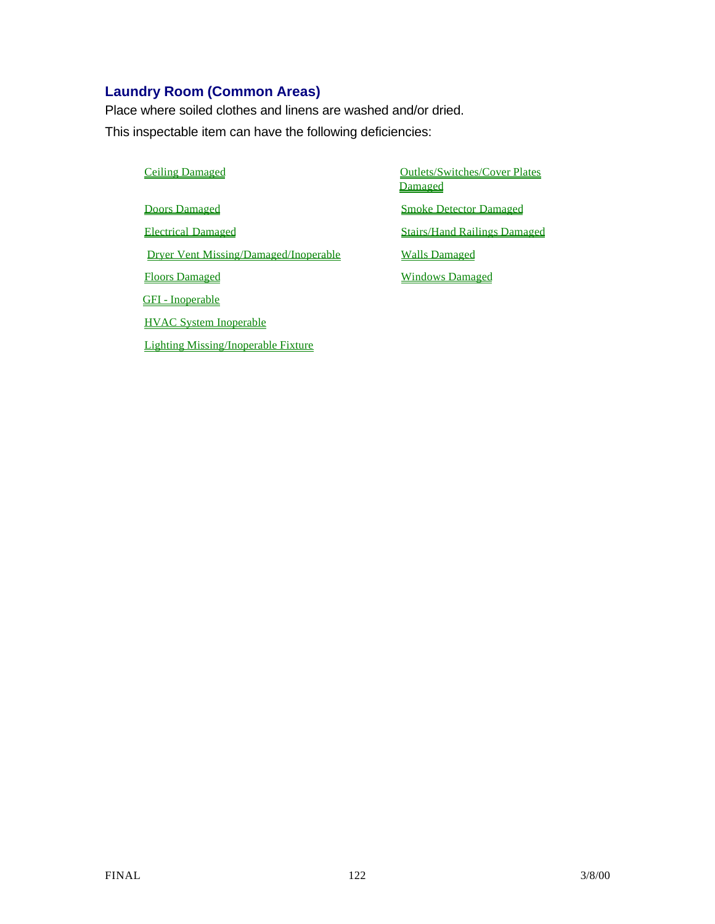# **Laundry Room (Common Areas)**

Place where soiled clothes and linens are washed and/or dried. This inspectable item can have the following deficiencies:

**Doors Damaged Smoke Detector Damaged** Electrical Damaged Stairs/Hand Railings Damaged Dryer Vent Missing/Damaged/Inoperable Walls Damaged Floors Damaged Windows Damaged GFI - Inoperable HVAC System Inoperable Lighting Missing/Inoperable Fixture

Ceiling Damaged Ceiling Damaged Ceiling Damaged Ceiling Damaged Ceiling Damaged Ceiling Damaged Ceiling Outlets/Switches/Cover Plates Damaged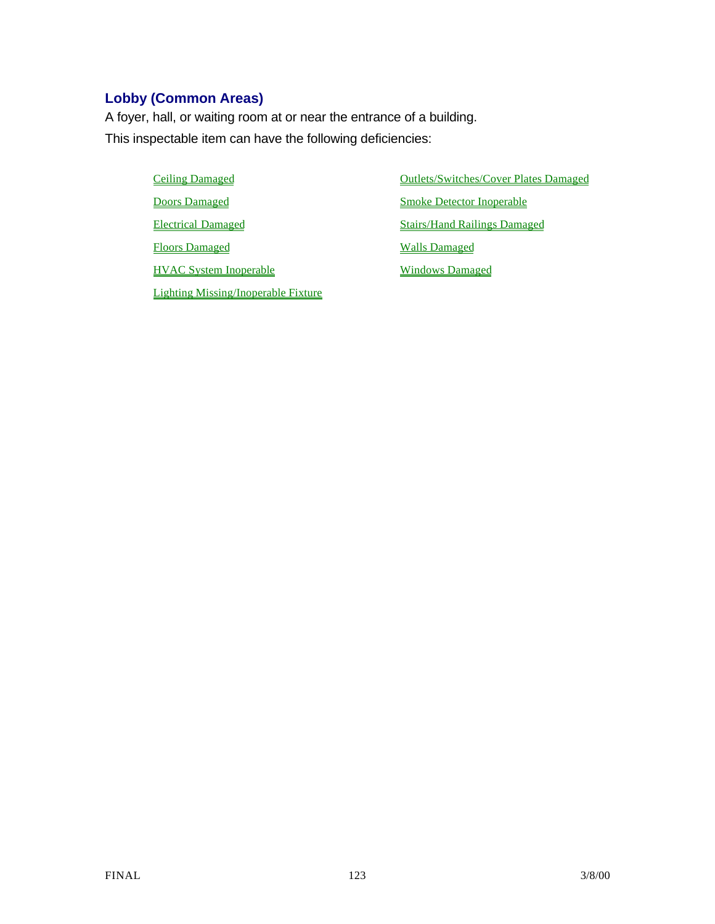# **Lobby (Common Areas)**

A foyer, hall, or waiting room at or near the entrance of a building. This inspectable item can have the following deficiencies:

> **Doors Damaged Smoke Detector Inoperable** Electrical Damaged Stairs/Hand Railings Damaged Floors Damaged Walls Damaged HVAC System Inoperable Windows Damaged Lighting Missing/Inoperable Fixture

Ceiling Damaged **Ceiling Damaged Outlets/Switches/Cover Plates Damaged**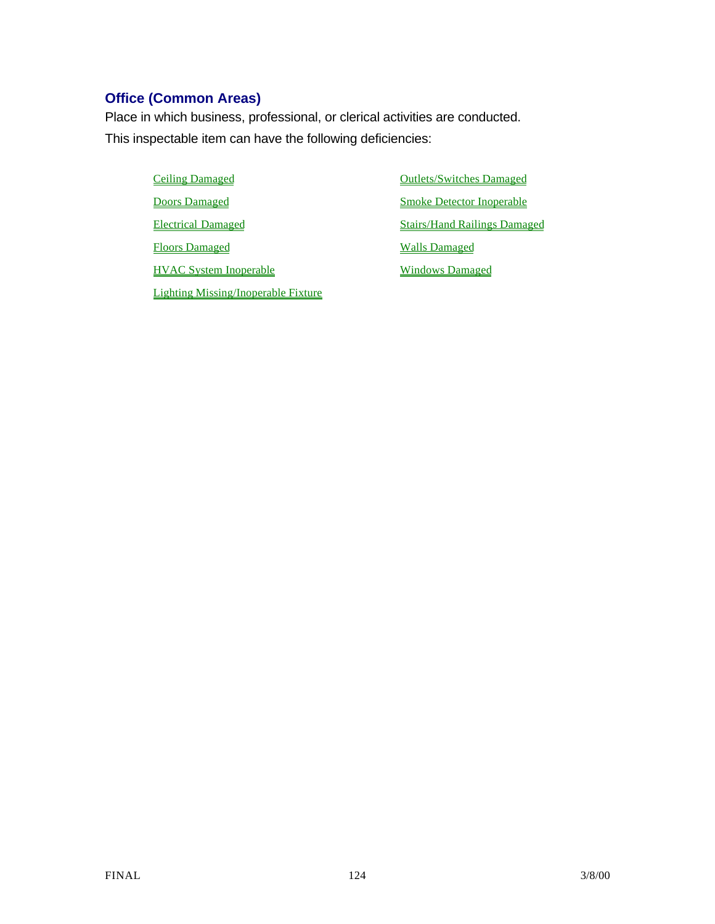# **Office (Common Areas)**

Place in which business, professional, or clerical activities are conducted. This inspectable item can have the following deficiencies:

> Ceiling Damaged Ceiling Damaged Ceiling Damaged **Doors Damaged Smoke Detector Inoperable** Electrical Damaged Stairs/Hand Railings Damaged Floors Damaged Walls Damaged HVAC System Inoperable Windows Damaged Lighting Missing/Inoperable Fixture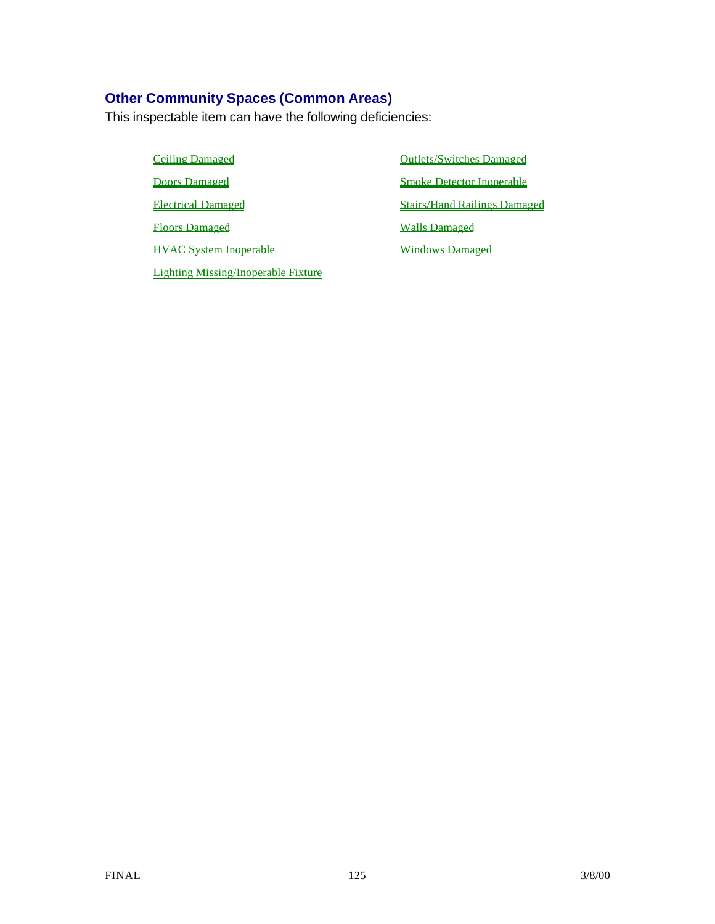## **Other Community Spaces (Common Areas)**

This inspectable item can have the following deficiencies:

Ceiling Damaged **Outlets/Switches Damaged Doors Damaged Smoke Detector Inoperable** Electrical Damaged Stairs/Hand Railings Damaged Floors Damaged Walls Damaged HVAC System Inoperable Windows Damaged Lighting Missing/Inoperable Fixture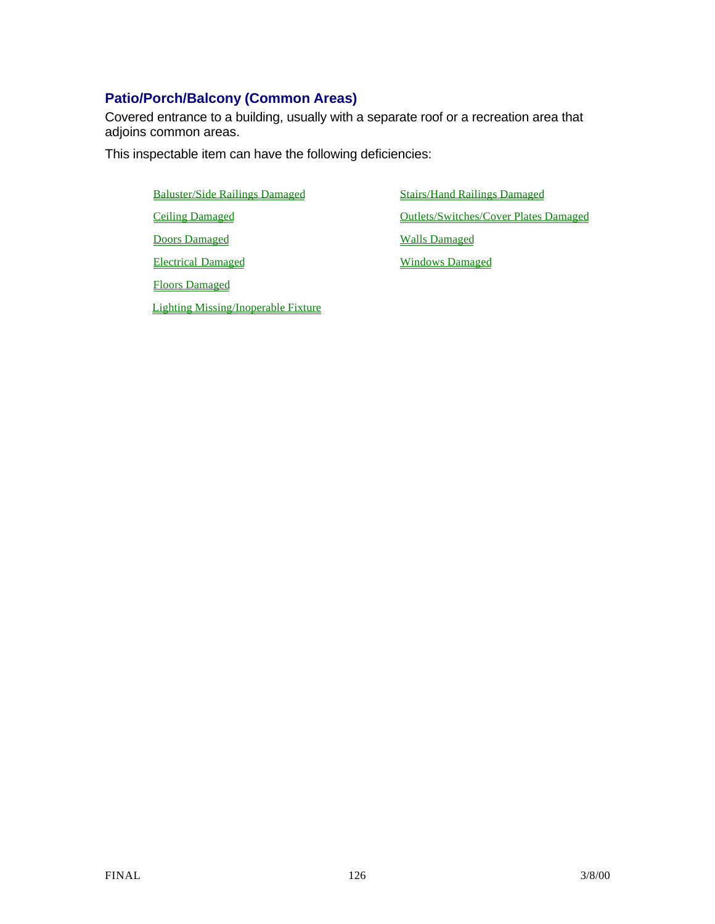# **Patio/Porch/Balcony (Common Areas)**

Covered entrance to a building, usually with a separate roof or a recreation area that adjoins common areas.

This inspectable item can have the following deficiencies:

Baluster/Side Railings Damaged Stairs/Hand Railings Damaged **Doors Damaged Walls Damaged** 

Floors Damaged

Lighting Missing/Inoperable Fixture

Ceiling Damaged Outlets/Switches/Cover Plates Damaged

Electrical Damaged Windows Damaged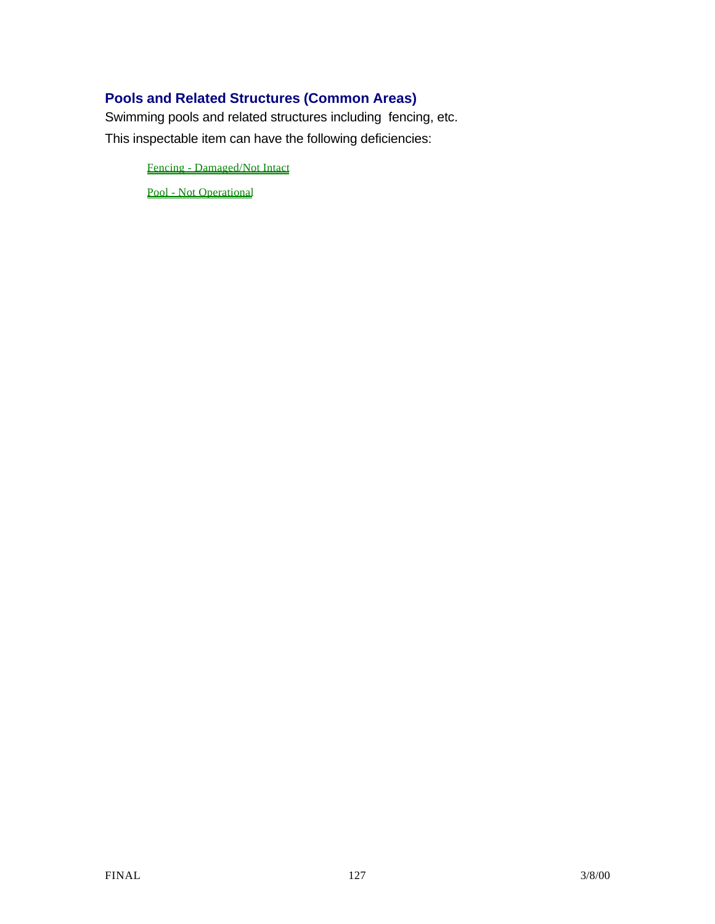# **Pools and Related Structures (Common Areas)**

Swimming pools and related structures including fencing, etc. This inspectable item can have the following deficiencies:

Fencing - Damaged/Not Intact

Pool - Not Operational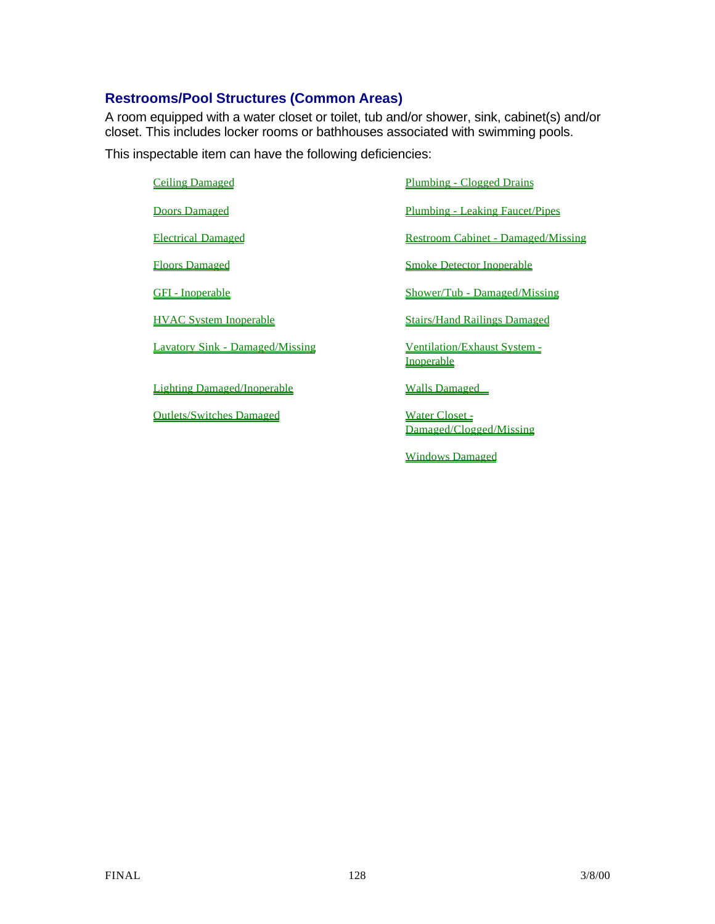## **Restrooms/Pool Structures (Common Areas)**

A room equipped with a water closet or toilet, tub and/or shower, sink, cabinet(s) and/or closet. This includes locker rooms or bathhouses associated with swimming pools.

This inspectable item can have the following deficiencies:

Lighting Damaged/Inoperable Walls Damaged

Outlets/Switches Damaged Water Closet -

Ceiling Damaged Plumbing - Clogged Drains **Doors Damaged Plumbing - Leaking Faucet/Pipes** Electrical Damaged Restroom Cabinet - Damaged/Missing Floors Damaged Smoke Detector Inoperable GFI - Inoperable Shower/Tub - Damaged/Missing HVAC System Inoperable Stairs/Hand Railings Damaged Lavatory Sink - Damaged/Missing Ventilation/Exhaust System -Inoperable

Damaged/Clogged/Missing

Windows Damaged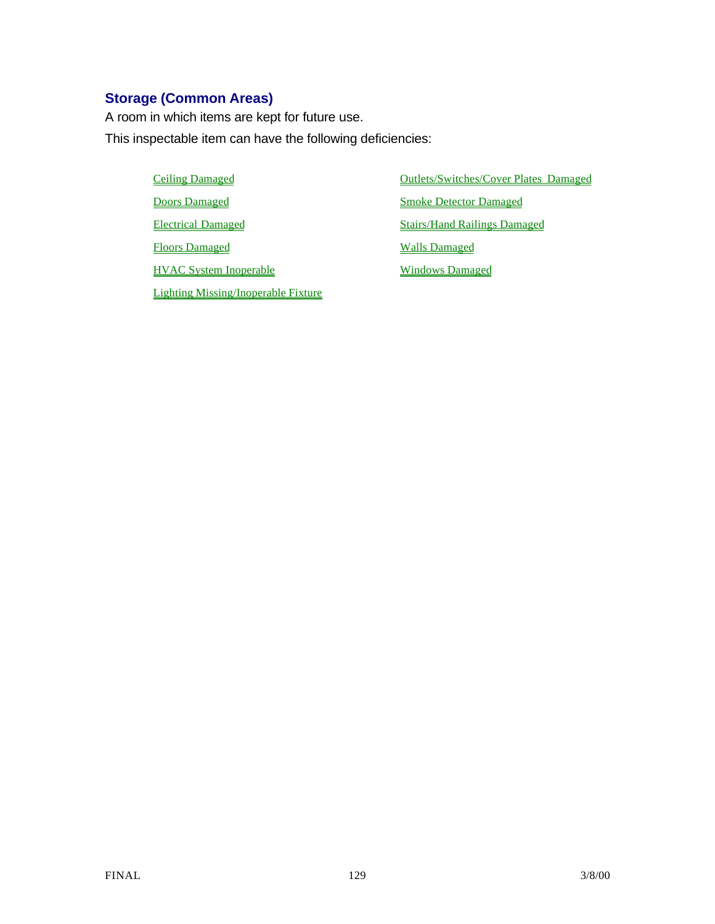# **Storage (Common Areas)**

A room in which items are kept for future use. This inspectable item can have the following deficiencies:

> **Doors Damaged Smoke Detector Damaged** Electrical Damaged Stairs/Hand Railings Damaged Floors Damaged Walls Damaged HVAC System Inoperable Windows Damaged Lighting Missing/Inoperable Fixture

Ceiling Damaged **Ceiling Damaged Outlets/Switches/Cover Plates Damaged**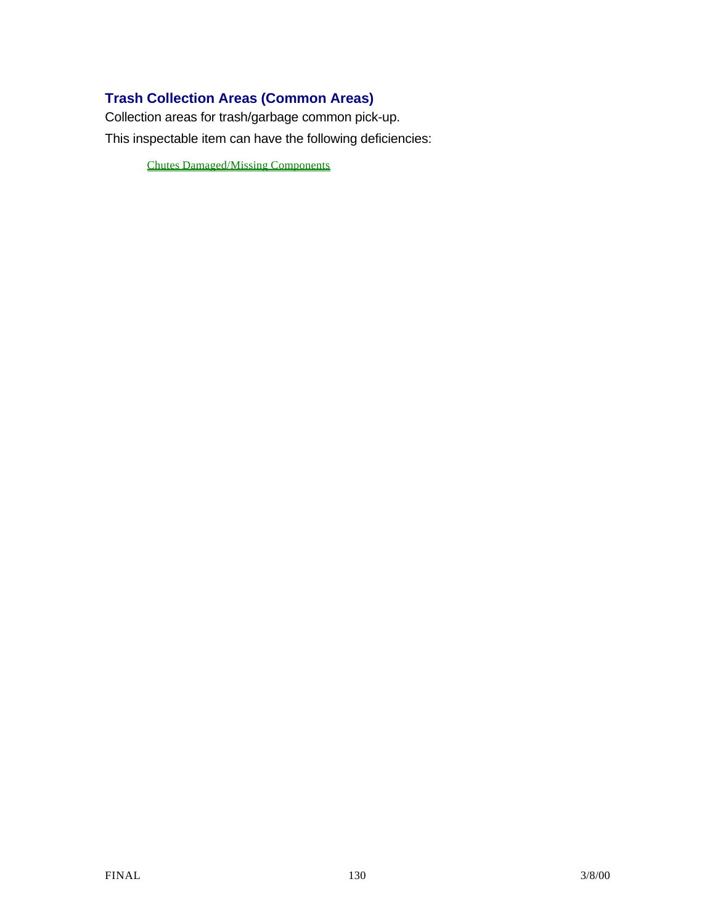# **Trash Collection Areas (Common Areas)**

Collection areas for trash/garbage common pick-up. This inspectable item can have the following deficiencies:

Chutes Damaged/Missing Components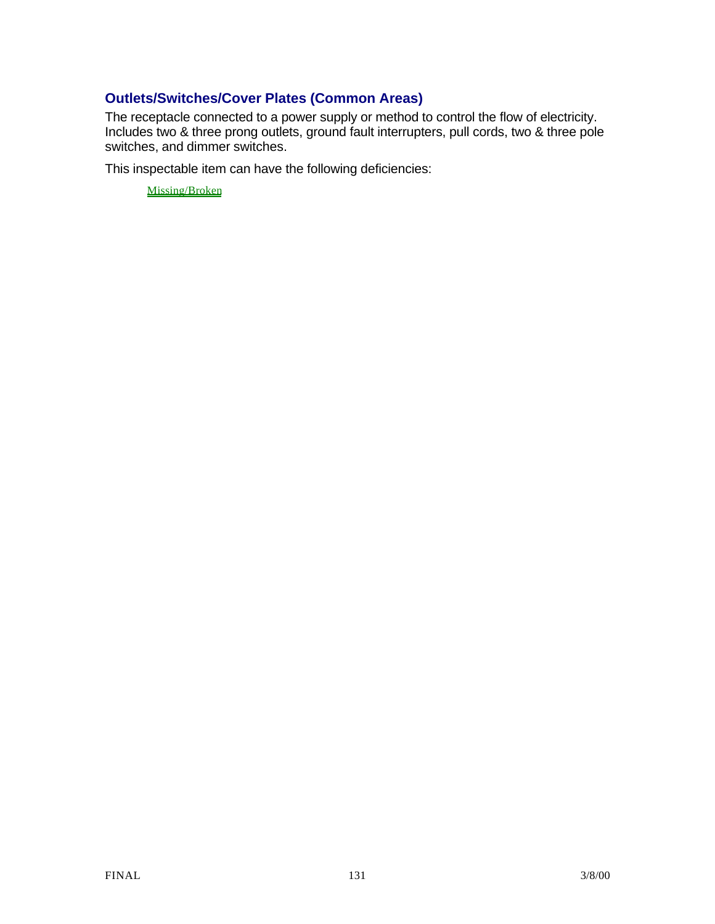## **Outlets/Switches/Cover Plates (Common Areas)**

The receptacle connected to a power supply or method to control the flow of electricity. Includes two & three prong outlets, ground fault interrupters, pull cords, two & three pole switches, and dimmer switches.

This inspectable item can have the following deficiencies:

Missing/Broken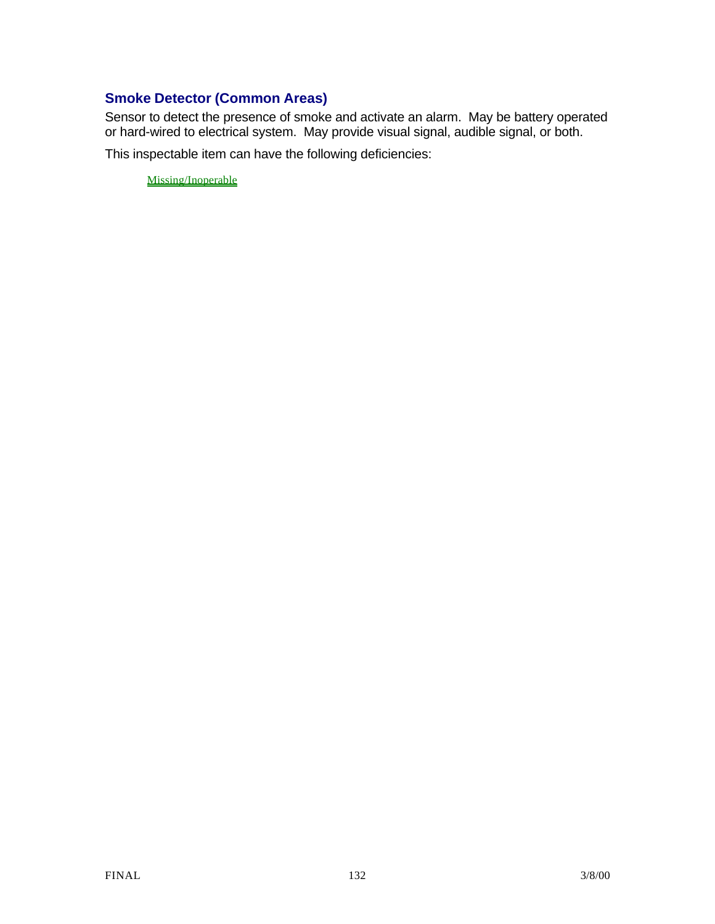## **Smoke Detector (Common Areas)**

Sensor to detect the presence of smoke and activate an alarm. May be battery operated or hard-wired to electrical system. May provide visual signal, audible signal, or both.

This inspectable item can have the following deficiencies:

Missing/Inoperable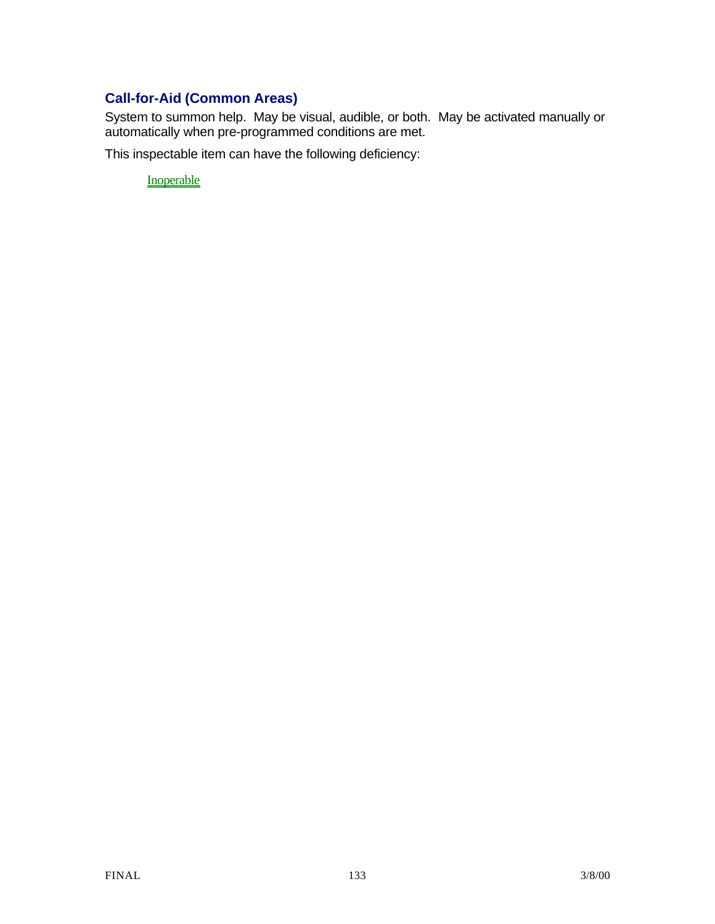# **Call-for-Aid (Common Areas)**

System to summon help. May be visual, audible, or both. May be activated manually or automatically when pre-programmed conditions are met.

This inspectable item can have the following deficiency:

**Inoperable**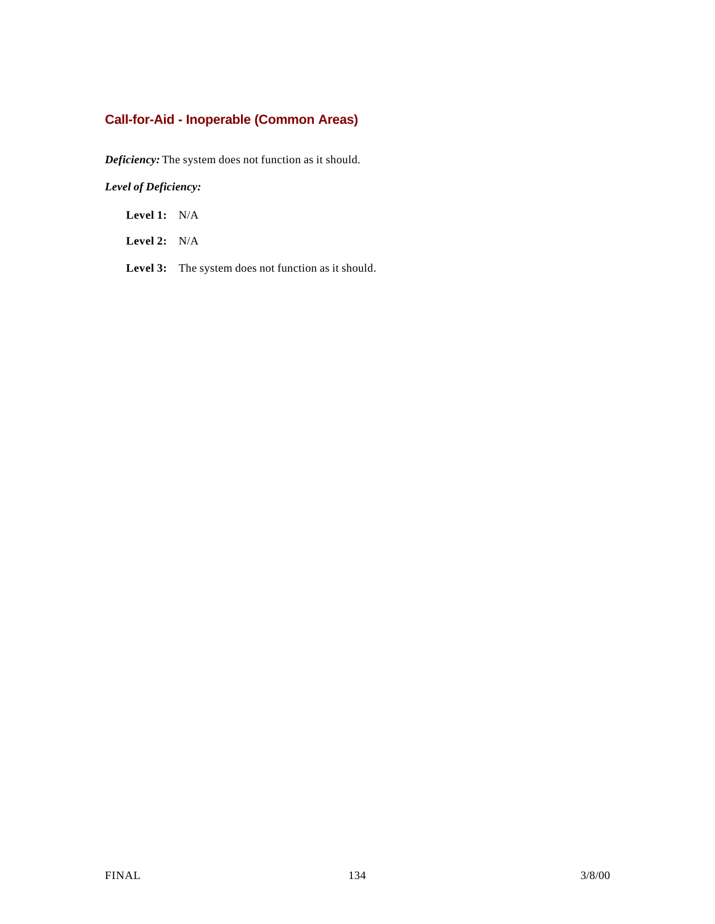# **Call-for-Aid - Inoperable (Common Areas)**

*Deficiency:* The system does not function as it should.

*Level of Deficiency:*

**Level 1:** N/A

**Level 2:** N/A

**Level 3:** The system does not function as it should.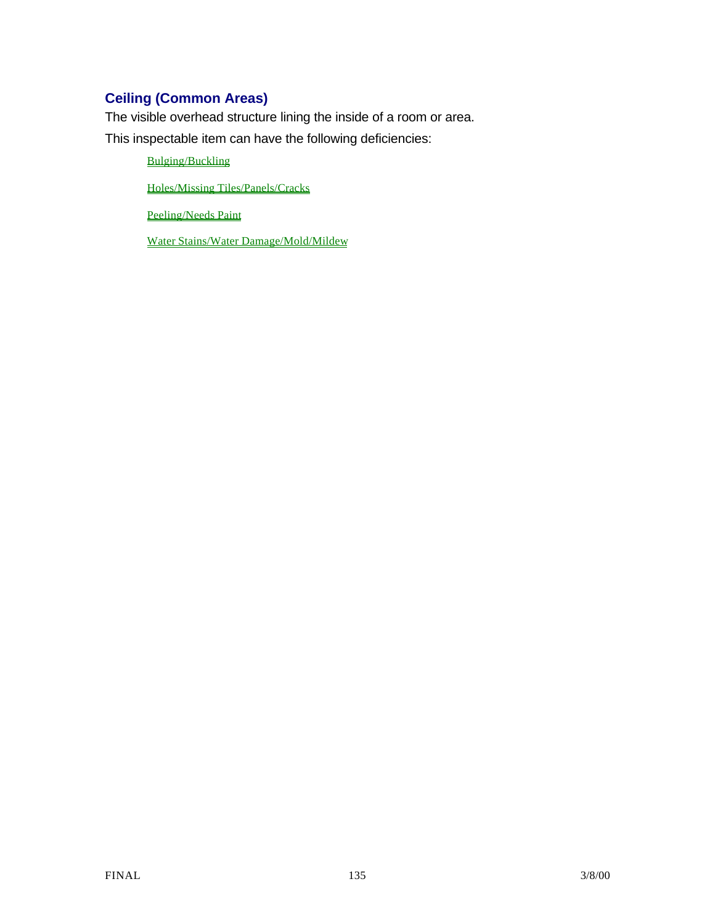# **Ceiling (Common Areas)**

The visible overhead structure lining the inside of a room or area.

This inspectable item can have the following deficiencies:

Bulging/Buckling

Holes/Missing Tiles/Panels/Cracks

Peeling/Needs Paint

Water Stains/Water Damage/Mold/Mildew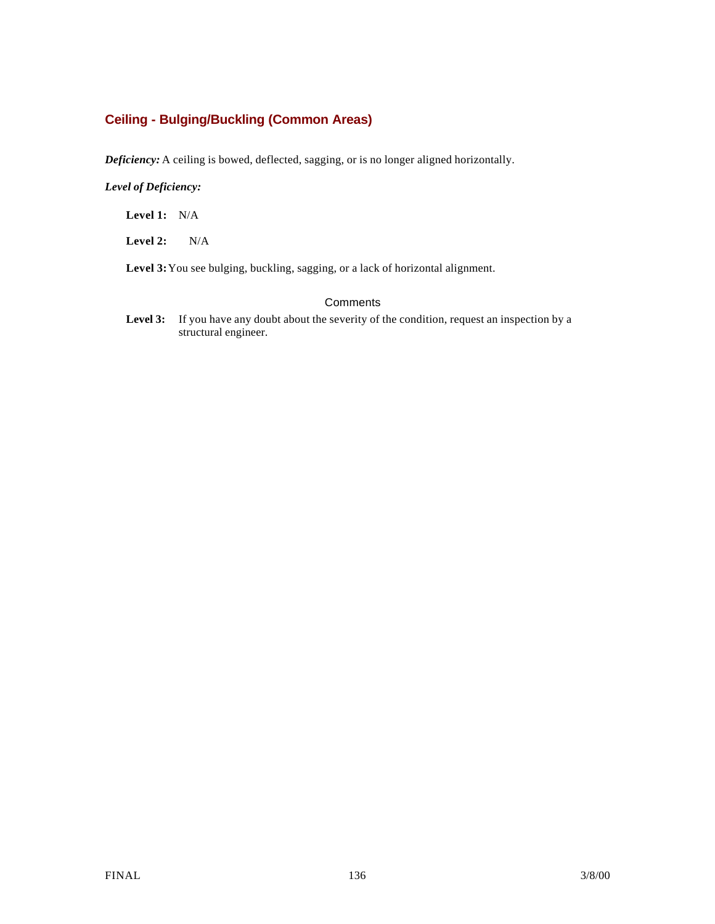## **Ceiling - Bulging/Buckling (Common Areas)**

*Deficiency:* A ceiling is bowed, deflected, sagging, or is no longer aligned horizontally.

#### *Level of Deficiency:*

**Level 1:** N/A

**Level 2:** N/A

**Level 3:**You see bulging, buckling, sagging, or a lack of horizontal alignment.

#### **Comments**

Level 3: If you have any doubt about the severity of the condition, request an inspection by a structural engineer.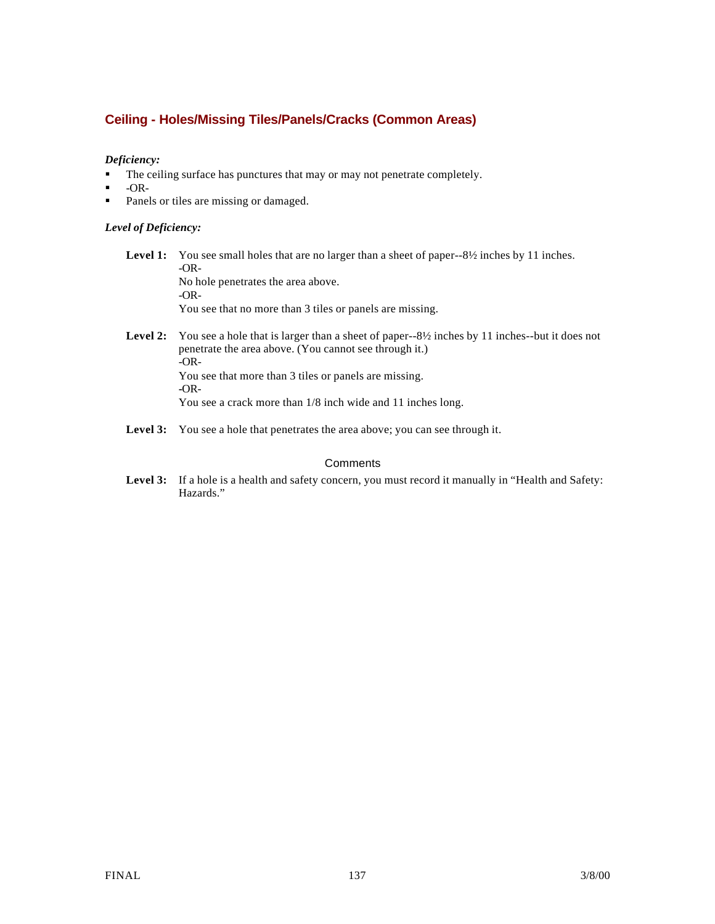## **Ceiling - Holes/Missing Tiles/Panels/Cracks (Common Areas)**

#### *Deficiency:*

- The ceiling surface has punctures that may or may not penetrate completely.
- $-OR-$
- Panels or tiles are missing or damaged.

#### *Level of Deficiency:*

**Level 1:** You see small holes that are no larger than a sheet of paper--8½ inches by 11 inches. -OR-No hole penetrates the area above. -OR-

You see that no more than 3 tiles or panels are missing.

- Level 2: You see a hole that is larger than a sheet of paper--8½ inches by 11 inches--but it does not penetrate the area above. (You cannot see through it.) -OR-You see that more than 3 tiles or panels are missing. **-**OR-You see a crack more than 1/8 inch wide and 11 inches long.
- Level 3: You see a hole that penetrates the area above; you can see through it.

#### **Comments**

Level 3: If a hole is a health and safety concern, you must record it manually in "Health and Safety: Hazards."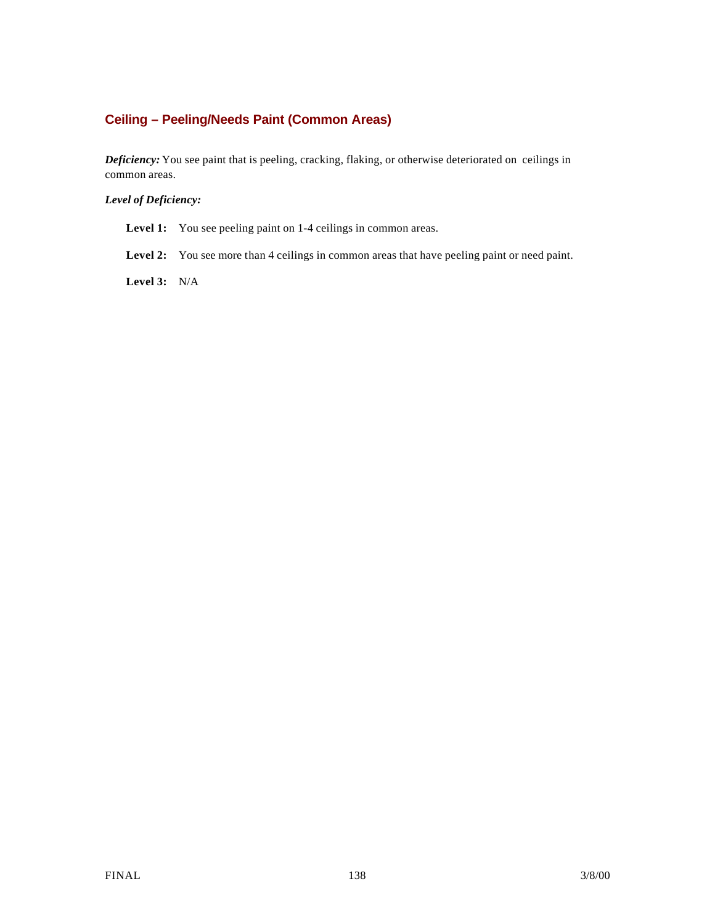## **Ceiling – Peeling/Needs Paint (Common Areas)**

*Deficiency:* You see paint that is peeling, cracking, flaking, or otherwise deteriorated on ceilings in common areas.

#### *Level of Deficiency:*

Level 1: You see peeling paint on 1-4 ceilings in common areas.

Level 2: You see more than 4 ceilings in common areas that have peeling paint or need paint.

**Level 3:** N/A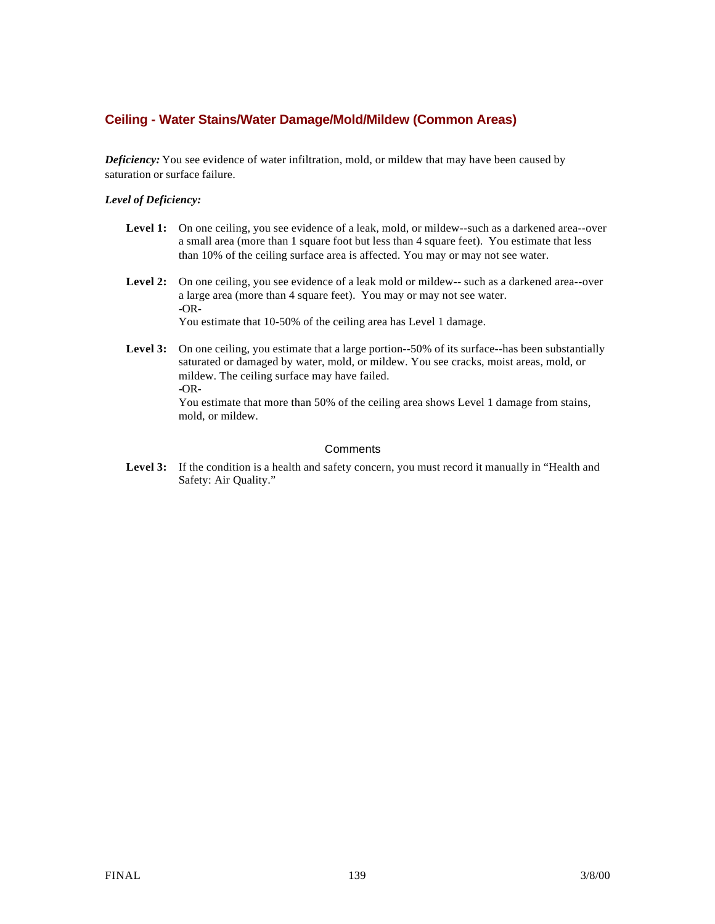### **Ceiling - Water Stains/Water Damage/Mold/Mildew (Common Areas)**

*Deficiency:* You see evidence of water infiltration, mold, or mildew that may have been caused by saturation or surface failure.

#### *Level of Deficiency:*

- Level 1: On one ceiling, you see evidence of a leak, mold, or mildew--such as a darkened area--over a small area (more than 1 square foot but less than 4 square feet). You estimate that less than 10% of the ceiling surface area is affected. You may or may not see water.
- Level 2: On one ceiling, you see evidence of a leak mold or mildew-- such as a darkened area--over a large area (more than 4 square feet). You may or may not see water. -OR-You estimate that 10-50% of the ceiling area has Level 1 damage.
- Level 3: On one ceiling, you estimate that a large portion--50% of its surface--has been substantially saturated or damaged by water, mold, or mildew. You see cracks, moist areas, mold, or mildew. The ceiling surface may have failed. **-**OR-You estimate that more than 50% of the ceiling area shows Level 1 damage from stains, mold, or mildew.

#### **Comments**

Level 3: If the condition is a health and safety concern, you must record it manually in "Health and Safety: Air Quality."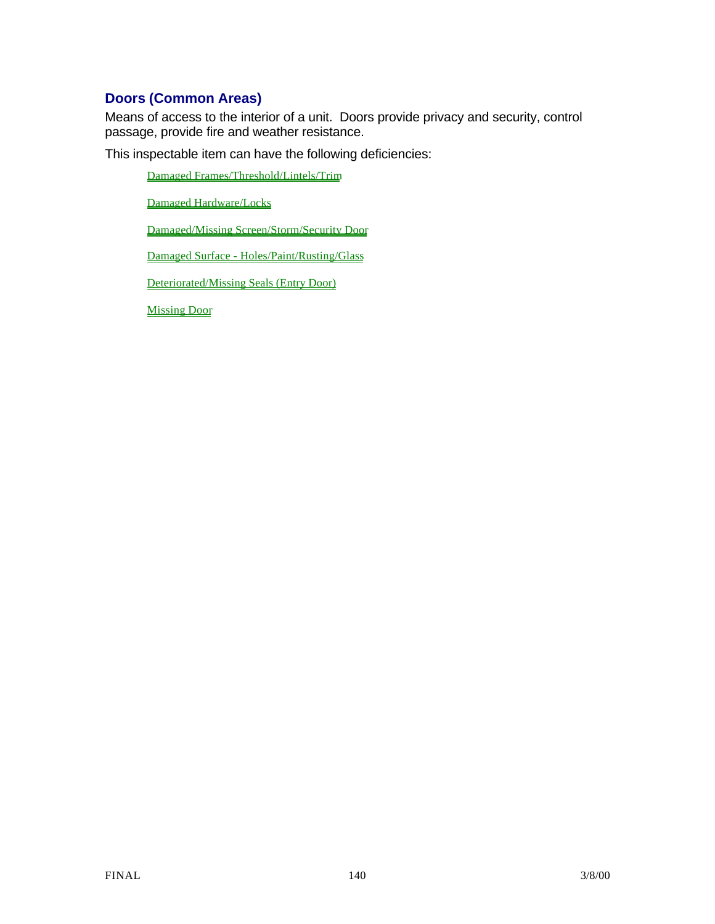# **Doors (Common Areas)**

Means of access to the interior of a unit. Doors provide privacy and security, control passage, provide fire and weather resistance.

This inspectable item can have the following deficiencies:

Damaged Frames/Threshold/Lintels/Trim

Damaged Hardware/Locks

Damaged/Missing Screen/Storm/Security Door

Damaged Surface - Holes/Paint/Rusting/Glass

Deteriorated/Missing Seals (Entry Door)

Missing Door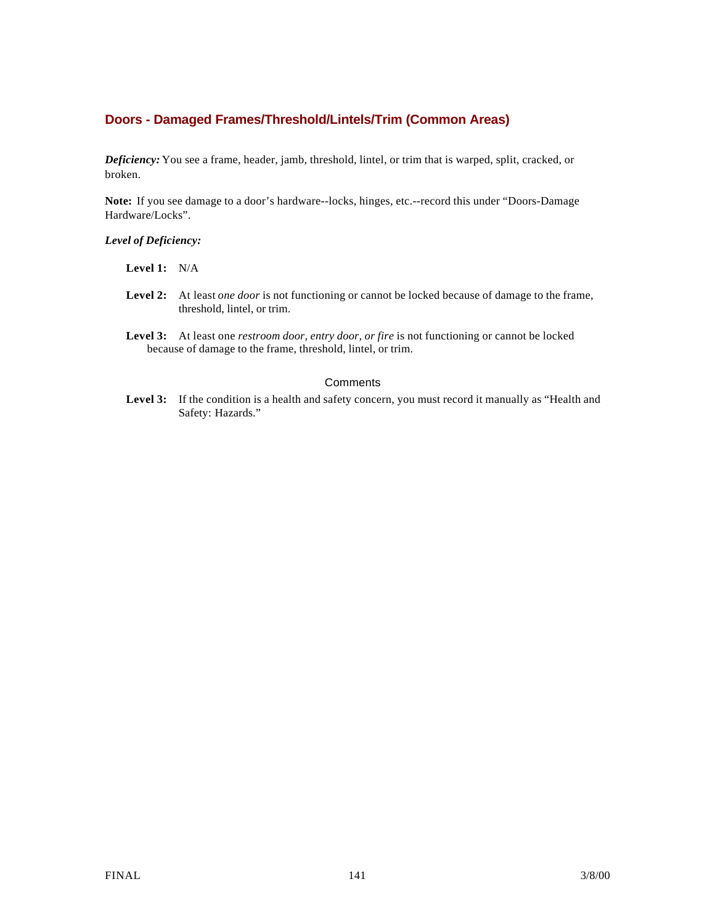#### **Doors - Damaged Frames/Threshold/Lintels/Trim (Common Areas)**

*Deficiency:* You see a frame, header, jamb, threshold, lintel, or trim that is warped, split, cracked, or broken.

**Note:** If you see damage to a door's hardware--locks, hinges, etc.--record this under "Doors-Damage Hardware/Locks".

#### *Level of Deficiency:*

#### **Level 1:** N/A

- **Level 2:** At least *one door* is not functioning or cannot be locked because of damage to the frame, threshold, lintel, or trim.
- **Level 3:** At least one *restroom door, entry door, or fire* is not functioning or cannot be locked because of damage to the frame, threshold, lintel, or trim.

#### **Comments**

Level 3: If the condition is a health and safety concern, you must record it manually as "Health and Safety: Hazards."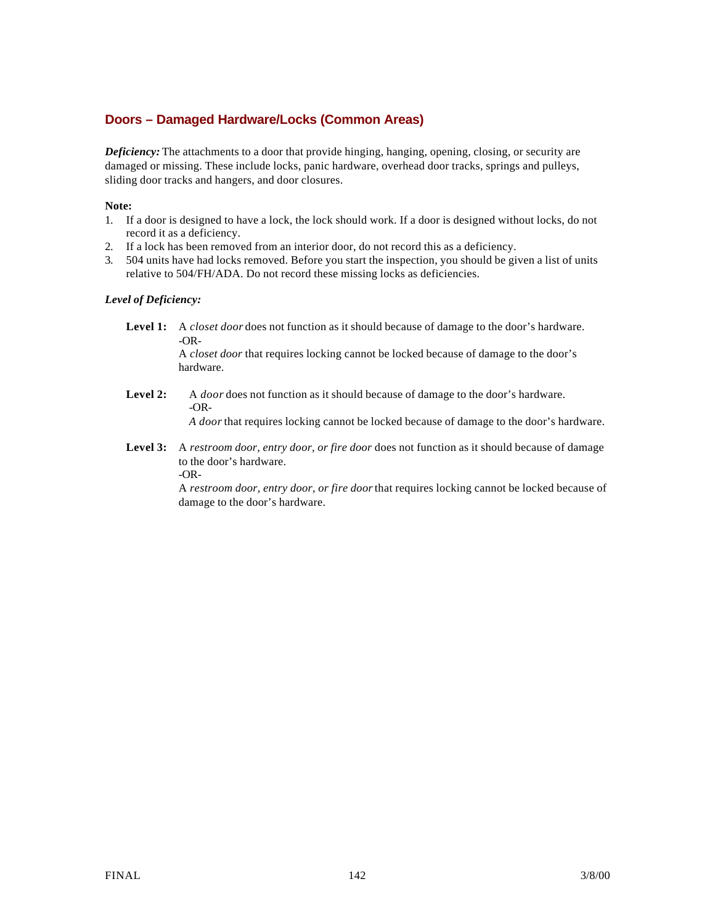### **Doors – Damaged Hardware/Locks (Common Areas)**

*Deficiency:* The attachments to a door that provide hinging, hanging, opening, closing, or security are damaged or missing. These include locks, panic hardware, overhead door tracks, springs and pulleys, sliding door tracks and hangers, and door closures.

#### **Note:**

- 1. If a door is designed to have a lock, the lock should work. If a door is designed without locks, do not record it as a deficiency.
- 2. If a lock has been removed from an interior door, do not record this as a deficiency.
- 3. 504 units have had locks removed. Before you start the inspection, you should be given a list of units relative to 504/FH/ADA. Do not record these missing locks as deficiencies.

#### *Level of Deficiency:*

**Level 1:** A *closet door* does not function as it should because of damage to the door's hardware. -OR-

A *closet door* that requires locking cannot be locked because of damage to the door's hardware.

**Level 2:** A *door* does not function as it should because of damage to the door's hardware. -OR-

*A door* that requires locking cannot be locked because of damage to the door's hardware.

**Level 3:** A *restroom door, entry door, or fire door* does not function as it should because of damage to the door's hardware. -OR-

> A *restroom door, entry door, or fire door* that requires locking cannot be locked because of damage to the door's hardware.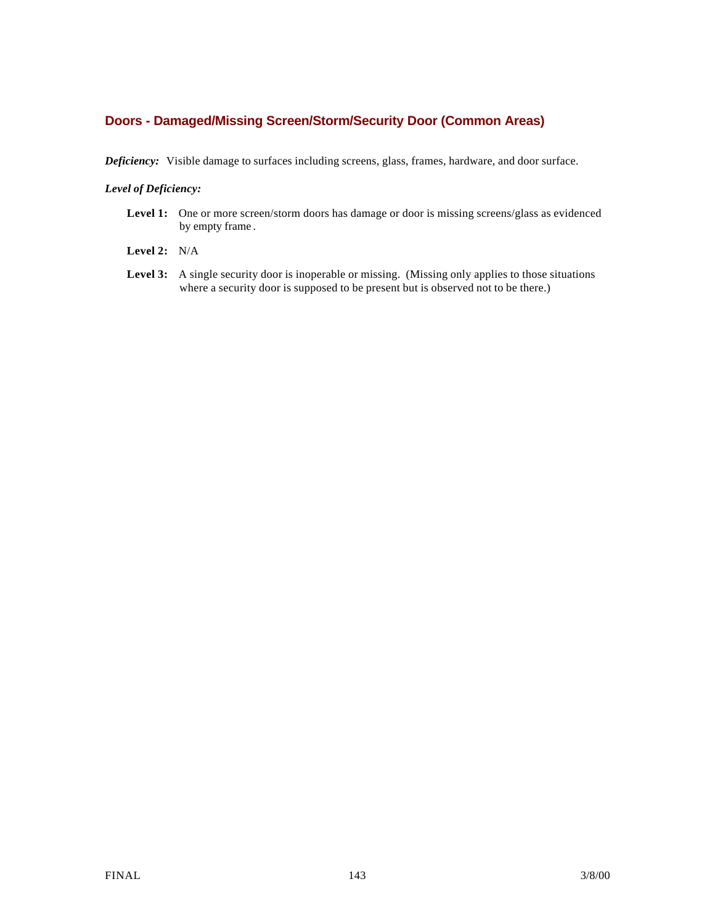#### **Doors - Damaged/Missing Screen/Storm/Security Door (Common Areas)**

*Deficiency:* Visible damage to surfaces including screens, glass, frames, hardware, and door surface.

#### *Level of Deficiency:*

- Level 1: One or more screen/storm doors has damage or door is missing screens/glass as evidenced by empty frame .
- **Level 2:** N/A
- Level 3: A single security door is inoperable or missing. (Missing only applies to those situations where a security door is supposed to be present but is observed not to be there.)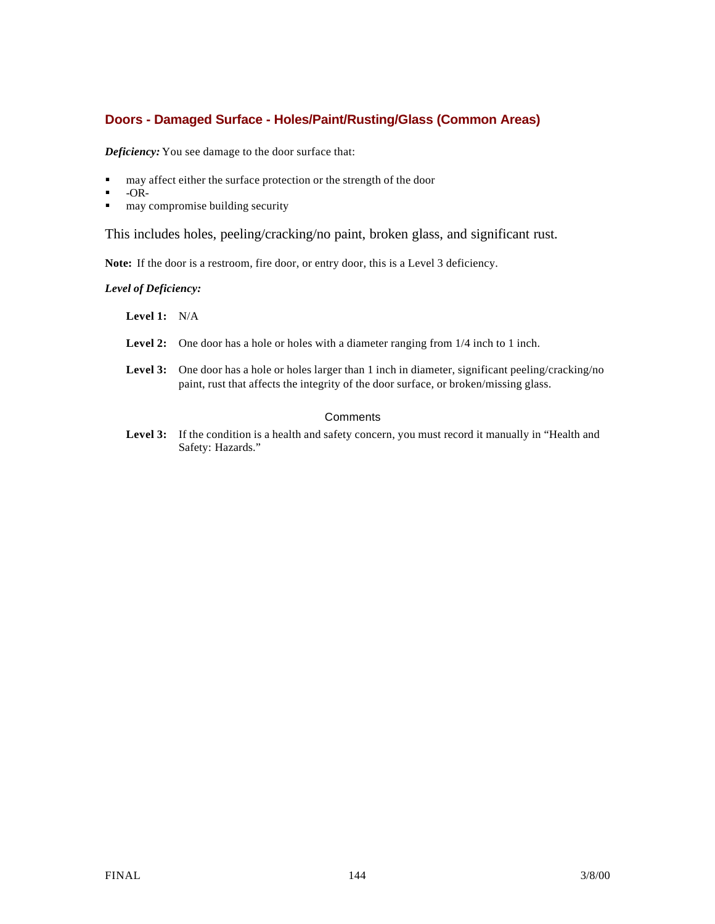### **Doors - Damaged Surface - Holes/Paint/Rusting/Glass (Common Areas)**

*Deficiency:* You see damage to the door surface that:

- $\blacksquare$  may affect either the surface protection or the strength of the door
- $-OR-$
- $\blacksquare$  may compromise building security

This includes holes, peeling/cracking/no paint, broken glass, and significant rust.

**Note:** If the door is a restroom, fire door, or entry door, this is a Level 3 deficiency.

*Level of Deficiency:*

**Level 1:** N/A

- **Level 2:** One door has a hole or holes with a diameter ranging from 1/4 inch to 1 inch.
- Level 3: One door has a hole or holes larger than 1 inch in diameter, significant peeling/cracking/no paint, rust that affects the integrity of the door surface, or broken/missing glass.

#### **Comments**

Level 3: If the condition is a health and safety concern, you must record it manually in "Health and Safety: Hazards."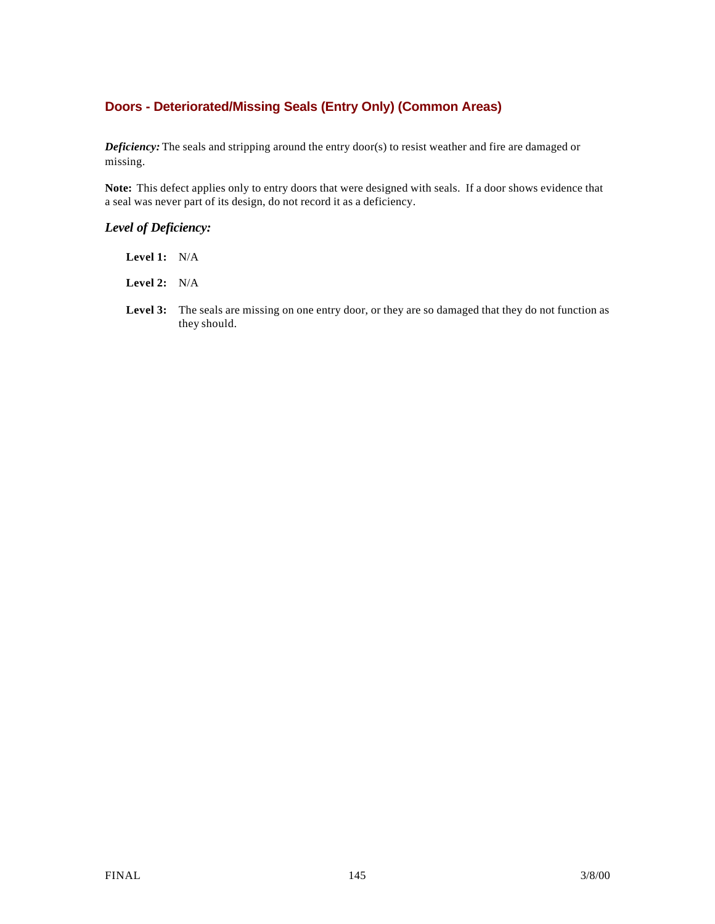## **Doors - Deteriorated/Missing Seals (Entry Only) (Common Areas)**

*Deficiency:* The seals and stripping around the entry door(s) to resist weather and fire are damaged or missing.

**Note:** This defect applies only to entry doors that were designed with seals. If a door shows evidence that a seal was never part of its design, do not record it as a deficiency.

## *Level of Deficiency:*

**Level 1:** N/A

**Level 2:** N/A

Level 3: The seals are missing on one entry door, or they are so damaged that they do not function as they should.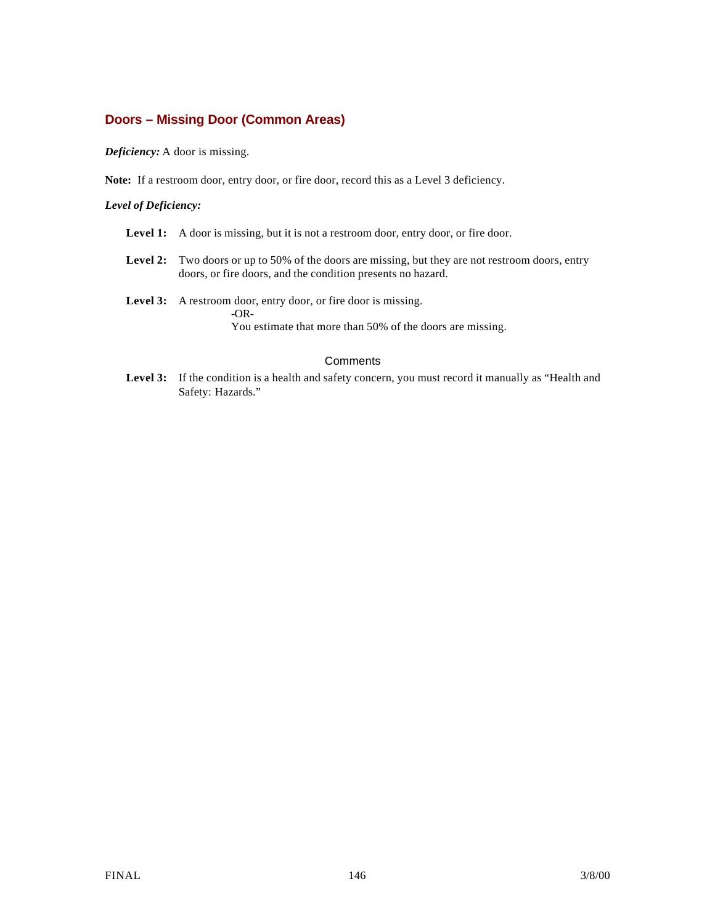## **Doors – Missing Door (Common Areas)**

*Deficiency:* A door is missing.

**Note:** If a restroom door, entry door, or fire door, record this as a Level 3 deficiency.

#### *Level of Deficiency:*

- Level 1: A door is missing, but it is not a restroom door, entry door, or fire door.
- Level 2: Two doors or up to 50% of the doors are missing, but they are not restroom doors, entry doors, or fire doors, and the condition presents no hazard.
- **Level 3:** A restroom door, entry door, or fire door is missing. **-**OR-You estimate that more than 50% of the doors are missing.

#### **Comments**

Level 3: If the condition is a health and safety concern, you must record it manually as "Health and Safety: Hazards."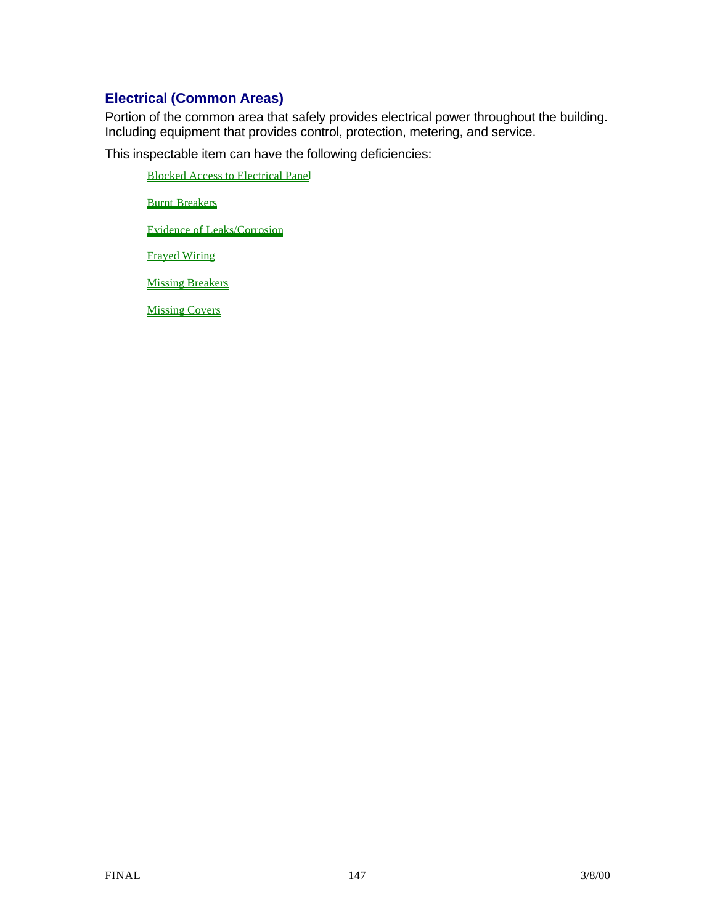# **Electrical (Common Areas)**

Portion of the common area that safely provides electrical power throughout the building. Including equipment that provides control, protection, metering, and service.

This inspectable item can have the following deficiencies:

Blocked Access to Electrical Panel

Burnt Breakers

Evidence of Leaks/Corrosion

Frayed Wiring

**Missing Breakers** 

Missing Covers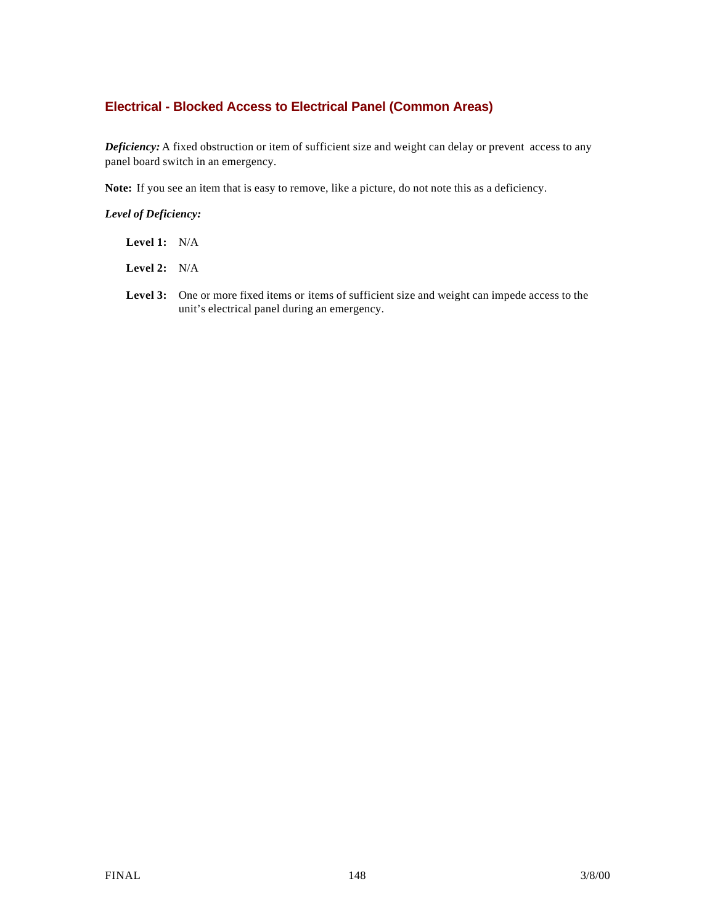## **Electrical - Blocked Access to Electrical Panel (Common Areas)**

*Deficiency:* A fixed obstruction or item of sufficient size and weight can delay or prevent access to any panel board switch in an emergency.

**Note:** If you see an item that is easy to remove, like a picture, do not note this as a deficiency.

### *Level of Deficiency:*

**Level 1:** N/A

**Level 2:** N/A

Level 3: One or more fixed items or items of sufficient size and weight can impede access to the unit's electrical panel during an emergency.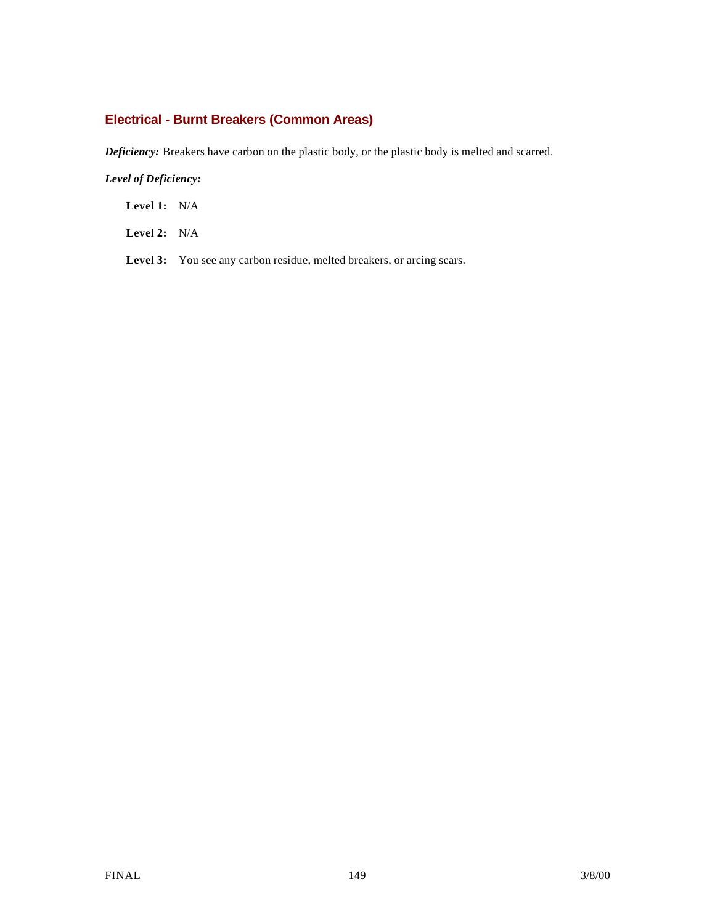# **Electrical - Burnt Breakers (Common Areas)**

*Deficiency:* Breakers have carbon on the plastic body, or the plastic body is melted and scarred.

## *Level of Deficiency:*

**Level 1:** N/A

**Level 2:** N/A

Level 3: You see any carbon residue, melted breakers, or arcing scars.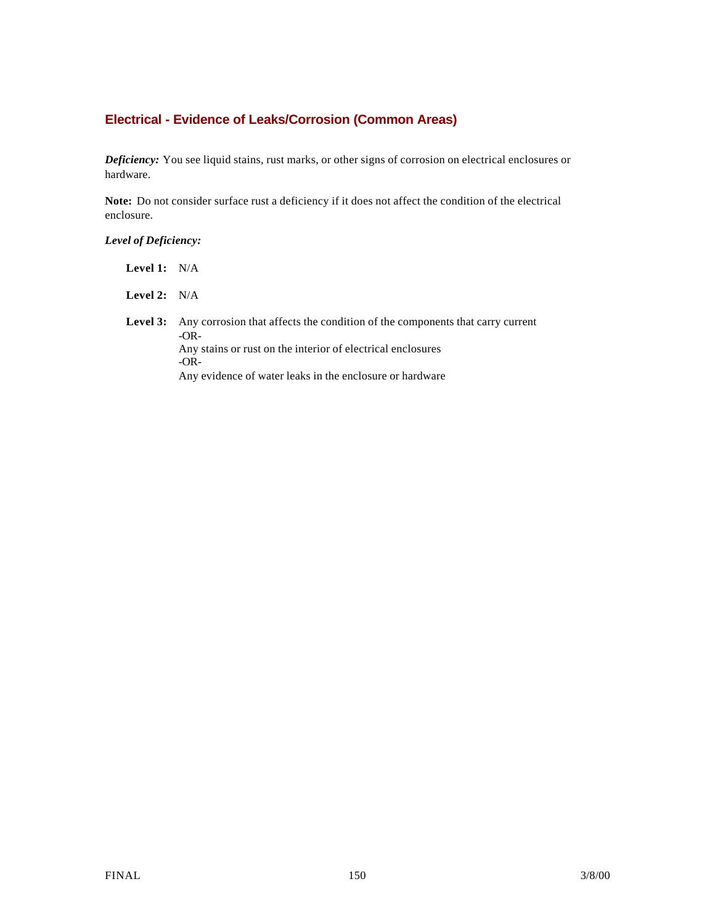# **Electrical - Evidence of Leaks/Corrosion (Common Areas)**

*Deficiency:* You see liquid stains, rust marks, or other signs of corrosion on electrical enclosures or hardware.

**Note:** Do not consider surface rust a deficiency if it does not affect the condition of the electrical enclosure.

*Level of Deficiency:*

| Level 1: $N/A$ |                                                                                                                                                                                                                              |
|----------------|------------------------------------------------------------------------------------------------------------------------------------------------------------------------------------------------------------------------------|
| Level 2: $N/A$ |                                                                                                                                                                                                                              |
| Level 3:       | Any corrosion that affects the condition of the components that carry current<br>$-OR-$<br>Any stains or rust on the interior of electrical enclosures<br>$-OR-$<br>Any evidence of water leaks in the enclosure or hardware |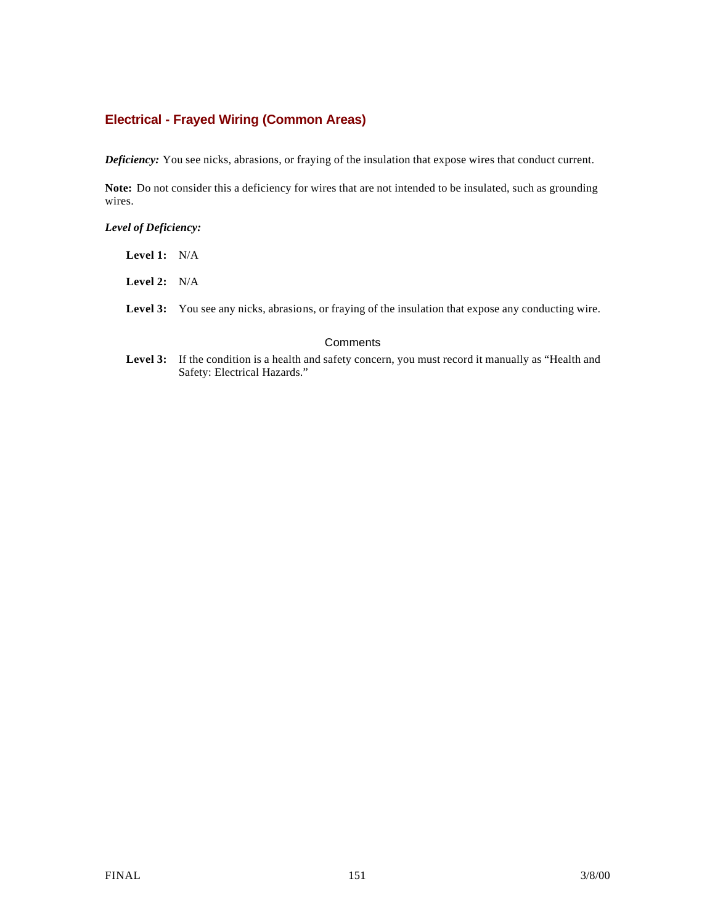## **Electrical - Frayed Wiring (Common Areas)**

*Deficiency:* You see nicks, abrasions, or fraying of the insulation that expose wires that conduct current.

**Note:** Do not consider this a deficiency for wires that are not intended to be insulated, such as grounding wires.

#### *Level of Deficiency:*

| <b>Level 1:</b> $N/A$ |                                                                                                             |
|-----------------------|-------------------------------------------------------------------------------------------------------------|
| <b>Level 2:</b> $N/A$ |                                                                                                             |
|                       | <b>Level 3:</b> You see any nicks, abrasions, or fraying of the insulation that expose any conducting wire. |

#### **Comments**

Level 3: If the condition is a health and safety concern, you must record it manually as "Health and Safety: Electrical Hazards."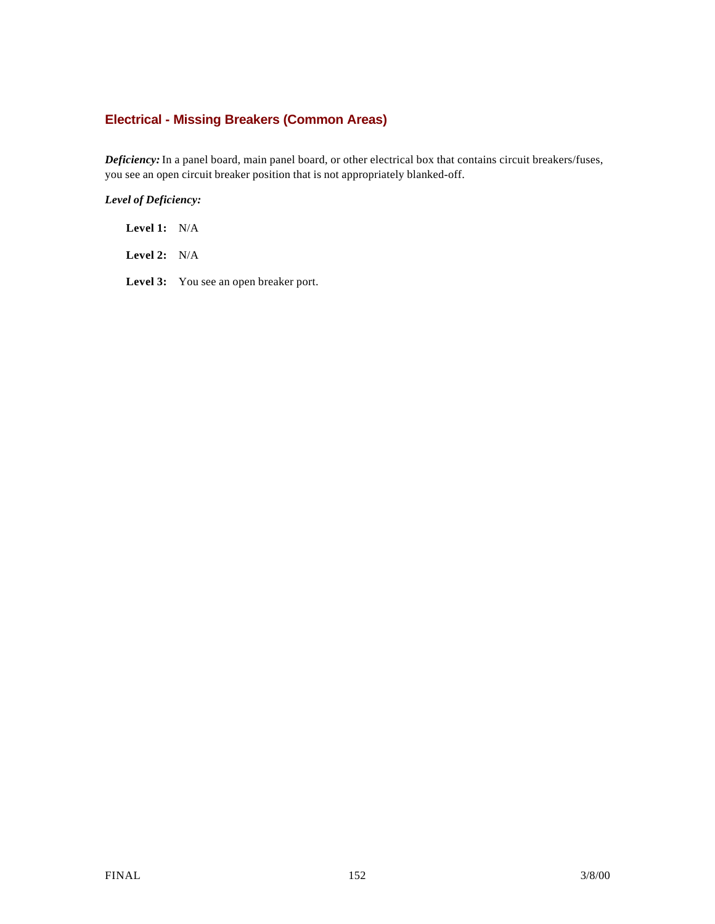# **Electrical - Missing Breakers (Common Areas)**

*Deficiency:* In a panel board, main panel board, or other electrical box that contains circuit breakers/fuses, you see an open circuit breaker position that is not appropriately blanked-off.

### *Level of Deficiency:*

**Level 1:** N/A

**Level 2:** N/A

Level 3: You see an open breaker port.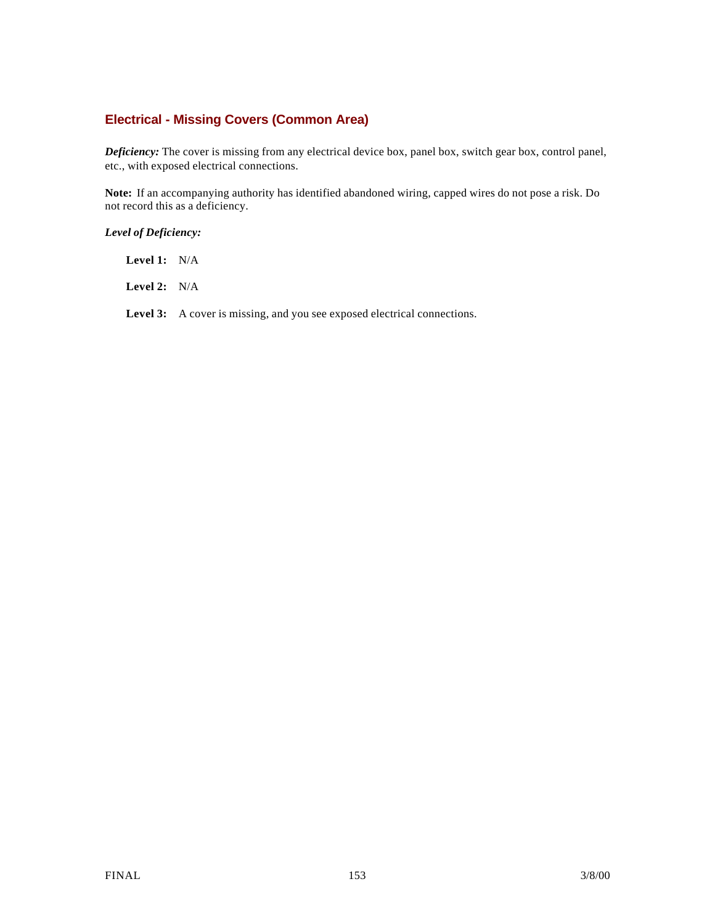## **Electrical - Missing Covers (Common Area)**

*Deficiency:* The cover is missing from any electrical device box, panel box, switch gear box, control panel, etc., with exposed electrical connections.

**Note:** If an accompanying authority has identified abandoned wiring, capped wires do not pose a risk. Do not record this as a deficiency.

### *Level of Deficiency:*

**Level 1:** N/A

**Level 2:** N/A

Level 3: A cover is missing, and you see exposed electrical connections.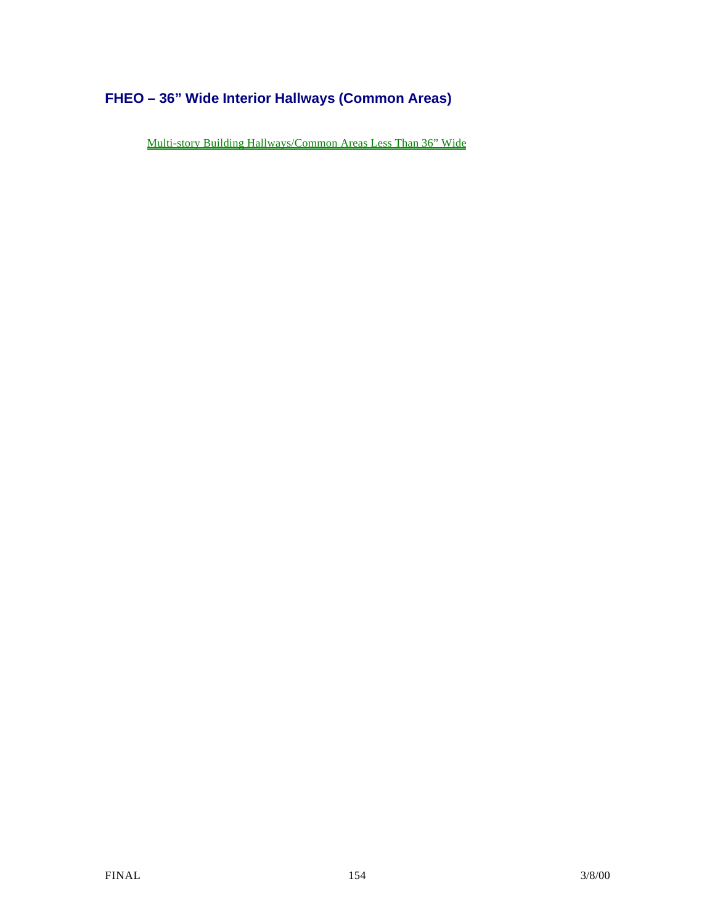# **FHEO – 36" Wide Interior Hallways (Common Areas)**

Multi-story Building Hallways/Common Areas Less Than 36" Wide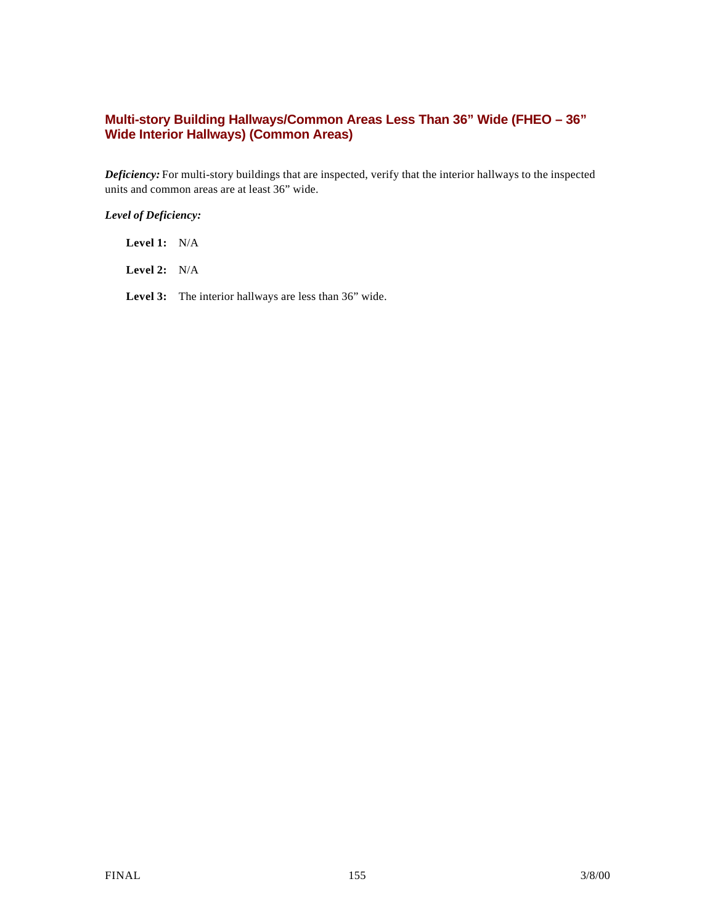## **Multi-story Building Hallways/Common Areas Less Than 36" Wide (FHEO – 36" Wide Interior Hallways) (Common Areas)**

*Deficiency:* For multi-story buildings that are inspected, verify that the interior hallways to the inspected units and common areas are at least 36" wide.

### *Level of Deficiency:*

**Level 1:** N/A

**Level 2:** N/A

Level 3: The interior hallways are less than 36" wide.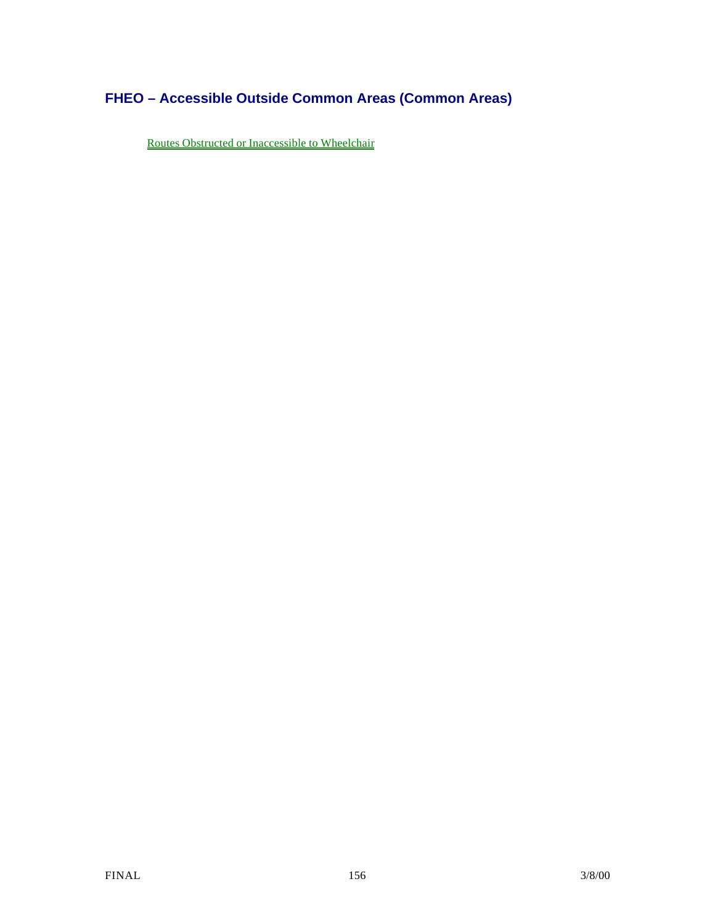# **FHEO – Accessible Outside Common Areas (Common Areas)**

Routes Obstructed or Inaccessible to Wheelchair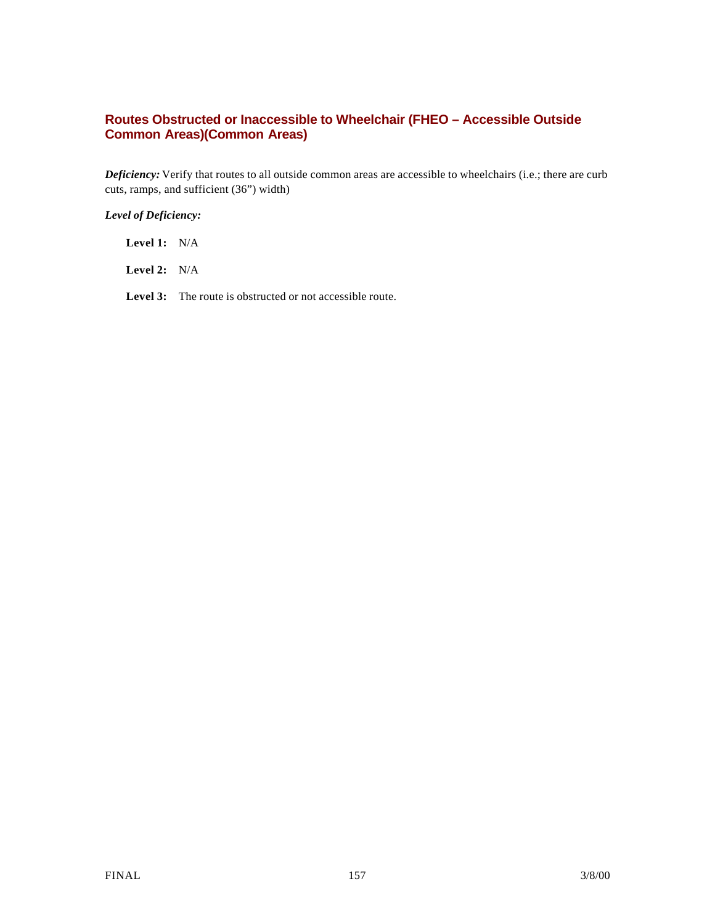## **Routes Obstructed or Inaccessible to Wheelchair (FHEO – Accessible Outside Common Areas)(Common Areas)**

*Deficiency:* Verify that routes to all outside common areas are accessible to wheelchairs (i.e.; there are curb cuts, ramps, and sufficient (36") width)

### *Level of Deficiency:*

**Level 1:** N/A

**Level 2:** N/A

Level 3: The route is obstructed or not accessible route.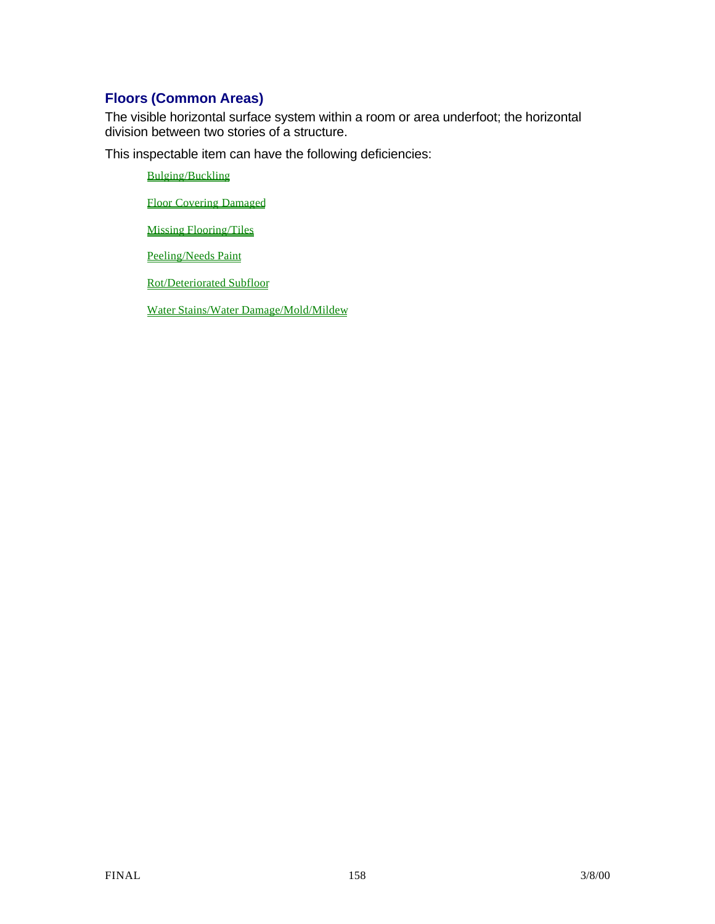# **Floors (Common Areas)**

The visible horizontal surface system within a room or area underfoot; the horizontal division between two stories of a structure.

This inspectable item can have the following deficiencies:

Bulging/Buckling

Floor Covering Damaged

Missing Flooring/Tiles

Peeling/Needs Paint

Rot/Deteriorated Subfloor

Water Stains/Water Damage/Mold/Mildew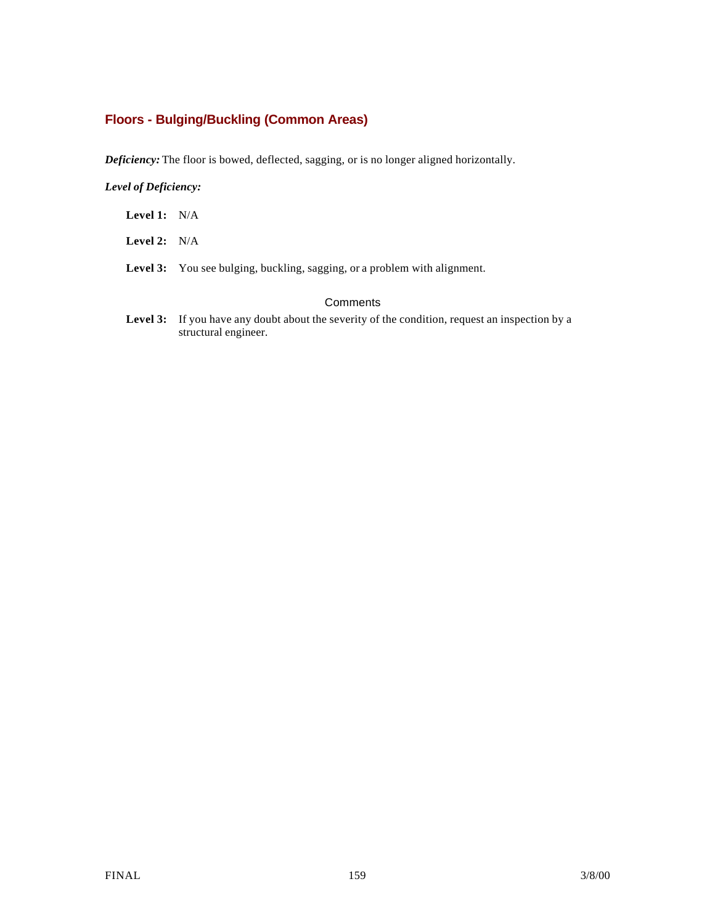# **Floors - Bulging/Buckling (Common Areas)**

*Deficiency:* The floor is bowed, deflected, sagging, or is no longer aligned horizontally.

### *Level of Deficiency:*

- **Level 1:** N/A
- **Level 2:** N/A
- Level 3: You see bulging, buckling, sagging, or a problem with alignment.

### **Comments**

Level 3: If you have any doubt about the severity of the condition, request an inspection by a structural engineer.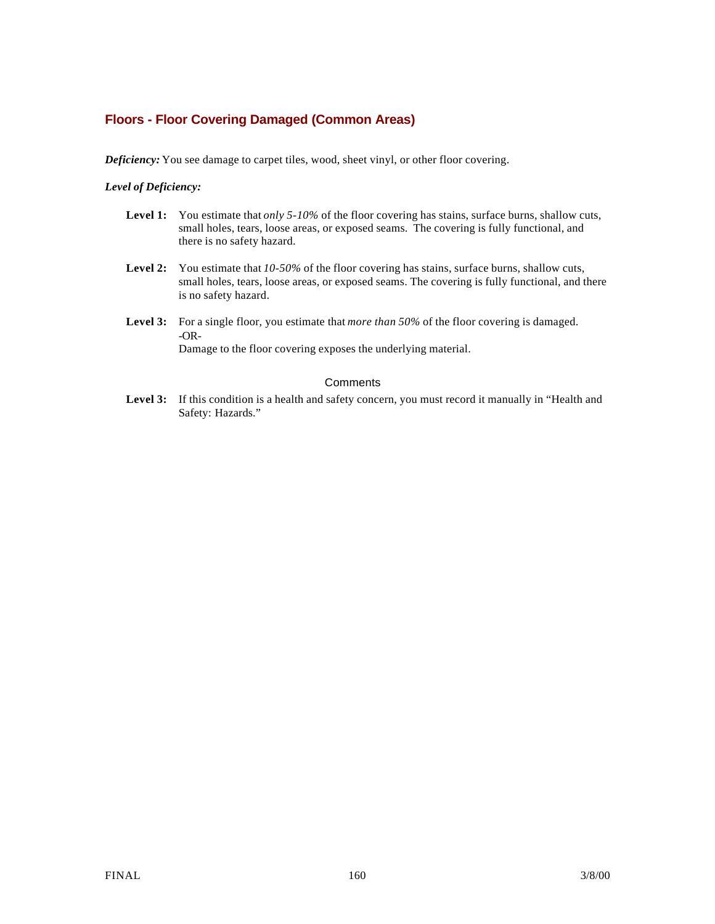## **Floors - Floor Covering Damaged (Common Areas)**

*Deficiency:* You see damage to carpet tiles, wood, sheet vinyl, or other floor covering.

### *Level of Deficiency:*

- Level 1: You estimate that *only 5-10%* of the floor covering has stains, surface burns, shallow cuts, small holes, tears, loose areas, or exposed seams. The covering is fully functional, and there is no safety hazard.
- **Level 2:** You estimate that *10-50%* of the floor covering has stains, surface burns, shallow cuts, small holes, tears, loose areas, or exposed seams. The covering is fully functional, and there is no safety hazard.
- **Level 3:** For a single floor, you estimate that *more than 50%* of the floor covering is damaged. -OR-Damage to the floor covering exposes the underlying material.

#### **Comments**

Level 3: If this condition is a health and safety concern, you must record it manually in "Health and Safety: Hazards."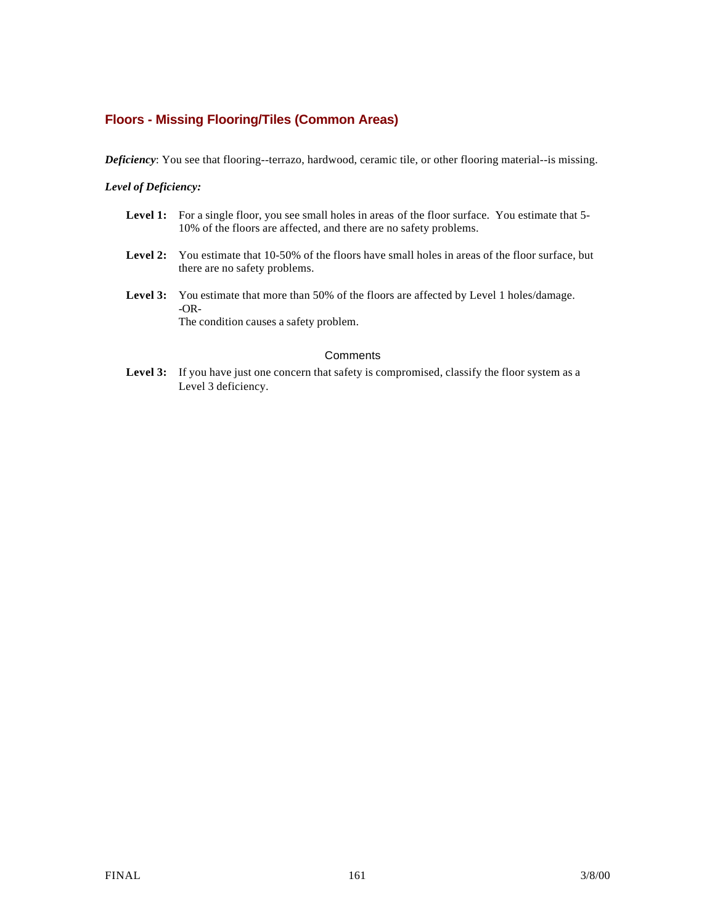## **Floors - Missing Flooring/Tiles (Common Areas)**

*Deficiency*: You see that flooring--terrazo, hardwood, ceramic tile, or other flooring material--is missing.

#### *Level of Deficiency:*

- Level 1: For a single floor, you see small holes in areas of the floor surface. You estimate that 5-10% of the floors are affected, and there are no safety problems.
- Level 2: You estimate that 10-50% of the floors have small holes in areas of the floor surface, but there are no safety problems.
- Level 3: You estimate that more than 50% of the floors are affected by Level 1 holes/damage. -OR-The condition causes a safety problem.

### **Comments**

Level 3: If you have just one concern that safety is compromised, classify the floor system as a Level 3 deficiency.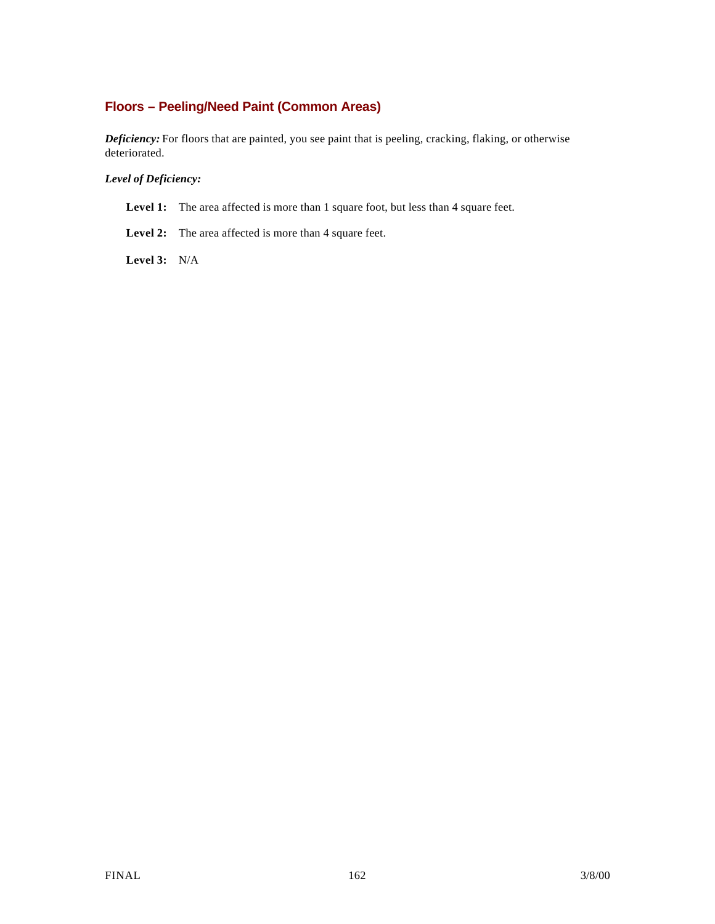# **Floors – Peeling/Need Paint (Common Areas)**

*Deficiency:* For floors that are painted, you see paint that is peeling, cracking, flaking, or otherwise deteriorated.

### *Level of Deficiency:*

- Level 1: The area affected is more than 1 square foot, but less than 4 square feet.
- Level 2: The area affected is more than 4 square feet.

**Level 3:** N/A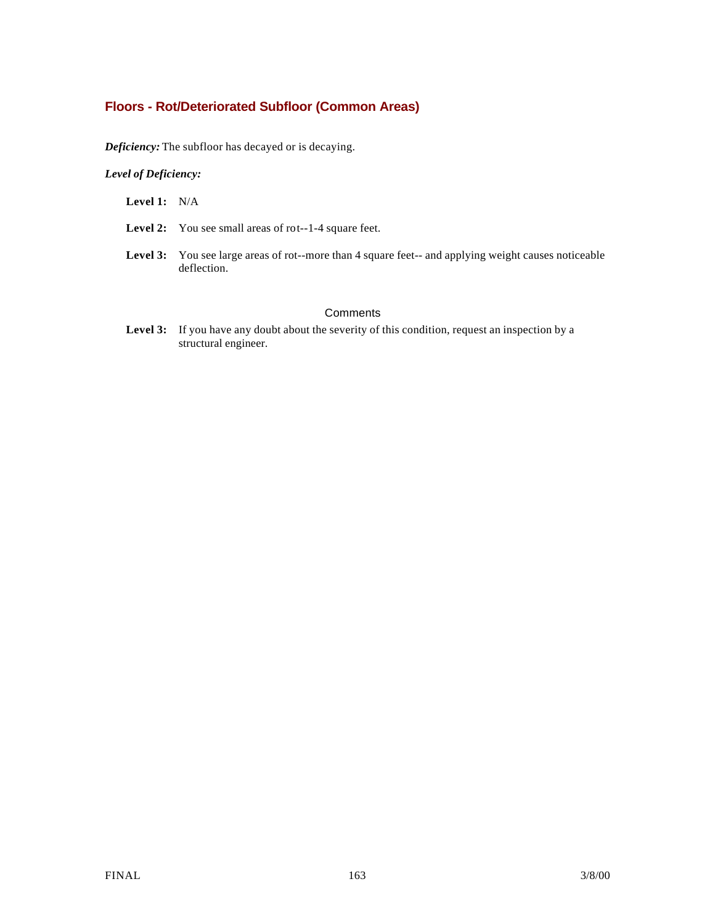## **Floors - Rot/Deteriorated Subfloor (Common Areas)**

*Deficiency:* The subfloor has decayed or is decaying.

### *Level of Deficiency:*

**Level 1:** N/A

- Level 2: You see small areas of rot--1-4 square feet.
- **Level 3:** You see large areas of rot--more than 4 square feet-- and applying weight causes noticeable deflection.

### **Comments**

Level 3: If you have any doubt about the severity of this condition, request an inspection by a structural engineer.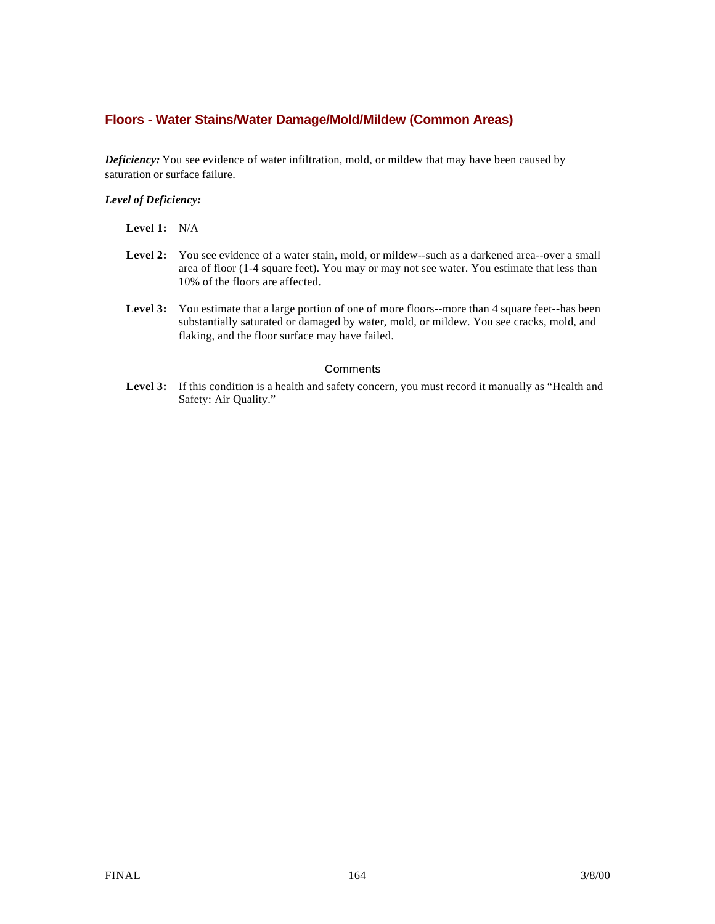## **Floors - Water Stains/Water Damage/Mold/Mildew (Common Areas)**

*Deficiency:* You see evidence of water infiltration, mold, or mildew that may have been caused by saturation or surface failure.

#### *Level of Deficiency:*

| Level 1: |  | N/A |
|----------|--|-----|
|----------|--|-----|

- Level 2: You see evidence of a water stain, mold, or mildew--such as a darkened area--over a small area of floor (1-4 square feet). You may or may not see water. You estimate that less than 10% of the floors are affected.
- Level 3: You estimate that a large portion of one of more floors--more than 4 square feet--has been substantially saturated or damaged by water, mold, or mildew. You see cracks, mold, and flaking, and the floor surface may have failed.

#### **Comments**

Level 3: If this condition is a health and safety concern, you must record it manually as "Health and Safety: Air Quality."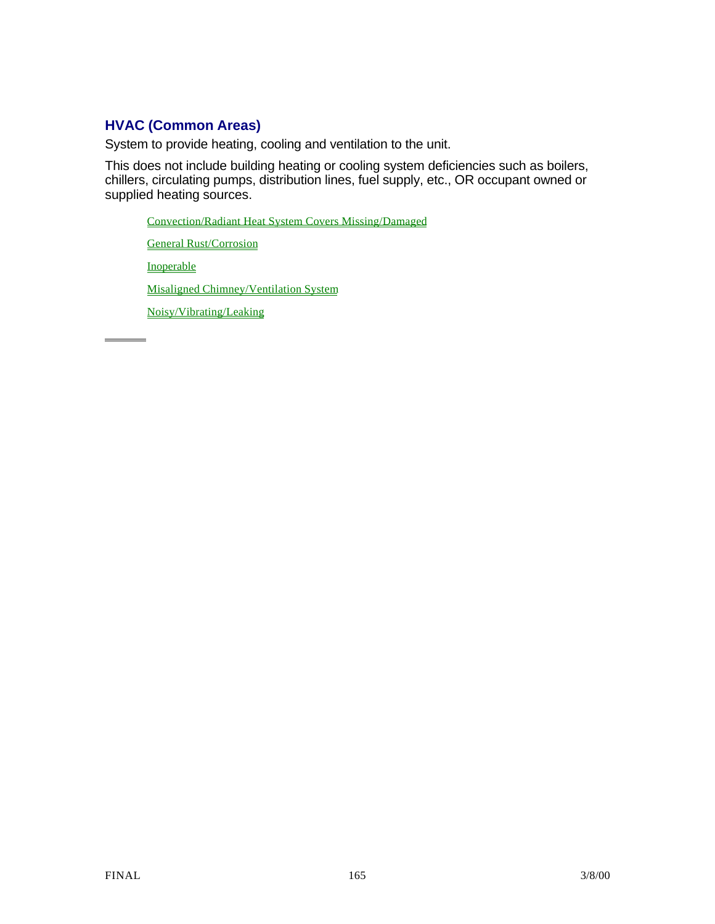# **HVAC (Common Areas)**

System to provide heating, cooling and ventilation to the unit.

This does not include building heating or cooling system deficiencies such as boilers, chillers, circulating pumps, distribution lines, fuel supply, etc., OR occupant owned or supplied heating sources.

Convection/Radiant Heat System Covers Missing/Damaged

General Rust/Corrosion

Inoperable

 $\overline{a}$ 

Misaligned Chimney/Ventilation System

Noisy/Vibrating/Leaking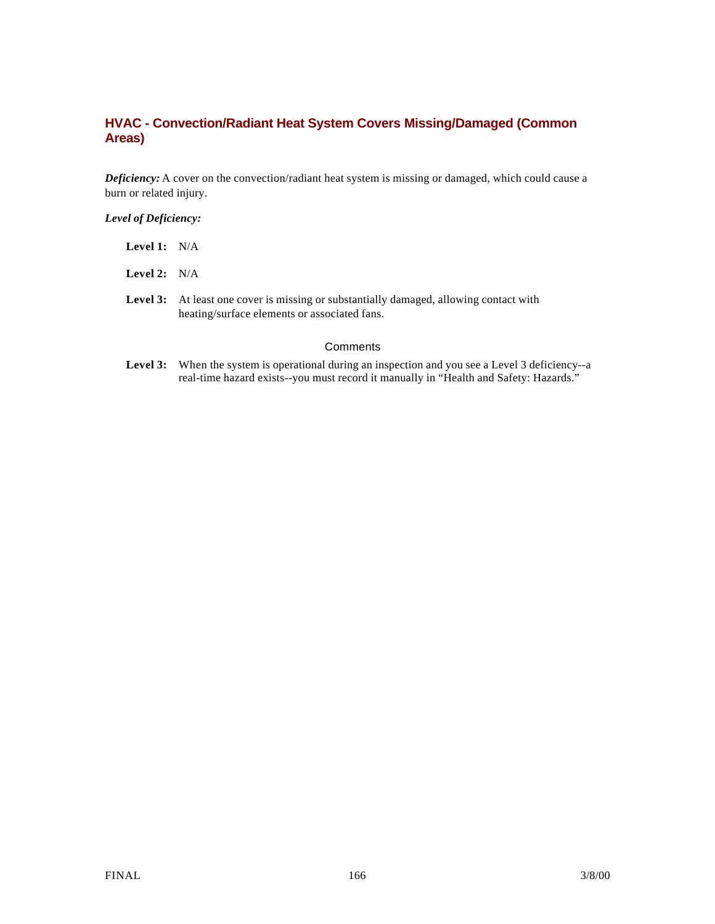## **HVAC - Convection/Radiant Heat System Covers Missing/Damaged (Common Areas)**

*Deficiency:* A cover on the convection/radiant heat system is missing or damaged, which could cause a burn or related injury.

### *Level of Deficiency:*

| <b>Level 1:</b> $N/A$ |                                                                                                                |
|-----------------------|----------------------------------------------------------------------------------------------------------------|
| <b>Level 2:</b> $N/A$ |                                                                                                                |
|                       | <b>Level 3:</b> At least one cover is missing or substantially<br>heating/surface elements or associated fans. |

## **Comments**

Level 3: When the system is operational during an inspection and you see a Level 3 deficiency--a real-time hazard exists--you must record it manually in "Health and Safety: Hazards."

missing or substantially damaged, allowing contact with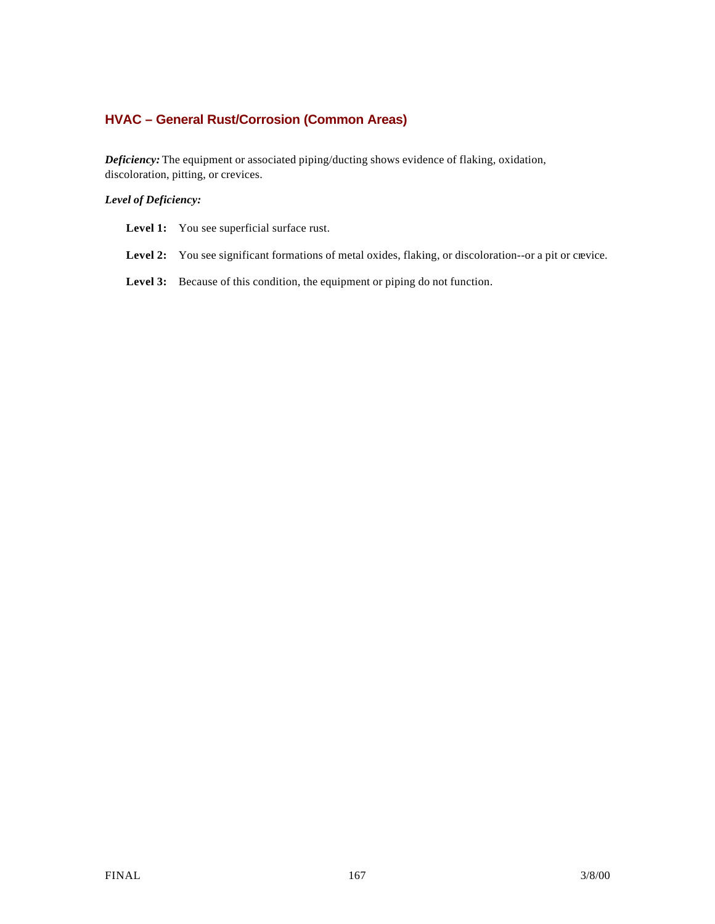# **HVAC – General Rust/Corrosion (Common Areas)**

*Deficiency:* The equipment or associated piping/ducting shows evidence of flaking, oxidation, discoloration, pitting, or crevices.

### *Level of Deficiency:*

| <b>Level 1:</b> You see superficial surface rust. |  |  |
|---------------------------------------------------|--|--|
|---------------------------------------------------|--|--|

- Level 2: You see significant formations of metal oxides, flaking, or discoloration--or a pit or crevice.
- Level 3: Because of this condition, the equipment or piping do not function.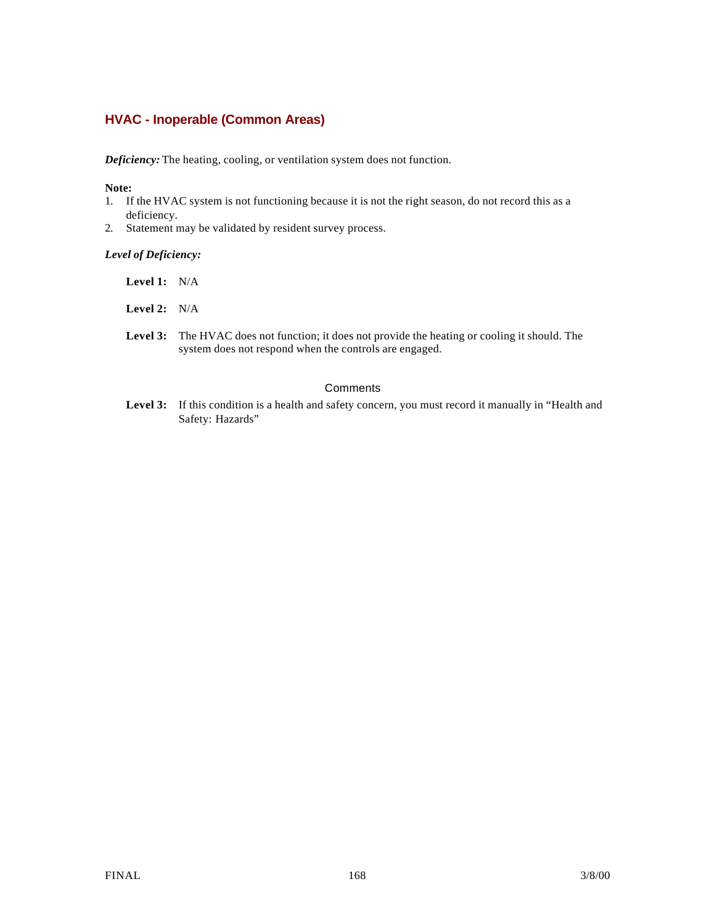## **HVAC - Inoperable (Common Areas)**

*Deficiency:* The heating, cooling, or ventilation system does not function.

#### **Note:**

- 1. If the HVAC system is not functioning because it is not the right season, do not record this as a deficiency.
- 2. Statement may be validated by resident survey process.

#### *Level of Deficiency:*

- **Level 1:** N/A
- **Level 2:** N/A
- Level 3: The HVAC does not function; it does not provide the heating or cooling it should. The system does not respond when the controls are engaged.

### **Comments**

Level 3: If this condition is a health and safety concern, you must record it manually in "Health and Safety: Hazards"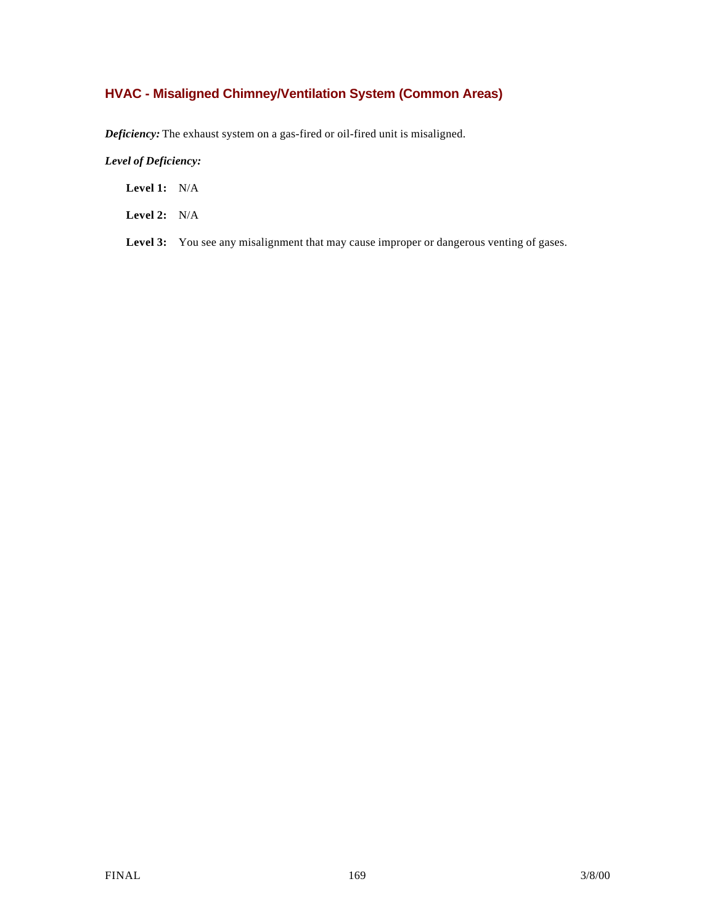# **HVAC - Misaligned Chimney/Ventilation System (Common Areas)**

*Deficiency:* The exhaust system on a gas-fired or oil-fired unit is misaligned.

*Level of Deficiency:*

**Level 1:** N/A

**Level 2:** N/A

Level 3: You see any misalignment that may cause improper or dangerous venting of gases.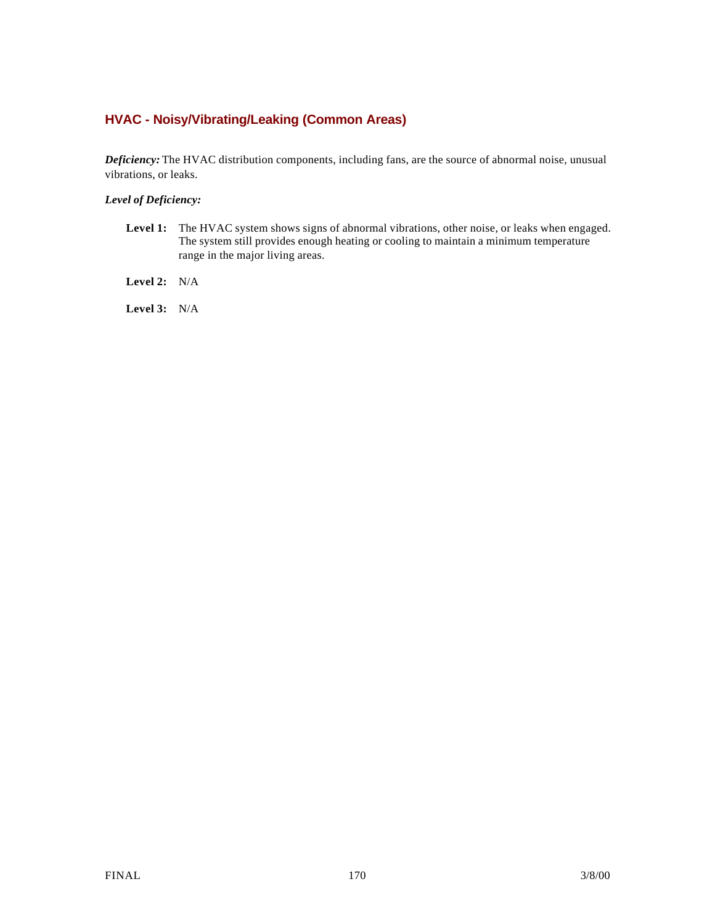# **HVAC - Noisy/Vibrating/Leaking (Common Areas)**

*Deficiency:* The HVAC distribution components, including fans, are the source of abnormal noise, unusual vibrations, or leaks.

## *Level of Deficiency:*

Level 1: The HVAC system shows signs of abnormal vibrations, other noise, or leaks when engaged. The system still provides enough heating or cooling to maintain a minimum temperature range in the major living areas.

**Level 2:** N/A

**Level 3:** N/A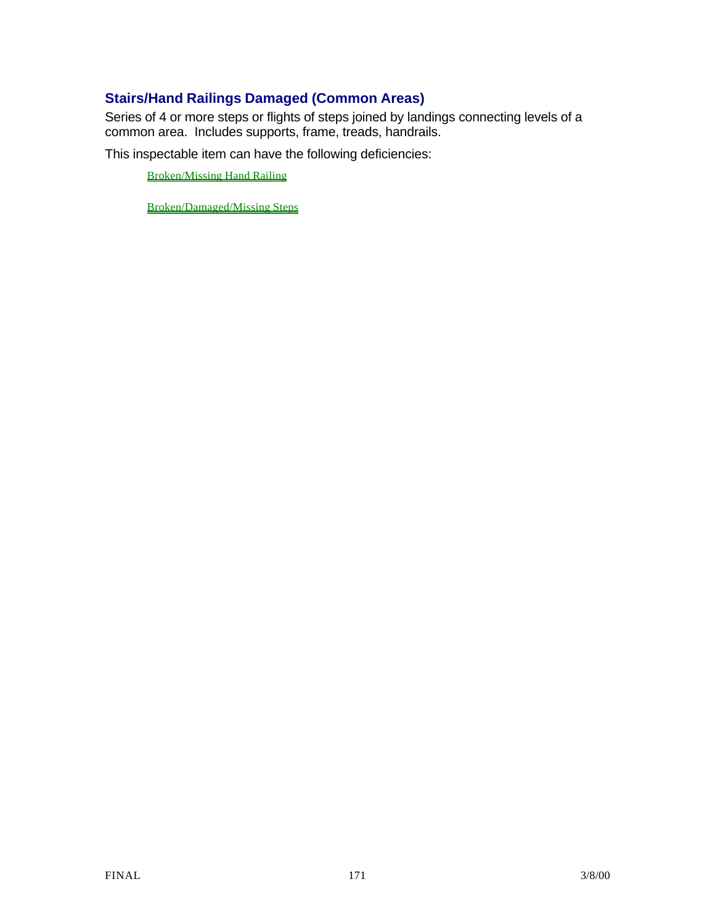# **Stairs/Hand Railings Damaged (Common Areas)**

Series of 4 or more steps or flights of steps joined by landings connecting levels of a common area. Includes supports, frame, treads, handrails.

This inspectable item can have the following deficiencies:

Broken/Missing Hand Railing

Broken/Damaged/Missing Steps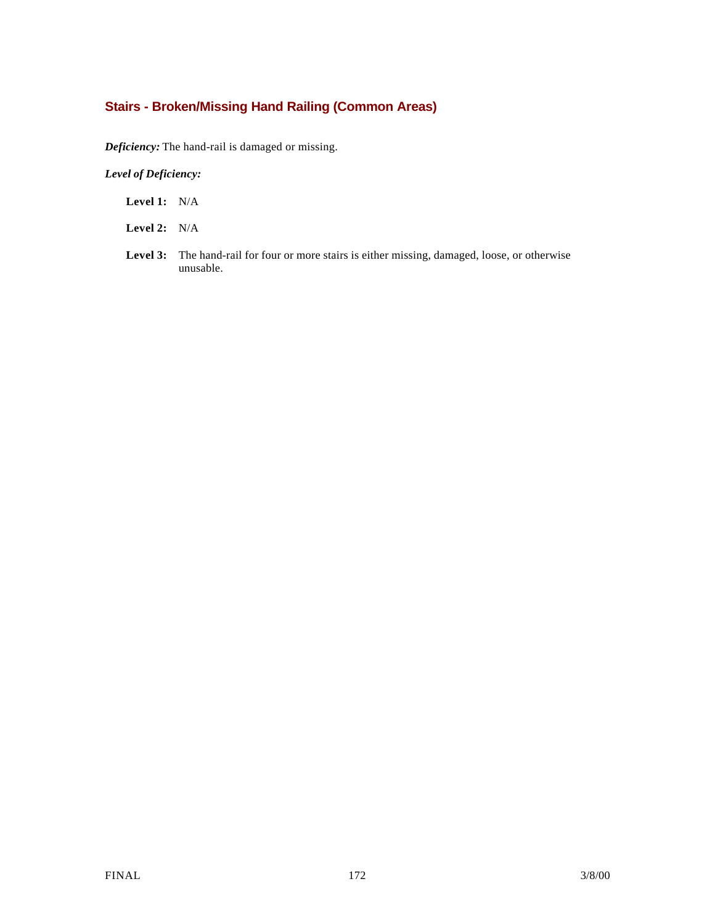# **Stairs - Broken/Missing Hand Railing (Common Areas)**

*Deficiency:* The hand-rail is damaged or missing.

### *Level of Deficiency:*

**Level 1:** N/A

**Level 2:** N/A

Level 3: The hand-rail for four or more stairs is either missing, damaged, loose, or otherwise unusable.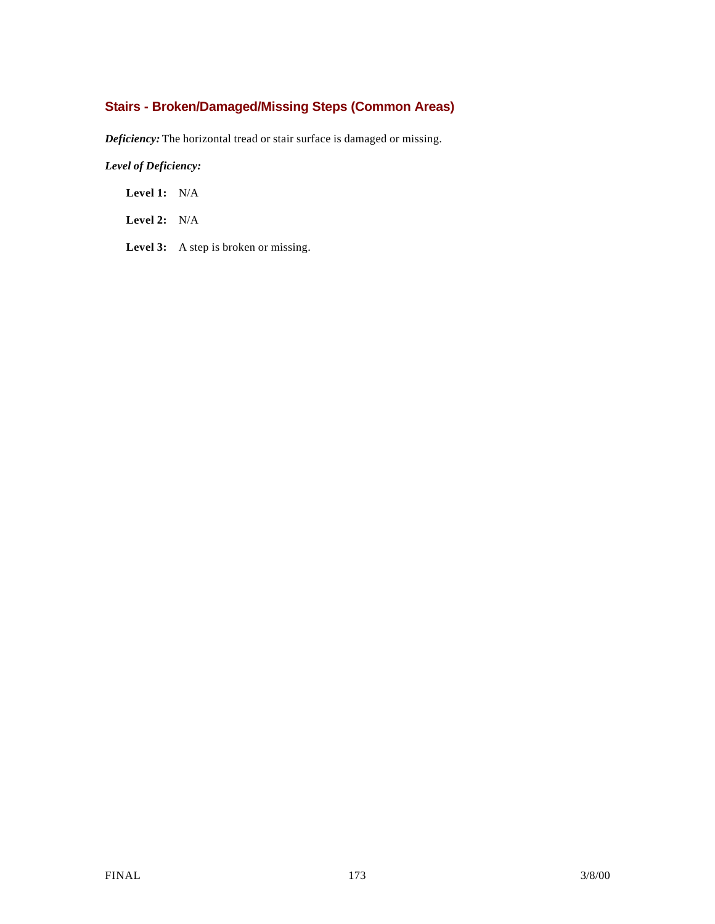# **Stairs - Broken/Damaged/Missing Steps (Common Areas)**

*Deficiency:* The horizontal tread or stair surface is damaged or missing.

*Level of Deficiency:*

**Level 1:** N/A

**Level 2:** N/A

Level 3: A step is broken or missing.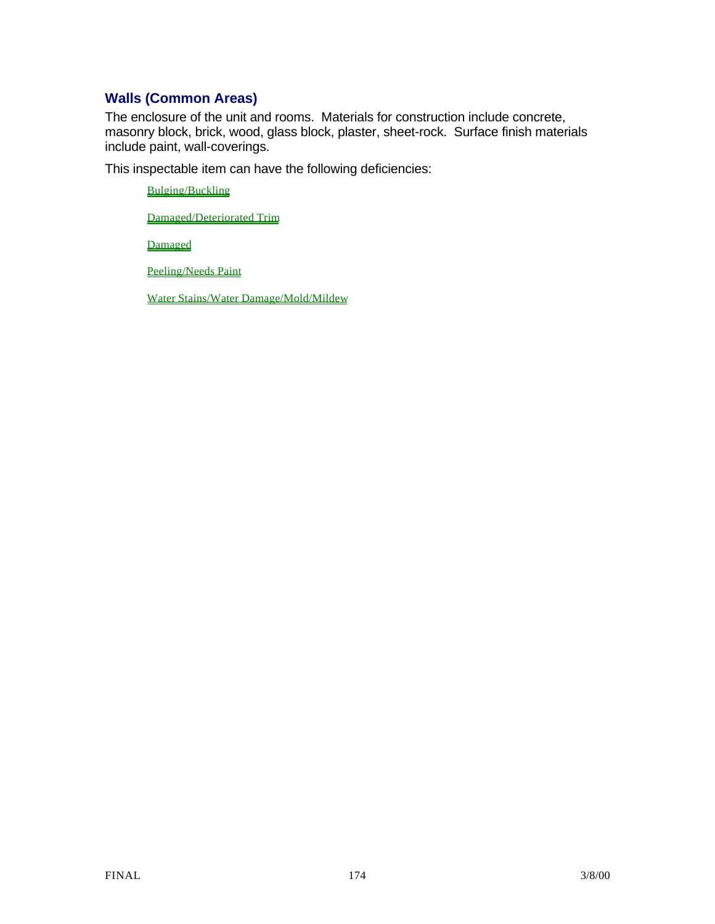# **Walls (Common Areas)**

The enclosure of the unit and rooms. Materials for construction include concrete, masonry block, brick, wood, glass block, plaster, sheet-rock. Surface finish materials include paint, wall-coverings.

This inspectable item can have the following deficiencies:

Bulging/Buckling

Damaged/Deteriorated Trim

Damaged

Peeling/Needs Paint

Water Stains/Water Damage/Mold/Mildew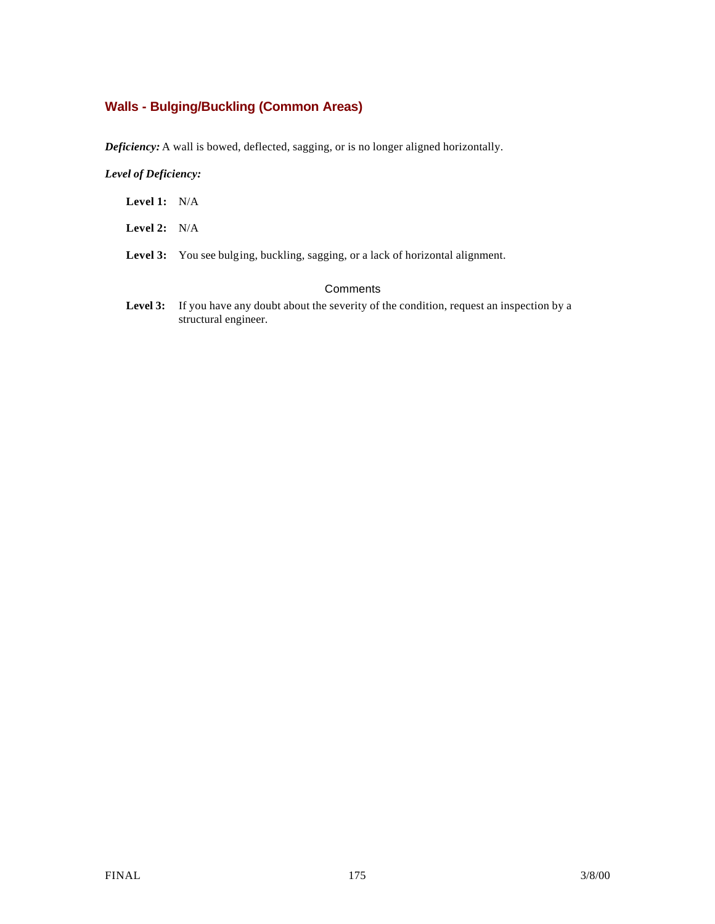# **Walls - Bulging/Buckling (Common Areas)**

*Deficiency:* A wall is bowed, deflected, sagging, or is no longer aligned horizontally.

### *Level of Deficiency:*

| Level 1: | N/A |
|----------|-----|
|          |     |

- **Level 2:** N/A
- Level 3: You see bulging, buckling, sagging, or a lack of horizontal alignment.

## **Comments**

Level 3: If you have any doubt about the severity of the condition, request an inspection by a structural engineer.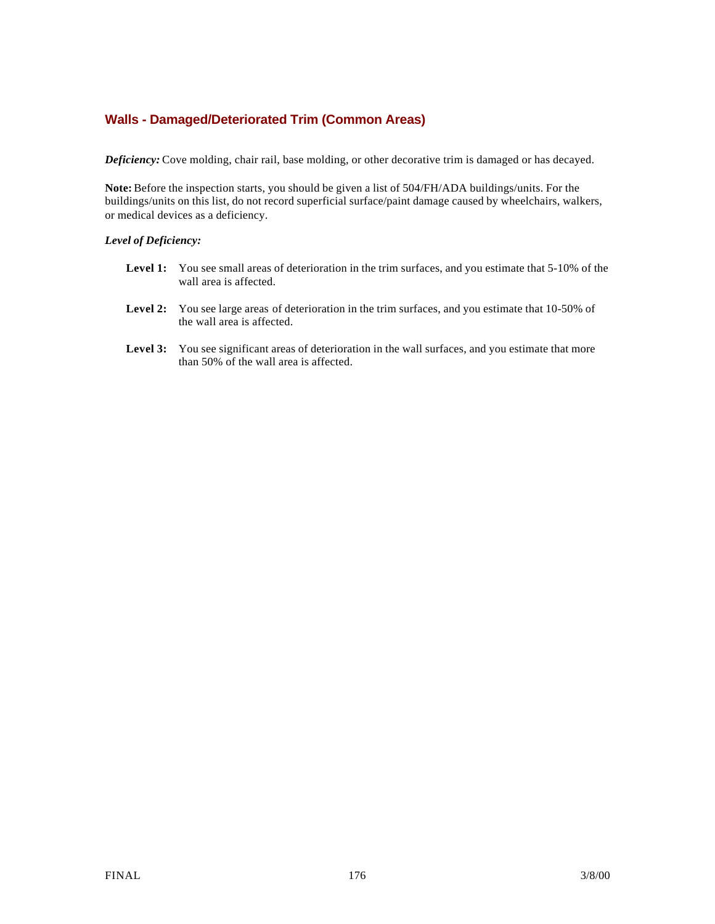## **Walls - Damaged/Deteriorated Trim (Common Areas)**

*Deficiency:* Cove molding, chair rail, base molding, or other decorative trim is damaged or has decayed.

**Note:** Before the inspection starts, you should be given a list of 504/FH/ADA buildings/units. For the buildings/units on this list, do not record superficial surface/paint damage caused by wheelchairs, walkers, or medical devices as a deficiency.

#### *Level of Deficiency:*

- Level 1: You see small areas of deterioration in the trim surfaces, and you estimate that 5-10% of the wall area is affected.
- Level 2: You see large areas of deterioration in the trim surfaces, and you estimate that 10-50% of the wall area is affected.
- Level 3: You see significant areas of deterioration in the wall surfaces, and you estimate that more than 50% of the wall area is affected.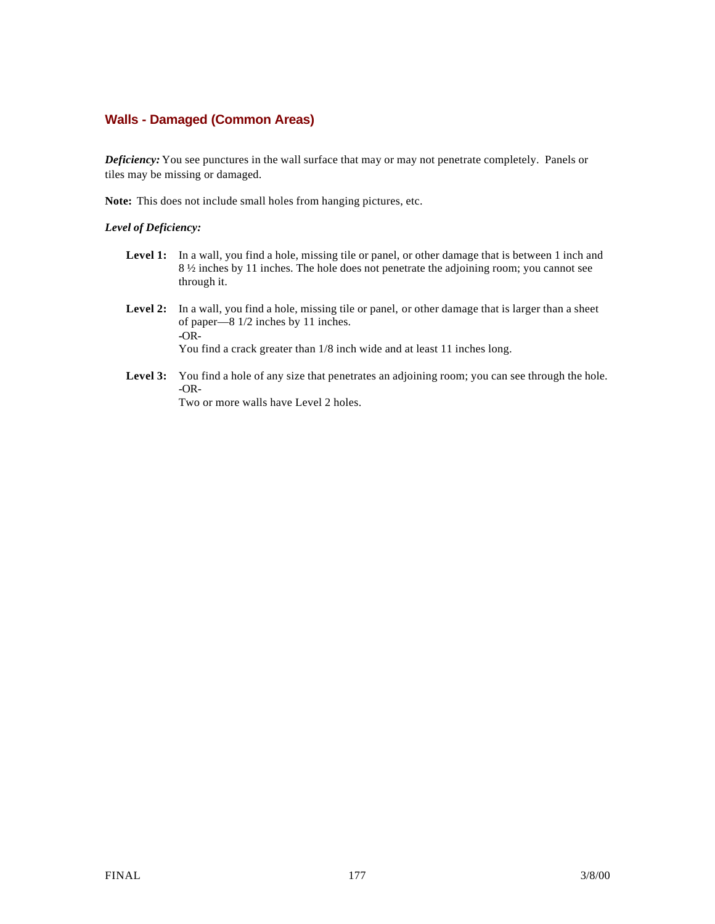## **Walls - Damaged (Common Areas)**

*Deficiency:* You see punctures in the wall surface that may or may not penetrate completely. Panels or tiles may be missing or damaged.

**Note:** This does not include small holes from hanging pictures, etc.

#### *Level of Deficiency:*

- Level 1: In a wall, you find a hole, missing tile or panel, or other damage that is between 1 inch and 8 ½ inches by 11 inches. The hole does not penetrate the adjoining room; you cannot see through it.
- **Level 2:** In a wall, you find a hole, missing tile or panel, or other damage that is larger than a sheet of paper—8 1/2 inches by 11 inches. **-**OR-You find a crack greater than 1/8 inch wide and at least 11 inches long.
- Level 3: You find a hole of any size that penetrates an adjoining room; you can see through the hole. -OR-

Two or more walls have Level 2 holes.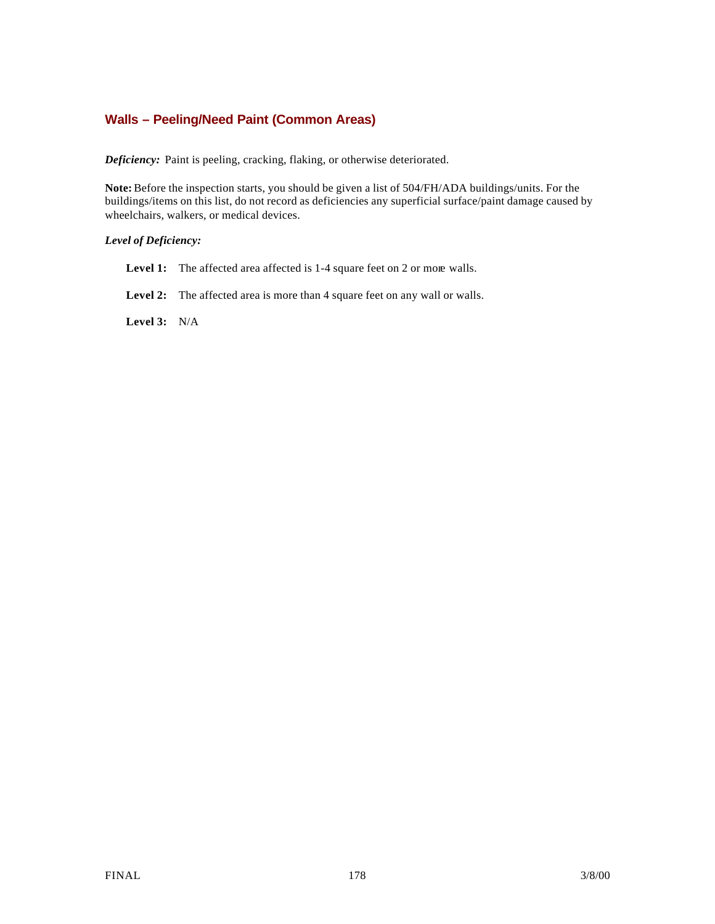## **Walls – Peeling/Need Paint (Common Areas)**

*Deficiency:* Paint is peeling, cracking, flaking, or otherwise deteriorated.

**Note:** Before the inspection starts, you should be given a list of 504/FH/ADA buildings/units. For the buildings/items on this list, do not record as deficiencies any superficial surface/paint damage caused by wheelchairs, walkers, or medical devices.

### *Level of Deficiency:*

- Level 1: The affected area affected is 1-4 square feet on 2 or more walls.
- Level 2: The affected area is more than 4 square feet on any wall or walls.

**Level 3:** N/A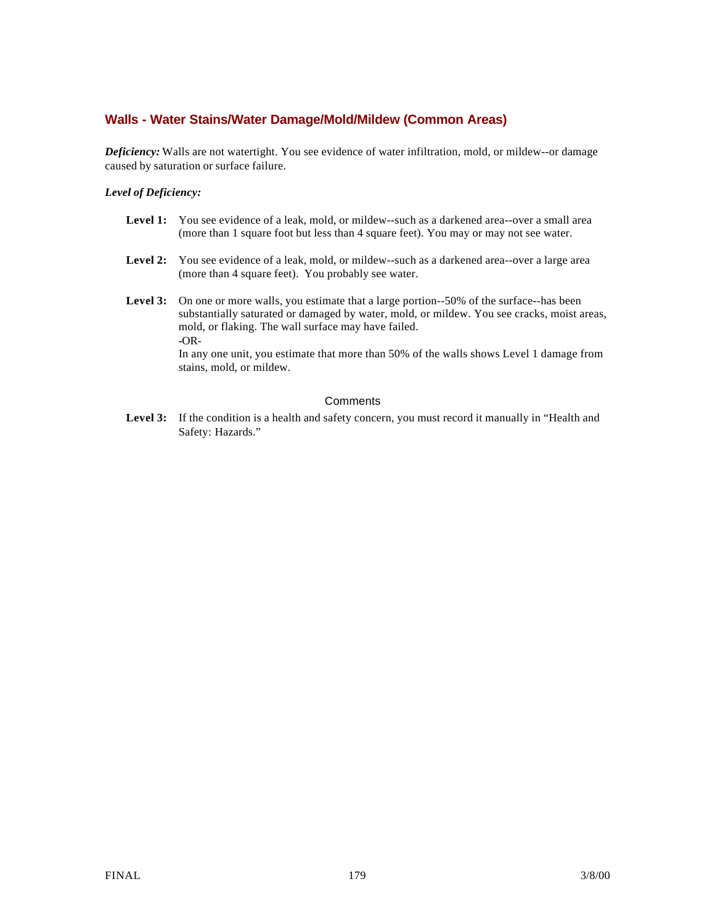## **Walls - Water Stains/Water Damage/Mold/Mildew (Common Areas)**

*Deficiency:* Walls are not watertight. You see evidence of water infiltration, mold, or mildew--or damage caused by saturation or surface failure.

#### *Level of Deficiency:*

- Level 1: You see evidence of a leak, mold, or mildew--such as a darkened area--over a small area (more than 1 square foot but less than 4 square feet). You may or may not see water.
- Level 2: You see evidence of a leak, mold, or mildew--such as a darkened area--over a large area (more than 4 square feet). You probably see water.
- Level 3: On one or more walls, you estimate that a large portion--50% of the surface--has been substantially saturated or damaged by water, mold, or mildew. You see cracks, moist areas, mold, or flaking. The wall surface may have failed. **-**OR-

In any one unit, you estimate that more than 50% of the walls shows Level 1 damage from stains, mold, or mildew.

#### **Comments**

Level 3: If the condition is a health and safety concern, you must record it manually in "Health and Safety: Hazards."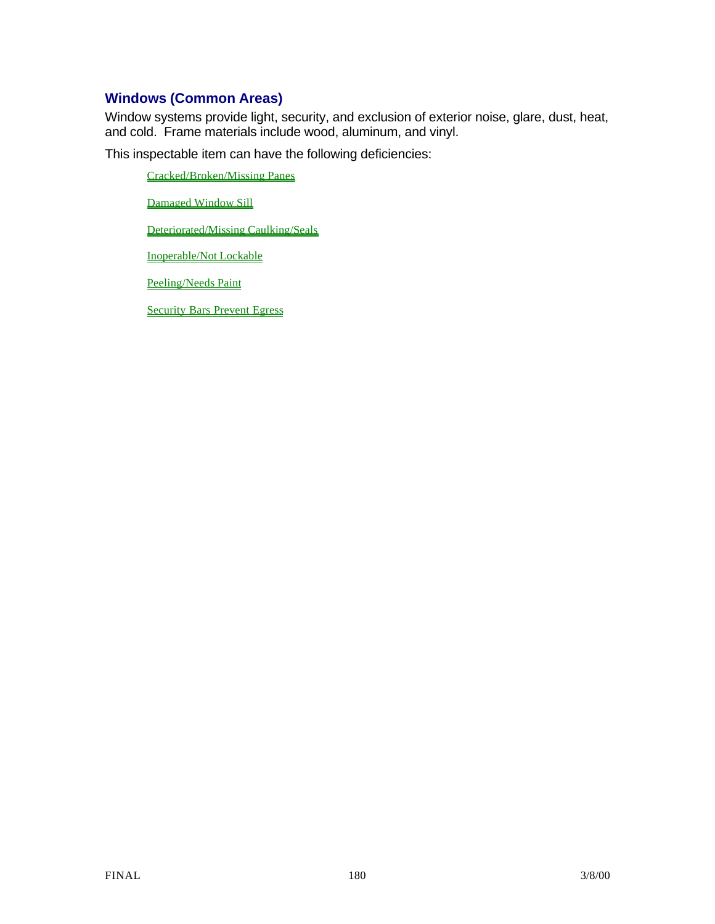# **Windows (Common Areas)**

Window systems provide light, security, and exclusion of exterior noise, glare, dust, heat, and cold. Frame materials include wood, aluminum, and vinyl.

This inspectable item can have the following deficiencies:

Cracked/Broken/Missing Panes

Damaged Window Sill

Deteriorated/Missing Caulking/Seals

Inoperable/Not Lockable

Peeling/Needs Paint

Security Bars Prevent Egress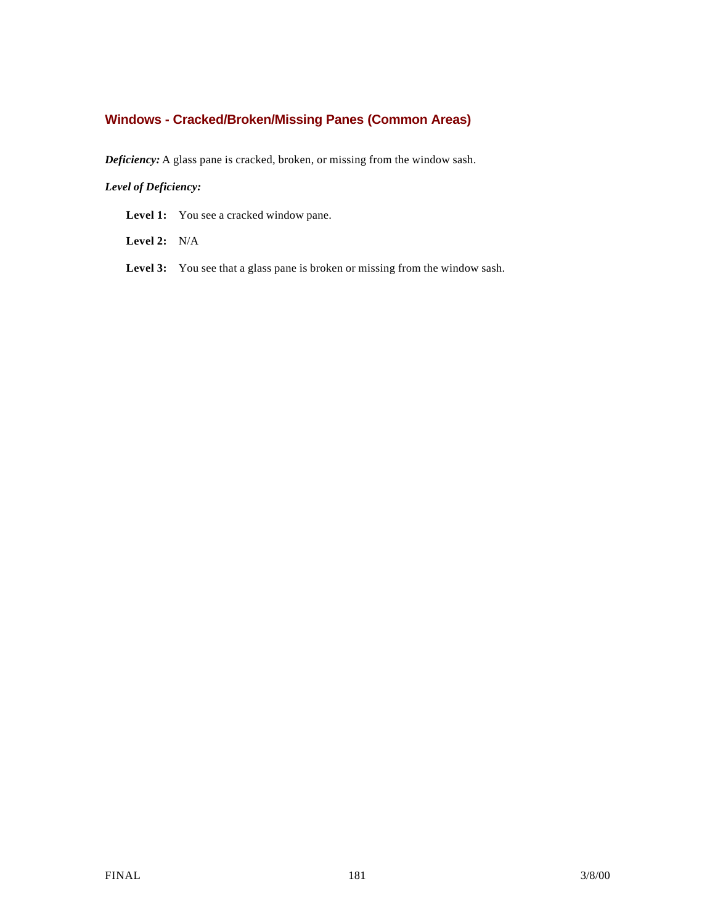# **Windows - Cracked/Broken/Missing Panes (Common Areas)**

*Deficiency:* A glass pane is cracked, broken, or missing from the window sash.

## *Level of Deficiency:*

Level 1: You see a cracked window pane.

**Level 2:** N/A

Level 3: You see that a glass pane is broken or missing from the window sash.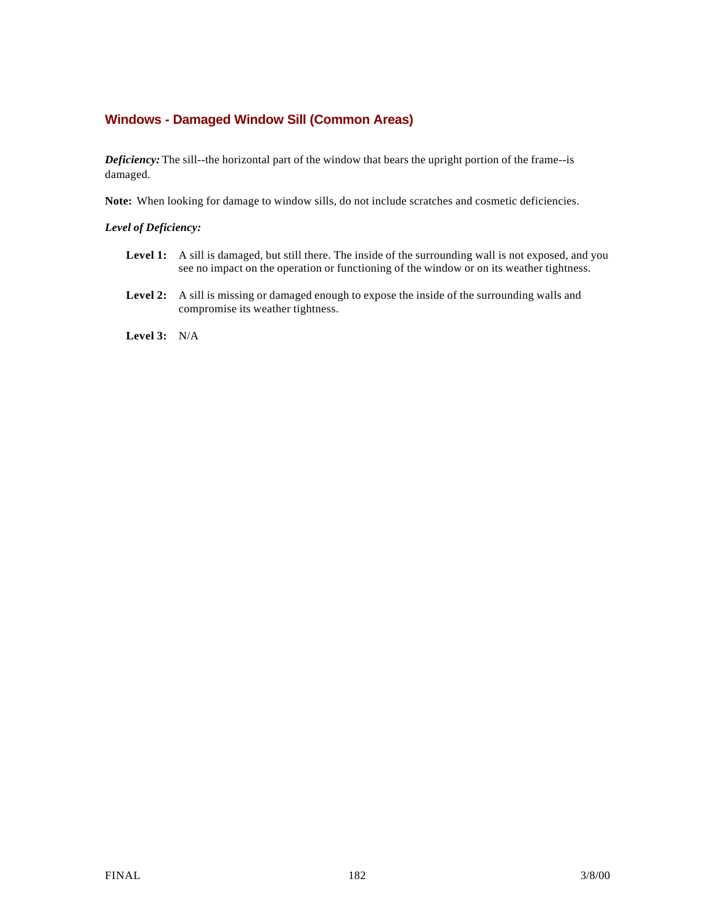# **Windows - Damaged Window Sill (Common Areas)**

*Deficiency:* The sill--the horizontal part of the window that bears the upright portion of the frame--is damaged.

**Note:** When looking for damage to window sills, do not include scratches and cosmetic deficiencies.

#### *Level of Deficiency:*

- Level 1: A sill is damaged, but still there. The inside of the surrounding wall is not exposed, and you see no impact on the operation or functioning of the window or on its weather tightness.
- **Level 2:** A sill is missing or damaged enough to expose the inside of the surrounding walls and compromise its weather tightness.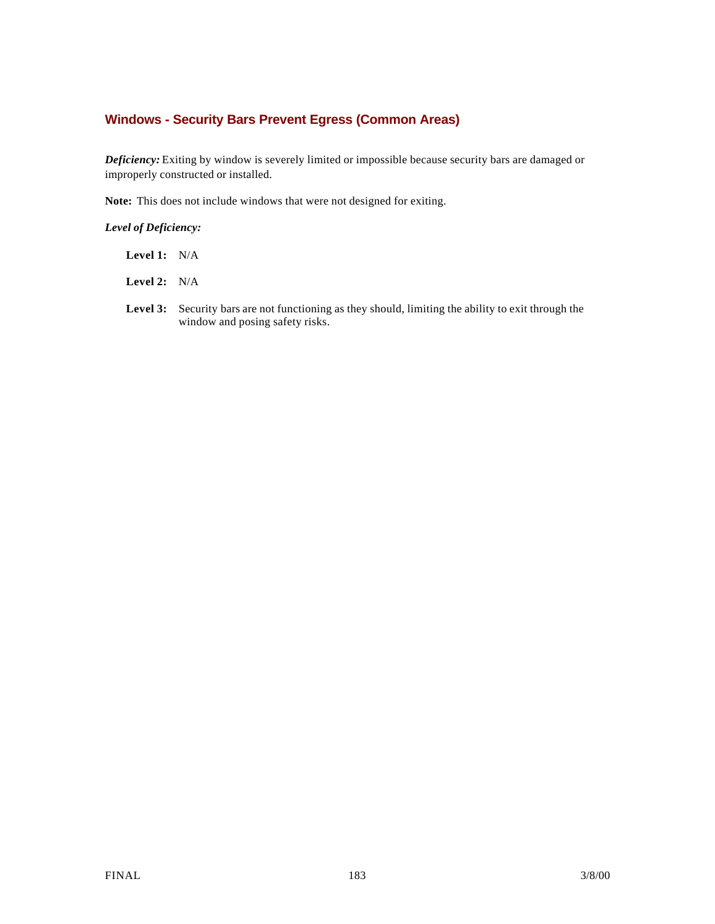# **Windows - Security Bars Prevent Egress (Common Areas)**

*Deficiency:* Exiting by window is severely limited or impossible because security bars are damaged or improperly constructed or installed.

**Note:** This does not include windows that were not designed for exiting.

- **Level 1:** N/A
- **Level 2:** N/A
- Level 3: Security bars are not functioning as they should, limiting the ability to exit through the window and posing safety risks.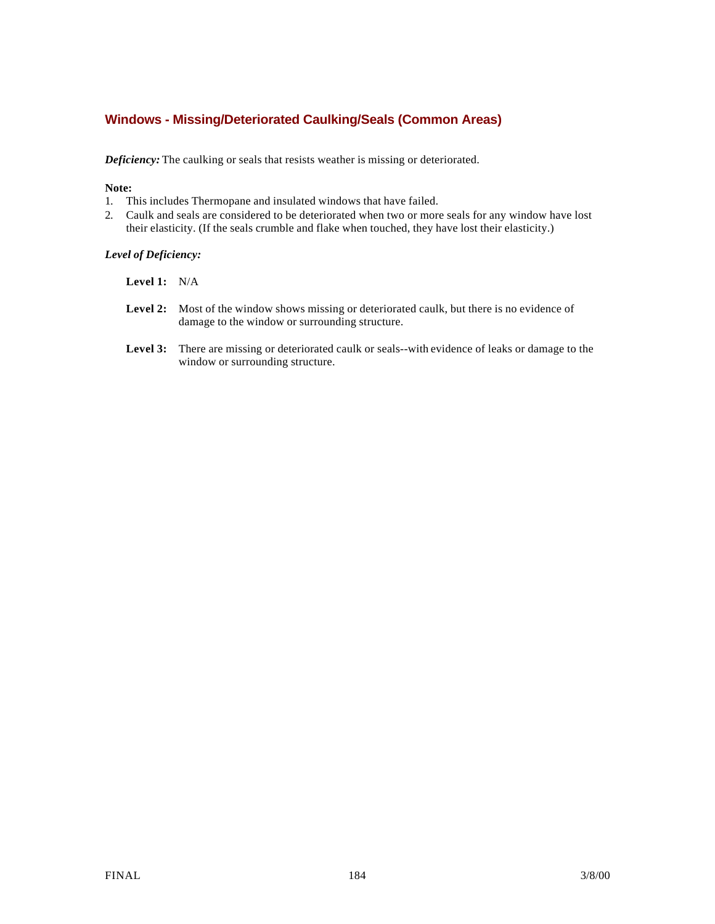# **Windows - Missing/Deteriorated Caulking/Seals (Common Areas)**

*Deficiency:* The caulking or seals that resists weather is missing or deteriorated.

#### **Note:**

- 1. This includes Thermopane and insulated windows that have failed.
- 2. Caulk and seals are considered to be deteriorated when two or more seals for any window have lost their elasticity. (If the seals crumble and flake when touched, they have lost their elasticity.)

- **Level 1:** N/A
- Level 2: Most of the window shows missing or deteriorated caulk, but there is no evidence of damage to the window or surrounding structure.
- **Level 3:** There are missing or deteriorated caulk or seals--with evidence of leaks or damage to the window or surrounding structure.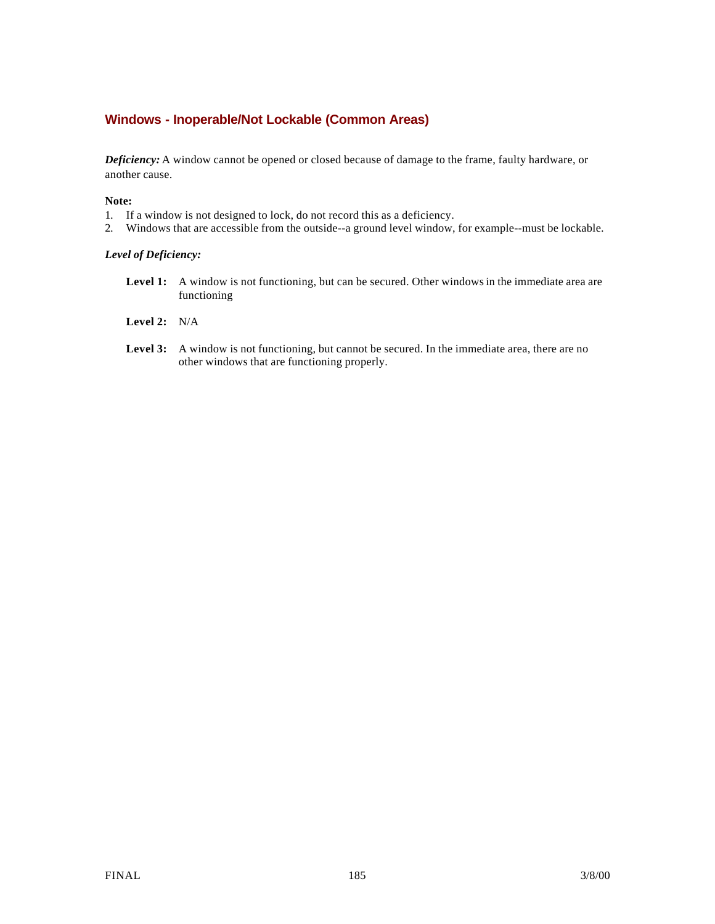# **Windows - Inoperable/Not Lockable (Common Areas)**

*Deficiency:* A window cannot be opened or closed because of damage to the frame, faulty hardware, or another cause.

#### **Note:**

- 1. If a window is not designed to lock, do not record this as a deficiency.
- 2. Windows that are accessible from the outside--a ground level window, for example--must be lockable.

- Level 1: A window is not functioning, but can be secured. Other windows in the immediate area are functioning
- **Level 2:** N/A
- Level 3: A window is not functioning, but cannot be secured. In the immediate area, there are no other windows that are functioning properly.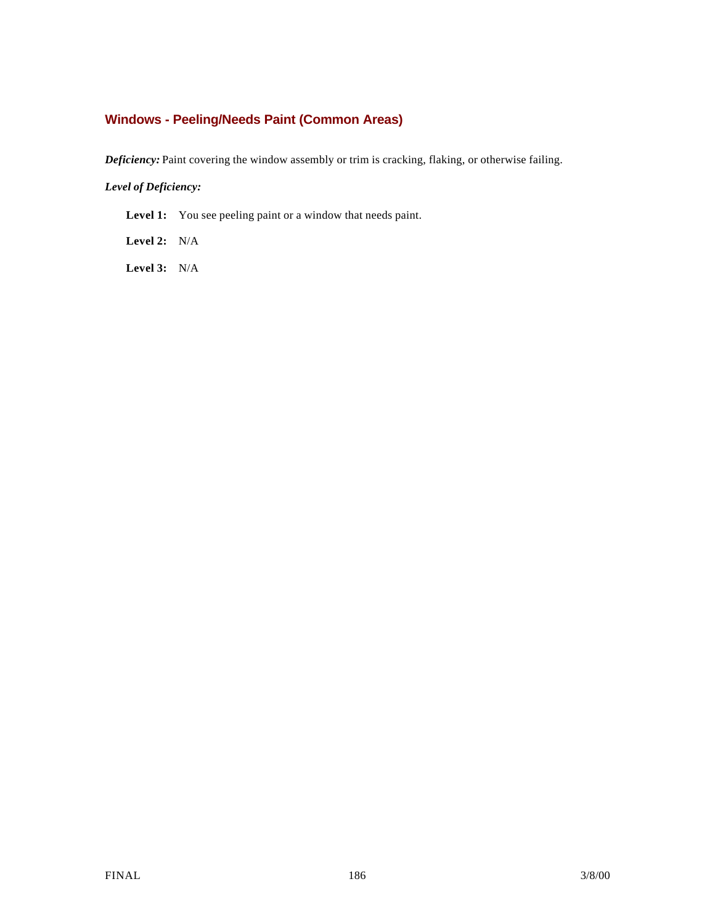# **Windows - Peeling/Needs Paint (Common Areas)**

*Deficiency:* Paint covering the window assembly or trim is cracking, flaking, or otherwise failing.

## *Level of Deficiency:*

Level 1: You see peeling paint or a window that needs paint.

**Level 2:** N/A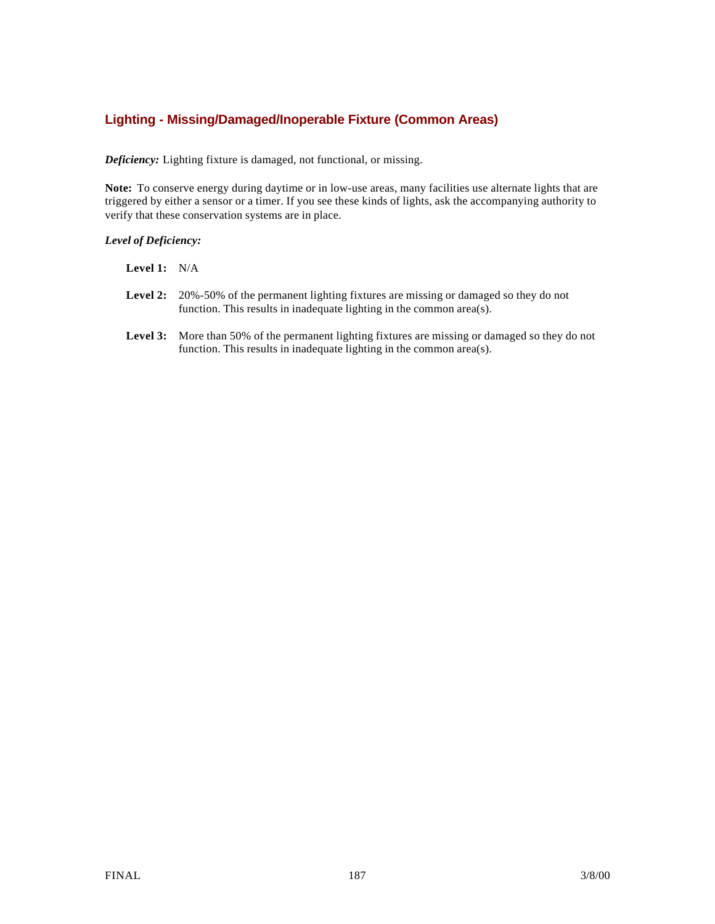# **Lighting - Missing/Damaged/Inoperable Fixture (Common Areas)**

*Deficiency:* Lighting fixture is damaged, not functional, or missing.

**Note:** To conserve energy during daytime or in low-use areas, many facilities use alternate lights that are triggered by either a sensor or a timer. If you see these kinds of lights, ask the accompanying authority to verify that these conservation systems are in place.

| Level 1: | N/A |
|----------|-----|
|----------|-----|

- **Level 2:** 20%-50% of the permanent lighting fixtures are missing or damaged so they do not function. This results in inadequate lighting in the common area(s).
- **Level 3:** More than 50% of the permanent lighting fixtures are missing or damaged so they do not function. This results in inadequate lighting in the common area(s).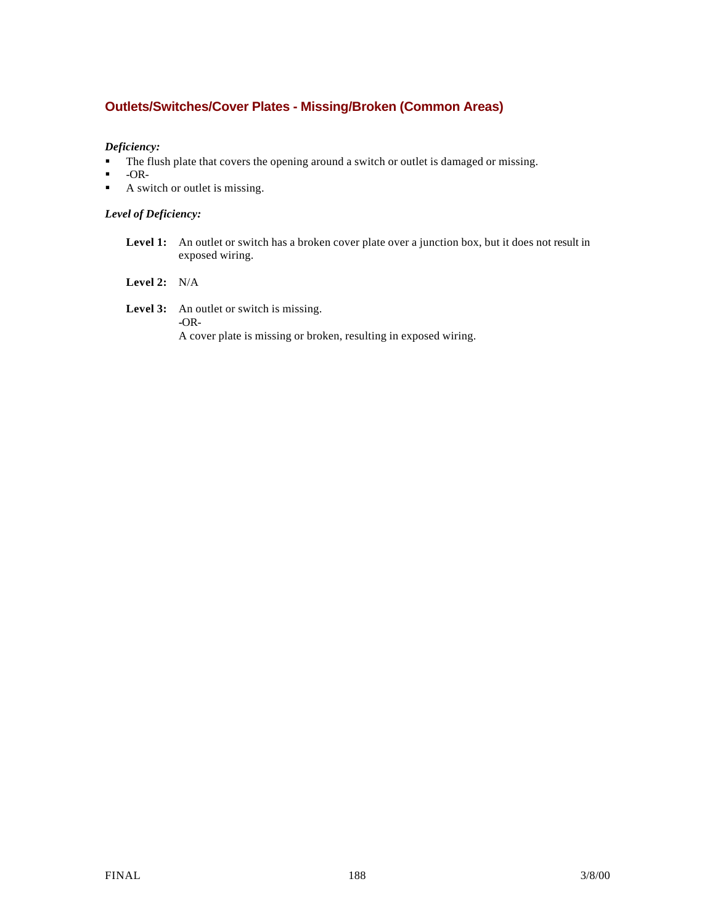# **Outlets/Switches/Cover Plates - Missing/Broken (Common Areas)**

## *Deficiency:*

- The flush plate that covers the opening around a switch or outlet is damaged or missing.
- $\blacksquare$  -OR-
- $\blacksquare$  A switch or outlet is missing.

## *Level of Deficiency:*

Level 1: An outlet or switch has a broken cover plate over a junction box, but it does not result in exposed wiring.

## **Level 2:** N/A

Level 3: An outlet or switch is missing. **-**OR-A cover plate is missing or broken, resulting in exposed wiring.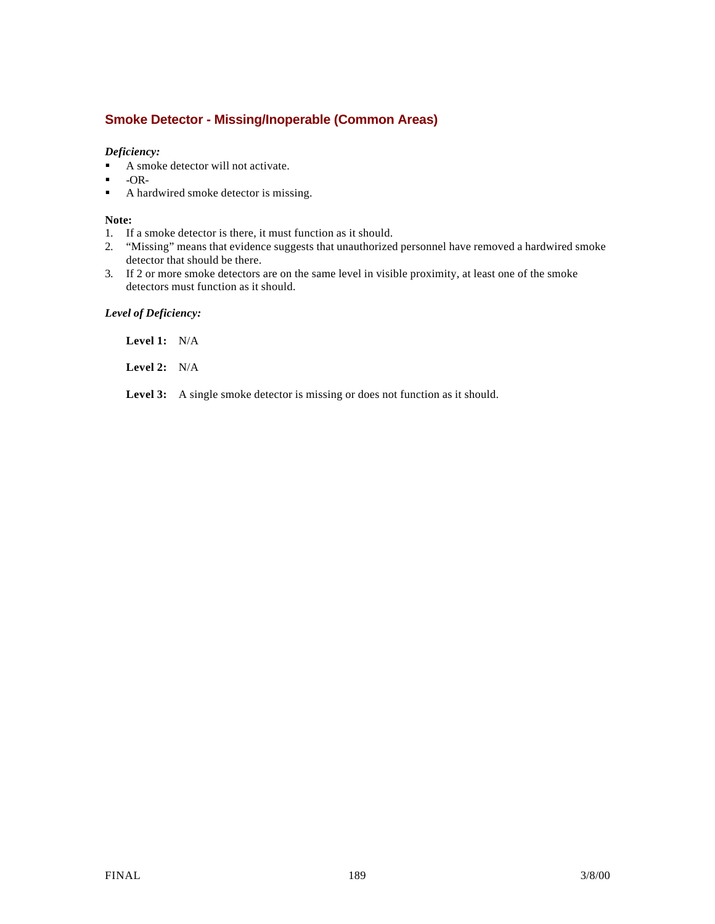# **Smoke Detector - Missing/Inoperable (Common Areas)**

## *Deficiency:*

- A smoke detector will not activate.
- $\bullet$  -OR-<br> $\bullet$  A have
- ß A hardwired smoke detector is missing.

#### **Note:**

- 1. If a smoke detector is there, it must function as it should.
- 2. "Missing" means that evidence suggests that unauthorized personnel have removed a hardwired smoke detector that should be there.
- 3. If 2 or more smoke detectors are on the same level in visible proximity, at least one of the smoke detectors must function as it should.

### *Level of Deficiency:*

**Level 1:** N/A

**Level 2:** N/A

Level 3: A single smoke detector is missing or does not function as it should.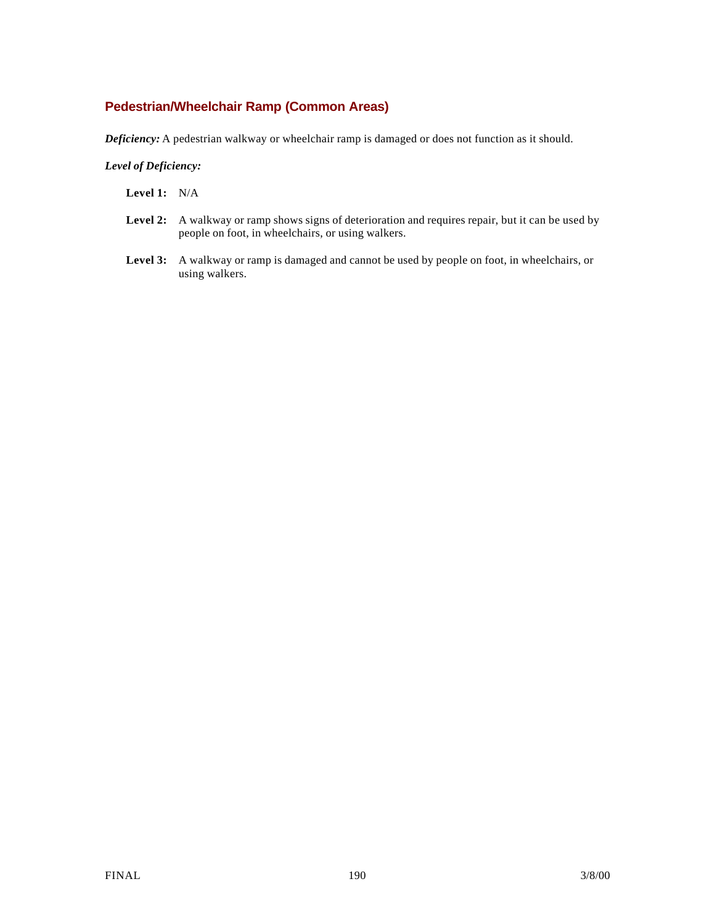# **Pedestrian/Wheelchair Ramp (Common Areas)**

*Deficiency:* A pedestrian walkway or wheelchair ramp is damaged or does not function as it should.

- **Level 1:** N/A
- Level 2: A walkway or ramp shows signs of deterioration and requires repair, but it can be used by people on foot, in wheelchairs, or using walkers.
- **Level 3:** A walkway or ramp is damaged and cannot be used by people on foot, in wheelchairs, or using walkers.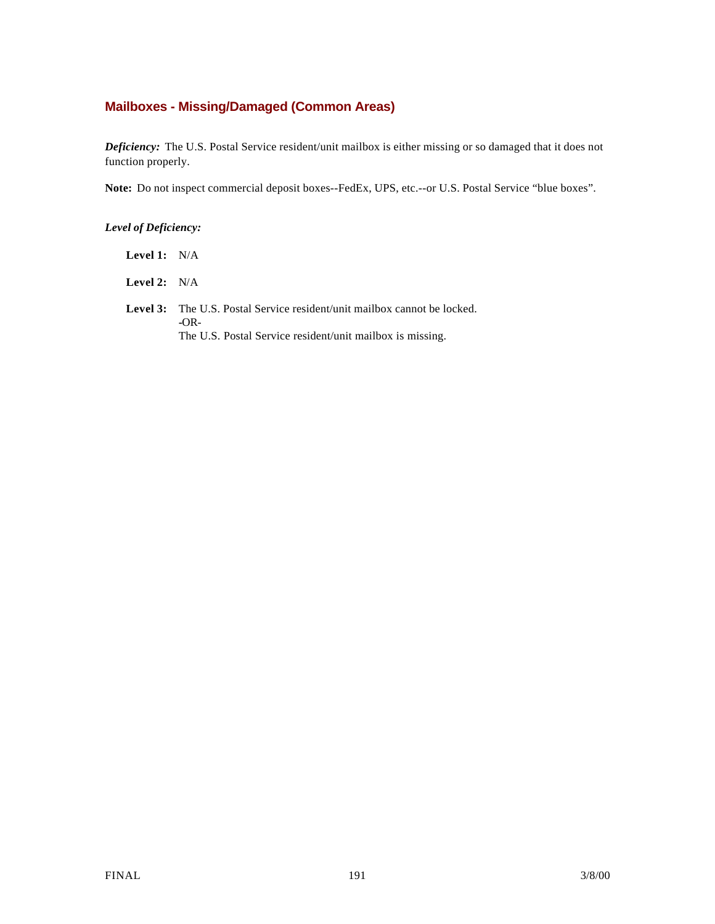# **Mailboxes - Missing/Damaged (Common Areas)**

*Deficiency:* The U.S. Postal Service resident/unit mailbox is either missing or so damaged that it does not function properly.

**Note:** Do not inspect commercial deposit boxes--FedEx, UPS, etc.--or U.S. Postal Service "blue boxes".

## *Level of Deficiency:*

| Level 1: | N/A |
|----------|-----|
|          |     |

**Level 2:** N/A

Level 3: The U.S. Postal Service resident/unit mailbox cannot be locked. **-**OR-The U.S. Postal Service resident/unit mailbox is missing.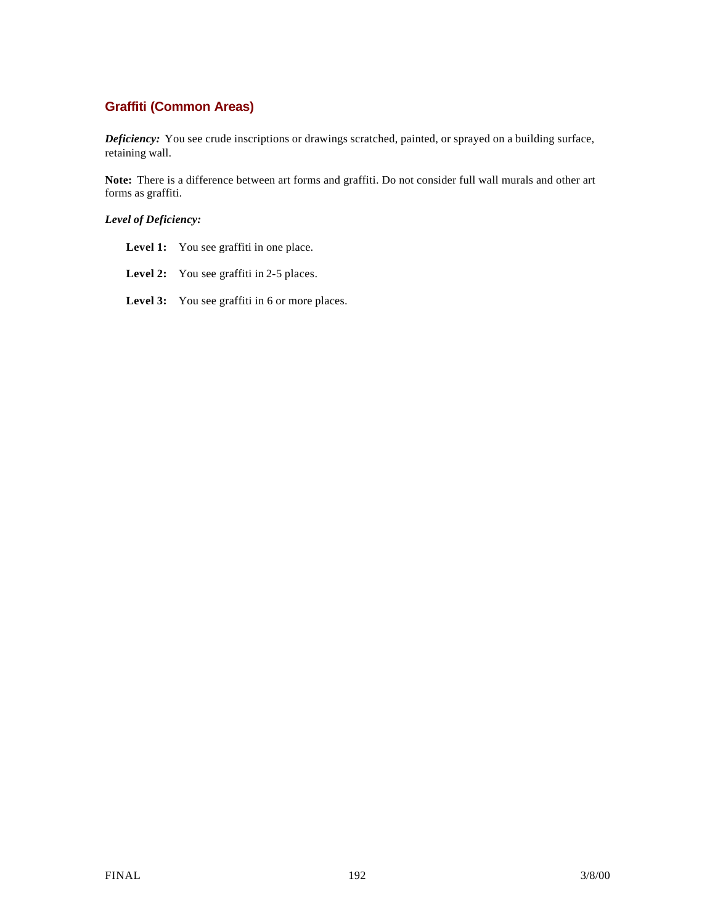# **Graffiti (Common Areas)**

*Deficiency:* You see crude inscriptions or drawings scratched, painted, or sprayed on a building surface, retaining wall.

**Note:** There is a difference between art forms and graffiti. Do not consider full wall murals and other art forms as graffiti.

- Level 1: You see graffiti in one place.
- Level 2: You see graffiti in 2-5 places.
- Level 3: You see graffiti in 6 or more places.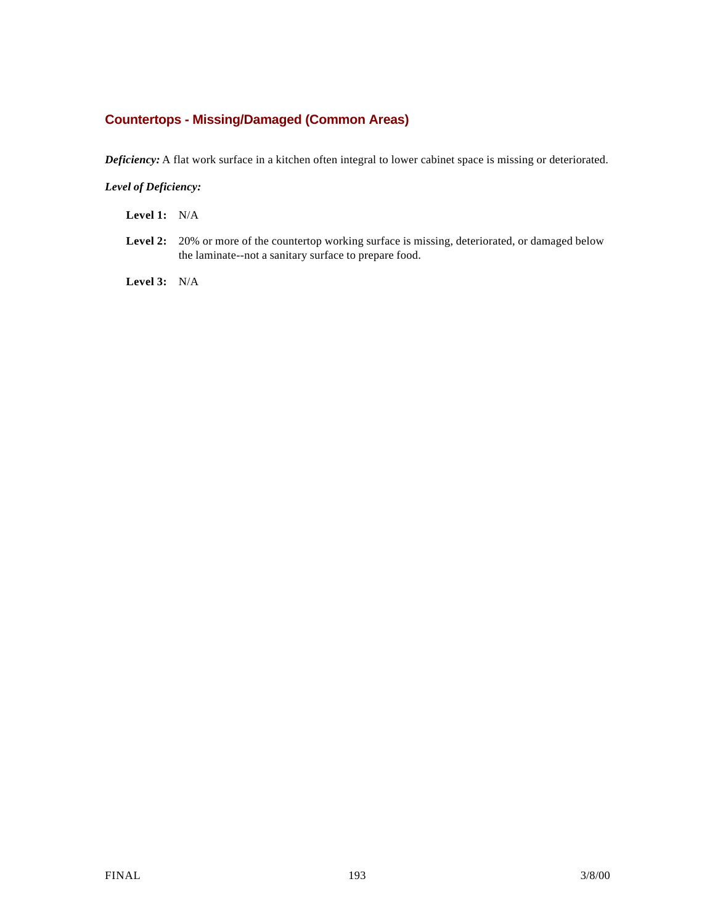# **Countertops - Missing/Damaged (Common Areas)**

*Deficiency:* A flat work surface in a kitchen often integral to lower cabinet space is missing or deteriorated.

## *Level of Deficiency:*

**Level 1:** N/A

Level 2: 20% or more of the countertop working surface is missing, deteriorated, or damaged below the laminate--not a sanitary surface to prepare food.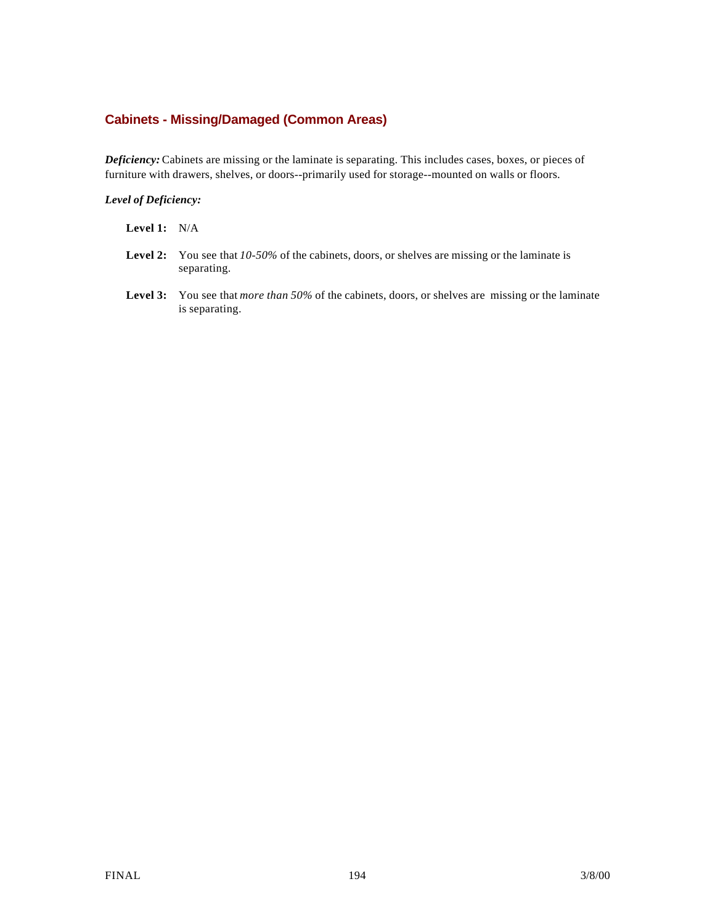# **Cabinets - Missing/Damaged (Common Areas)**

*Deficiency:* Cabinets are missing or the laminate is separating. This includes cases, boxes, or pieces of furniture with drawers, shelves, or doors--primarily used for storage--mounted on walls or floors.

#### *Level of Deficiency:*

- **Level 2:** You see that *10-50%* of the cabinets, doors, or shelves are missing or the laminate is separating.
- **Level 3:** You see that *more than 50%* of the cabinets, doors, or shelves are missing or the laminate is separating.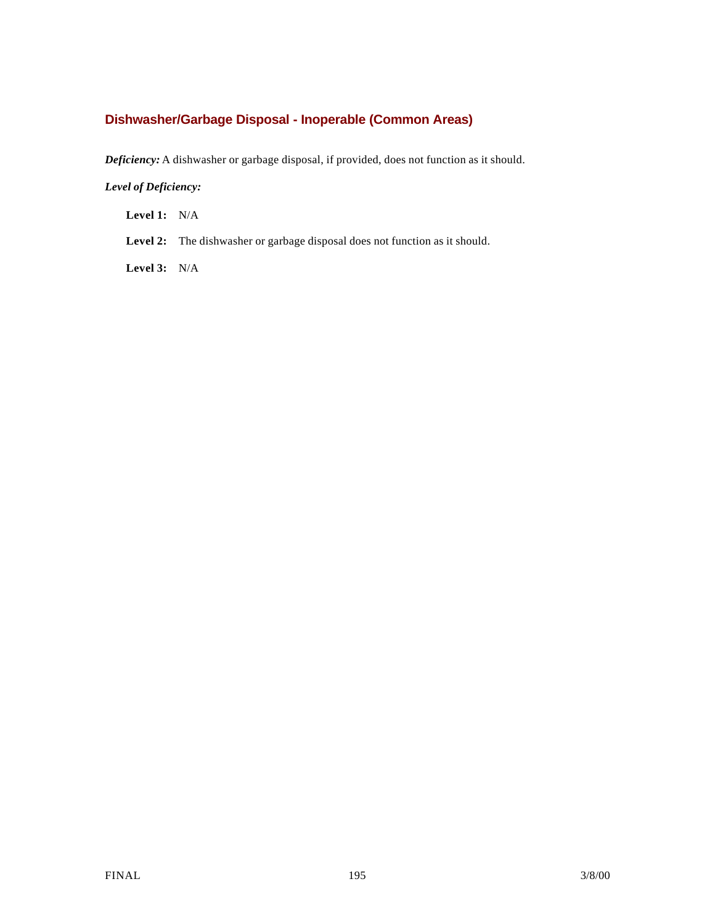# **Dishwasher/Garbage Disposal - Inoperable (Common Areas)**

*Deficiency:* A dishwasher or garbage disposal, if provided, does not function as it should.

## *Level of Deficiency:*

**Level 1:** N/A

Level 2: The dishwasher or garbage disposal does not function as it should.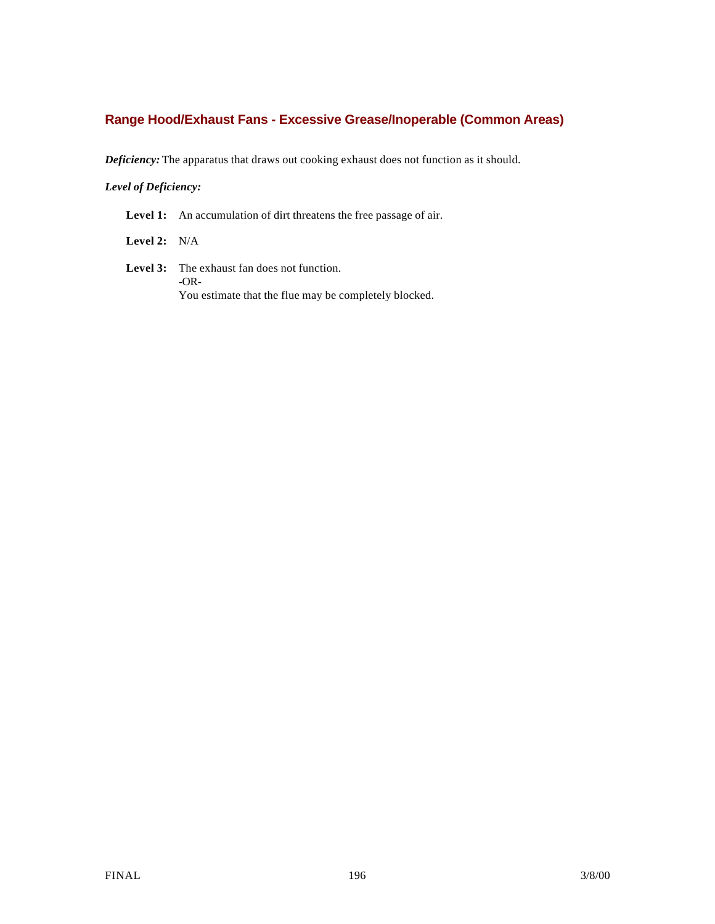# **Range Hood/Exhaust Fans - Excessive Grease/Inoperable (Common Areas)**

*Deficiency:* The apparatus that draws out cooking exhaust does not function as it should.

## *Level of Deficiency:*

Level 1: An accumulation of dirt threatens the free passage of air.

**Level 2:** N/A

**Level 3:** The exhaust fan does not function. -OR-You estimate that the flue may be completely blocked.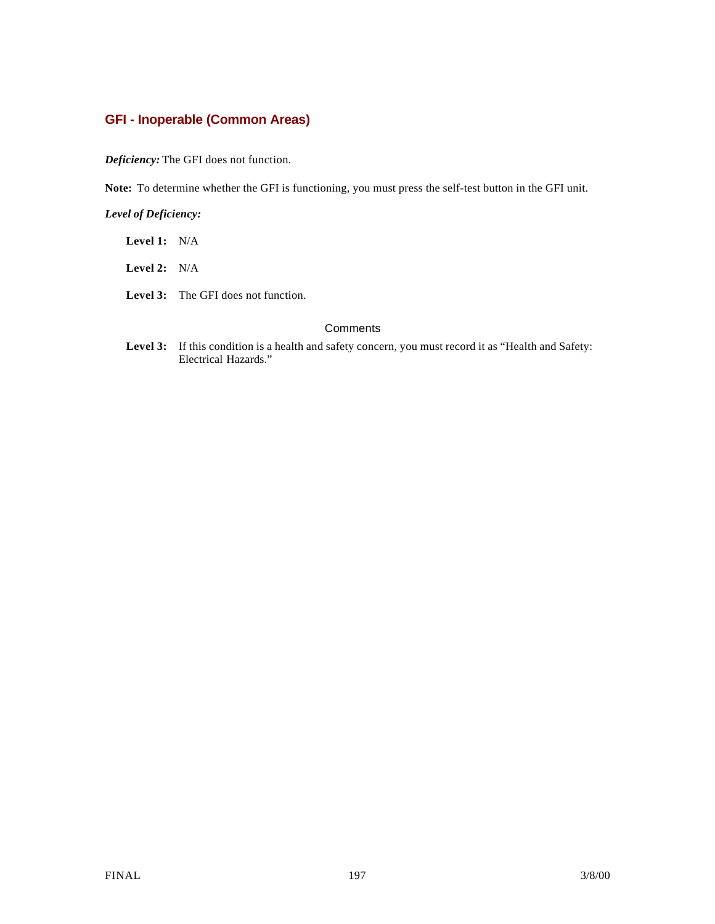# **GFI - Inoperable (Common Areas)**

*Deficiency:* The GFI does not function.

**Note:** To determine whether the GFI is functioning, you must press the self-test button in the GFI unit.

*Level of Deficiency:*

| <b>Level 1:</b> $N/A$ |                                            |
|-----------------------|--------------------------------------------|
| <b>Level 2:</b> $N/A$ |                                            |
|                       | <b>Level 3:</b> The GFI does not function. |
|                       |                                            |

## **Comments**

Level 3: If this condition is a health and safety concern, you must record it as "Health and Safety: Electrical Hazards."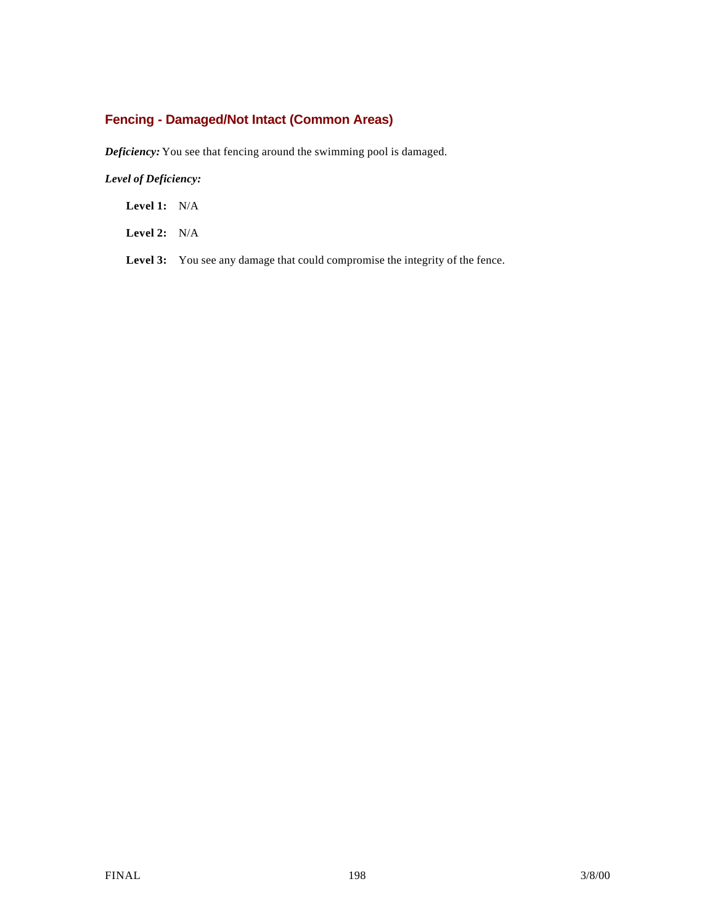# **Fencing - Damaged/Not Intact (Common Areas)**

*Deficiency:* You see that fencing around the swimming pool is damaged.

## *Level of Deficiency:*

**Level 1:** N/A

**Level 2:** N/A

Level 3: You see any damage that could compromise the integrity of the fence.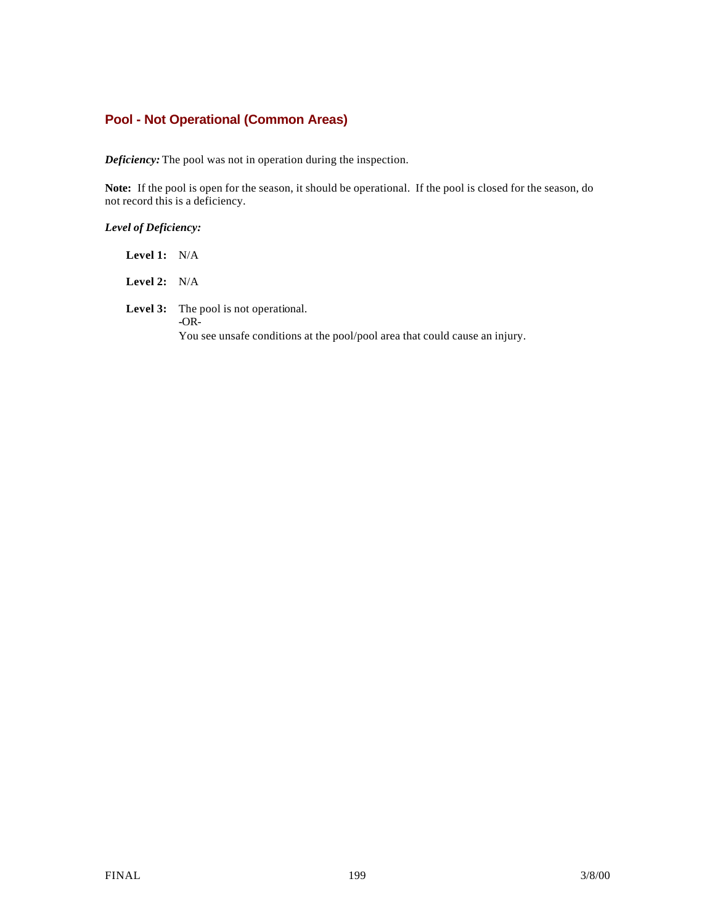# **Pool - Not Operational (Common Areas)**

*Deficiency:* The pool was not in operation during the inspection.

**Note:** If the pool is open for the season, it should be operational. If the pool is closed for the season, do not record this is a deficiency.

## *Level of Deficiency:*

| <b>Level 1:</b> $N/A$ |  |
|-----------------------|--|
|                       |  |

**Level 2:** N/A

**Level 3:** The pool is not operational. **-**OR-You see unsafe conditions at the pool/pool area that could cause an injury.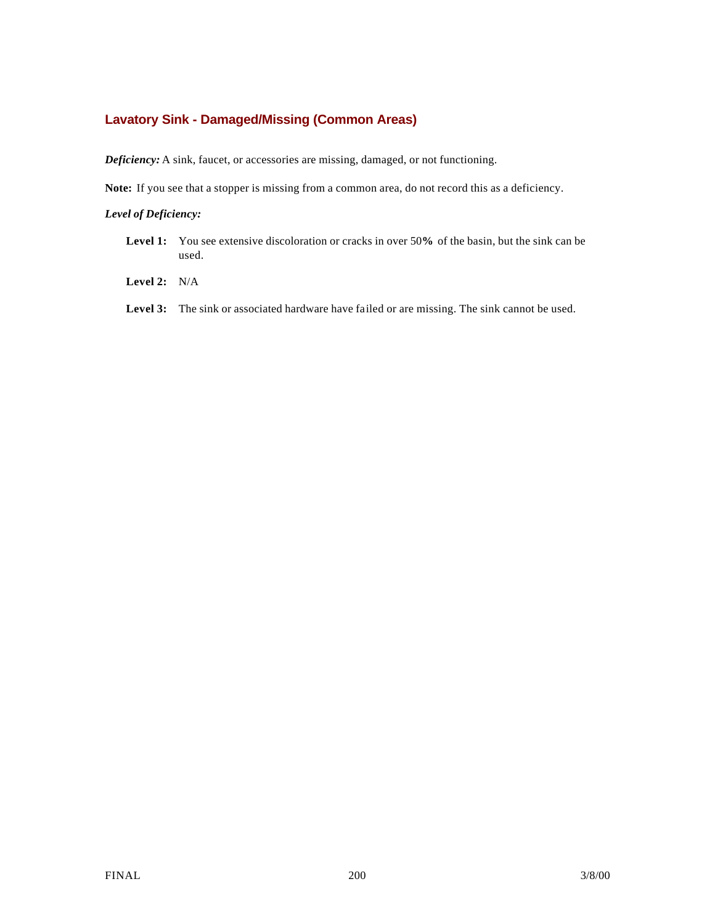# **Lavatory Sink - Damaged/Missing (Common Areas)**

*Deficiency:* A sink, faucet, or accessories are missing, damaged, or not functioning.

**Note:** If you see that a stopper is missing from a common area, do not record this as a deficiency.

- **Level 1:** You see extensive discoloration or cracks in over 50**%** of the basin, but the sink can be used.
- **Level 2:** N/A
- Level 3: The sink or associated hardware have failed or are missing. The sink cannot be used.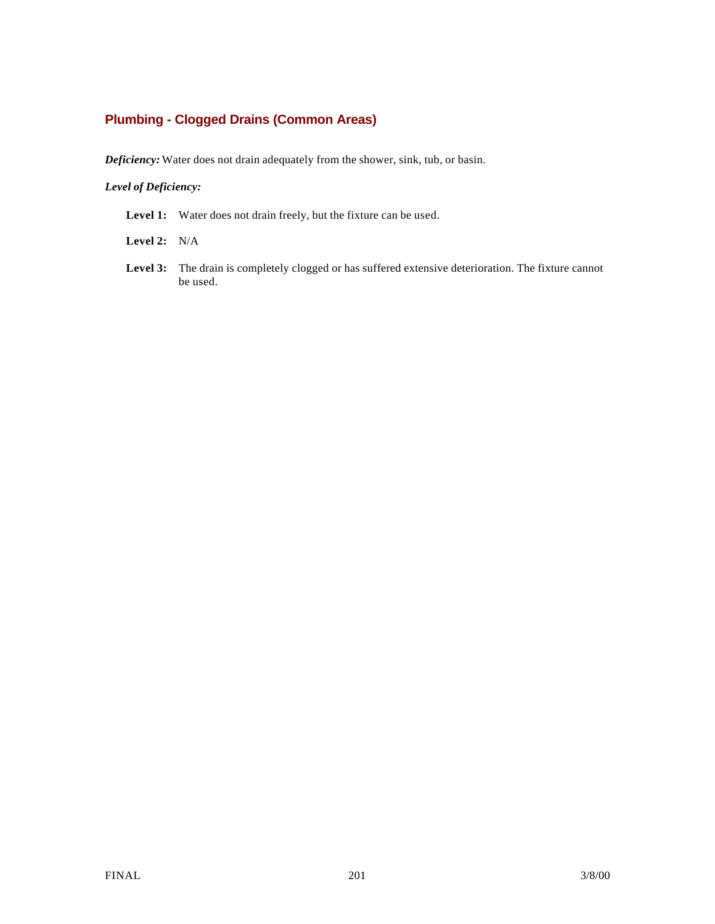# **Plumbing - Clogged Drains (Common Areas)**

*Deficiency:* Water does not drain adequately from the shower, sink, tub, or basin.

## *Level of Deficiency:*

Level 1: Water does not drain freely, but the fixture can be used.

**Level 2:** N/A

**Level 3:** The drain is completely clogged or has suffered extensive deterioration. The fixture cannot be used.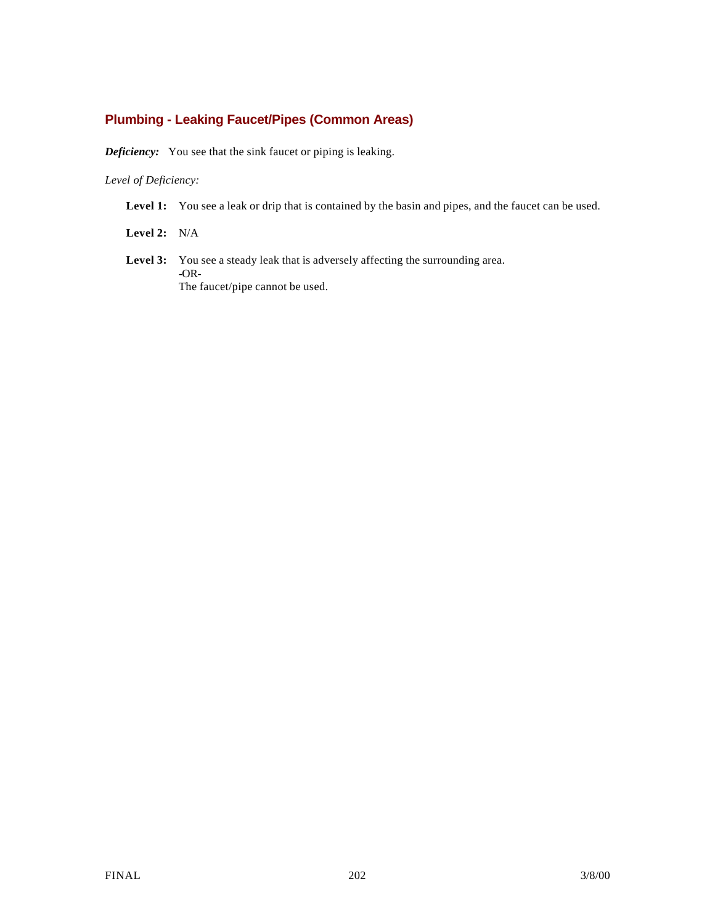# **Plumbing - Leaking Faucet/Pipes (Common Areas)**

*Deficiency:* You see that the sink faucet or piping is leaking.

## *Level of Deficiency:*

Level 1: You see a leak or drip that is contained by the basin and pipes, and the faucet can be used.

**Level 2:** N/A

Level 3: You see a steady leak that is adversely affecting the surrounding area. **-**OR-The faucet/pipe cannot be used.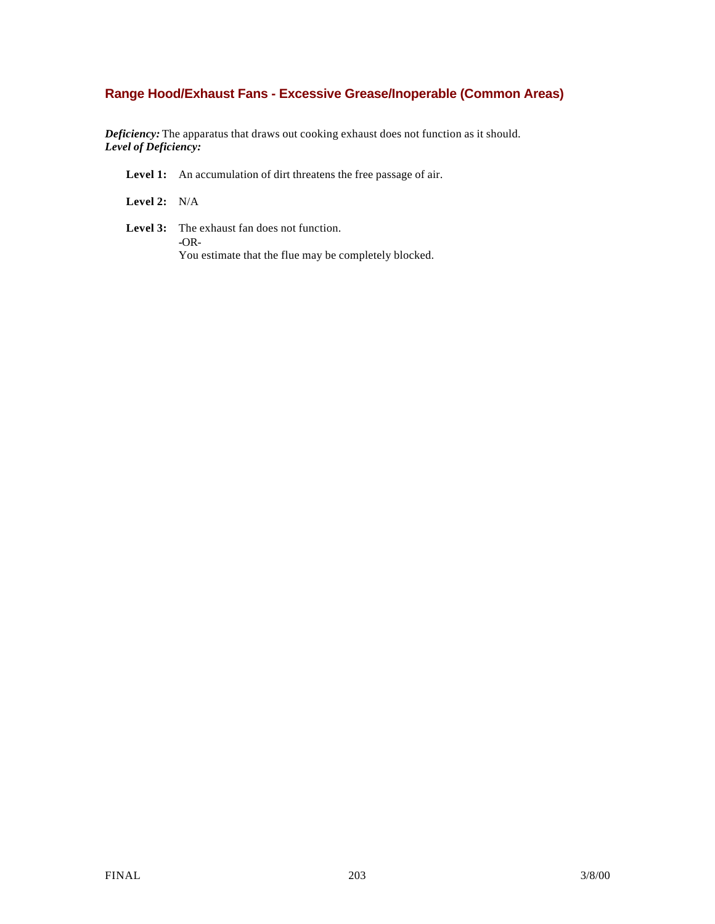# **Range Hood/Exhaust Fans - Excessive Grease/Inoperable (Common Areas)**

*Deficiency:* The apparatus that draws out cooking exhaust does not function as it should. *Level of Deficiency:*

Level 1: An accumulation of dirt threatens the free passage of air.

**Level 2:** N/A

**Level 3:** The exhaust fan does not function. **-**OR-You estimate that the flue may be completely blocked.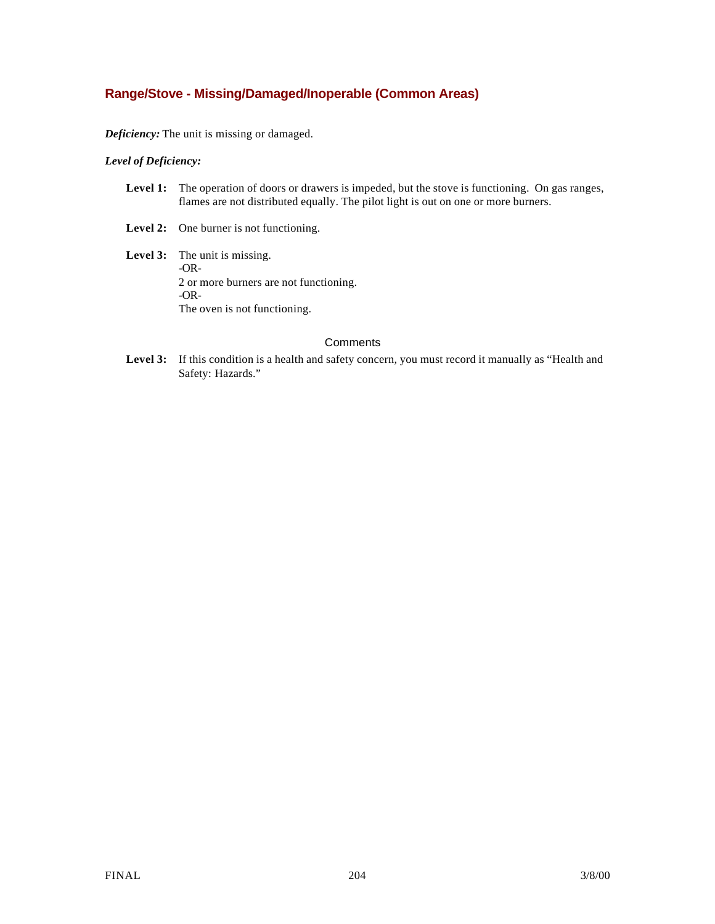# **Range/Stove - Missing/Damaged/Inoperable (Common Areas)**

*Deficiency:* The unit is missing or damaged.

## *Level of Deficiency:*

| <b>Level 1:</b> The operation of doors or drawers is impeded, but the stove is functioning. On gas ranges, |
|------------------------------------------------------------------------------------------------------------|
| flames are not distributed equally. The pilot light is out on one or more burners.                         |

- Level 2: One burner is not functioning.
- **Level 3:** The unit is missing. -OR-2 or more burners are not functioning. -OR-The oven is not functioning.

#### **Comments**

Level 3: If this condition is a health and safety concern, you must record it manually as "Health and Safety: Hazards."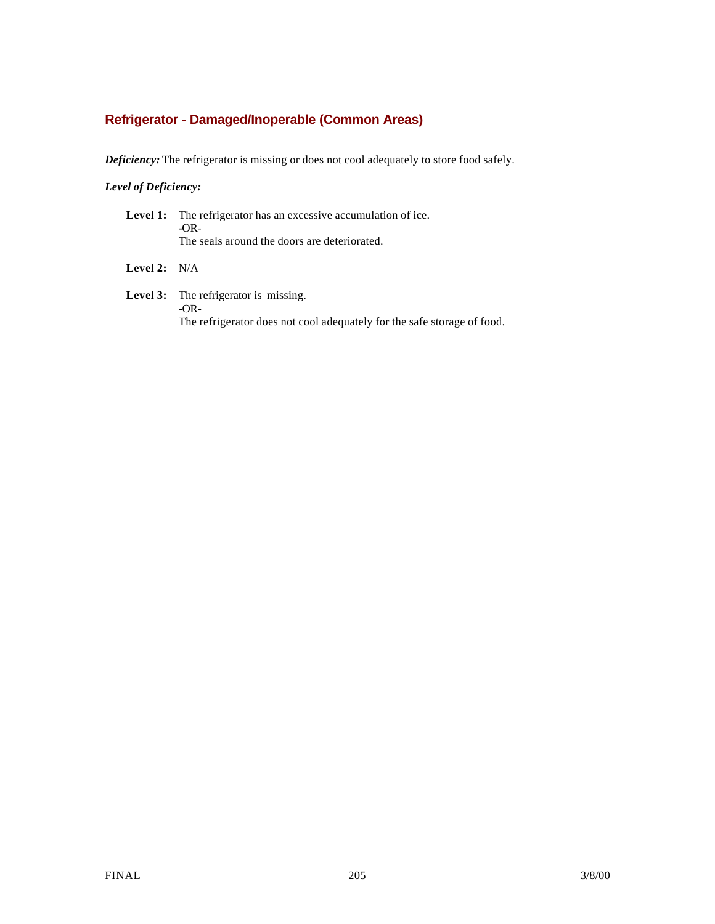# **Refrigerator - Damaged/Inoperable (Common Areas)**

*Deficiency:* The refrigerator is missing or does not cool adequately to store food safely.

## *Level of Deficiency:*

|                | <b>Level 1:</b> The refrigerator has an excessive accumulation of ice.<br>$-OR-$<br>The seals around the doors are deteriorated. |
|----------------|----------------------------------------------------------------------------------------------------------------------------------|
| Level 2: $N/A$ |                                                                                                                                  |
|                | Level 3: The refrigerator is missing.                                                                                            |

-OR-The refrigerator does not cool adequately for the safe storage of food.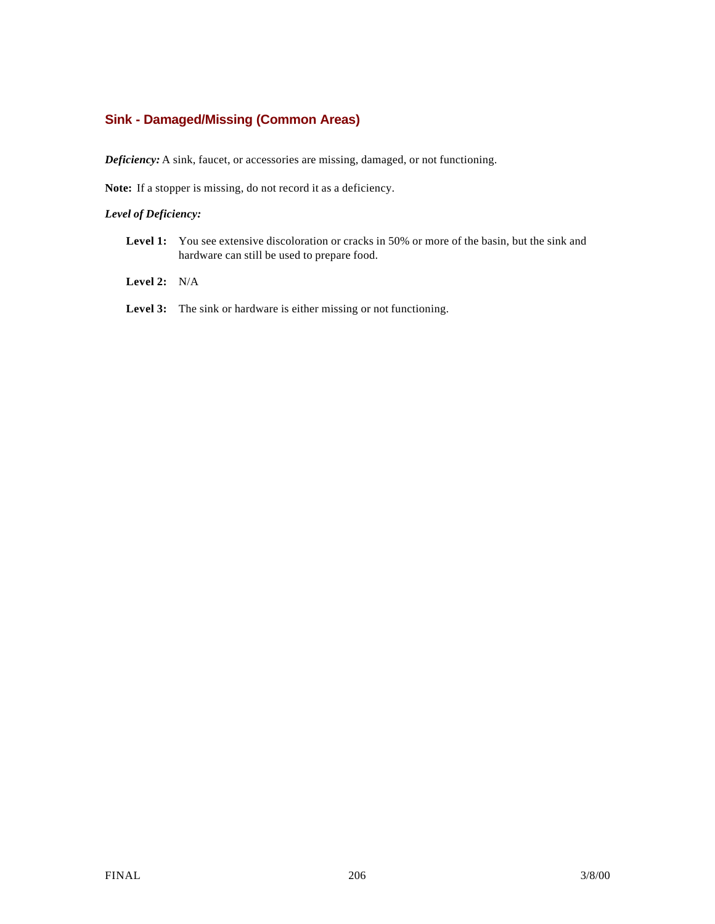# **Sink - Damaged/Missing (Common Areas)**

*Deficiency:* A sink, faucet, or accessories are missing, damaged, or not functioning.

**Note:** If a stopper is missing, do not record it as a deficiency.

- Level 1: You see extensive discoloration or cracks in 50% or more of the basin, but the sink and hardware can still be used to prepare food.
- **Level 2:** N/A
- Level 3: The sink or hardware is either missing or not functioning.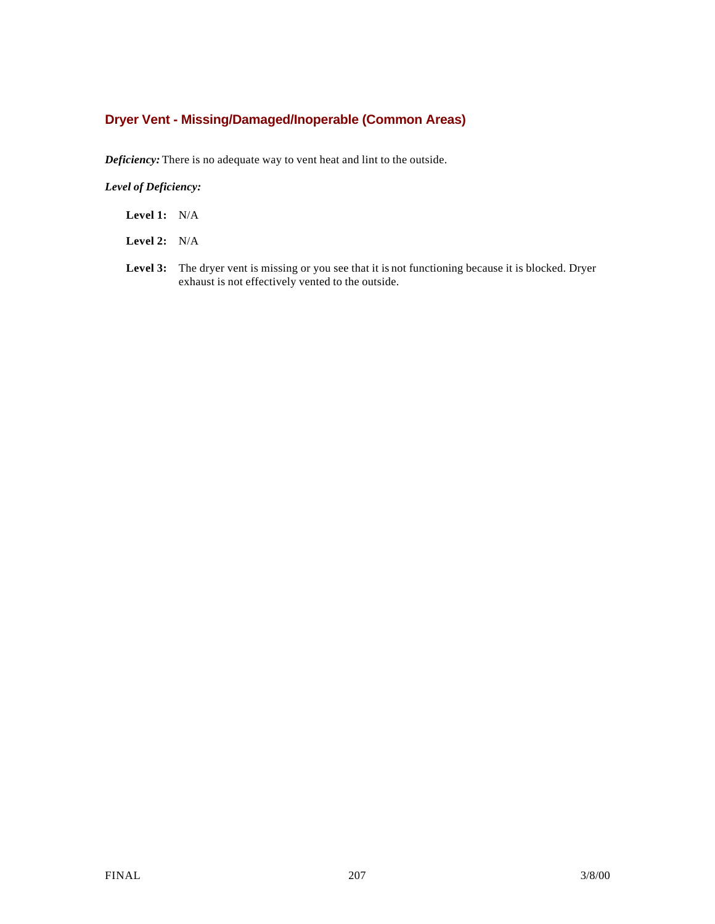# **Dryer Vent - Missing/Damaged/Inoperable (Common Areas)**

*Deficiency:* There is no adequate way to vent heat and lint to the outside.

- **Level 1:** N/A
- **Level 2:** N/A
- **Level 3:** The dryer vent is missing or you see that it is not functioning because it is blocked. Dryer exhaust is not effectively vented to the outside.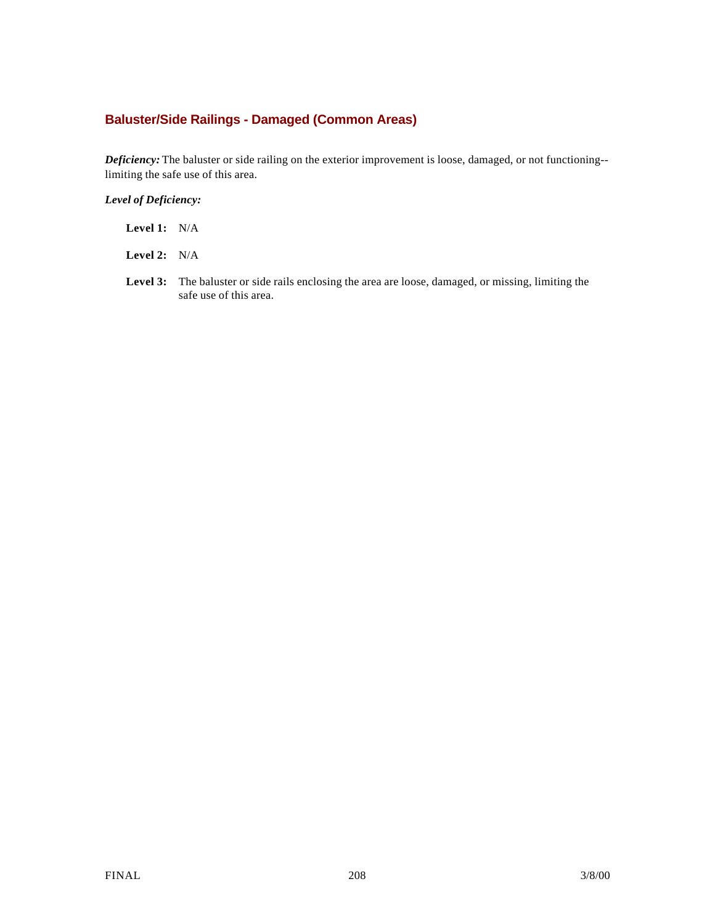# **Baluster/Side Railings - Damaged (Common Areas)**

*Deficiency:* The baluster or side railing on the exterior improvement is loose, damaged, or not functioning- limiting the safe use of this area.

- **Level 2:** N/A
- **Level 3:** The baluster or side rails enclosing the area are loose, damaged, or missing, limiting the safe use of this area.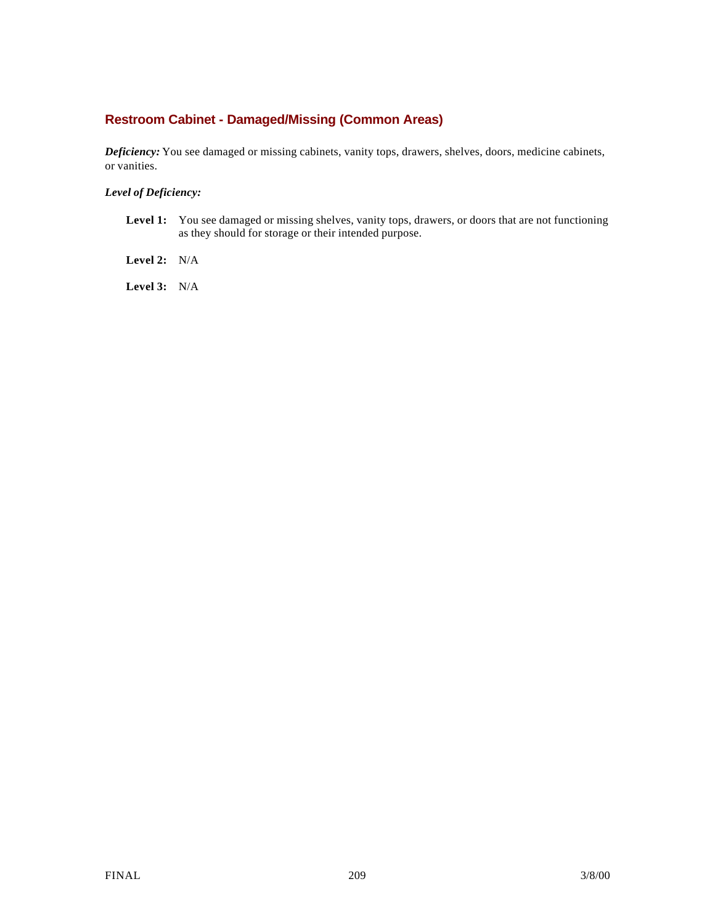# **Restroom Cabinet - Damaged/Missing (Common Areas)**

*Deficiency:* You see damaged or missing cabinets, vanity tops, drawers, shelves, doors, medicine cabinets, or vanities.

*Level of Deficiency:*

Level 1: You see damaged or missing shelves, vanity tops, drawers, or doors that are not functioning as they should for storage or their intended purpose.

**Level 2:** N/A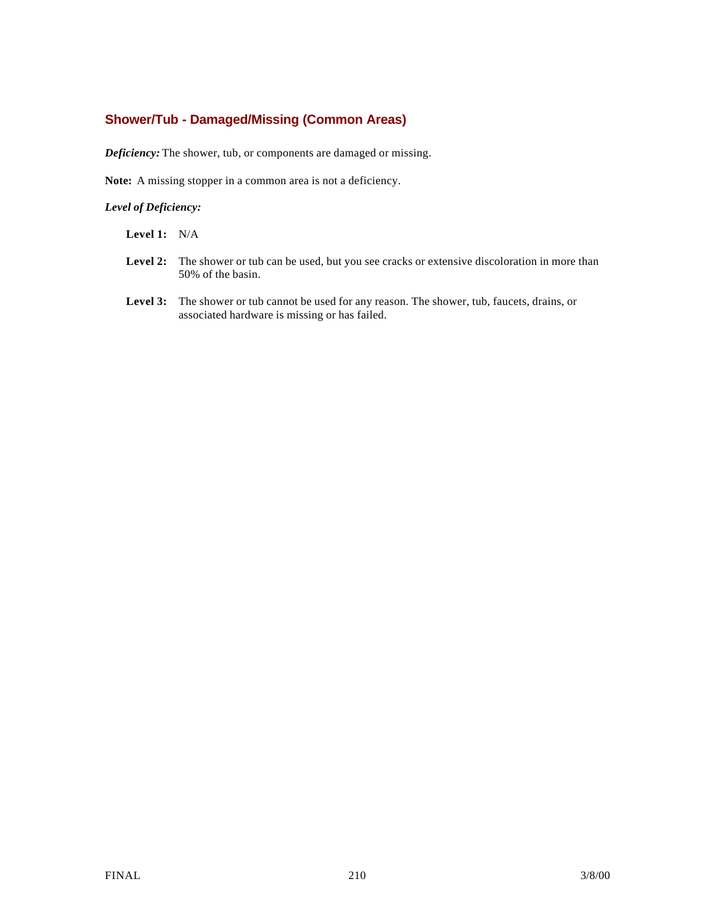# **Shower/Tub - Damaged/Missing (Common Areas)**

*Deficiency:* The shower, tub, or components are damaged or missing.

**Note:** A missing stopper in a common area is not a deficiency.

- **Level 1:** N/A
- **Level 2:** The shower or tub can be used, but you see cracks or extensive discoloration in more than 50% of the basin.
- **Level 3:** The shower or tub cannot be used for any reason. The shower, tub, faucets, drains, or associated hardware is missing or has failed.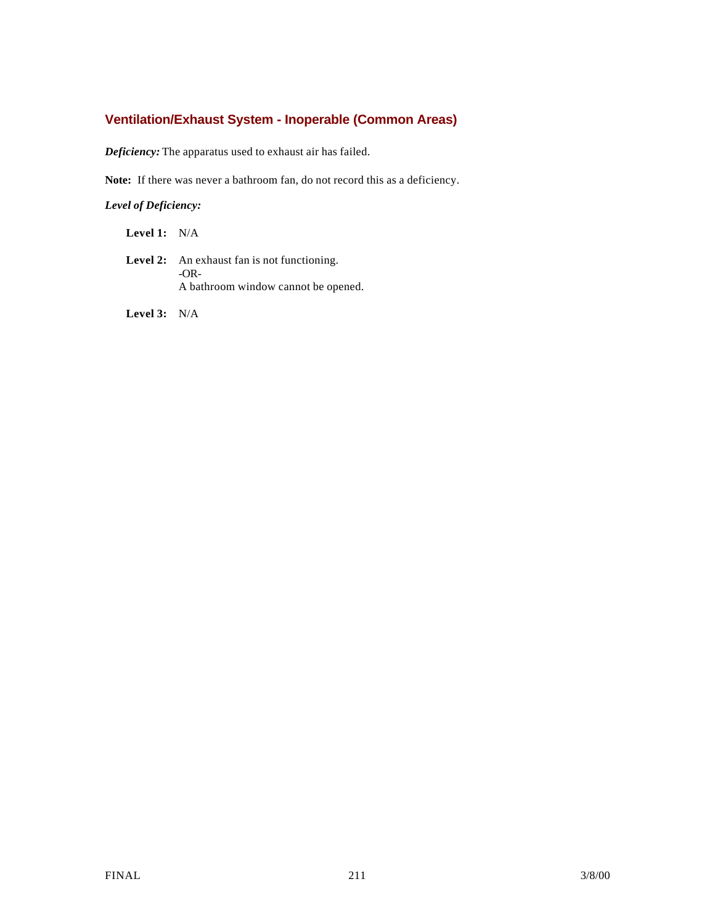# **Ventilation/Exhaust System - Inoperable (Common Areas)**

*Deficiency:* The apparatus used to exhaust air has failed.

**Note:** If there was never a bathroom fan, do not record this as a deficiency.

*Level of Deficiency:*

**Level 1:** N/A

Level 2: An exhaust fan is not functioning. -OR-A bathroom window cannot be opened.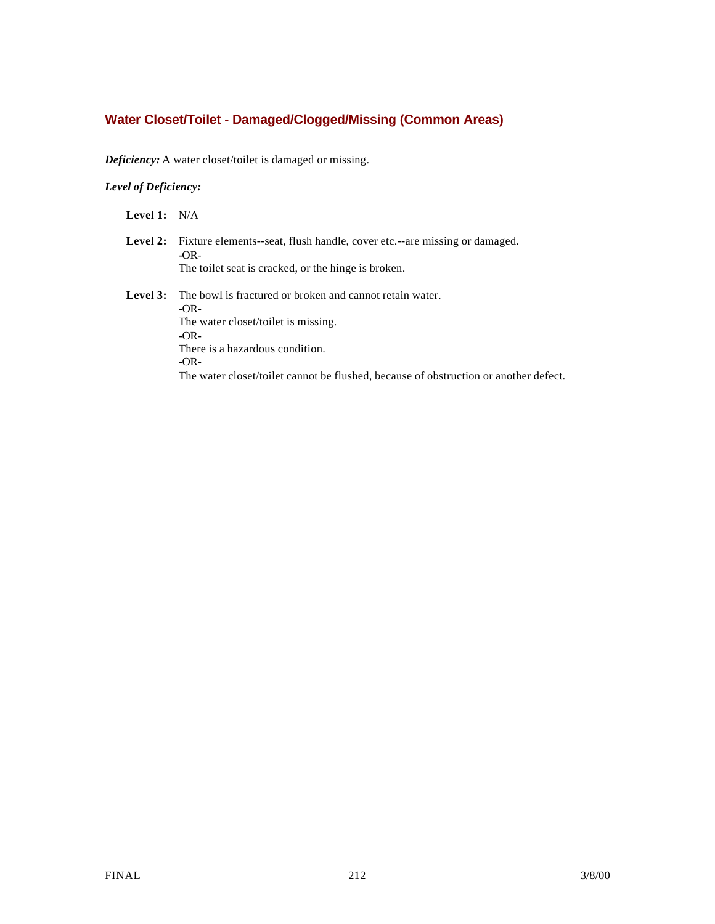# **Water Closet/Toilet - Damaged/Clogged/Missing (Common Areas)**

*Deficiency:* A water closet/toilet is damaged or missing.

## *Level of Deficiency:*

- Level 2: Fixture elements--seat, flush handle, cover etc.--are missing or damaged. **-**OR-The toilet seat is cracked, or the hinge is broken.
- **Level 3:** The bowl is fractured or broken and cannot retain water. -OR-The water closet/toilet is missing. -OR-There is a hazardous condition. -OR-The water closet/toilet cannot be flushed, because of obstruction or another defect.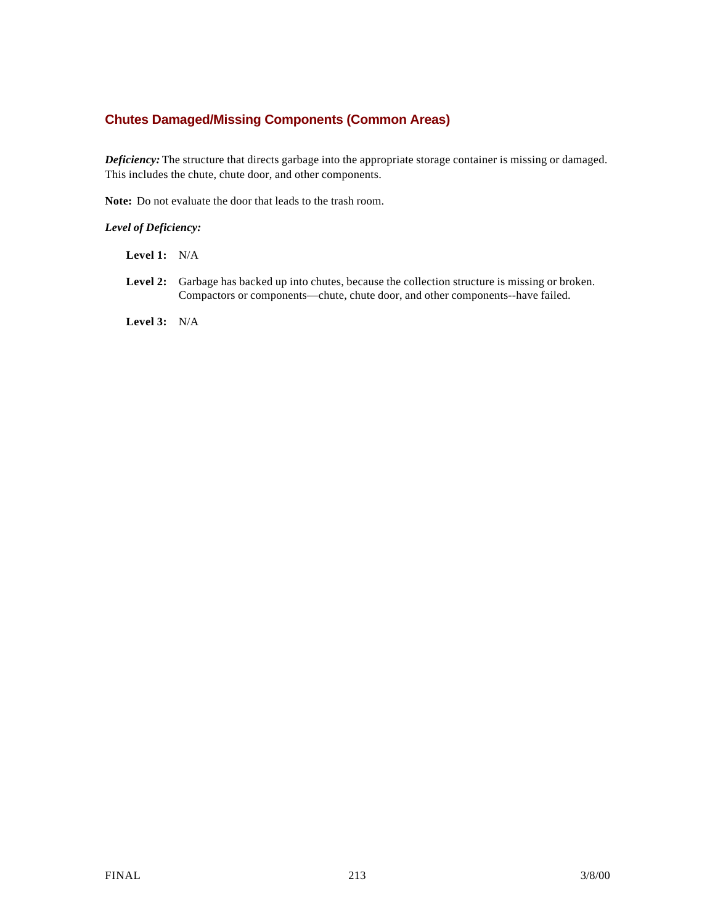# **Chutes Damaged/Missing Components (Common Areas)**

*Deficiency:* The structure that directs garbage into the appropriate storage container is missing or damaged. This includes the chute, chute door, and other components.

**Note:** Do not evaluate the door that leads to the trash room.

## *Level of Deficiency:*

- **Level 1:** N/A
- Level 2: Garbage has backed up into chutes, because the collection structure is missing or broken. Compactors or components—chute, chute door, and other components--have failed.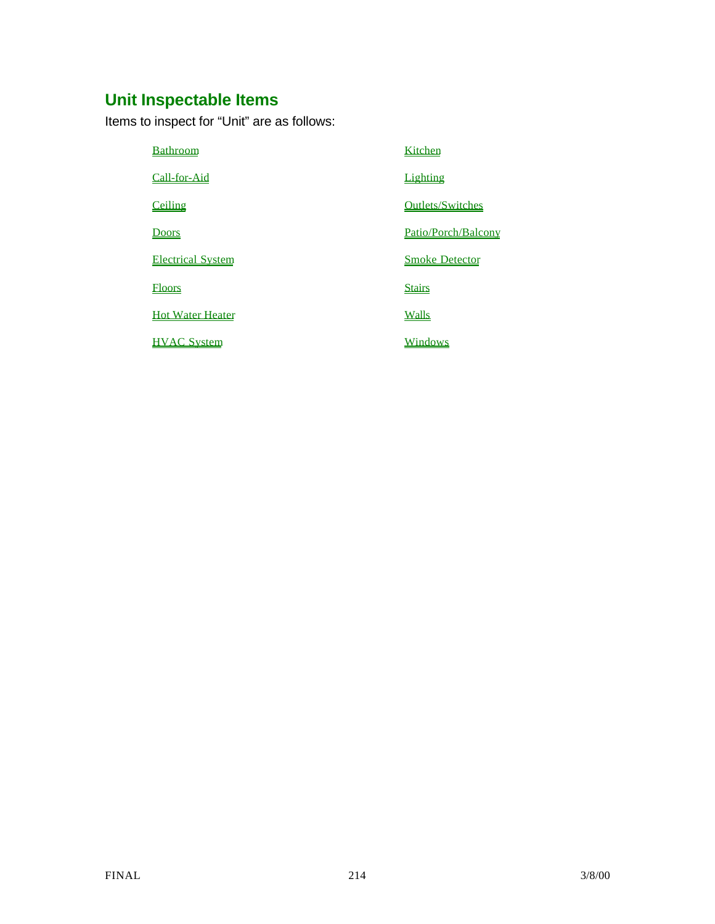# **Unit Inspectable Items**

Items to inspect for "Unit" are as follows:

| <b>Bathroom</b>          | Kitchen                 |
|--------------------------|-------------------------|
| Call-for-Aid             | Lighting                |
| Ceiling                  | <b>Outlets/Switches</b> |
| <b>Doors</b>             | Patio/Porch/Balcony     |
| <b>Electrical System</b> | <b>Smoke Detector</b>   |
| <b>Floors</b>            | <b>Stairs</b>           |
| <b>Hot Water Heater</b>  | <b>Walls</b>            |
| <b>HVAC System</b>       | Windows                 |
|                          |                         |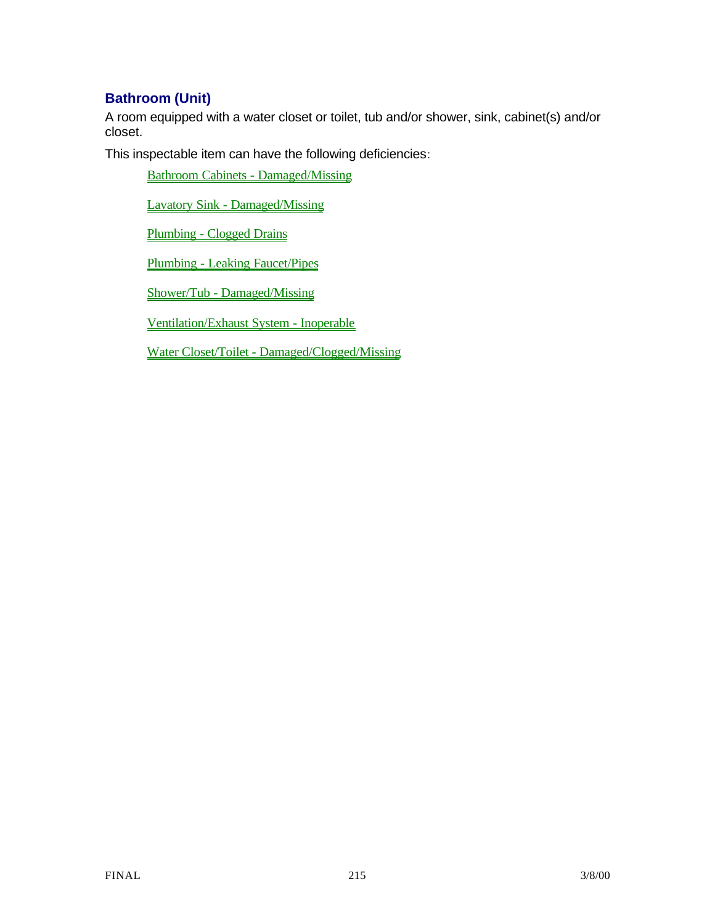# **Bathroom (Unit)**

A room equipped with a water closet or toilet, tub and/or shower, sink, cabinet(s) and/or closet.

This inspectable item can have the following deficiencies:

Bathroom Cabinets - Damaged/Missing

Lavatory Sink - Damaged/Missing

Plumbing - Clogged Drains

Plumbing - Leaking Faucet/Pipes

Shower/Tub - Damaged/Missing

Ventilation/Exhaust System - Inoperable

Water Closet/Toilet - Damaged/Clogged/Missing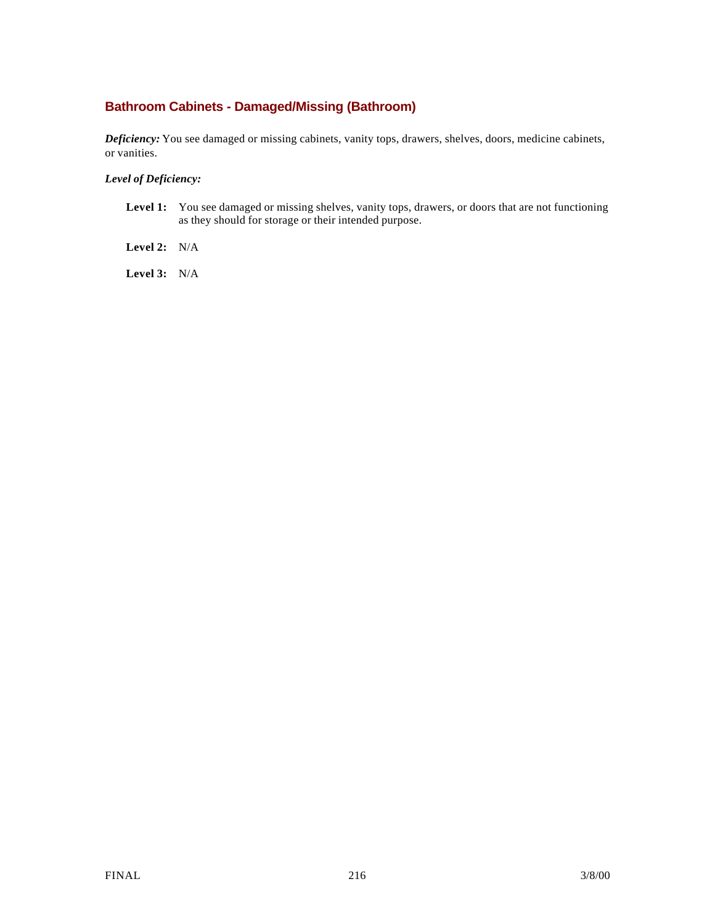# **Bathroom Cabinets - Damaged/Missing (Bathroom)**

*Deficiency:* You see damaged or missing cabinets, vanity tops, drawers, shelves, doors, medicine cabinets, or vanities.

#### *Level of Deficiency:*

Level 1: You see damaged or missing shelves, vanity tops, drawers, or doors that are not functioning as they should for storage or their intended purpose.

**Level 2:** N/A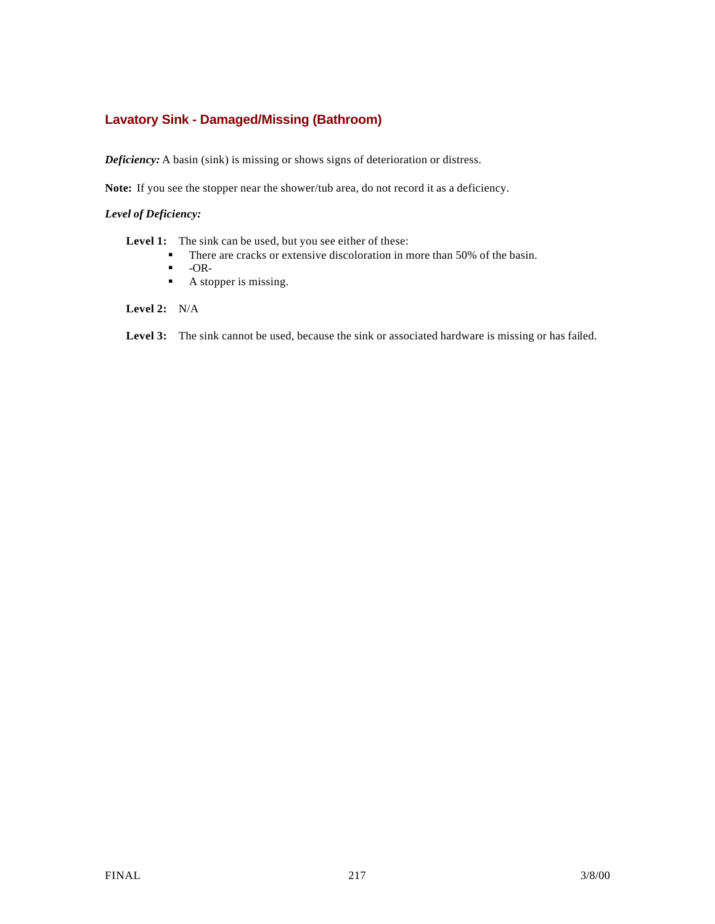## **Lavatory Sink - Damaged/Missing (Bathroom)**

*Deficiency:* A basin (sink) is missing or shows signs of deterioration or distress.

**Note:** If you see the stopper near the shower/tub area, do not record it as a deficiency.

### *Level of Deficiency:*

Level 1: The sink can be used, but you see either of these:

- **•** There are cracks or extensive discoloration in more than 50% of the basin.
- $\blacksquare$  -OR-
- $\blacksquare$  A stopper is missing.

### **Level 2:** N/A

Level 3: The sink cannot be used, because the sink or associated hardware is missing or has failed.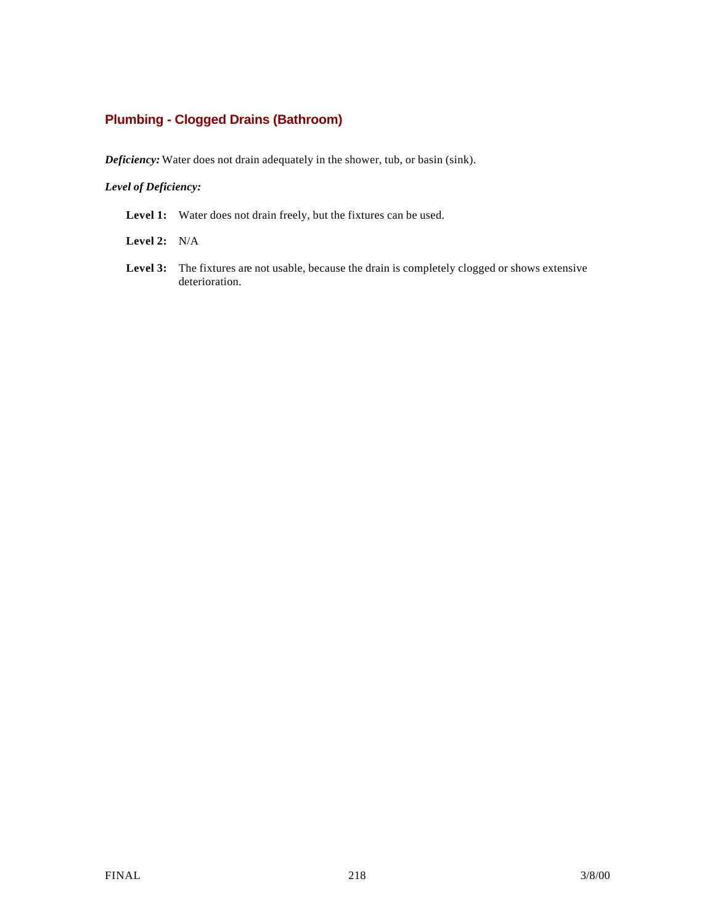## **Plumbing - Clogged Drains (Bathroom)**

*Deficiency:* Water does not drain adequately in the shower, tub, or basin (sink).

### *Level of Deficiency:*

Level 1: Water does not drain freely, but the fixtures can be used.

**Level 2:** N/A

Level 3: The fixtures are not usable, because the drain is completely clogged or shows extensive deterioration.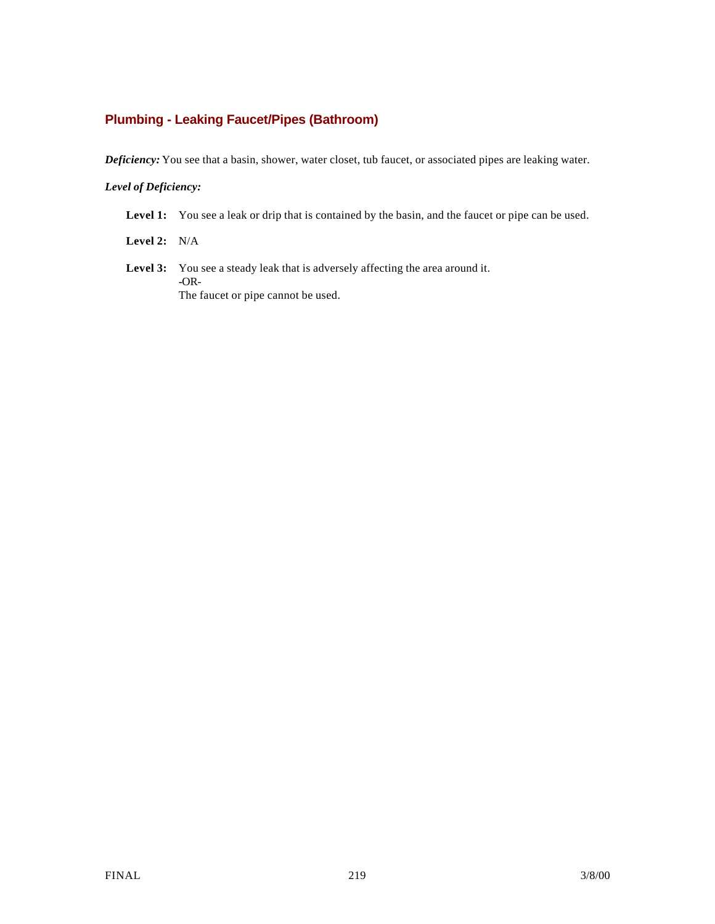## **Plumbing - Leaking Faucet/Pipes (Bathroom)**

*Deficiency:* You see that a basin, shower, water closet, tub faucet, or associated pipes are leaking water.

### *Level of Deficiency:*

Level 1: You see a leak or drip that is contained by the basin, and the faucet or pipe can be used.

**Level 2:** N/A

Level 3: You see a steady leak that is adversely affecting the area around it. **-**OR-The faucet or pipe cannot be used.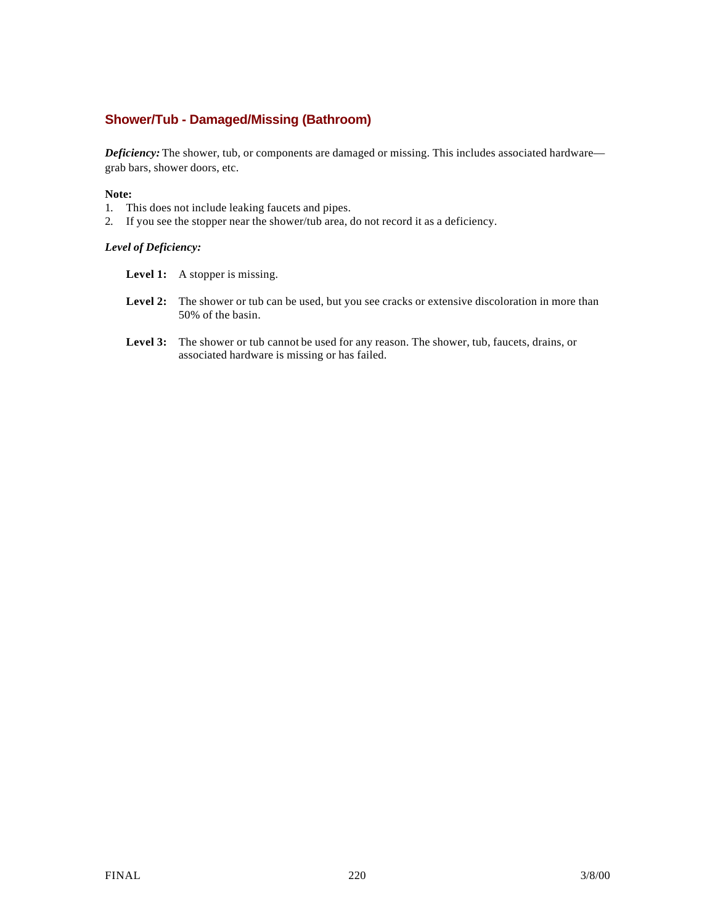## **Shower/Tub - Damaged/Missing (Bathroom)**

*Deficiency:* The shower, tub, or components are damaged or missing. This includes associated hardware grab bars, shower doors, etc.

#### **Note:**

- 1. This does not include leaking faucets and pipes.
- 2. If you see the stopper near the shower/tub area, do not record it as a deficiency.

### *Level of Deficiency:*

- Level 1: A stopper is missing.
- **Level 2:** The shower or tub can be used, but you see cracks or extensive discoloration in more than 50% of the basin.
- Level 3: The shower or tub cannot be used for any reason. The shower, tub, faucets, drains, or associated hardware is missing or has failed.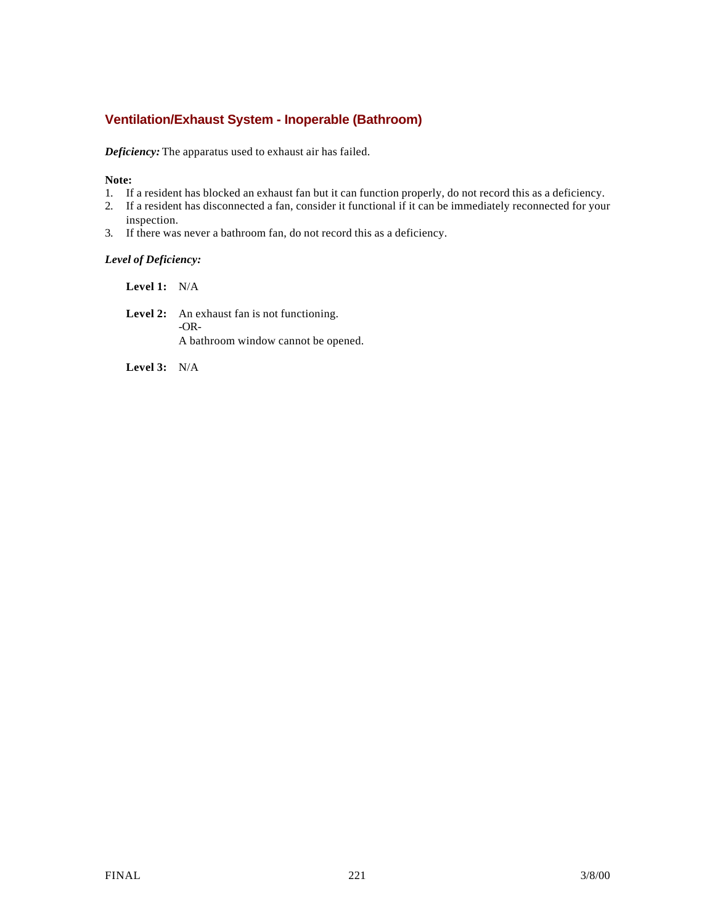## **Ventilation/Exhaust System - Inoperable (Bathroom)**

*Deficiency:* The apparatus used to exhaust air has failed.

### **Note:**

- 1. If a resident has blocked an exhaust fan but it can function properly, do not record this as a deficiency.
- 2. If a resident has disconnected a fan, consider it functional if it can be immediately reconnected for your inspection.
- 3. If there was never a bathroom fan, do not record this as a deficiency.

### *Level of Deficiency:*

**Level 1:** N/A

Level 2: An exhaust fan is not functioning. -OR-A bathroom window cannot be opened.

**Level 3:** N/A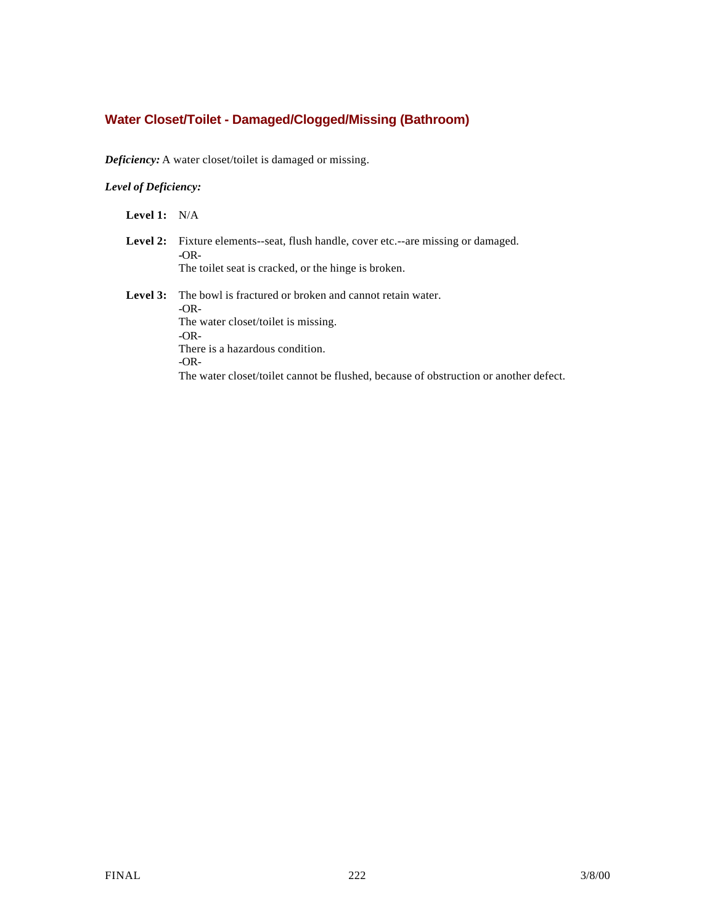## **Water Closet/Toilet - Damaged/Clogged/Missing (Bathroom)**

*Deficiency:* A water closet/toilet is damaged or missing.

### *Level of Deficiency:*

**Level 1:** N/A

- Level 2: Fixture elements--seat, flush handle, cover etc.--are missing or damaged. **-**OR-The toilet seat is cracked, or the hinge is broken.
- **Level 3:** The bowl is fractured or broken and cannot retain water. -OR-The water closet/toilet is missing. -OR-There is a hazardous condition. -OR-The water closet/toilet cannot be flushed, because of obstruction or another defect.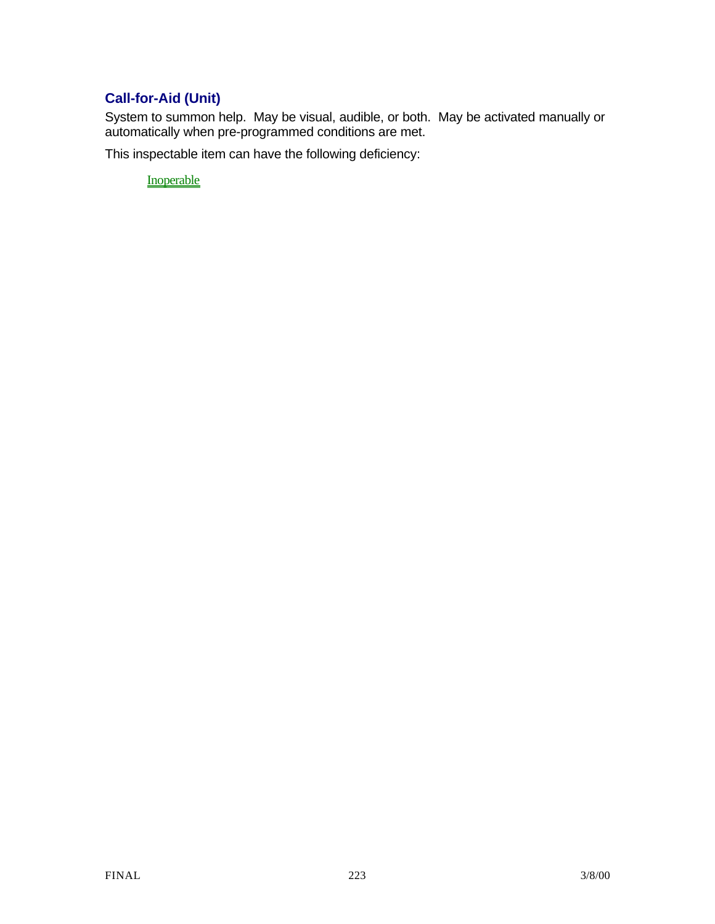# **Call-for-Aid (Unit)**

System to summon help. May be visual, audible, or both. May be activated manually or automatically when pre-programmed conditions are met.

This inspectable item can have the following deficiency:

**Inoperable**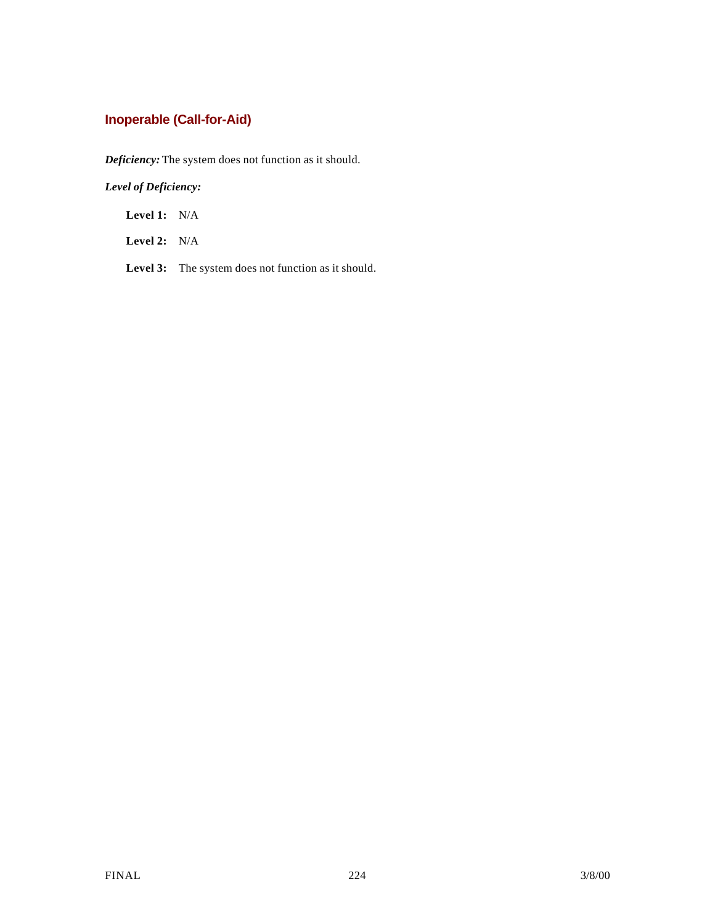# **Inoperable (Call-for-Aid)**

*Deficiency:* The system does not function as it should.

*Level of Deficiency:*

**Level 1:** N/A

**Level 2:** N/A

Level 3: The system does not function as it should.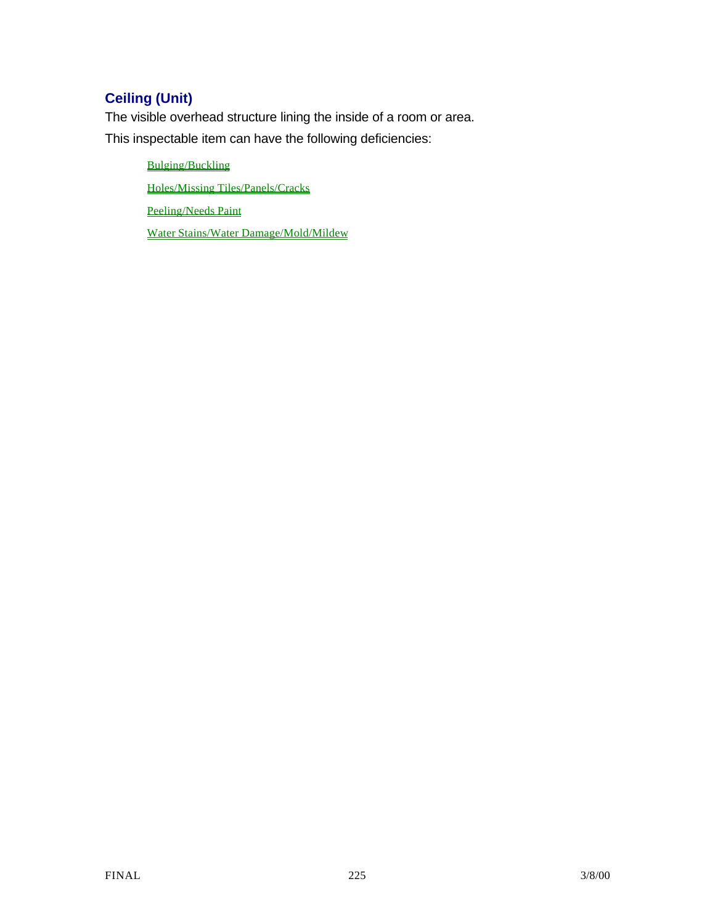# **Ceiling (Unit)**

The visible overhead structure lining the inside of a room or area. This inspectable item can have the following deficiencies:

> Bulging/Buckling Holes/Missing Tiles/Panels/Cracks Peeling/Needs Paint

Water Stains/Water Damage/Mold/Mildew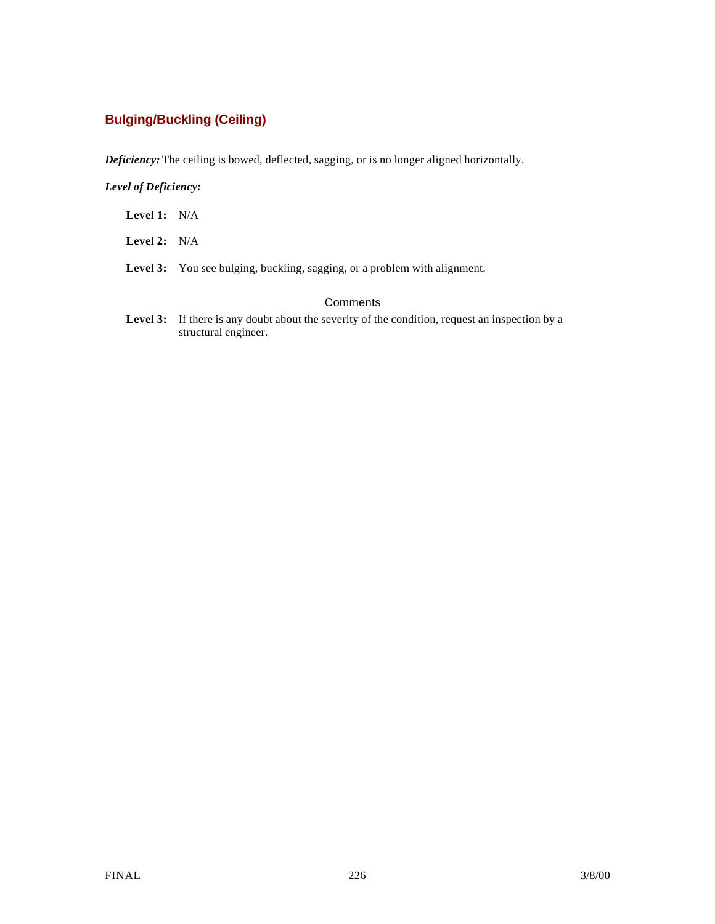## **Bulging/Buckling (Ceiling)**

*Deficiency:* The ceiling is bowed, deflected, sagging, or is no longer aligned horizontally.

### *Level of Deficiency:*

- **Level 1:** N/A
- **Level 2:** N/A
- Level 3: You see bulging, buckling, sagging, or a problem with alignment.

### **Comments**

Level 3: If there is any doubt about the severity of the condition, request an inspection by a structural engineer.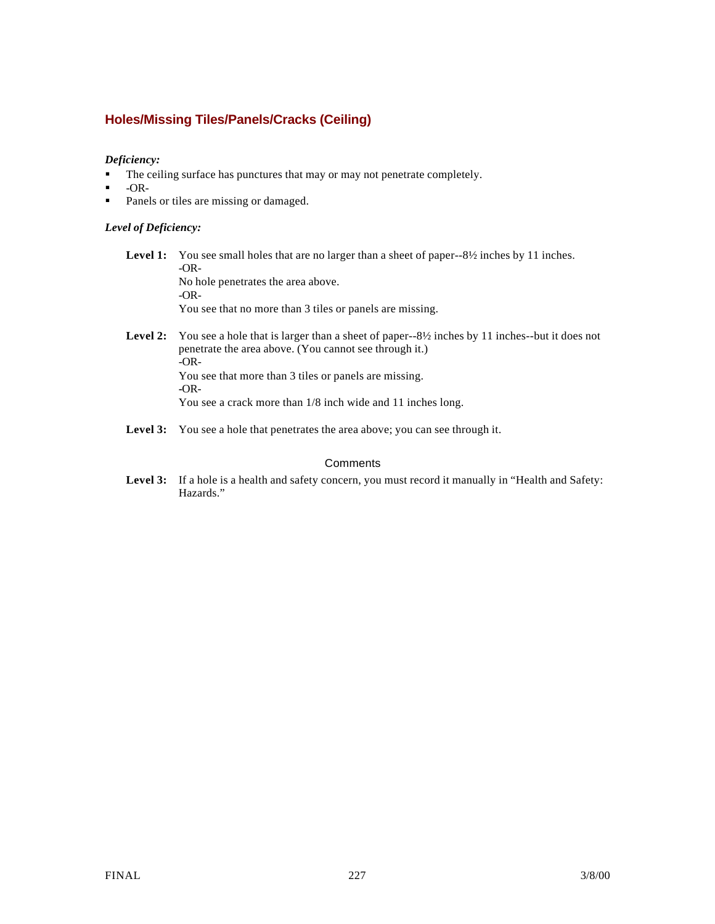## **Holes/Missing Tiles/Panels/Cracks (Ceiling)**

### *Deficiency:*

- The ceiling surface has punctures that may or may not penetrate completely.
- $-OR-$
- Panels or tiles are missing or damaged.

### *Level of Deficiency:*

**Level 1:** You see small holes that are no larger than a sheet of paper--8½ inches by 11 inches. -OR-No hole penetrates the area above. -OR-

You see that no more than 3 tiles or panels are missing.

- Level 2: You see a hole that is larger than a sheet of paper--8½ inches by 11 inches--but it does not penetrate the area above. (You cannot see through it.) -OR-You see that more than 3 tiles or panels are missing. **-**OR-You see a crack more than 1/8 inch wide and 11 inches long.
- Level 3: You see a hole that penetrates the area above; you can see through it.

### **Comments**

Level 3: If a hole is a health and safety concern, you must record it manually in "Health and Safety: Hazards."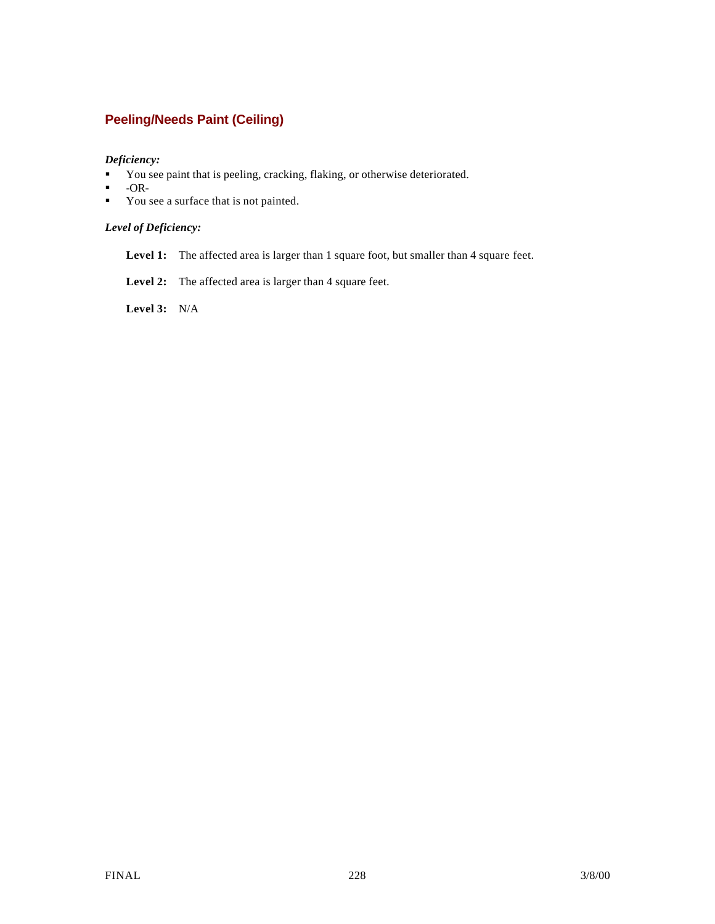## **Peeling/Needs Paint (Ceiling)**

### *Deficiency:*

- You see paint that is peeling, cracking, flaking, or otherwise deteriorated.
- $\blacksquare$  -OR-
- You see a surface that is not painted.

### *Level of Deficiency:*

- Level 1: The affected area is larger than 1 square foot, but smaller than 4 square feet.
- Level 2: The affected area is larger than 4 square feet.

**Level 3:** N/A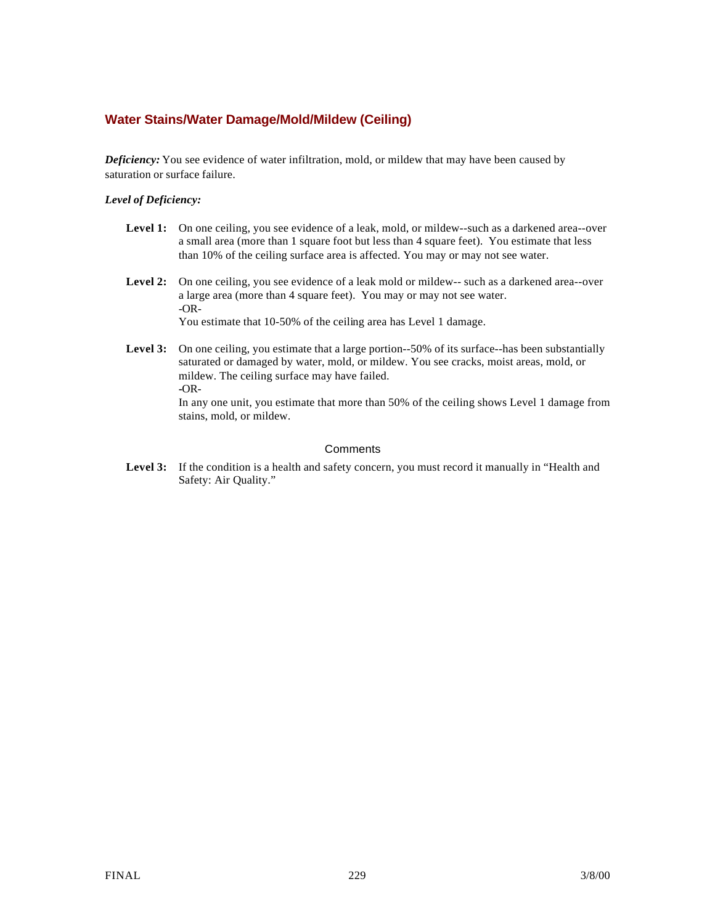### **Water Stains/Water Damage/Mold/Mildew (Ceiling)**

stains, mold, or mildew.

*Deficiency:* You see evidence of water infiltration, mold, or mildew that may have been caused by saturation or surface failure.

#### *Level of Deficiency:*

- Level 1: On one ceiling, you see evidence of a leak, mold, or mildew--such as a darkened area--over a small area (more than 1 square foot but less than 4 square feet). You estimate that less than 10% of the ceiling surface area is affected. You may or may not see water.
- Level 2: On one ceiling, you see evidence of a leak mold or mildew-- such as a darkened area--over a large area (more than 4 square feet). You may or may not see water. -OR-You estimate that 10-50% of the ceiling area has Level 1 damage.
- Level 3: On one ceiling, you estimate that a large portion--50% of its surface--has been substantially saturated or damaged by water, mold, or mildew. You see cracks, moist areas, mold, or mildew. The ceiling surface may have failed. **-**OR-In any one unit, you estimate that more than 50% of the ceiling shows Level 1 damage from

#### **Comments**

Level 3: If the condition is a health and safety concern, you must record it manually in "Health and Safety: Air Quality."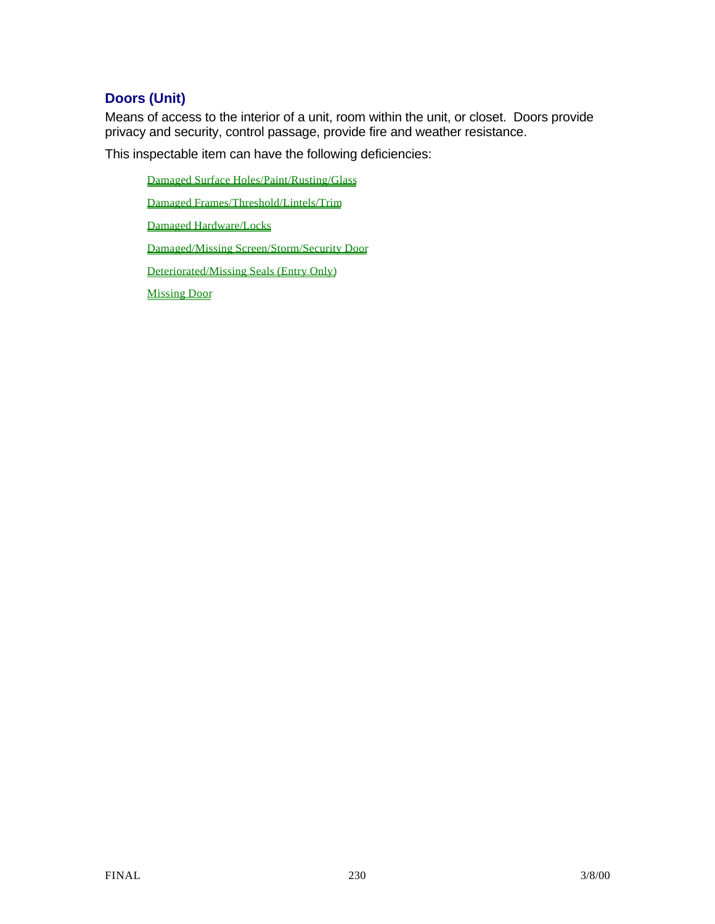# **Doors (Unit)**

Means of access to the interior of a unit, room within the unit, or closet. Doors provide privacy and security, control passage, provide fire and weather resistance.

This inspectable item can have the following deficiencies:

Damaged Surface Holes/Paint/Rusting/Glass

Damaged Frames/Threshold/Lintels/Trim

Damaged Hardware/Locks

Damaged/Missing Screen/Storm/Security Door

Deteriorated/Missing Seals (Entry Only)

Missing Door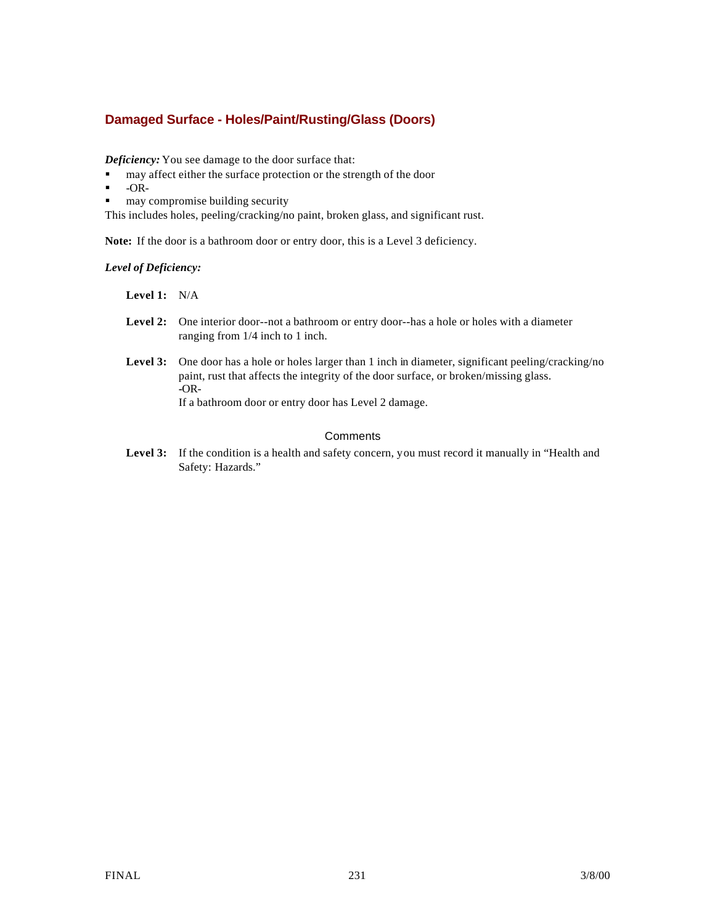## **Damaged Surface - Holes/Paint/Rusting/Glass (Doors)**

*Deficiency:* You see damage to the door surface that:

- $\blacksquare$  may affect either the surface protection or the strength of the door
- $\blacksquare$  -OR-
- $\blacksquare$  may compromise building security

This includes holes, peeling/cracking/no paint, broken glass, and significant rust.

**Note:** If the door is a bathroom door or entry door, this is a Level 3 deficiency.

*Level of Deficiency:*

**Level 1:** N/A

- **Level 2:** One interior door--not a bathroom or entry door--has a hole or holes with a diameter ranging from 1/4 inch to 1 inch.
- Level 3: One door has a hole or holes larger than 1 inch in diameter, significant peeling/cracking/no paint, rust that affects the integrity of the door surface, or broken/missing glass. **-**OR-

If a bathroom door or entry door has Level 2 damage.

### **Comments**

Level 3: If the condition is a health and safety concern, you must record it manually in "Health and Safety: Hazards."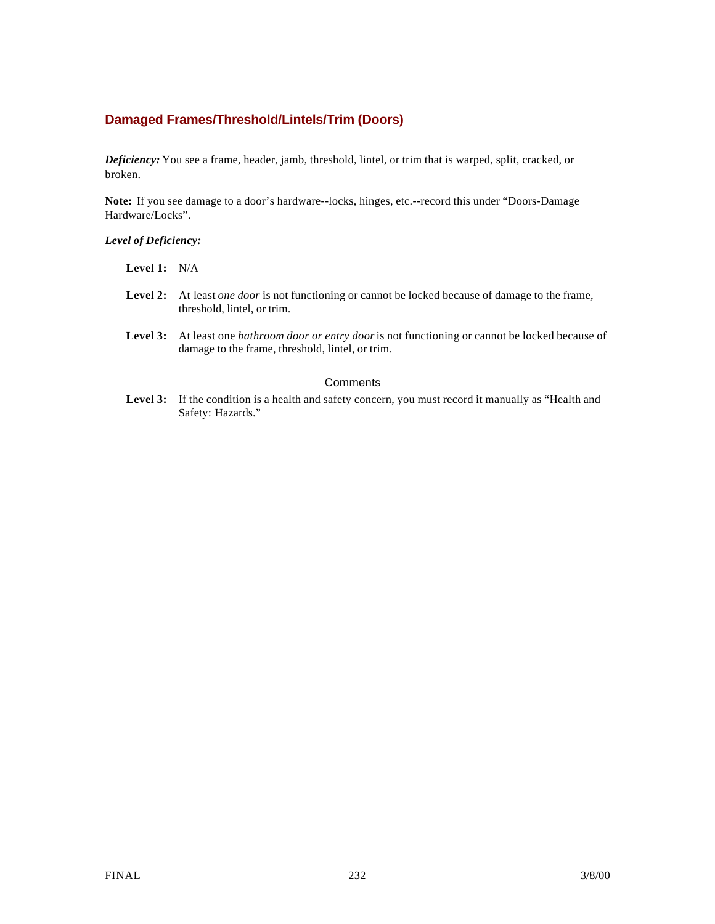### **Damaged Frames/Threshold/Lintels/Trim (Doors)**

*Deficiency:* You see a frame, header, jamb, threshold, lintel, or trim that is warped, split, cracked, or broken.

**Note:** If you see damage to a door's hardware--locks, hinges, etc.--record this under "Doors-Damage Hardware/Locks".

#### *Level of Deficiency:*

| Level 1: |  | N/A |
|----------|--|-----|
|----------|--|-----|

- **Level 2:** At least *one door* is not functioning or cannot be locked because of damage to the frame, threshold, lintel, or trim.
- **Level 3:** At least one *bathroom door or entry door* is not functioning or cannot be locked because of damage to the frame, threshold, lintel, or trim.

#### **Comments**

Level 3: If the condition is a health and safety concern, you must record it manually as "Health and Safety: Hazards."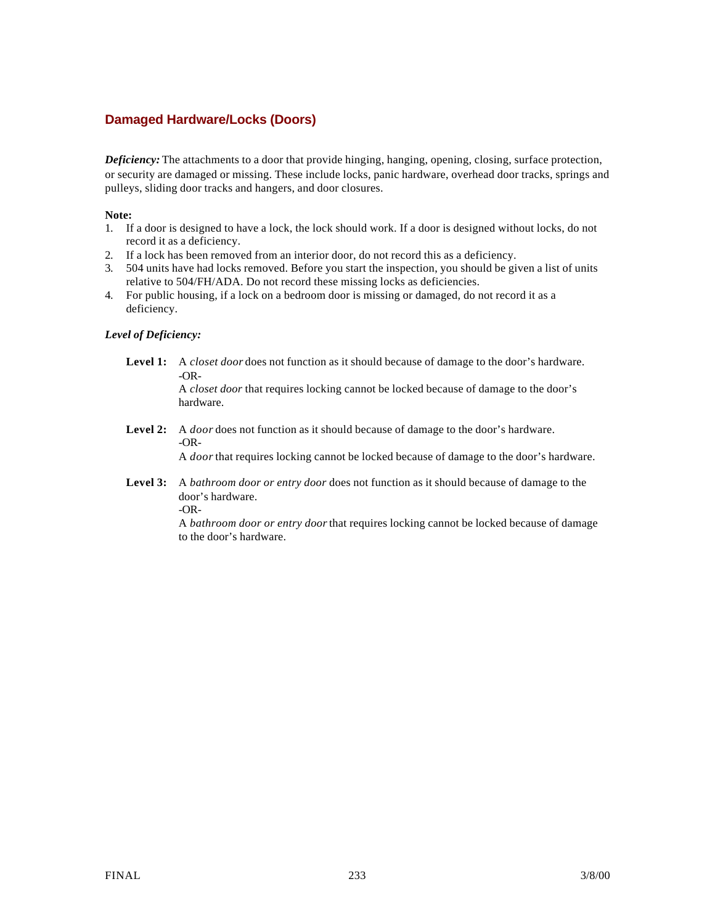## **Damaged Hardware/Locks (Doors)**

*Deficiency:* The attachments to a door that provide hinging, hanging, opening, closing, surface protection, or security are damaged or missing. These include locks, panic hardware, overhead door tracks, springs and pulleys, sliding door tracks and hangers, and door closures.

#### **Note:**

- 1. If a door is designed to have a lock, the lock should work. If a door is designed without locks, do not record it as a deficiency.
- 2. If a lock has been removed from an interior door, do not record this as a deficiency.
- 3. 504 units have had locks removed. Before you start the inspection, you should be given a list of units relative to 504/FH/ADA. Do not record these missing locks as deficiencies.
- 4. For public housing, if a lock on a bedroom door is missing or damaged, do not record it as a deficiency.

### *Level of Deficiency:*

**Level 1:** A *closet door* does not function as it should because of damage to the door's hardware. -OR-

> A *closet door* that requires locking cannot be locked because of damage to the door's hardware.

**Level 2:** A *door* does not function as it should because of damage to the door's hardware. -OR-

A *door* that requires locking cannot be locked because of damage to the door's hardware.

**Level 3:** A *bathroom door or entry door* does not function as it should because of damage to the door's hardware. -OR-

> A *bathroom door or entry door* that requires locking cannot be locked because of damage to the door's hardware.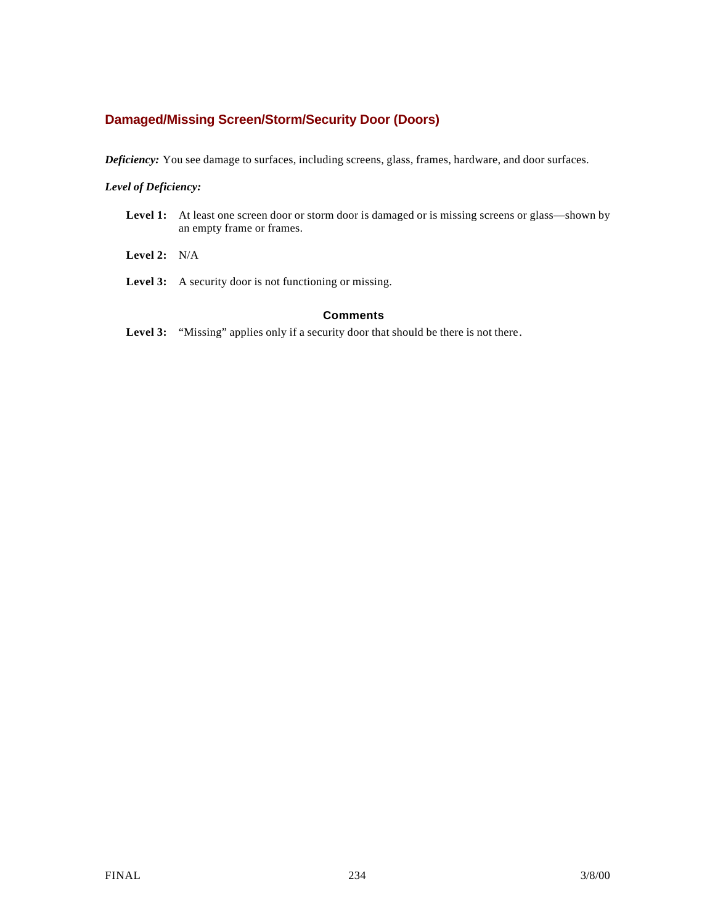## **Damaged/Missing Screen/Storm/Security Door (Doors)**

*Deficiency:* You see damage to surfaces, including screens, glass, frames, hardware, and door surfaces.

### *Level of Deficiency:*

- Level 1: At least one screen door or storm door is damaged or is missing screens or glass—shown by an empty frame or frames.
- **Level 2:** N/A
- Level 3: A security door is not functioning or missing.

### **Comments**

Level 3: "Missing" applies only if a security door that should be there is not there.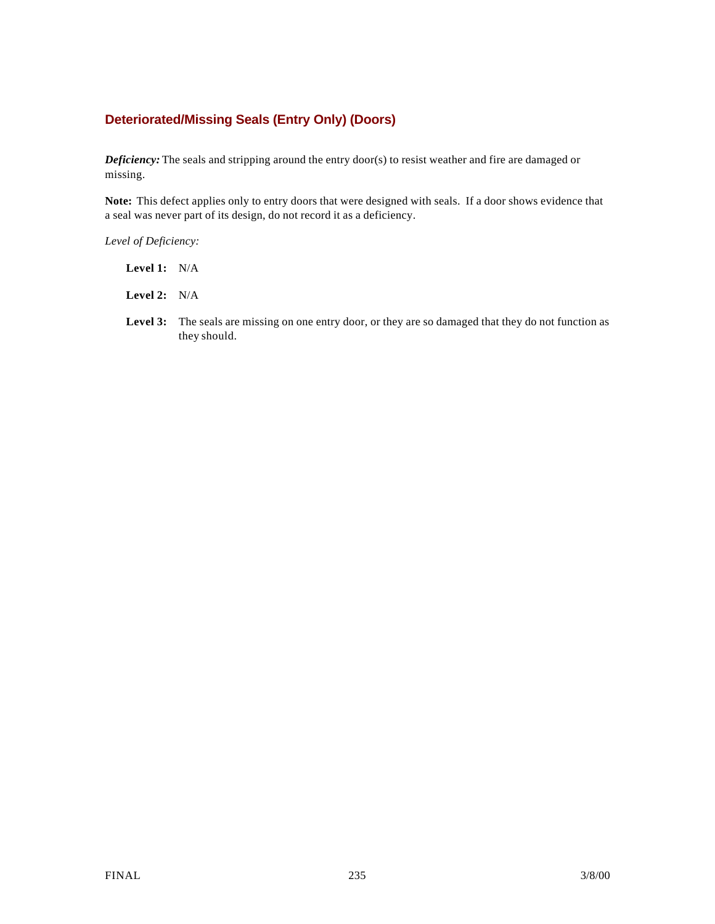## **Deteriorated/Missing Seals (Entry Only) (Doors)**

*Deficiency:* The seals and stripping around the entry door(s) to resist weather and fire are damaged or missing.

**Note:** This defect applies only to entry doors that were designed with seals. If a door shows evidence that a seal was never part of its design, do not record it as a deficiency.

*Level of Deficiency:*

- **Level 1:** N/A
- **Level 2:** N/A
- Level 3: The seals are missing on one entry door, or they are so damaged that they do not function as they should.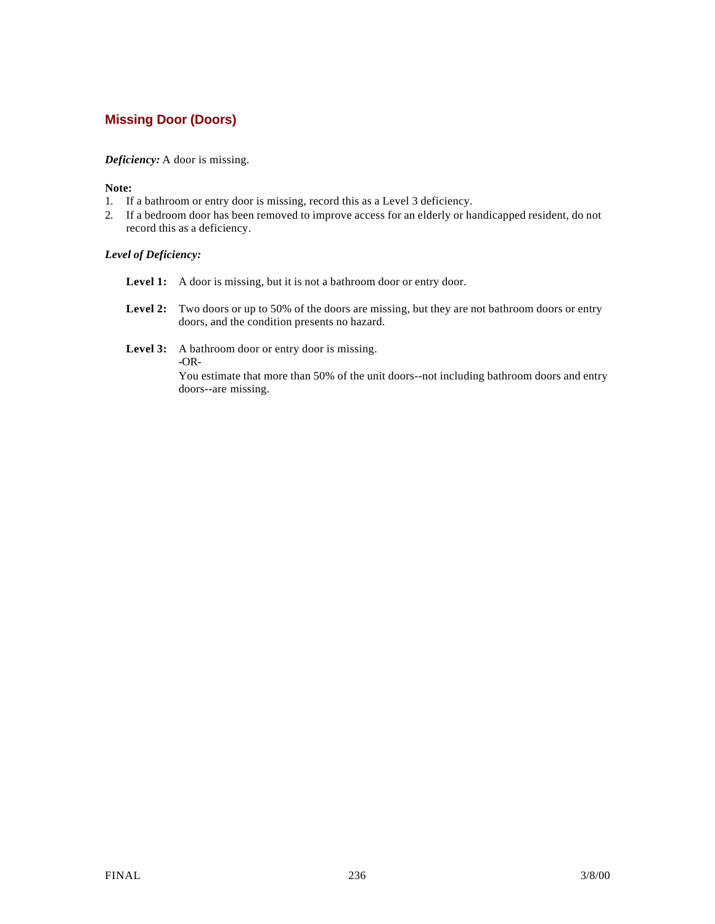## **Missing Door (Doors)**

### *Deficiency:* A door is missing.

#### **Note:**

- 1. If a bathroom or entry door is missing, record this as a Level 3 deficiency.
- 2. If a bedroom door has been removed to improve access for an elderly or handicapped resident, do not record this as a deficiency.

### *Level of Deficiency:*

- Level 1: A door is missing, but it is not a bathroom door or entry door.
- Level 2: Two doors or up to 50% of the doors are missing, but they are not bathroom doors or entry doors, and the condition presents no hazard.
- Level 3: A bathroom door or entry door is missing.

**-**OR-

You estimate that more than 50% of the unit doors--not including bathroom doors and entry doors--are missing.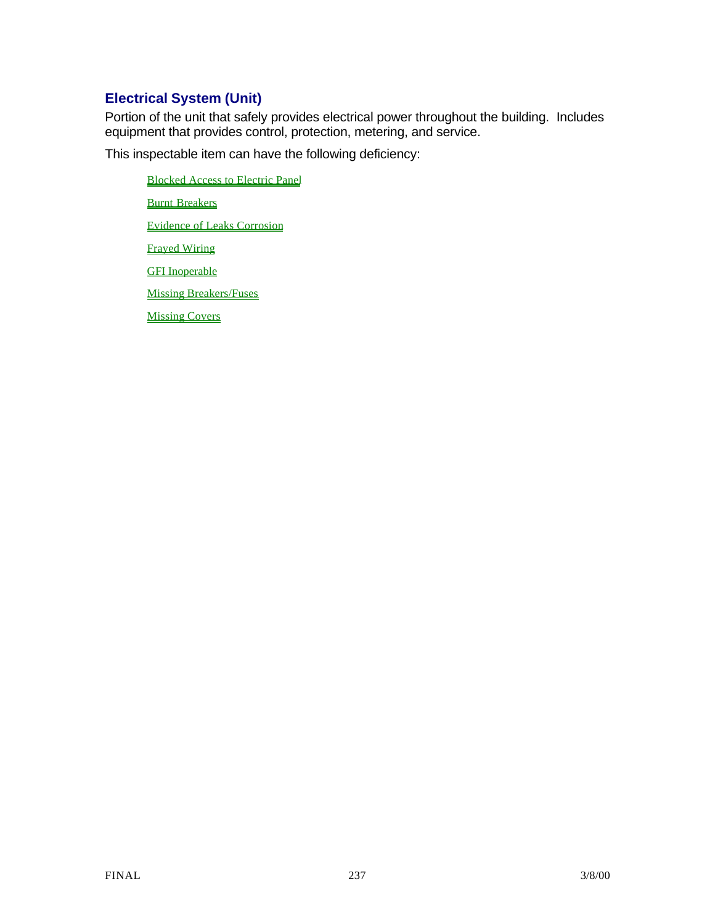# **Electrical System (Unit)**

Portion of the unit that safely provides electrical power throughout the building. Includes equipment that provides control, protection, metering, and service.

This inspectable item can have the following deficiency:

Blocked Access to Electric Panel **Burnt Breakers** Evidence of Leaks Corrosion Frayed Wiring **GFI** Inoperable Missing Breakers/Fuses Missing Covers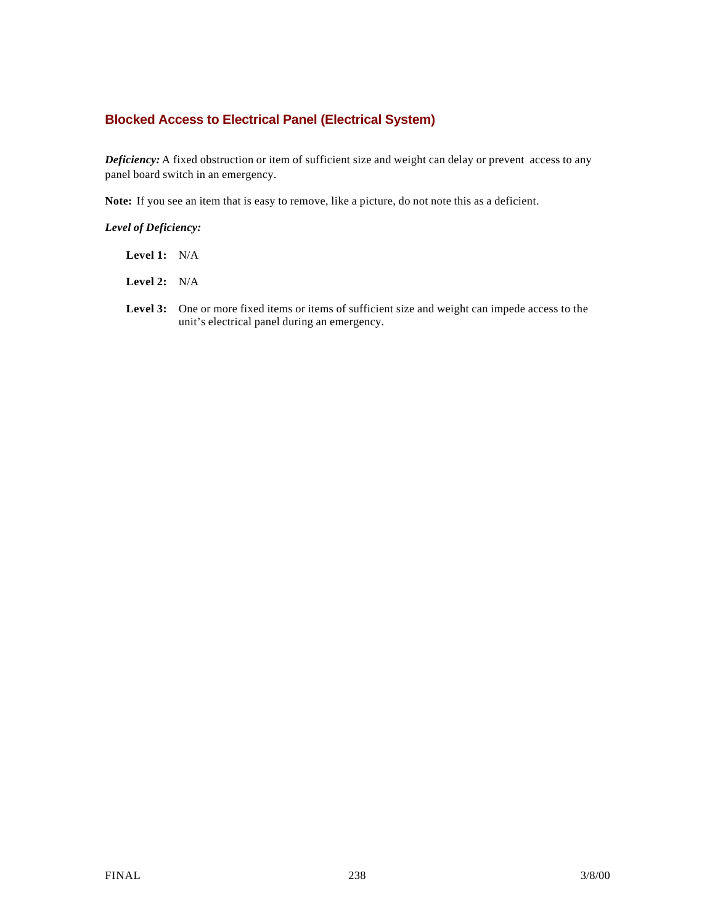## **Blocked Access to Electrical Panel (Electrical System)**

*Deficiency:* A fixed obstruction or item of sufficient size and weight can delay or prevent access to any panel board switch in an emergency.

**Note:** If you see an item that is easy to remove, like a picture, do not note this as a deficient.

*Level of Deficiency:*

- **Level 1:** N/A
- **Level 2:** N/A
- Level 3: One or more fixed items or items of sufficient size and weight can impede access to the unit's electrical panel during an emergency.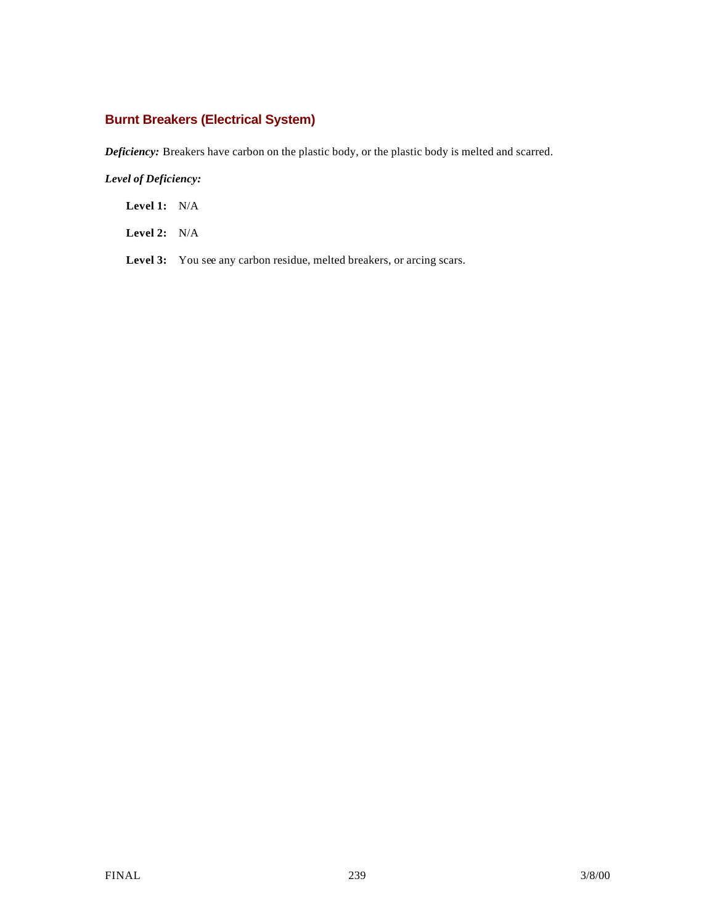# **Burnt Breakers (Electrical System)**

*Deficiency:* Breakers have carbon on the plastic body, or the plastic body is melted and scarred.

### *Level of Deficiency:*

**Level 1:** N/A

**Level 2:** N/A

Level 3: You see any carbon residue, melted breakers, or arcing scars.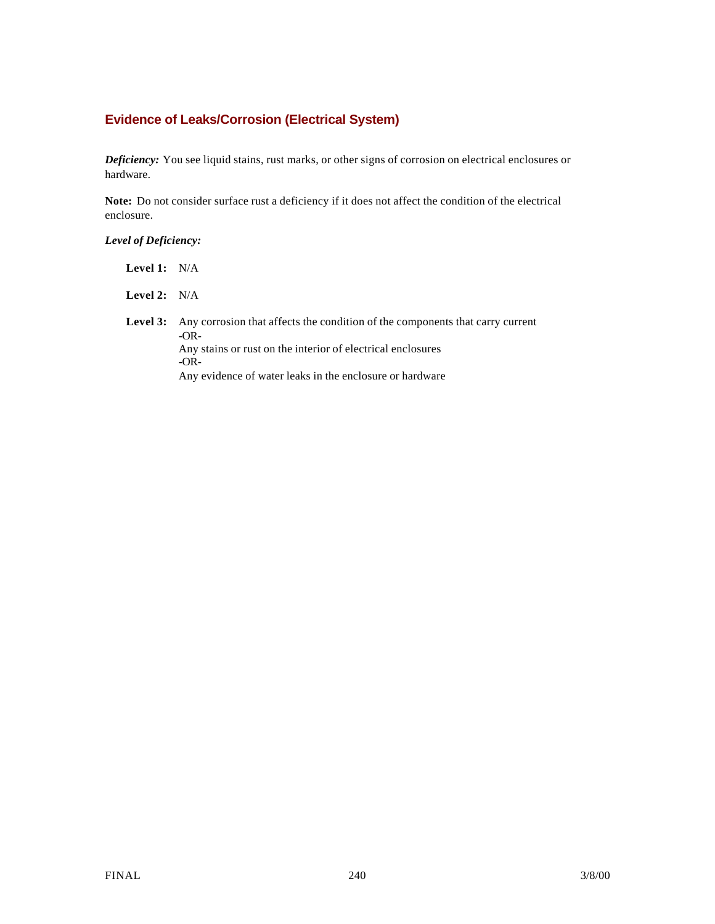## **Evidence of Leaks/Corrosion (Electrical System)**

*Deficiency:* You see liquid stains, rust marks, or other signs of corrosion on electrical enclosures or hardware.

**Note:** Do not consider surface rust a deficiency if it does not affect the condition of the electrical enclosure.

*Level of Deficiency:*

| Level 1: $N/A$ |                                                                                                                                                                                                                              |
|----------------|------------------------------------------------------------------------------------------------------------------------------------------------------------------------------------------------------------------------------|
| Level 2: $N/A$ |                                                                                                                                                                                                                              |
| Level 3:       | Any corrosion that affects the condition of the components that carry current<br>$-OR-$<br>Any stains or rust on the interior of electrical enclosures<br>$-OR-$<br>Any evidence of water leaks in the enclosure or hardware |
|                |                                                                                                                                                                                                                              |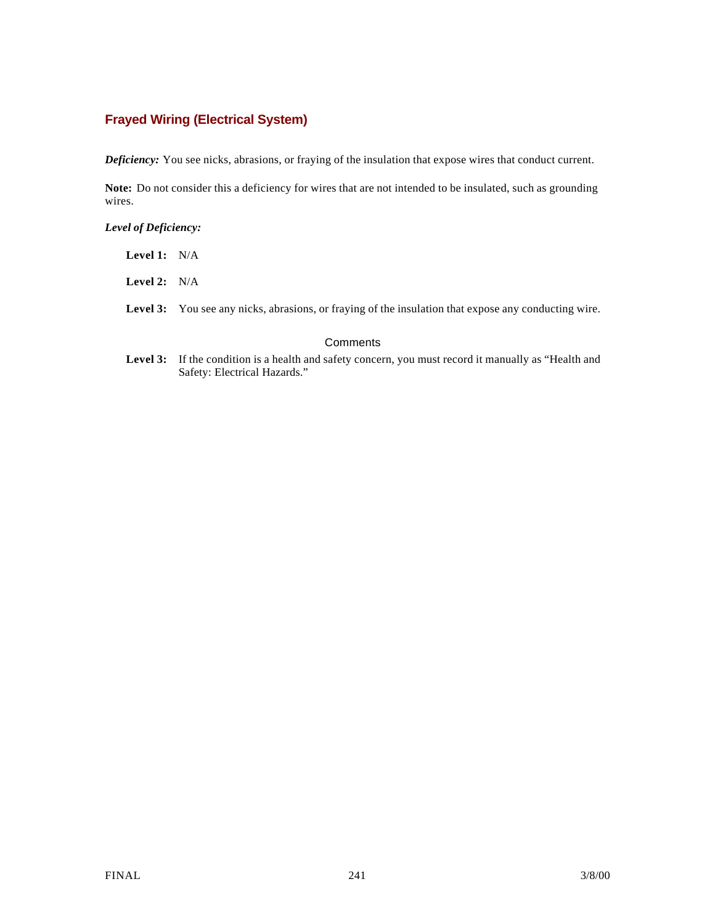## **Frayed Wiring (Electrical System)**

*Deficiency:* You see nicks, abrasions, or fraying of the insulation that expose wires that conduct current.

**Note:** Do not consider this a deficiency for wires that are not intended to be insulated, such as grounding wires.

### *Level of Deficiency:*

| <b>Level 1:</b> $N/A$ |  |
|-----------------------|--|
| <b>Level 2:</b> $N/A$ |  |
| Level 3: You          |  |

#### **Comments**

Level 3: If the condition is a health and safety concern, you must record it manually as "Health and Safety: Electrical Hazards."

see any nicks, abrasions, or fraying of the insulation that expose any conducting wire.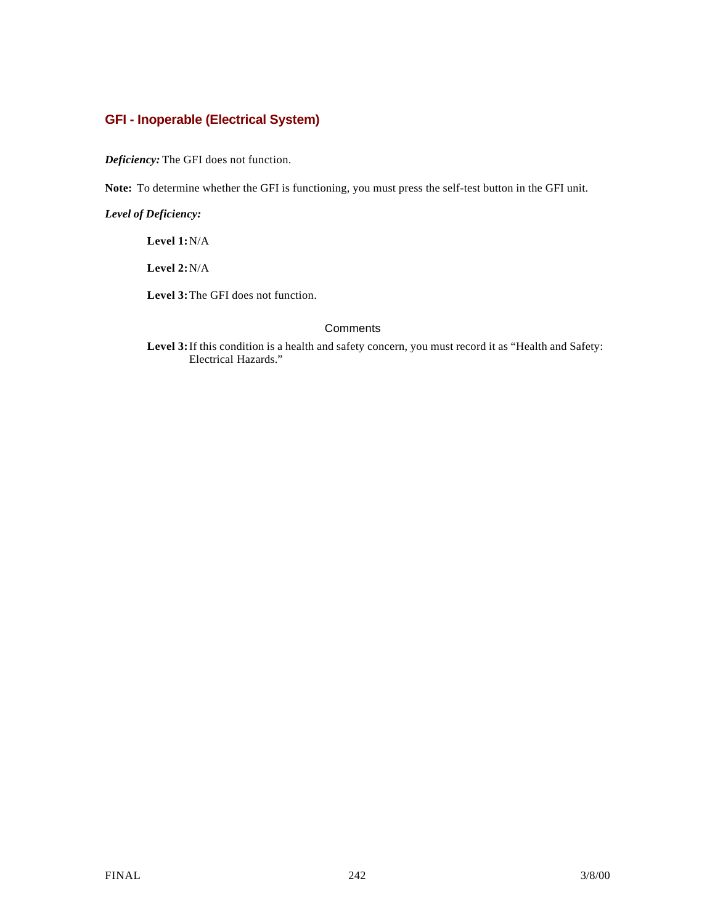## **GFI - Inoperable (Electrical System)**

*Deficiency:* The GFI does not function.

**Note:** To determine whether the GFI is functioning, you must press the self-test button in the GFI unit.

*Level of Deficiency:*

**Level 1:**N/A

**Level 2:**N/A

**Level 3:**The GFI does not function.

### **Comments**

**Level 3:**If this condition is a health and safety concern, you must record it as "Health and Safety: Electrical Hazards."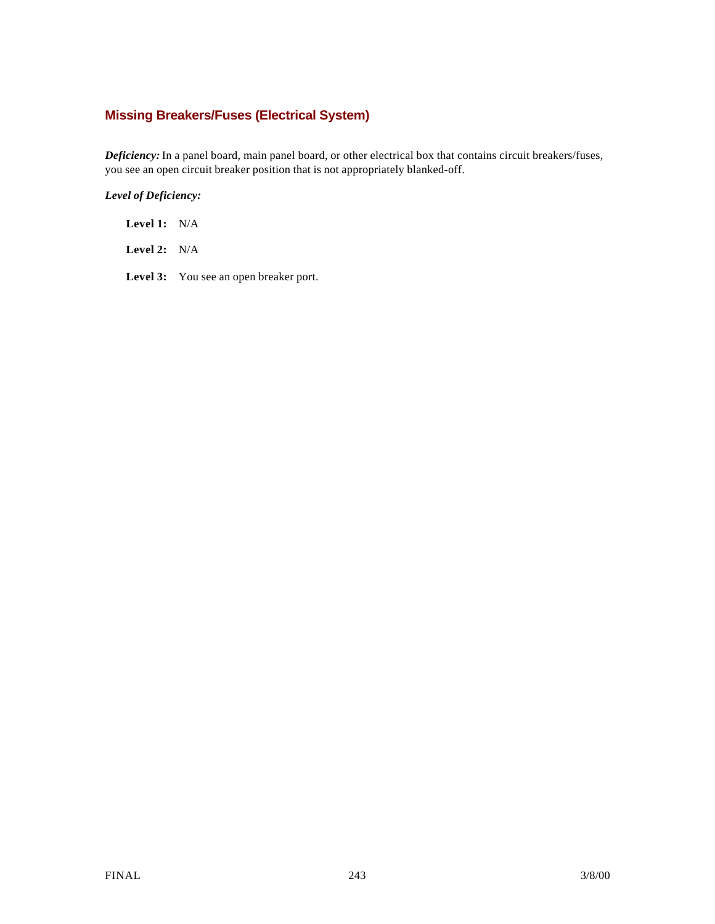## **Missing Breakers/Fuses (Electrical System)**

*Deficiency:* In a panel board, main panel board, or other electrical box that contains circuit breakers/fuses, you see an open circuit breaker position that is not appropriately blanked-off.

### *Level of Deficiency:*

**Level 1:** N/A

**Level 2:** N/A

Level 3: You see an open breaker port.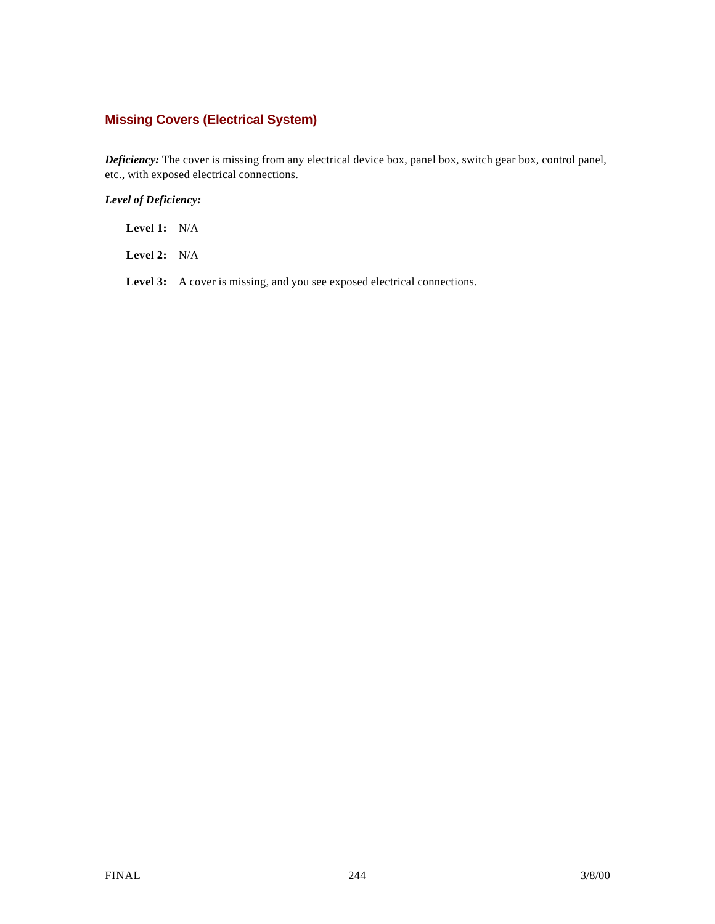# **Missing Covers (Electrical System)**

*Deficiency:* The cover is missing from any electrical device box, panel box, switch gear box, control panel, etc., with exposed electrical connections.

### *Level of Deficiency:*

**Level 1:** N/A

**Level 2:** N/A

Level 3: A cover is missing, and you see exposed electrical connections.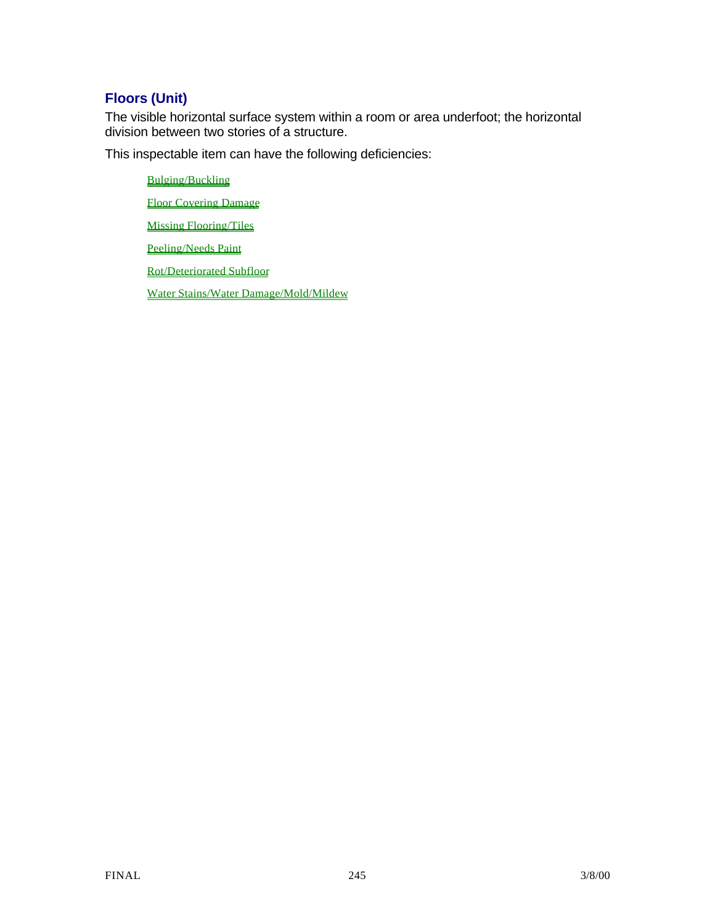# **Floors (Unit)**

The visible horizontal surface system within a room or area underfoot; the horizontal division between two stories of a structure.

This inspectable item can have the following deficiencies:

Bulging/Buckling Floor Covering Damage Missing Flooring/Tiles Peeling/Needs Paint Rot/Deteriorated Subfloor Water Stains/Water Damage/Mold/Mildew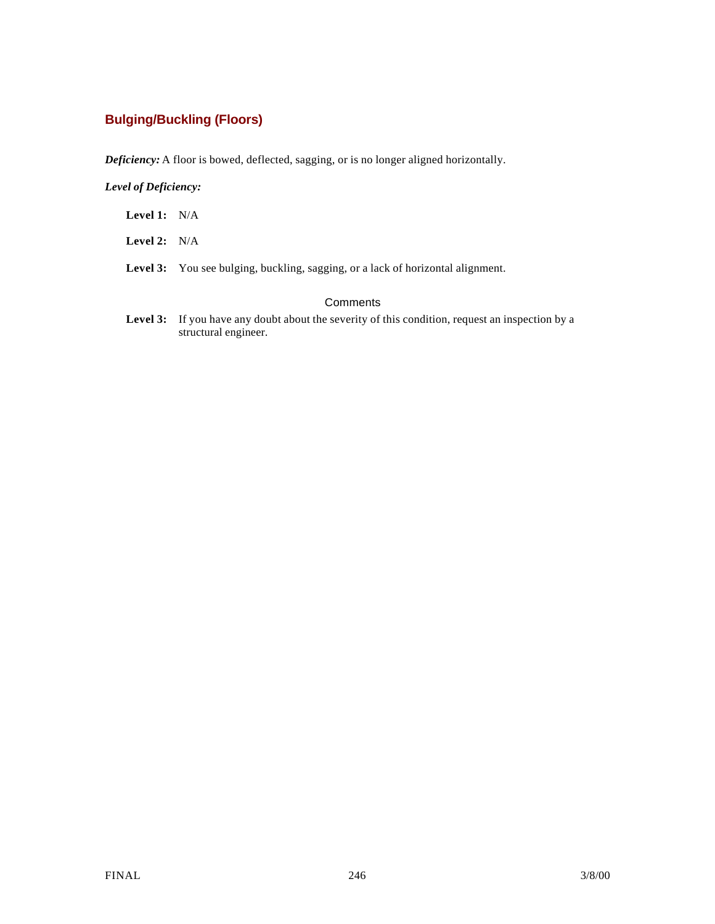# **Bulging/Buckling (Floors)**

*Deficiency:* A floor is bowed, deflected, sagging, or is no longer aligned horizontally.

### *Level of Deficiency:*

- **Level 1:** N/A
- **Level 2:** N/A
- Level 3: You see bulging, buckling, sagging, or a lack of horizontal alignment.

### **Comments**

Level 3: If you have any doubt about the severity of this condition, request an inspection by a structural engineer.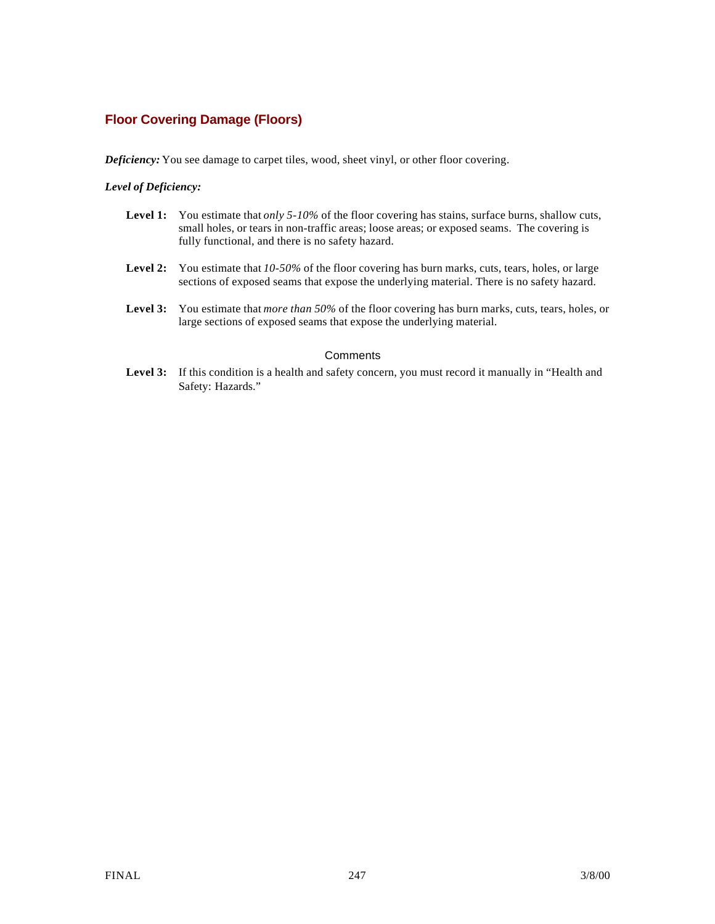## **Floor Covering Damage (Floors)**

*Deficiency:* You see damage to carpet tiles, wood, sheet vinyl, or other floor covering.

### *Level of Deficiency:*

- **Level 1:** You estimate that *only 5-10%* of the floor covering has stains, surface burns, shallow cuts, small holes, or tears in non-traffic areas; loose areas; or exposed seams. The covering is fully functional, and there is no safety hazard.
- **Level 2:** You estimate that *10-50%* of the floor covering has burn marks, cuts, tears, holes, or large sections of exposed seams that expose the underlying material. There is no safety hazard.
- **Level 3:** You estimate that *more than 50%* of the floor covering has burn marks, cuts, tears, holes, or large sections of exposed seams that expose the underlying material.

### **Comments**

Level 3: If this condition is a health and safety concern, you must record it manually in "Health and Safety: Hazards."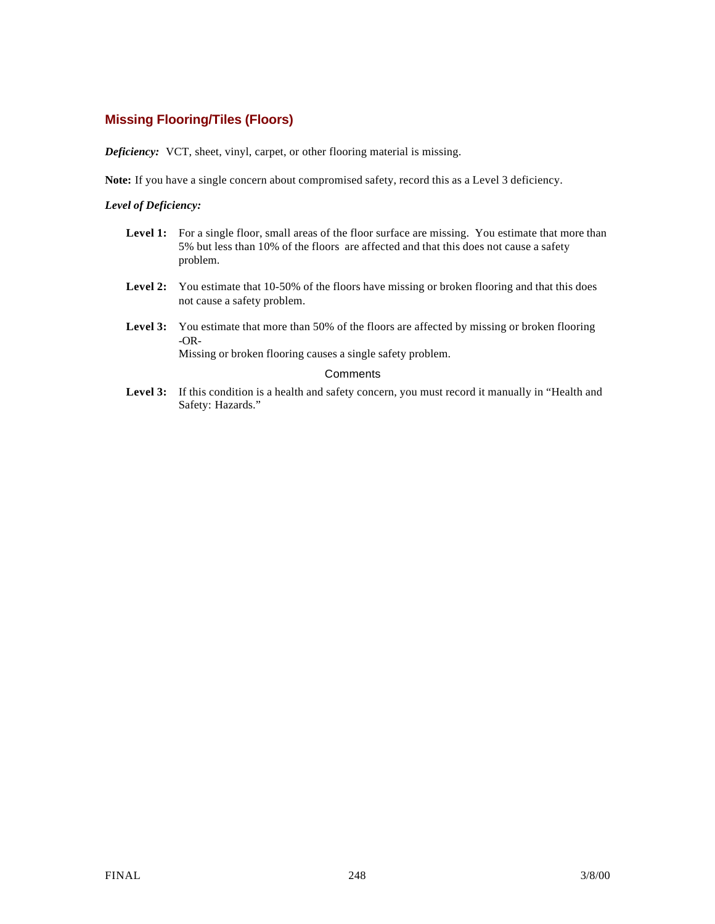## **Missing Flooring/Tiles (Floors)**

*Deficiency:* VCT, sheet, vinyl, carpet, or other flooring material is missing.

**Note:** If you have a single concern about compromised safety, record this as a Level 3 deficiency.

### *Level of Deficiency:*

- Level 1: For a single floor, small areas of the floor surface are missing. You estimate that more than 5% but less than 10% of the floors are affected and that this does not cause a safety problem.
- Level 2: You estimate that 10-50% of the floors have missing or broken flooring and that this does not cause a safety problem.
- **Level 3:** You estimate that more than 50% of the floors are affected by missing or broken flooring -OR-

Missing or broken flooring causes a single safety problem.

### **Comments**

Level 3: If this condition is a health and safety concern, you must record it manually in "Health and Safety: Hazards."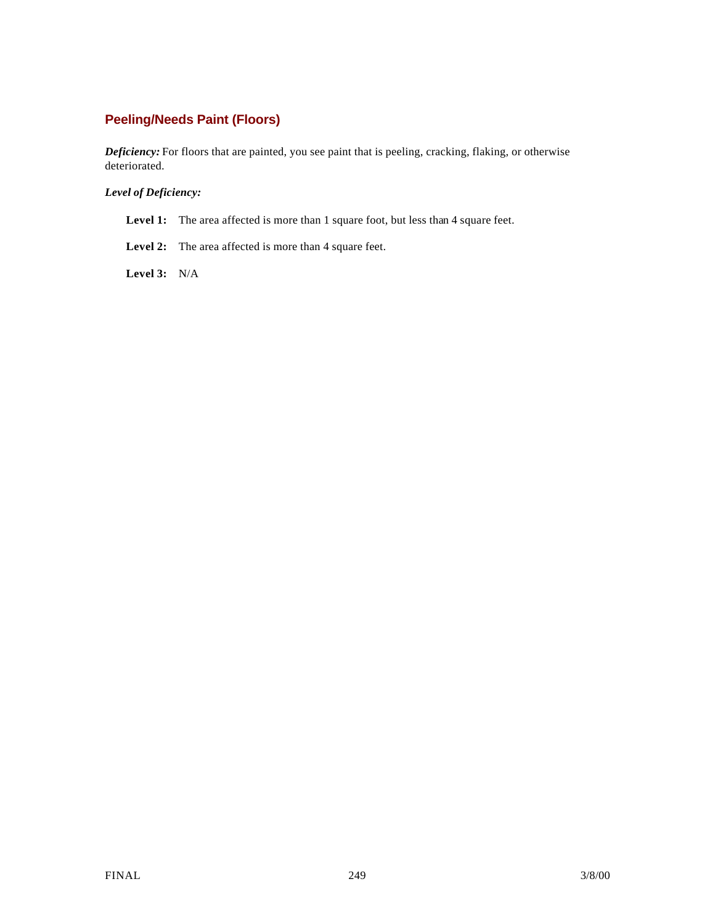## **Peeling/Needs Paint (Floors)**

*Deficiency:* For floors that are painted, you see paint that is peeling, cracking, flaking, or otherwise deteriorated.

*Level of Deficiency:*

Level 1: The area affected is more than 1 square foot, but less than 4 square feet.

Level 2: The area affected is more than 4 square feet.

**Level 3:** N/A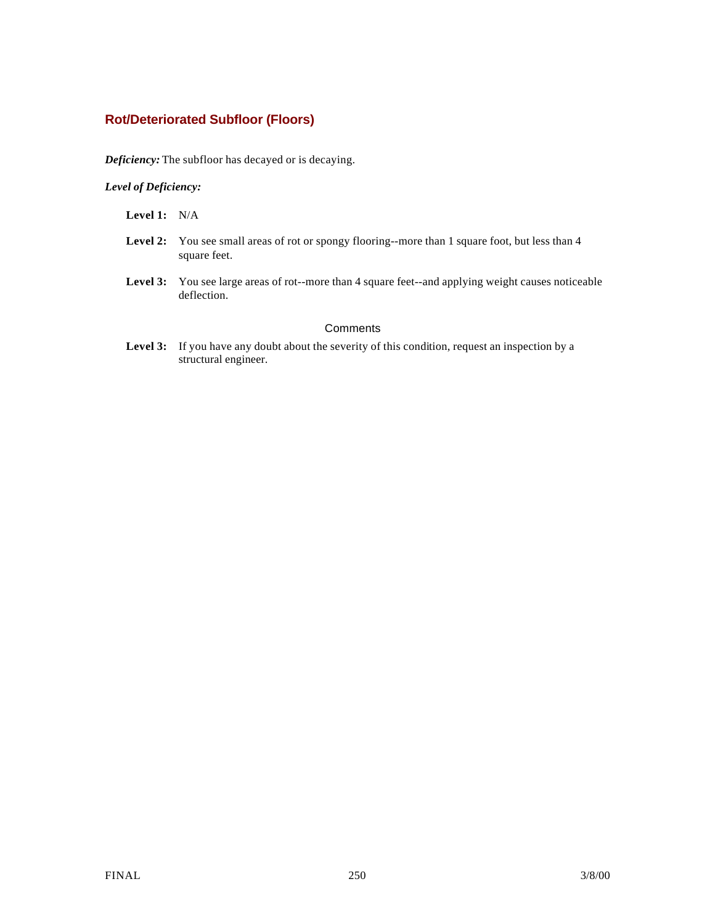## **Rot/Deteriorated Subfloor (Floors)**

*Deficiency:* The subfloor has decayed or is decaying.

*Level of Deficiency:*

**Level 1:** N/A

- Level 2: You see small areas of rot or spongy flooring--more than 1 square foot, but less than 4 square feet.
- Level 3: You see large areas of rot--more than 4 square feet--and applying weight causes noticeable deflection.

### **Comments**

Level 3: If you have any doubt about the severity of this condition, request an inspection by a structural engineer.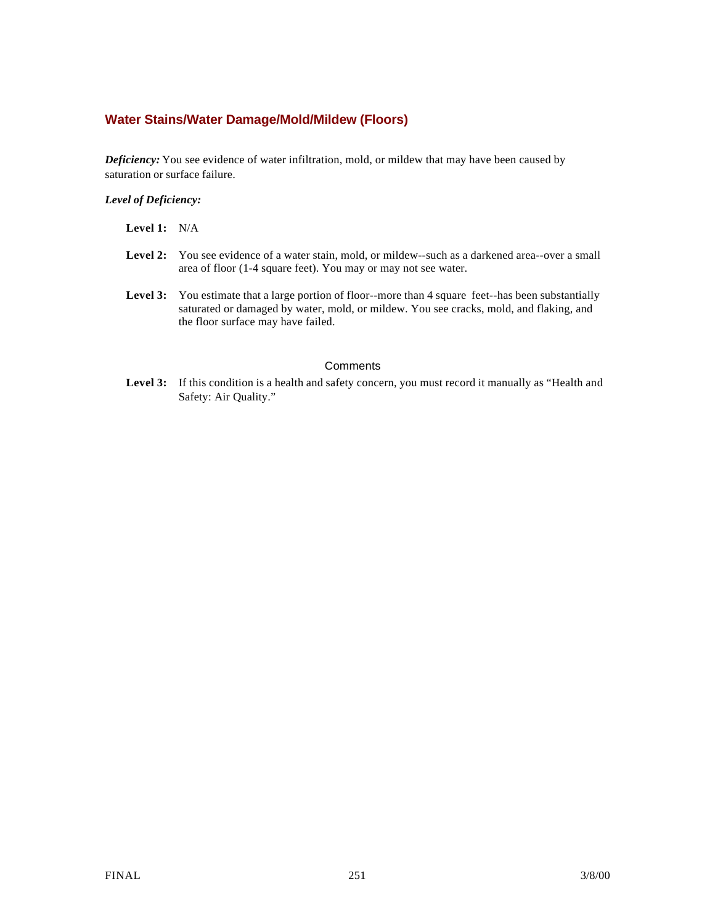## **Water Stains/Water Damage/Mold/Mildew (Floors)**

*Deficiency:* You see evidence of water infiltration, mold, or mildew that may have been caused by saturation or surface failure.

### *Level of Deficiency:*

| <b>Level 1:</b> $N/A$ |                                                                                                                                                                                                                                             |
|-----------------------|---------------------------------------------------------------------------------------------------------------------------------------------------------------------------------------------------------------------------------------------|
|                       | <b>Level 2:</b> You see evidence of a water stain, mold, or mildew-such as a darkened area--over a small<br>area of floor (1-4 square feet). You may or may not see water.                                                                  |
|                       | <b>Level 3:</b> You estimate that a large portion of floor--more than 4 square feet--has been substantially<br>saturated or damaged by water, mold, or mildew. You see cracks, mold, and flaking, and<br>the floor surface may have failed. |

### **Comments**

Level 3: If this condition is a health and safety concern, you must record it manually as "Health and Safety: Air Quality."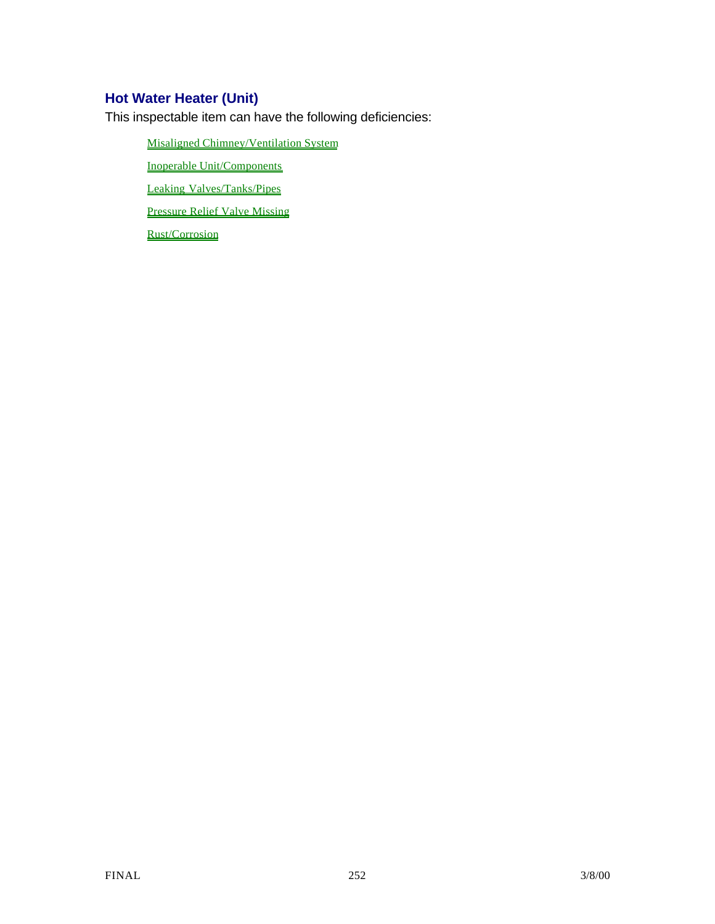# **Hot Water Heater (Unit)**

This inspectable item can have the following deficiencies:

Misaligned Chimney/Ventilation System

Inoperable Unit/Components

Leaking Valves/Tanks/Pipes

Pressure Relief Valve Missing

Rust/Corrosion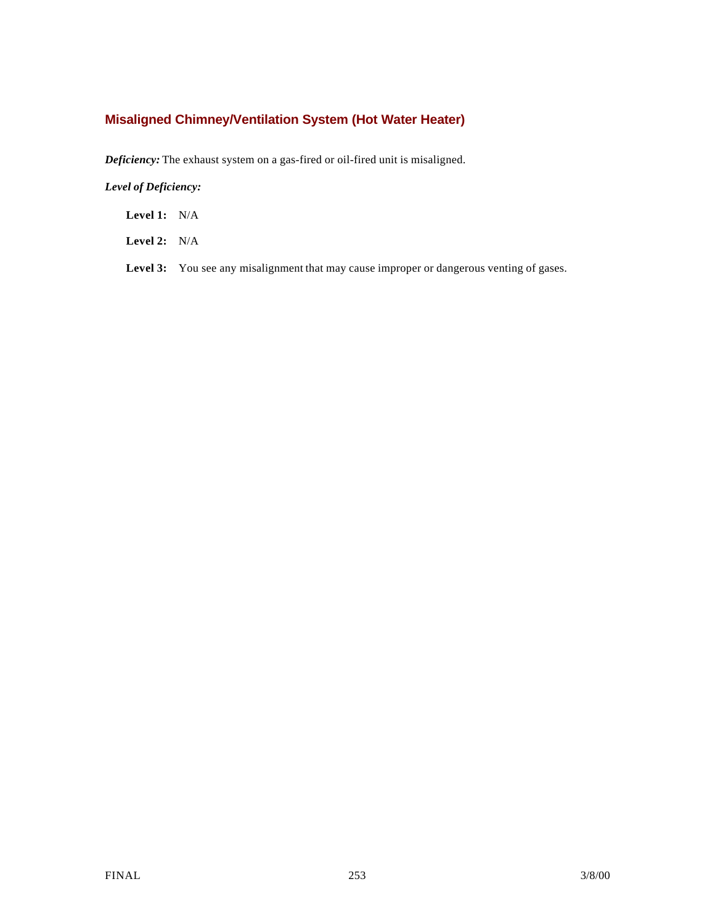## **Misaligned Chimney/Ventilation System (Hot Water Heater)**

*Deficiency:* The exhaust system on a gas-fired or oil-fired unit is misaligned.

*Level of Deficiency:*

**Level 1:** N/A

**Level 2:** N/A

Level 3: You see any misalignment that may cause improper or dangerous venting of gases.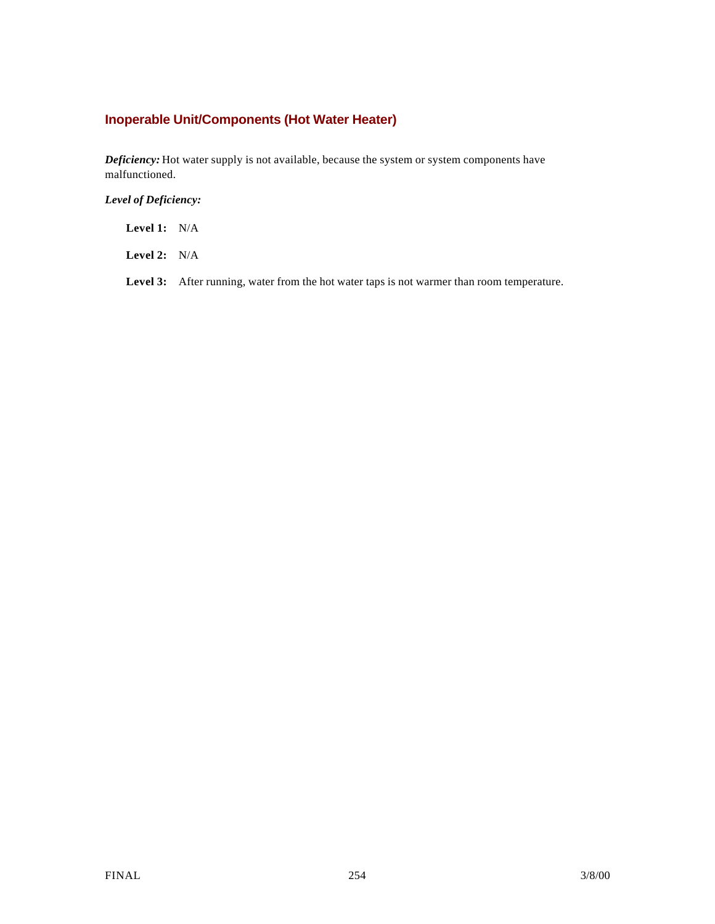## **Inoperable Unit/Components (Hot Water Heater)**

*Deficiency:* Hot water supply is not available, because the system or system components have malfunctioned.

*Level of Deficiency:*

**Level 1:** N/A

**Level 2:** N/A

Level 3: After running, water from the hot water taps is not warmer than room temperature.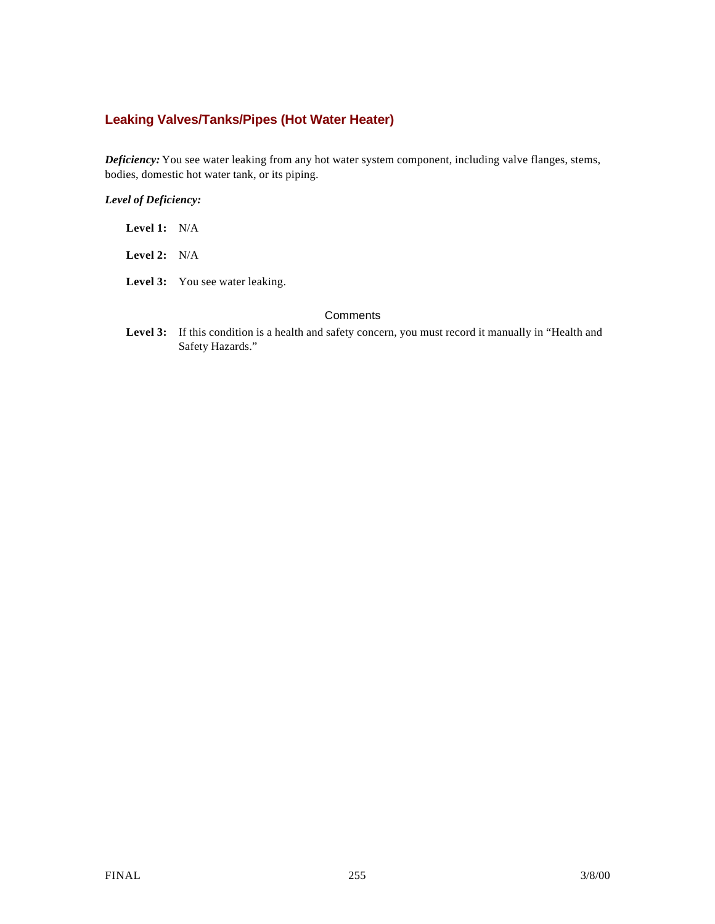## **Leaking Valves/Tanks/Pipes (Hot Water Heater)**

*Deficiency:* You see water leaking from any hot water system component, including valve flanges, stems, bodies, domestic hot water tank, or its piping.

#### *Level of Deficiency:*

| <b>Level 1:</b> $N/A$ |                                        |
|-----------------------|----------------------------------------|
| <b>Level 2:</b> $N/A$ |                                        |
|                       | <b>Level 3:</b> You see water leaking. |

#### **Comments**

Level 3: If this condition is a health and safety concern, you must record it manually in "Health and Safety Hazards."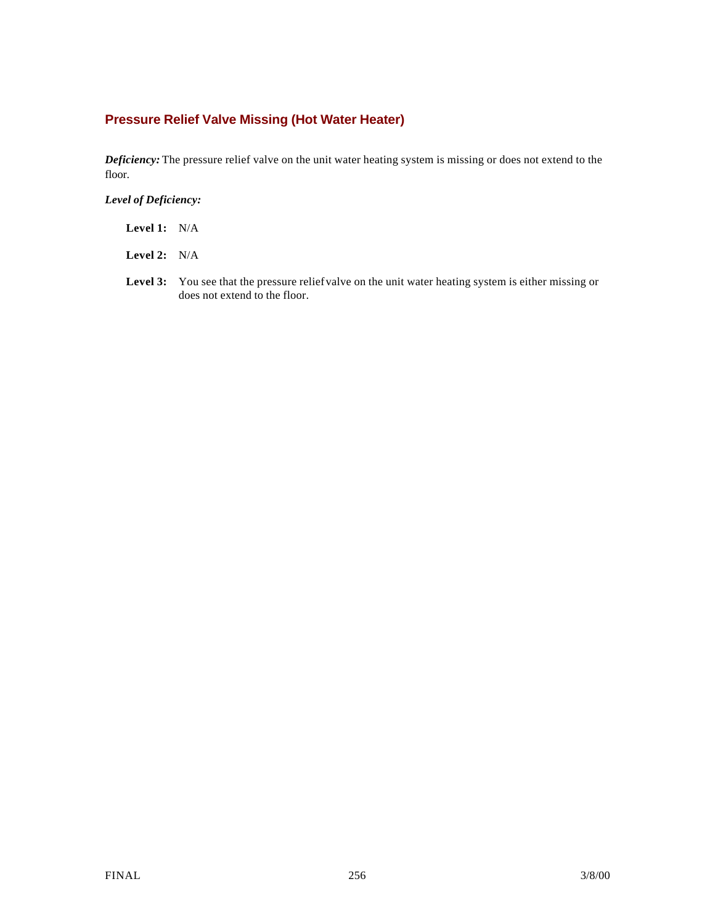## **Pressure Relief Valve Missing (Hot Water Heater)**

*Deficiency:* The pressure relief valve on the unit water heating system is missing or does not extend to the floor.

| Level 1: | N/A |
|----------|-----|
|          |     |
|          |     |
|          |     |
|          |     |
|          |     |
|          |     |
|          |     |
|          |     |
|          |     |
|          |     |
|          |     |
|          |     |
|          |     |
|          |     |

- **Level 2:** N/A
- Level 3: You see that the pressure relief valve on the unit water heating system is either missing or does not extend to the floor.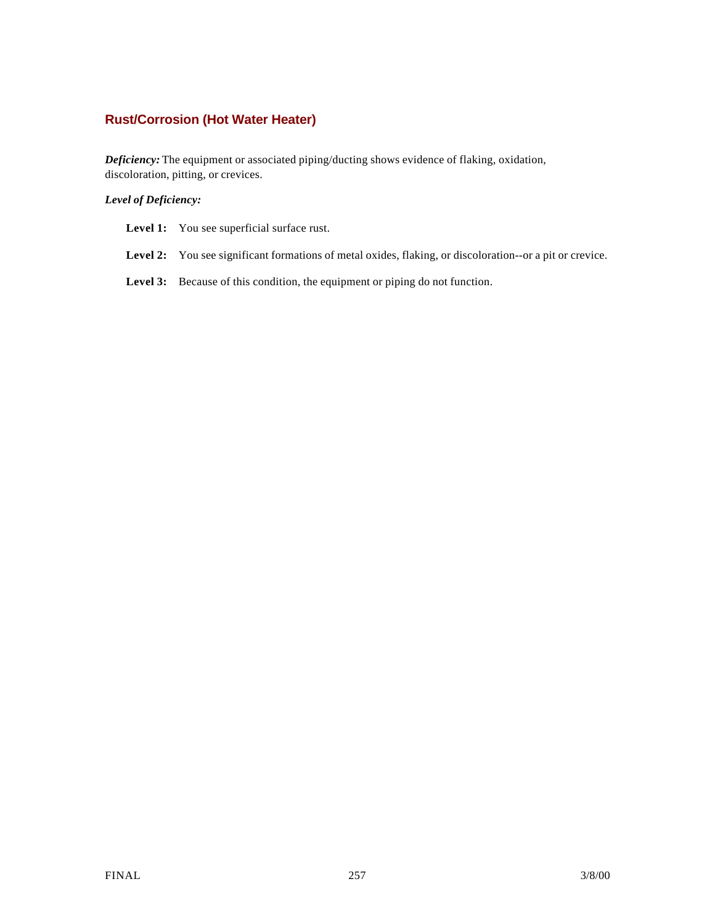### **Rust/Corrosion (Hot Water Heater)**

*Deficiency:* The equipment or associated piping/ducting shows evidence of flaking, oxidation, discoloration, pitting, or crevices.

| <b>Level 1:</b> You see superficial surface rust. |  |
|---------------------------------------------------|--|
|                                                   |  |

- Level 2: You see significant formations of metal oxides, flaking, or discoloration--or a pit or crevice.
- Level 3: Because of this condition, the equipment or piping do not function.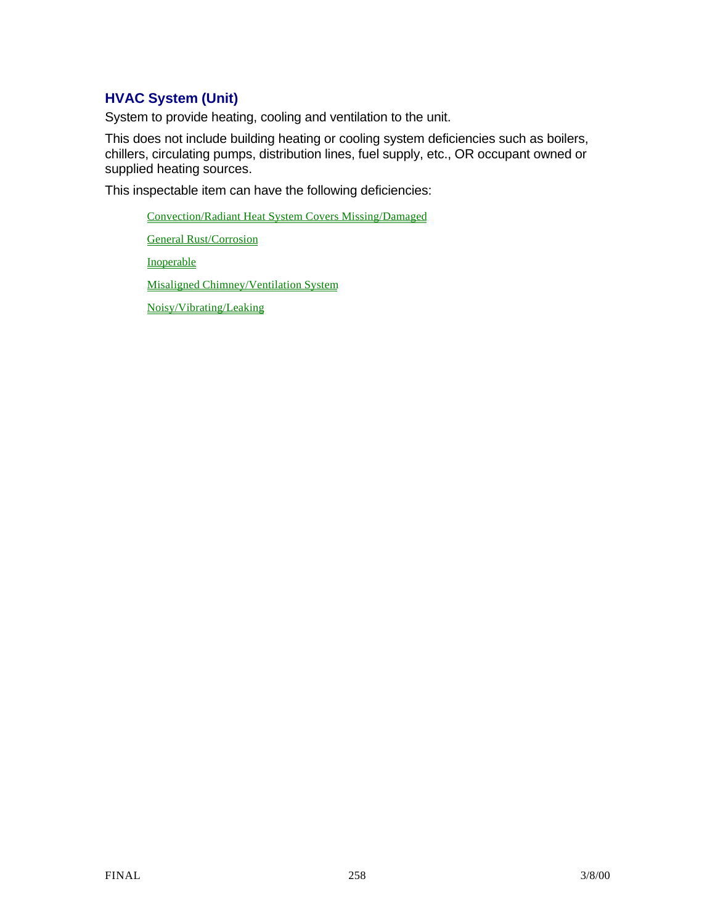# **HVAC System (Unit)**

System to provide heating, cooling and ventilation to the unit.

This does not include building heating or cooling system deficiencies such as boilers, chillers, circulating pumps, distribution lines, fuel supply, etc., OR occupant owned or supplied heating sources.

This inspectable item can have the following deficiencies:

Convection/Radiant Heat System Covers Missing/Damaged General Rust/Corrosion

Inoperable

Misaligned Chimney/Ventilation System

Noisy/Vibrating/Leaking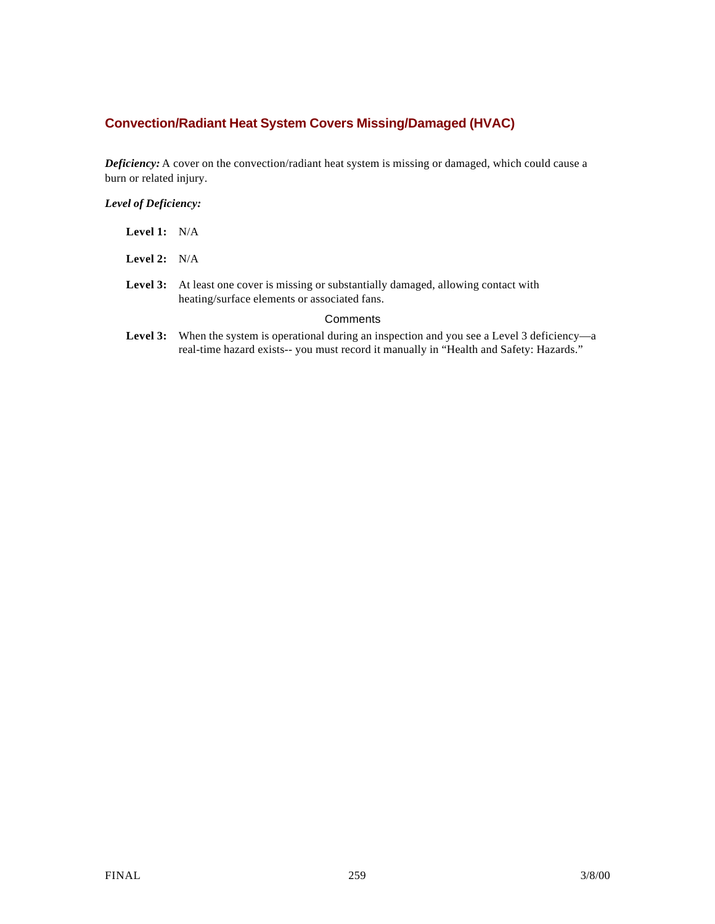## **Convection/Radiant Heat System Covers Missing/Damaged (HVAC)**

*Deficiency:* A cover on the convection/radiant heat system is missing or damaged, which could cause a burn or related injury.

*Level of Deficiency:*

| <b>Level 1:</b> $N/A$ |                                                                                                                                               |
|-----------------------|-----------------------------------------------------------------------------------------------------------------------------------------------|
| Level 2: $N/A$        |                                                                                                                                               |
|                       | <b>Level 3:</b> At least one cover is missing or substantially damaged, allowing contact with<br>heating/surface elements or associated fans. |
|                       | Comments                                                                                                                                      |
|                       | <b>Level 3:</b> When the system is operational during an inspection and you see a Level 3 dependent                                           |

Level 3: When the system is operational during an inspection and you see a Level 3 deficiency—a real-time hazard exists-- you must record it manually in "Health and Safety: Hazards."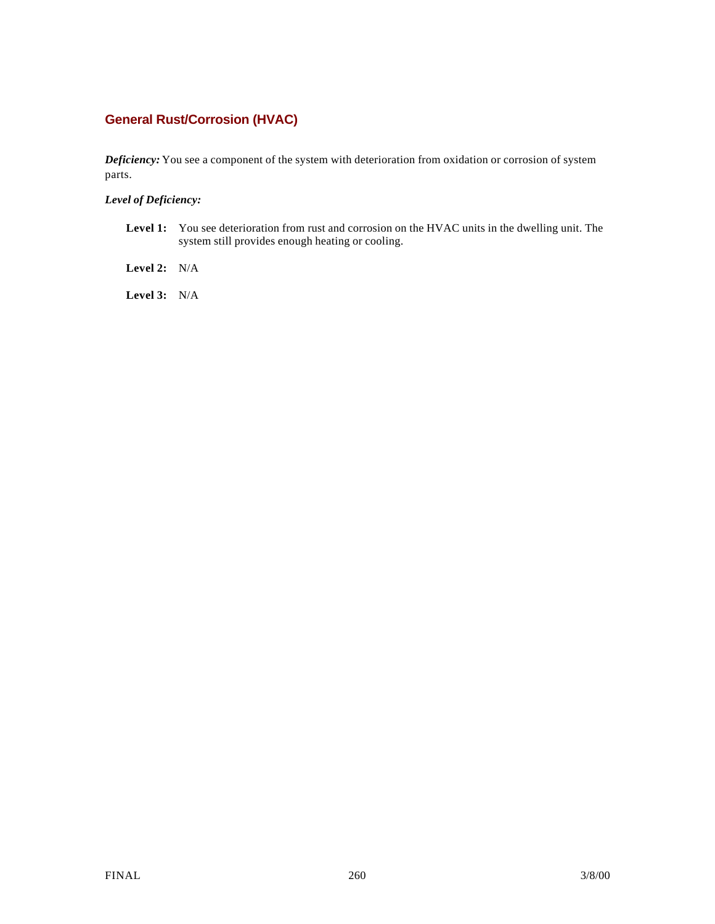## **General Rust/Corrosion (HVAC)**

*Deficiency:* You see a component of the system with deterioration from oxidation or corrosion of system parts.

#### *Level of Deficiency:*

- Level 1: You see deterioration from rust and corrosion on the HVAC units in the dwelling unit. The system still provides enough heating or cooling.
- **Level 2:** N/A

**Level 3:** N/A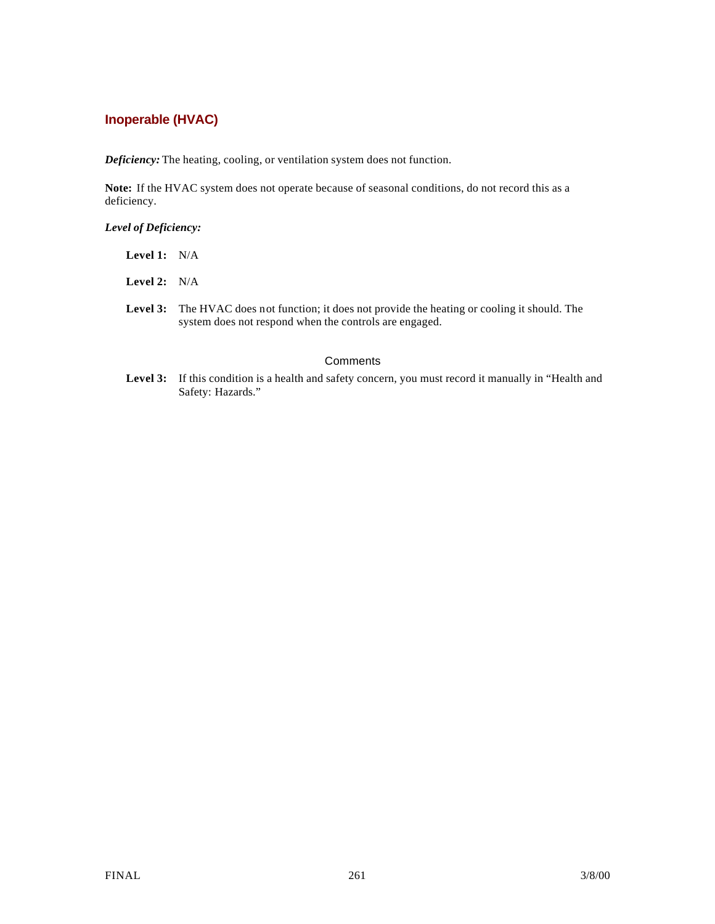### **Inoperable (HVAC)**

*Deficiency:* The heating, cooling, or ventilation system does not function.

Note: If the HVAC system does not operate because of seasonal conditions, do not record this as a deficiency.

#### *Level of Deficiency:*

| <b>Level 1:</b> $N/A$ |  |
|-----------------------|--|
| <b>Level 2:</b> $N/A$ |  |

Level 3: The HVAC does not function; it does not provide the heating or cooling it should. The system does not respond when the controls are engaged.

#### **Comments**

Level 3: If this condition is a health and safety concern, you must record it manually in "Health and Safety: Hazards."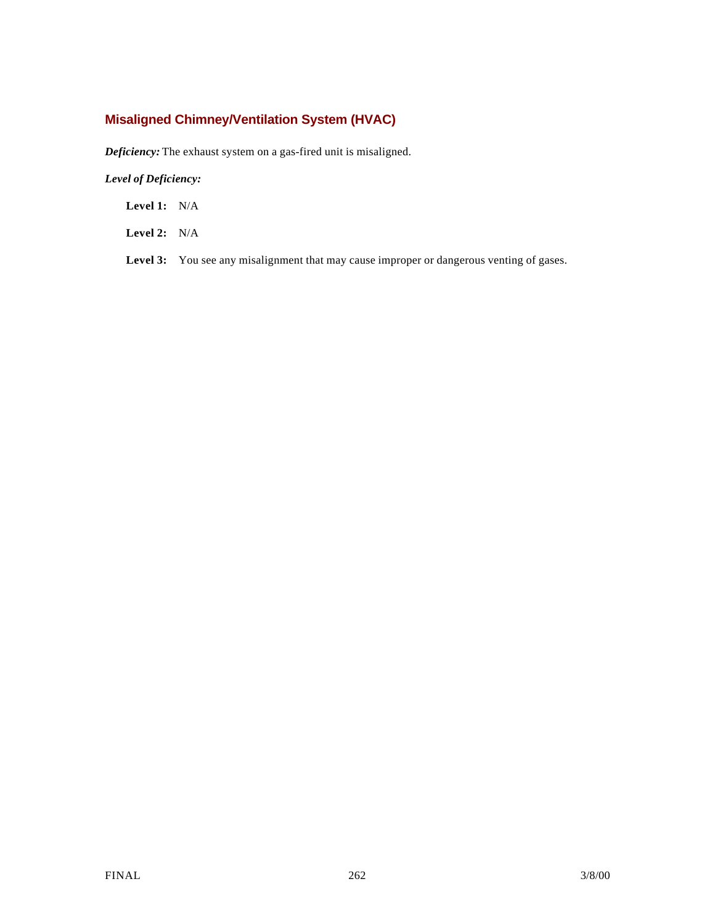## **Misaligned Chimney/Ventilation System (HVAC)**

*Deficiency:* The exhaust system on a gas-fired unit is misaligned.

### *Level of Deficiency:*

**Level 1:** N/A

**Level 2:** N/A

Level 3: You see any misalignment that may cause improper or dangerous venting of gases.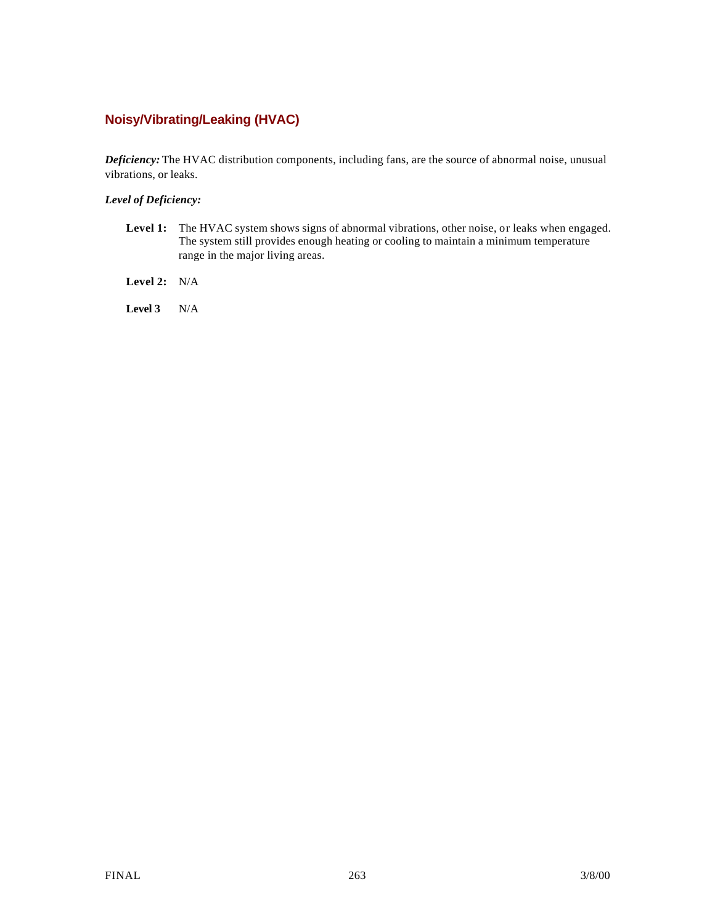## **Noisy/Vibrating/Leaking (HVAC)**

*Deficiency:* The HVAC distribution components, including fans, are the source of abnormal noise, unusual vibrations, or leaks.

### *Level of Deficiency:*

- Level 1: The HVAC system shows signs of abnormal vibrations, other noise, or leaks when engaged. The system still provides enough heating or cooling to maintain a minimum temperature range in the major living areas.
- **Level 2:** N/A

**Level 3** N/A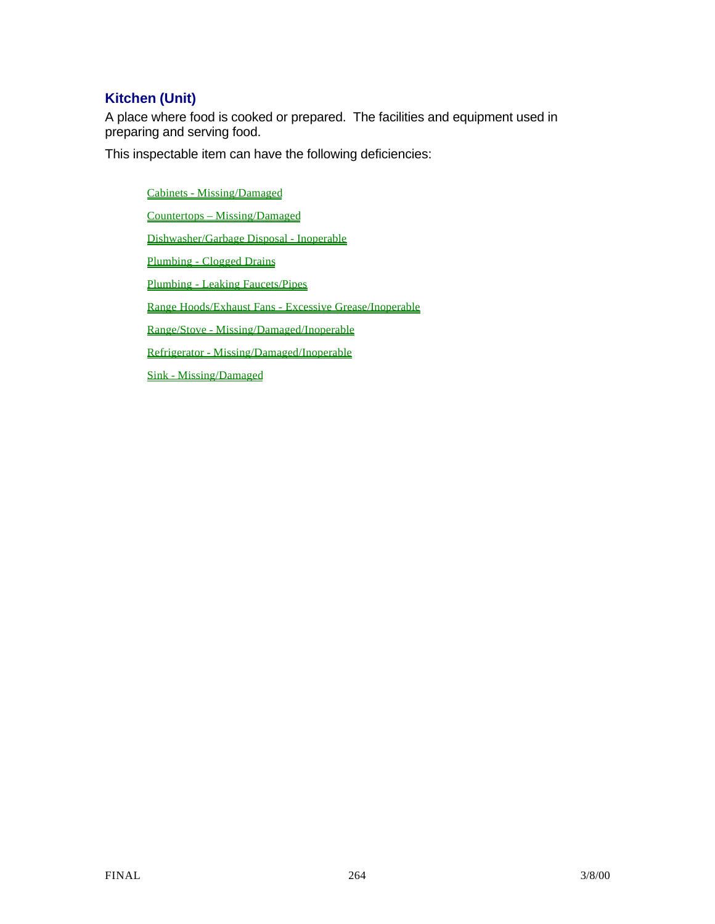# **Kitchen (Unit)**

A place where food is cooked or prepared. The facilities and equipment used in preparing and serving food.

This inspectable item can have the following deficiencies:

Cabinets - Missing/Damaged Countertops – Missing/Damaged Dishwasher/Garbage Disposal - Inoperable Plumbing - Clogged Drains Plumbing - Leaking Faucets/Pipes Range Hoods/Exhaust Fans - Excessive Grease/Inoperable Range/Stove - Missing/Damaged/Inoperable Refrigerator - Missing/Damaged/Inoperable Sink - Missing/Damaged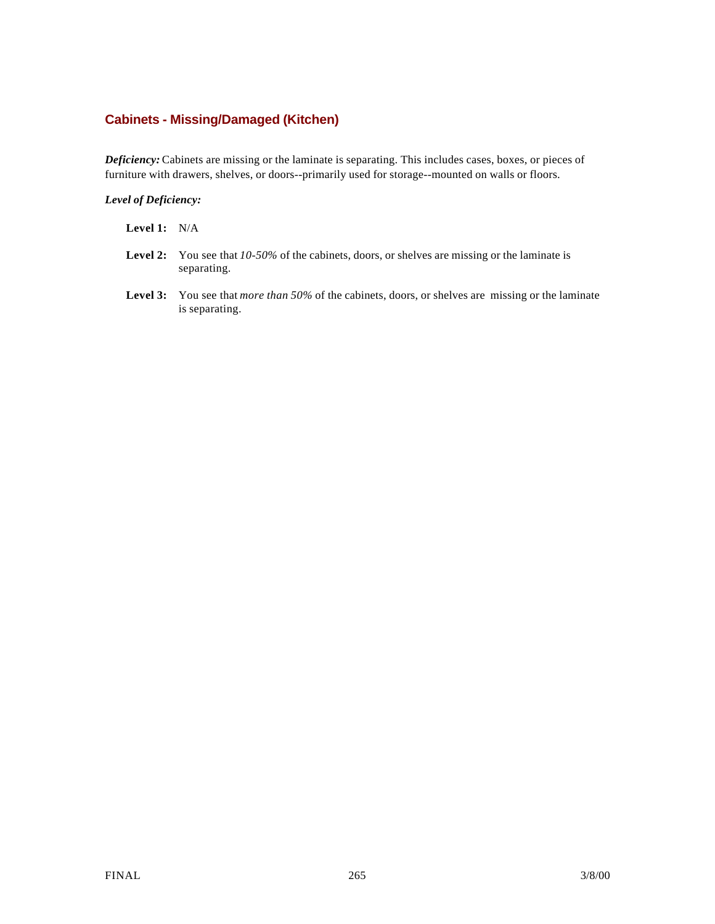### **Cabinets - Missing/Damaged (Kitchen)**

*Deficiency:* Cabinets are missing or the laminate is separating. This includes cases, boxes, or pieces of furniture with drawers, shelves, or doors--primarily used for storage--mounted on walls or floors.

#### *Level of Deficiency:*

### **Level 1:** N/A

- **Level 2:** You see that *10-50%* of the cabinets, doors, or shelves are missing or the laminate is separating.
- **Level 3:** You see that *more than 50%* of the cabinets, doors, or shelves are missing or the laminate is separating.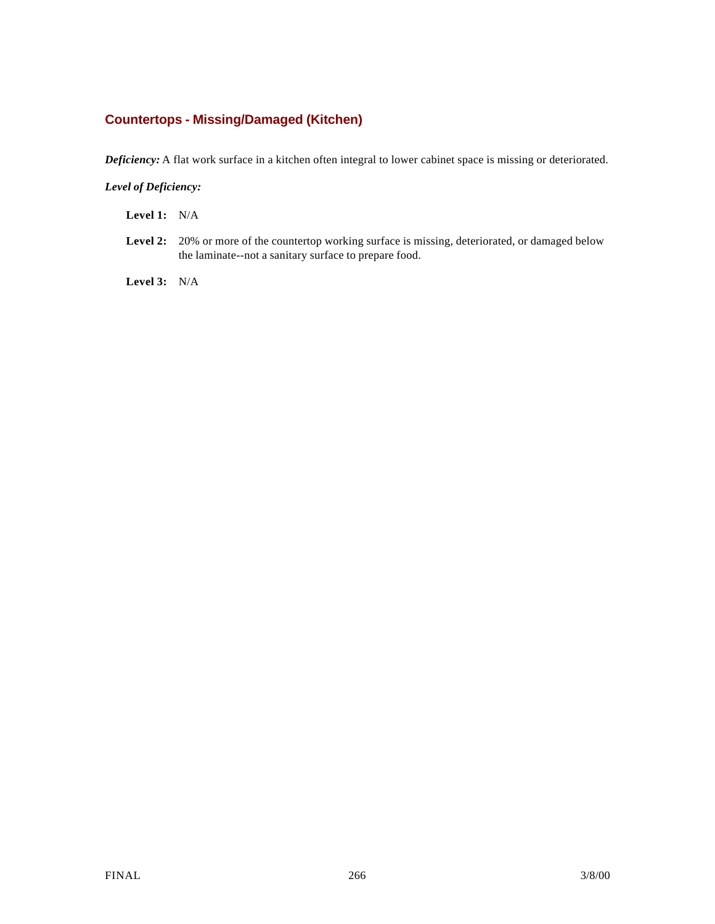### **Countertops - Missing/Damaged (Kitchen)**

*Deficiency:* A flat work surface in a kitchen often integral to lower cabinet space is missing or deteriorated.

#### *Level of Deficiency:*

**Level 1:** N/A

Level 2: 20% or more of the countertop working surface is missing, deteriorated, or damaged below the laminate--not a sanitary surface to prepare food.

**Level 3:** N/A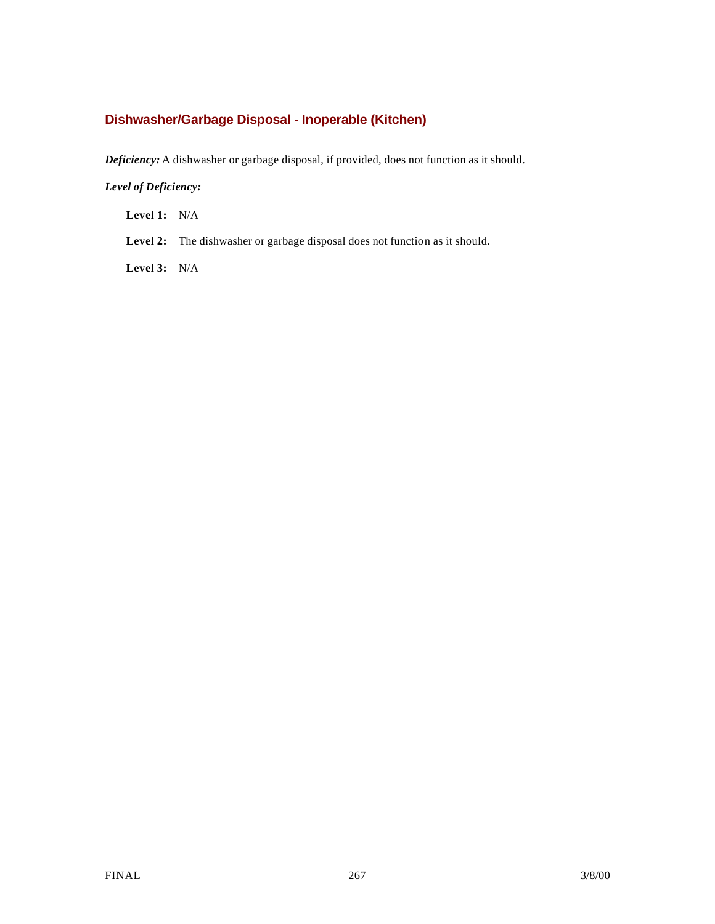## **Dishwasher/Garbage Disposal - Inoperable (Kitchen)**

*Deficiency:* A dishwasher or garbage disposal, if provided, does not function as it should.

### *Level of Deficiency:*

**Level 1:** N/A

Level 2: The dishwasher or garbage disposal does not function as it should.

**Level 3:** N/A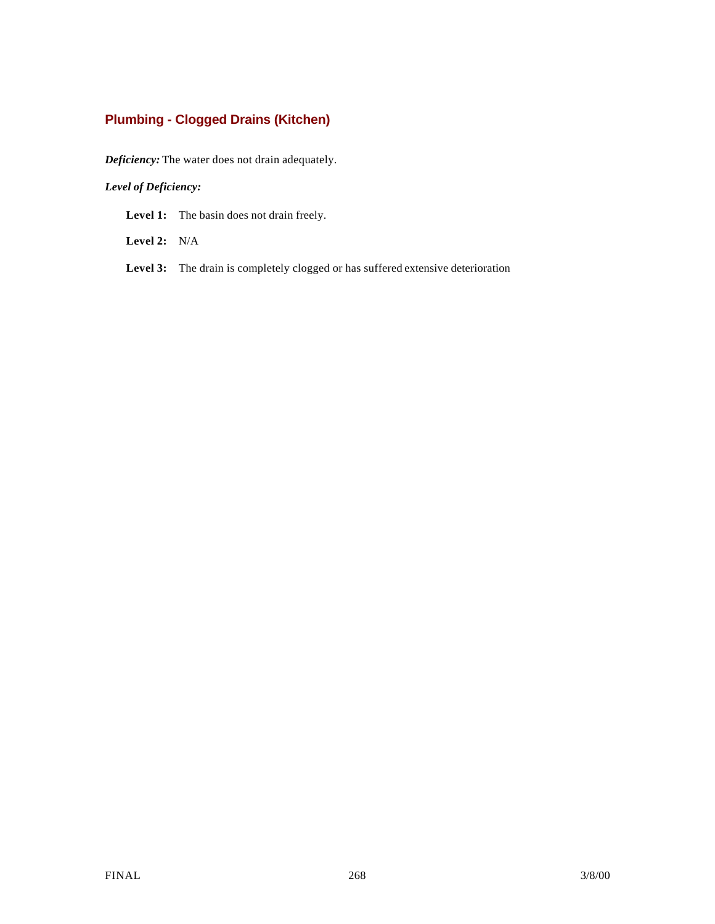## **Plumbing - Clogged Drains (Kitchen)**

*Deficiency:* The water does not drain adequately.

### *Level of Deficiency:*

Level 1: The basin does not drain freely.

**Level 2:** N/A

Level 3: The drain is completely clogged or has suffered extensive deterioration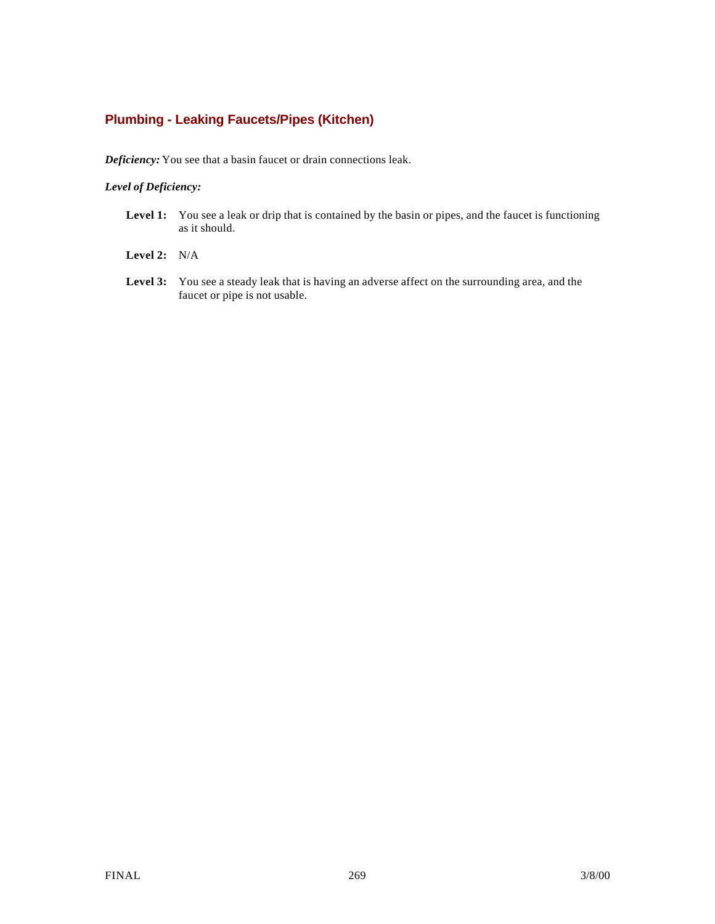## **Plumbing - Leaking Faucets/Pipes (Kitchen)**

*Deficiency:* You see that a basin faucet or drain connections leak.

- Level 1: You see a leak or drip that is contained by the basin or pipes, and the faucet is functioning as it should.
- **Level 2:** N/A
- **Level 3:** You see a steady leak that is having an adverse affect on the surrounding area, and the faucet or pipe is not usable.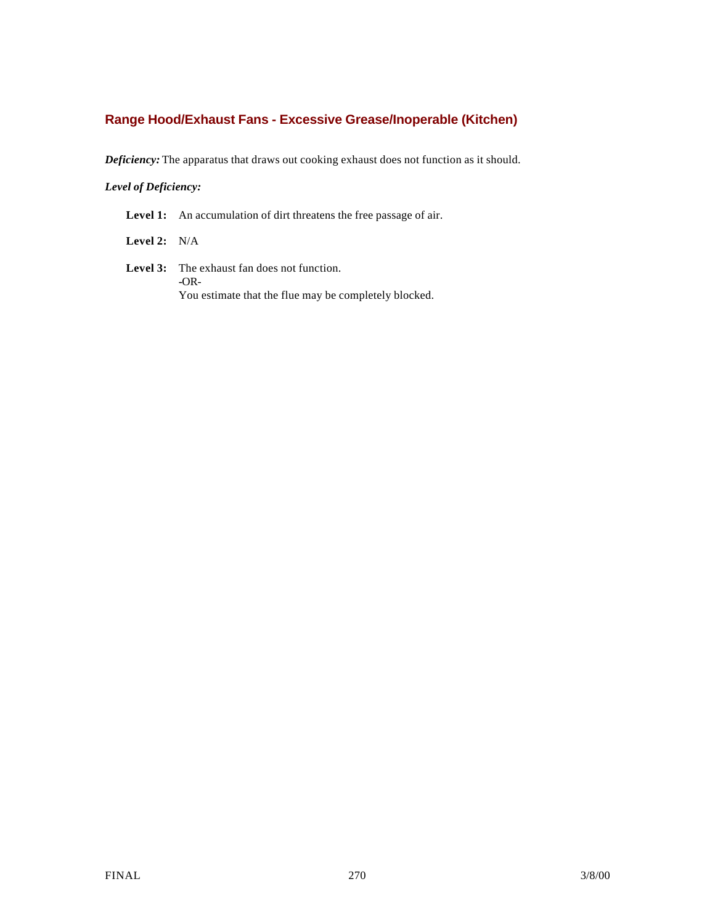### **Range Hood/Exhaust Fans - Excessive Grease/Inoperable (Kitchen)**

*Deficiency:* The apparatus that draws out cooking exhaust does not function as it should.

#### *Level of Deficiency:*

Level 1: An accumulation of dirt threatens the free passage of air.

**Level 2:** N/A

**Level 3:** The exhaust fan does not function. **-**OR-You estimate that the flue may be completely blocked.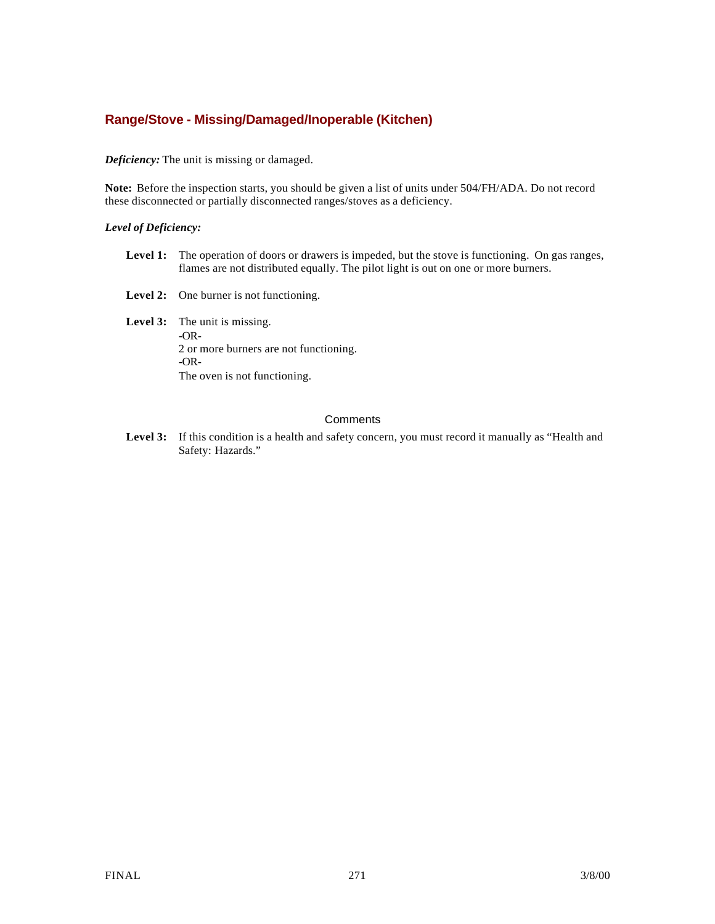### **Range/Stove - Missing/Damaged/Inoperable (Kitchen)**

#### *Deficiency:* The unit is missing or damaged.

**Note:** Before the inspection starts, you should be given a list of units under 504/FH/ADA. Do not record these disconnected or partially disconnected ranges/stoves as a deficiency.

#### *Level of Deficiency:*

- Level 1: The operation of doors or drawers is impeded, but the stove is functioning. On gas ranges, flames are not distributed equally. The pilot light is out on one or more burners.
- Level 2: One burner is not functioning.

Level 3: The unit is missing. -OR-2 or more burners are not functioning. -OR-The oven is not functioning.

#### **Comments**

Level 3: If this condition is a health and safety concern, you must record it manually as "Health and Safety: Hazards."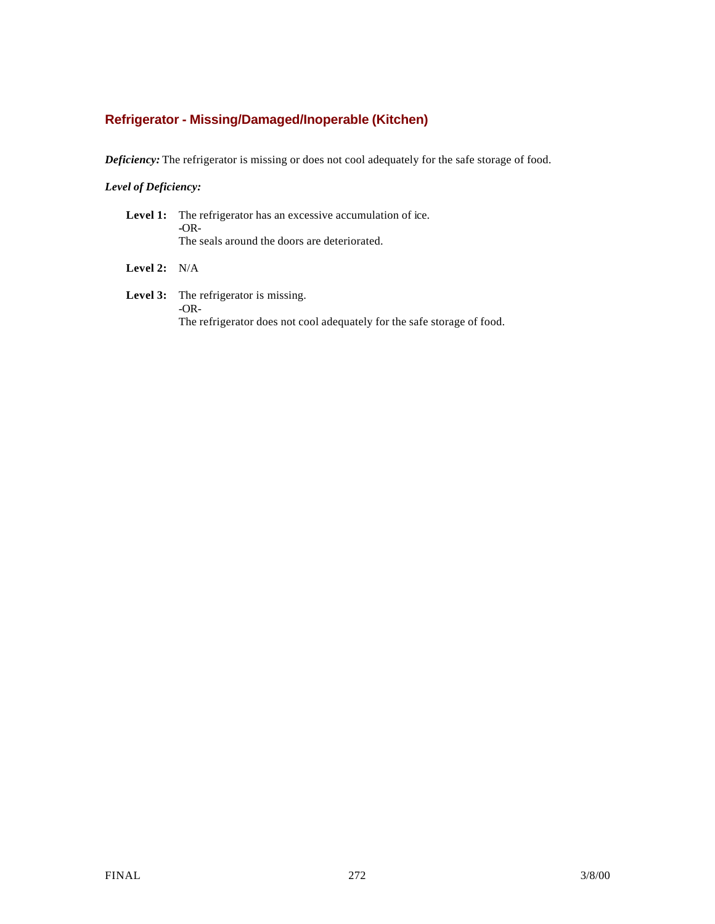## **Refrigerator - Missing/Damaged/Inoperable (Kitchen)**

*Deficiency:* The refrigerator is missing or does not cool adequately for the safe storage of food.

### *Level of Deficiency:*

|                       | <b>Level 1:</b> The refrigerator has an excessive accumulation of ice.<br>$-OR-$<br>The seals around the doors are deteriorated. |
|-----------------------|----------------------------------------------------------------------------------------------------------------------------------|
| <b>Level 2:</b> $N/A$ |                                                                                                                                  |
|                       | Lavel 2. The refrigerator is missing                                                                                             |

**Level 3:** The refrigerator is missing. -OR-The refrigerator does not cool adequately for the safe storage of food.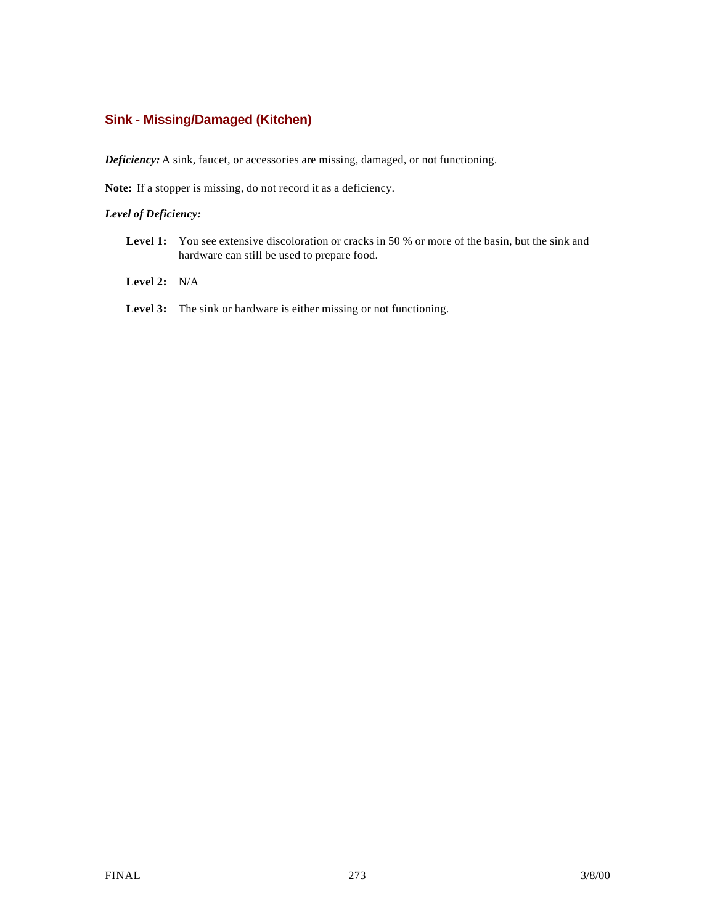### **Sink - Missing/Damaged (Kitchen)**

*Deficiency:* A sink, faucet, or accessories are missing, damaged, or not functioning.

**Note:** If a stopper is missing, do not record it as a deficiency.

- Level 1: You see extensive discoloration or cracks in 50 % or more of the basin, but the sink and hardware can still be used to prepare food.
- **Level 2:** N/A
- Level 3: The sink or hardware is either missing or not functioning.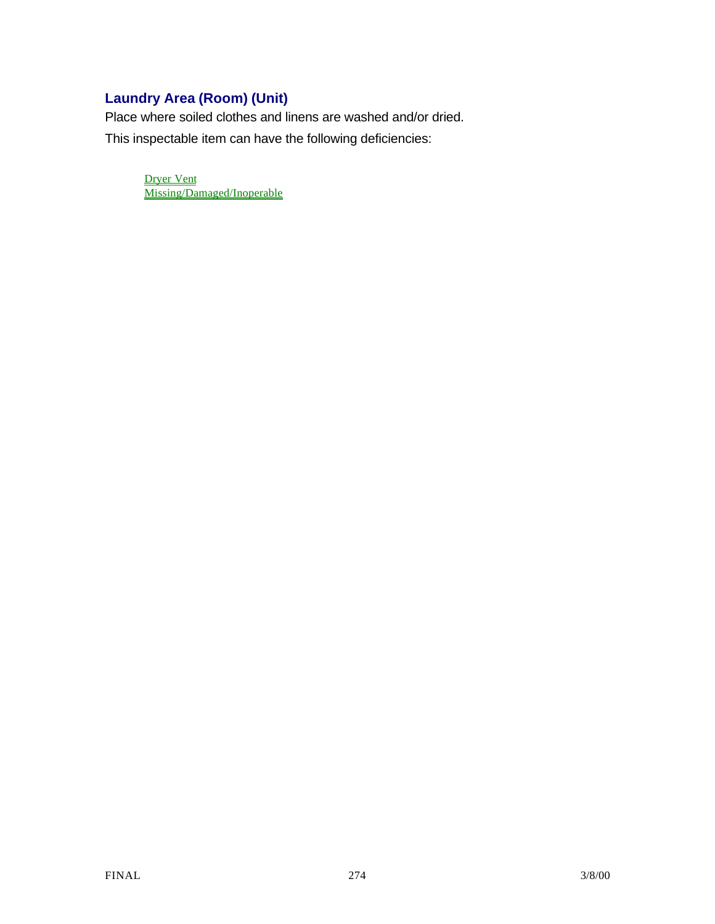# **Laundry Area (Room) (Unit)**

Place where soiled clothes and linens are washed and/or dried.

This inspectable item can have the following deficiencies:

Dryer Vent Missing/Damaged/Inoperable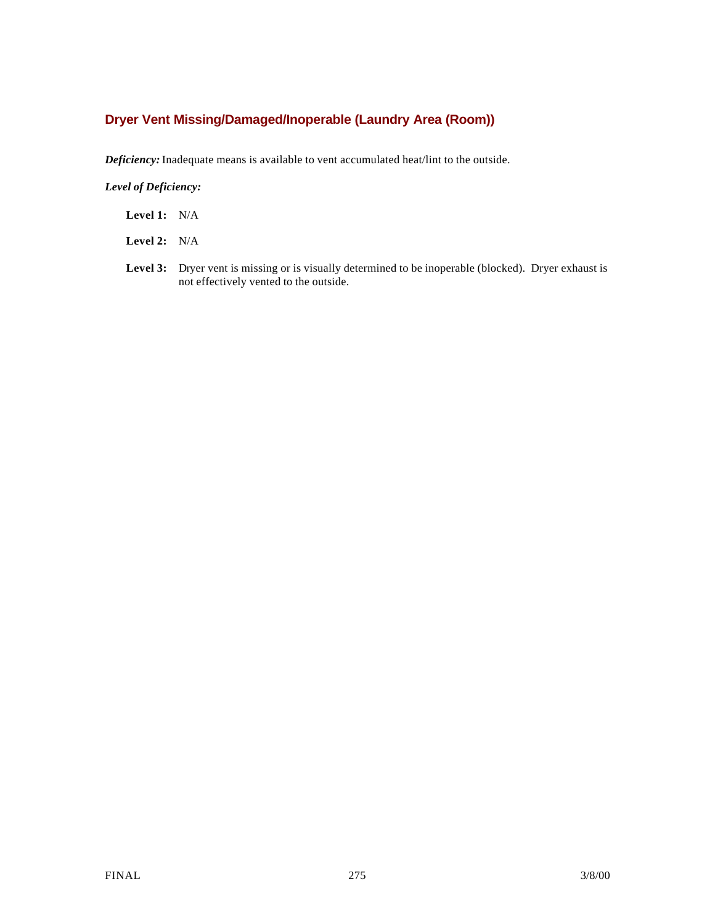## **Dryer Vent Missing/Damaged/Inoperable (Laundry Area (Room))**

*Deficiency:* Inadequate means is available to vent accumulated heat/lint to the outside.

- **Level 1:** N/A
- **Level 2:** N/A
- Level 3: Dryer vent is missing or is visually determined to be inoperable (blocked). Dryer exhaust is not effectively vented to the outside.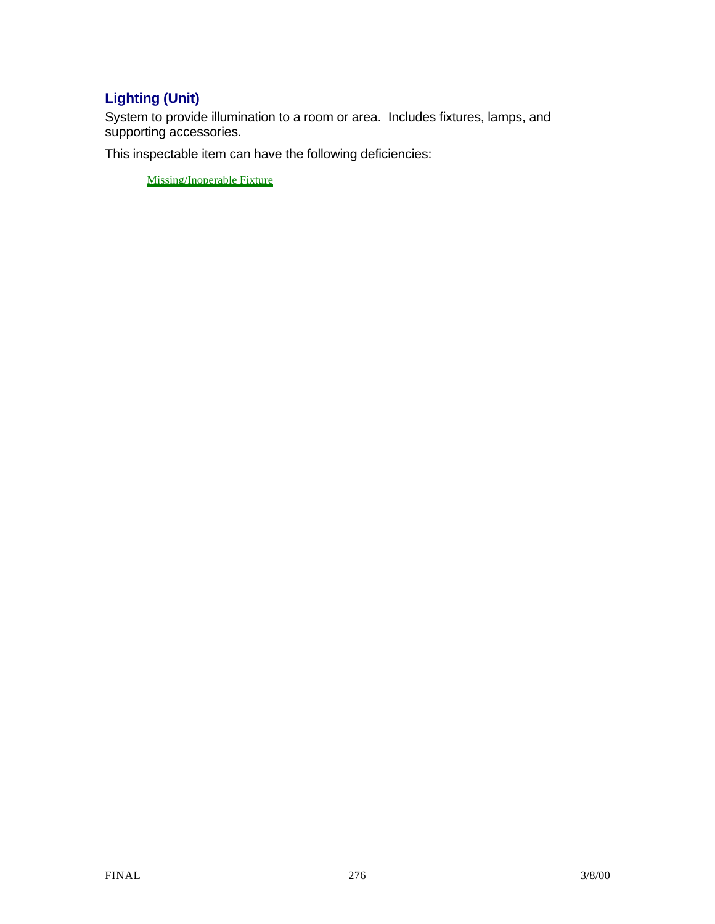# **Lighting (Unit)**

System to provide illumination to a room or area. Includes fixtures, lamps, and supporting accessories.

This inspectable item can have the following deficiencies:

Missing/Inoperable Fixture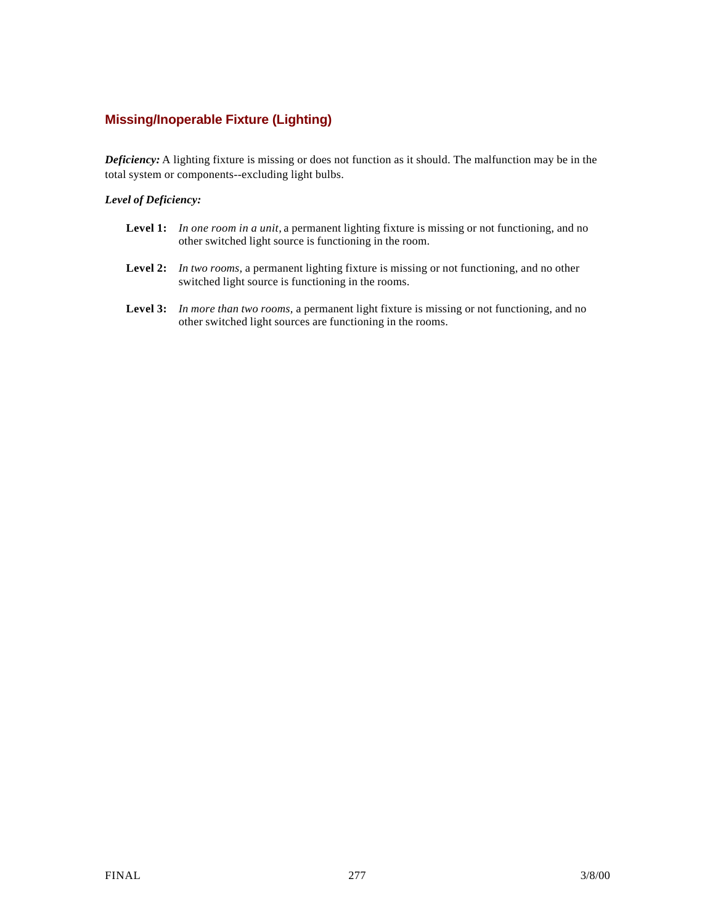## **Missing/Inoperable Fixture (Lighting)**

*Deficiency:* A lighting fixture is missing or does not function as it should. The malfunction may be in the total system or components--excluding light bulbs.

- **Level 1:** *In one room in a unit,* a permanent lighting fixture is missing or not functioning, and no other switched light source is functioning in the room.
- **Level 2:** *In two rooms,* a permanent lighting fixture is missing or not functioning, and no other switched light source is functioning in the rooms.
- **Level 3:** *In more than two rooms,* a permanent light fixture is missing or not functioning, and no other switched light sources are functioning in the rooms.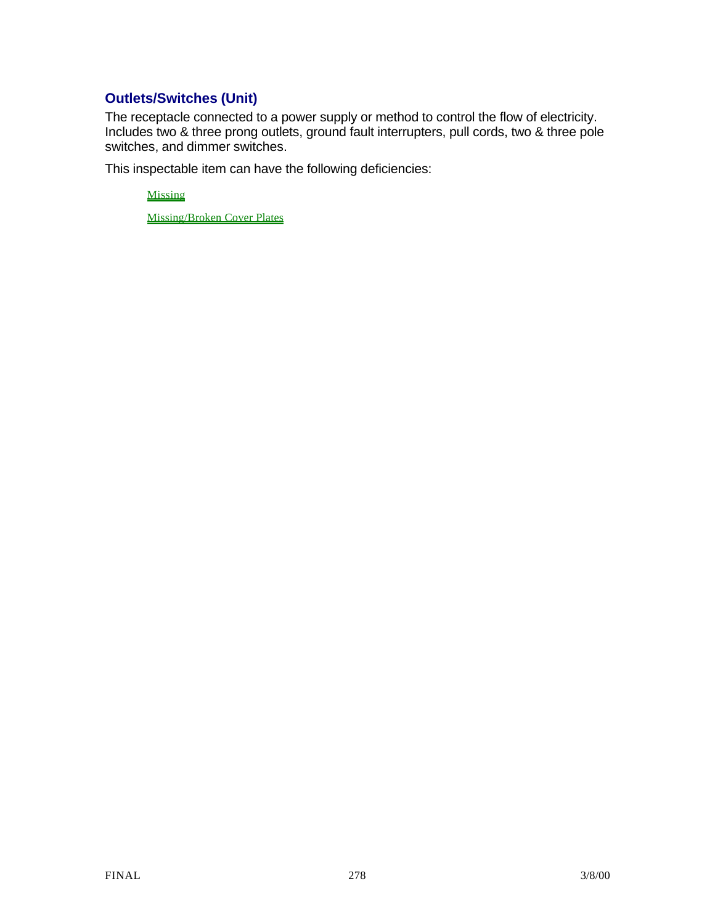## **Outlets/Switches (Unit)**

The receptacle connected to a power supply or method to control the flow of electricity. Includes two & three prong outlets, ground fault interrupters, pull cords, two & three pole switches, and dimmer switches.

This inspectable item can have the following deficiencies:

Missing

Missing/Broken Cover Plates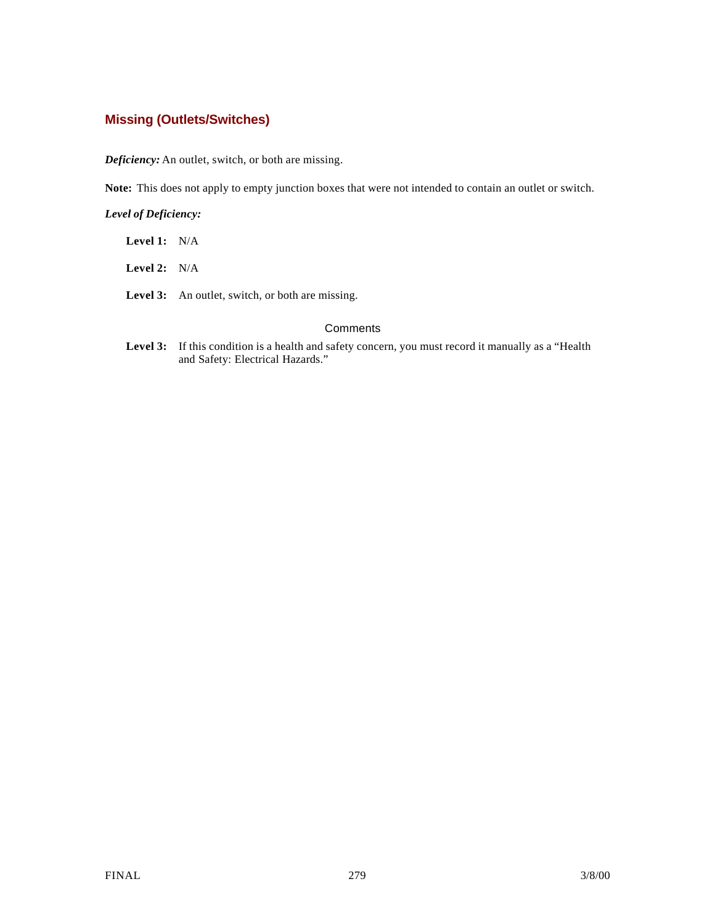### **Missing (Outlets/Switches)**

*Deficiency:* An outlet, switch, or both are missing.

**Note:** This does not apply to empty junction boxes that were not intended to contain an outlet or switch.

*Level of Deficiency:*

| <b>Level 1:</b> $N/A$ |                                                         |
|-----------------------|---------------------------------------------------------|
| <b>Level 2:</b> $N/A$ |                                                         |
|                       | <b>Level 3:</b> An outlet, switch, or both are missing. |
|                       | Comm                                                    |

Level 3: If this condition is a health and safety concern, you must record it manually as a "Health" and Safety: Electrical Hazards."

**Comments**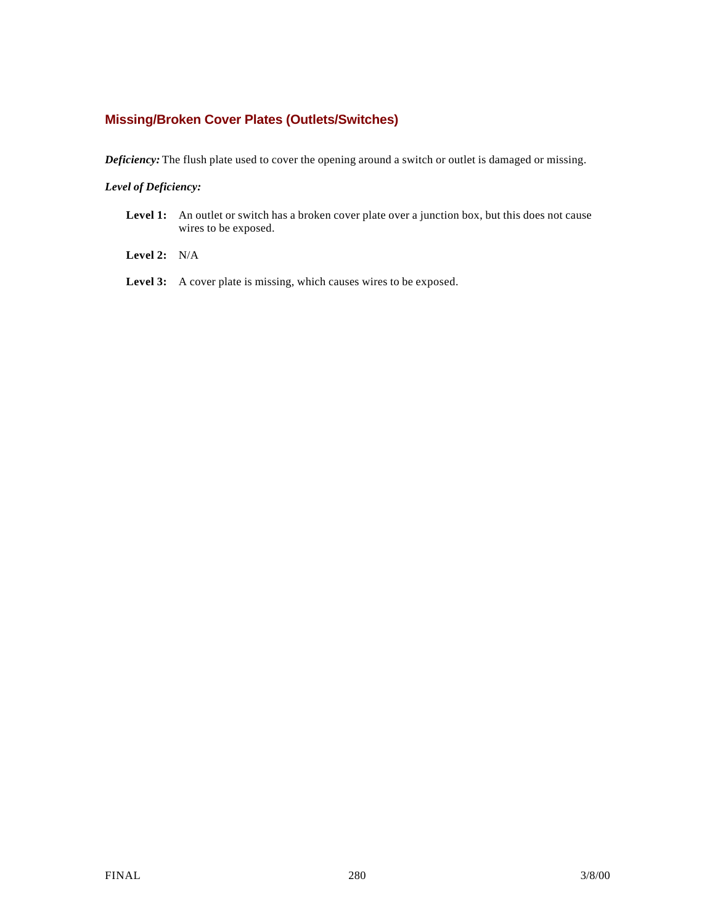### **Missing/Broken Cover Plates (Outlets/Switches)**

*Deficiency:* The flush plate used to cover the opening around a switch or outlet is damaged or missing.

- Level 1: An outlet or switch has a broken cover plate over a junction box, but this does not cause wires to be exposed.
- **Level 2:** N/A
- Level 3: A cover plate is missing, which causes wires to be exposed.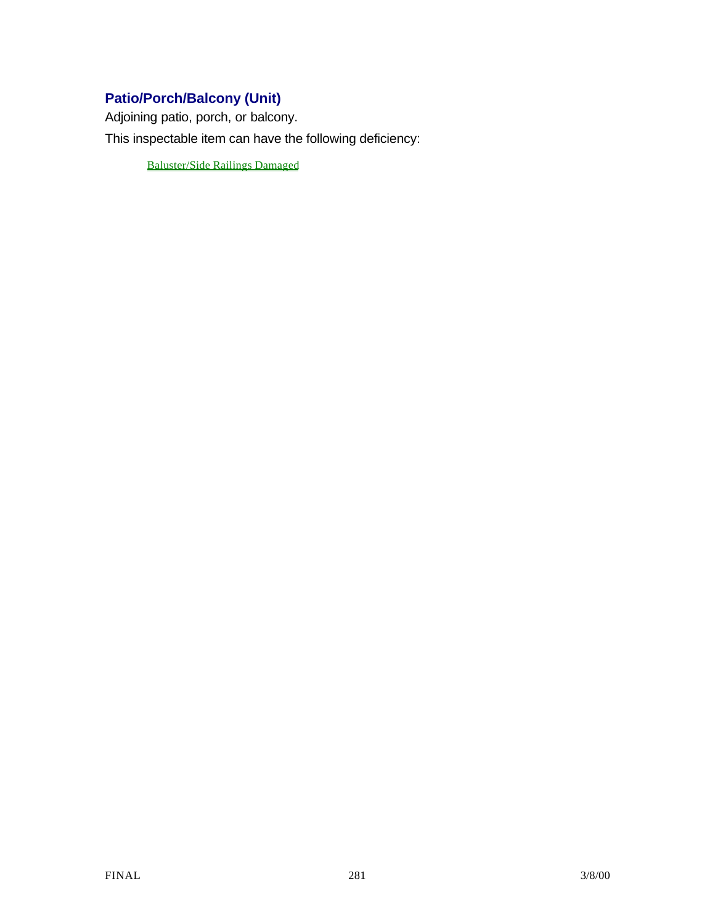# **Patio/Porch/Balcony (Unit)**

Adjoining patio, porch, or balcony.

This inspectable item can have the following deficiency:

Baluster/Side Railings Damaged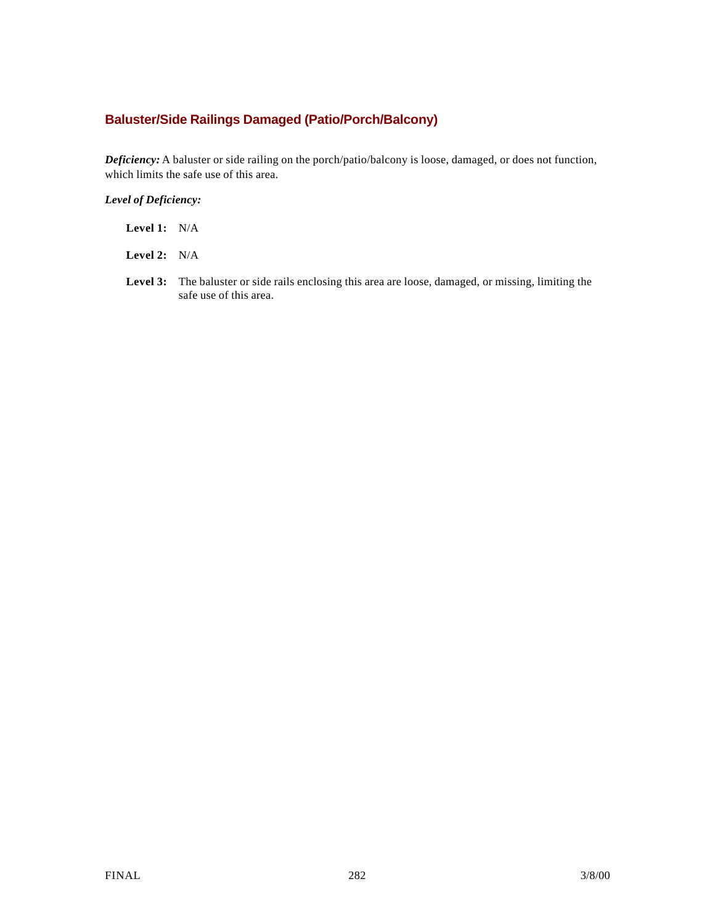## **Baluster/Side Railings Damaged (Patio/Porch/Balcony)**

*Deficiency:* A baluster or side railing on the porch/patio/balcony is loose, damaged, or does not function, which limits the safe use of this area.

| <b>Level 1:</b> $N/A$ |  |
|-----------------------|--|
|                       |  |

- **Level 2:** N/A
- **Level 3:** The baluster or side rails enclosing this area are loose, damaged, or missing, limiting the safe use of this area.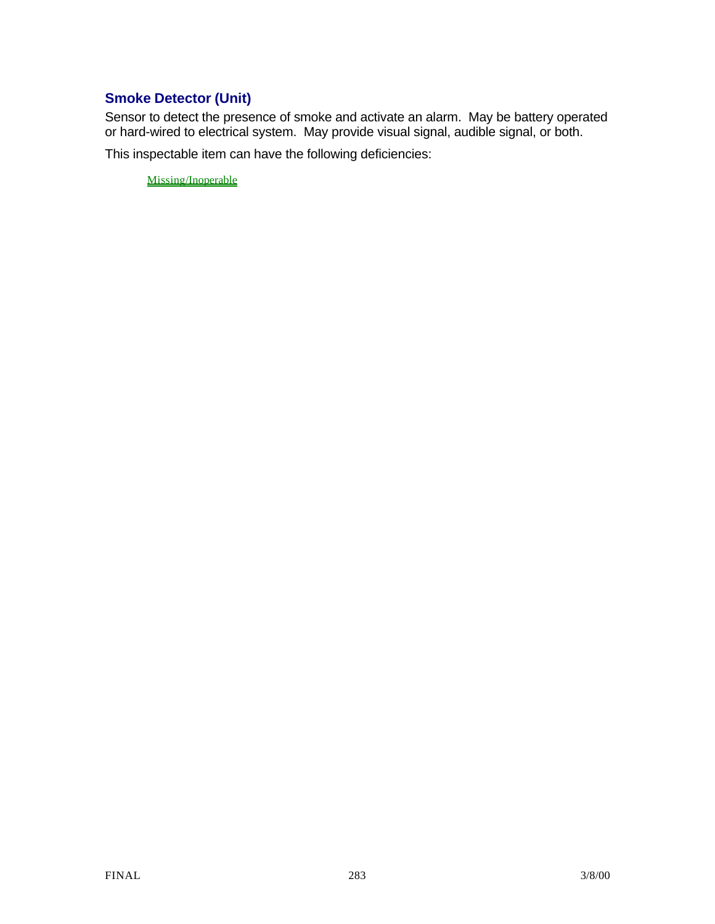## **Smoke Detector (Unit)**

Sensor to detect the presence of smoke and activate an alarm. May be battery operated or hard-wired to electrical system. May provide visual signal, audible signal, or both.

This inspectable item can have the following deficiencies:

Missing/Inoperable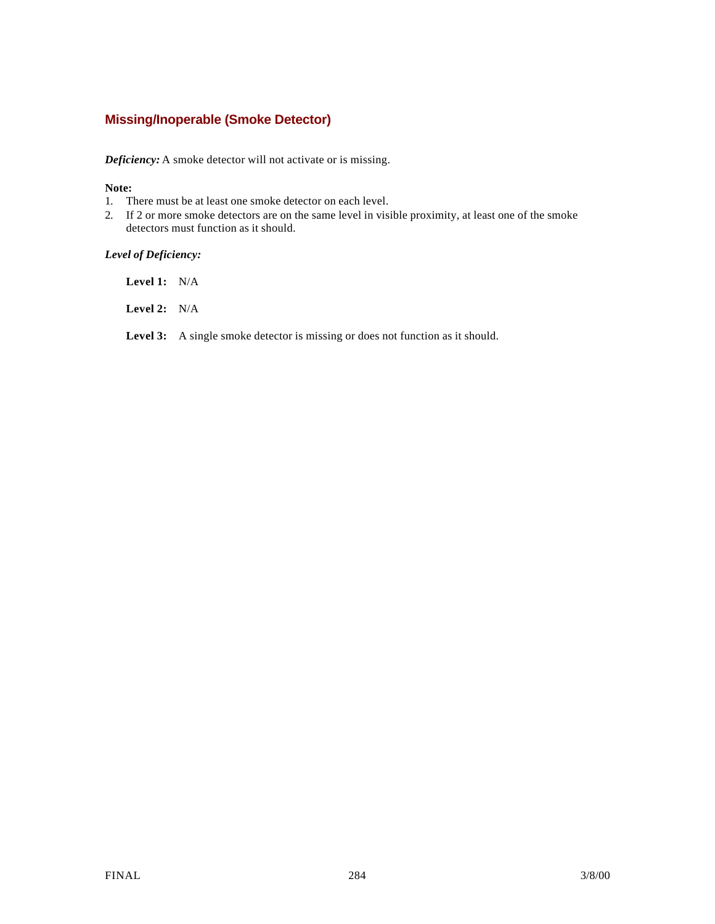### **Missing/Inoperable (Smoke Detector)**

*Deficiency:* A smoke detector will not activate or is missing.

#### **Note:**

- 1. There must be at least one smoke detector on each level.
- 2. If 2 or more smoke detectors are on the same level in visible proximity, at least one of the smoke detectors must function as it should.

#### *Level of Deficiency:*

**Level 1:** N/A

**Level 2:** N/A

Level 3: A single smoke detector is missing or does not function as it should.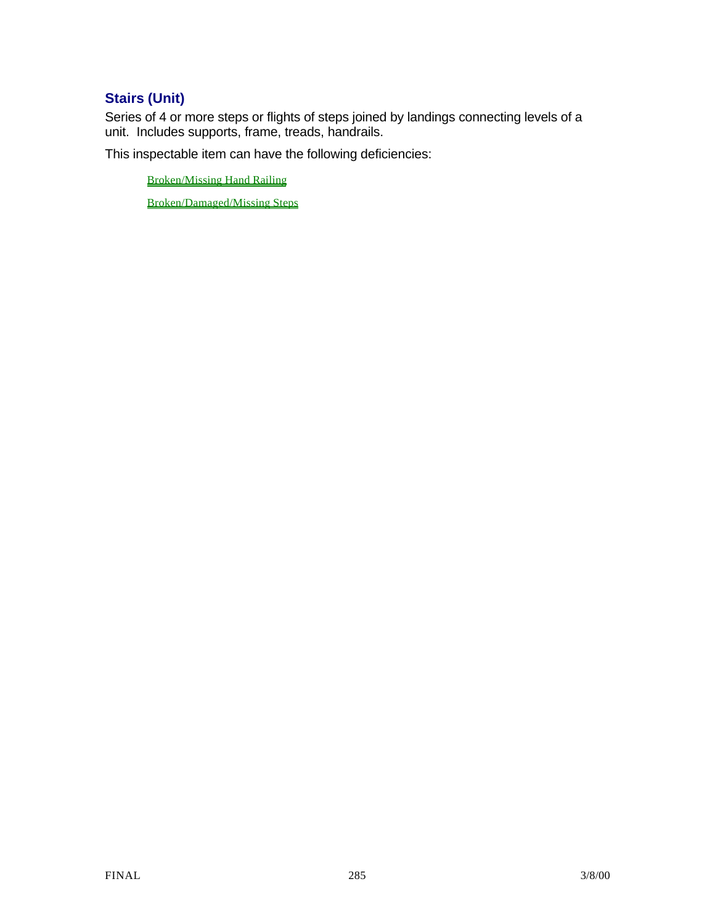# **Stairs (Unit)**

Series of 4 or more steps or flights of steps joined by landings connecting levels of a unit. Includes supports, frame, treads, handrails.

This inspectable item can have the following deficiencies:

Broken/Missing Hand Railing

Broken/Damaged/Missing Steps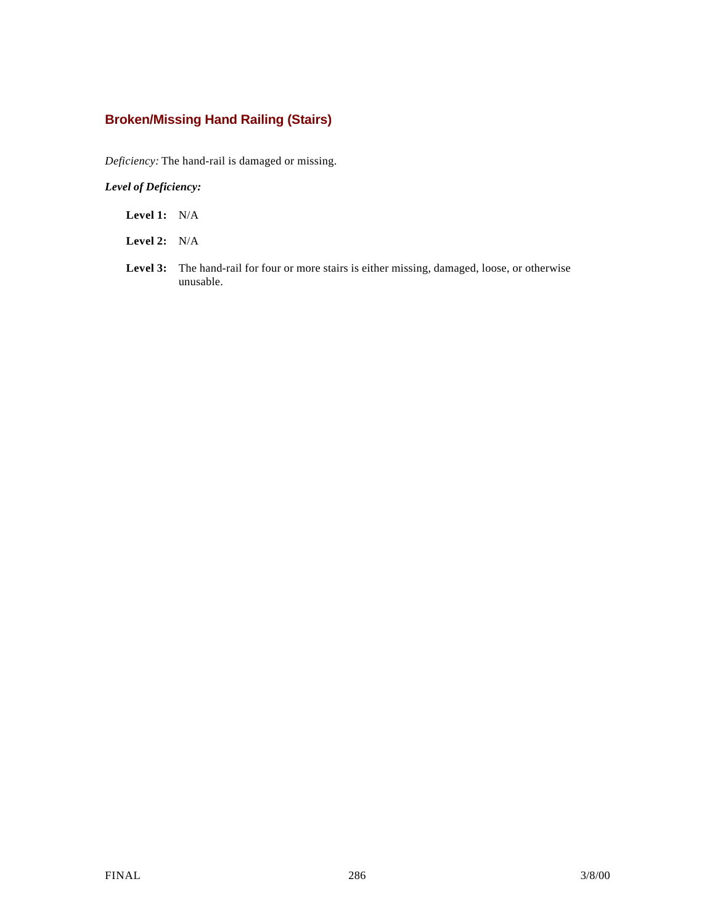## **Broken/Missing Hand Railing (Stairs)**

*Deficiency:* The hand-rail is damaged or missing.

- **Level 1:** N/A
- **Level 2:** N/A
- **Level 3:** The hand-rail for four or more stairs is either missing, damaged, loose, or otherwise unusable.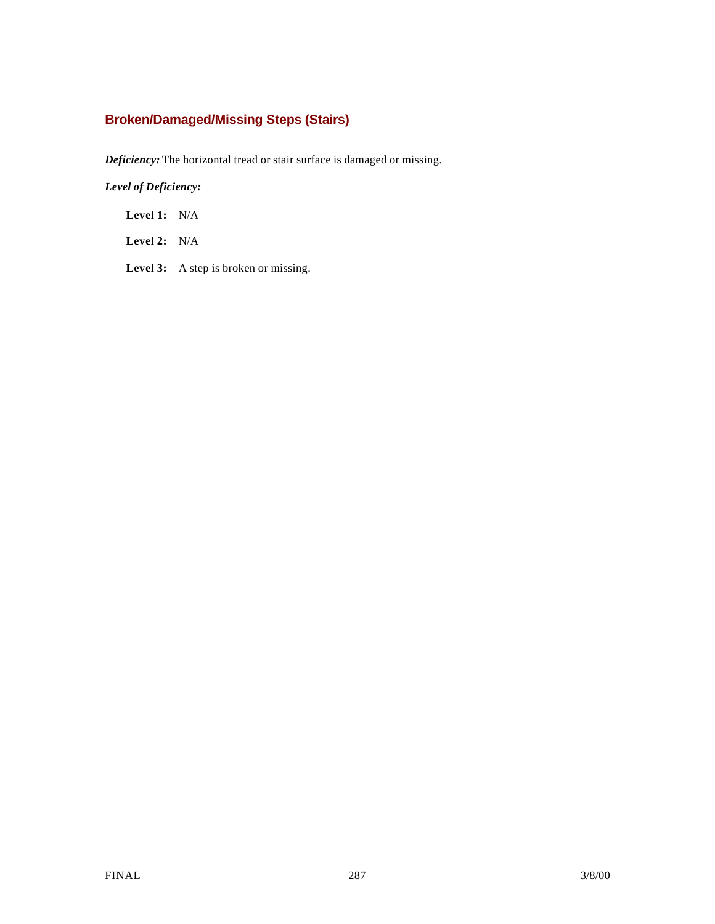## **Broken/Damaged/Missing Steps (Stairs)**

*Deficiency:* The horizontal tread or stair surface is damaged or missing.

*Level of Deficiency:*

**Level 1:** N/A

**Level 2:** N/A

Level 3: A step is broken or missing.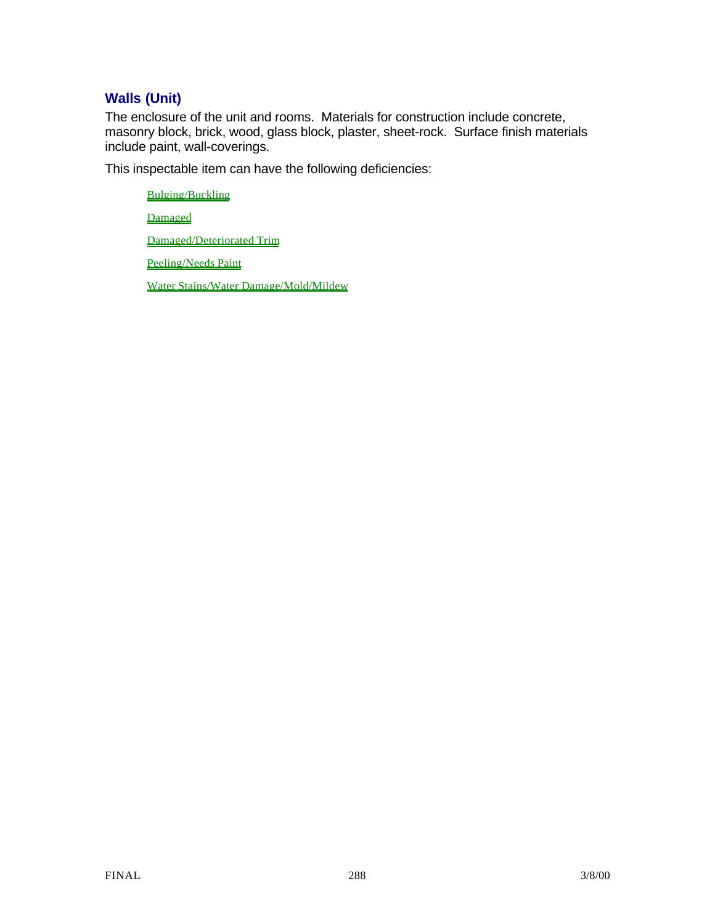## **Walls (Unit)**

The enclosure of the unit and rooms. Materials for construction include concrete, masonry block, brick, wood, glass block, plaster, sheet-rock. Surface finish materials include paint, wall-coverings.

This inspectable item can have the following deficiencies:

Bulging/Buckling Damaged Damaged/Deteriorated Trim Peeling/Needs Paint Water Stains/Water Damage/Mold/Mildew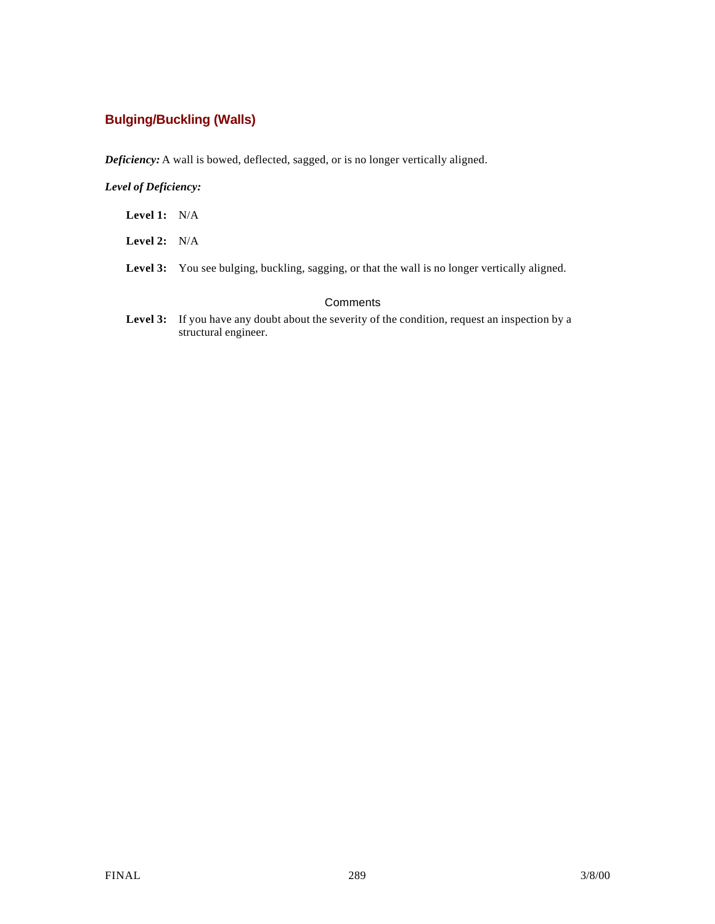### **Bulging/Buckling (Walls)**

*Deficiency:* A wall is bowed, deflected, sagged, or is no longer vertically aligned.

#### *Level of Deficiency:*

- **Level 1:** N/A
- **Level 2:** N/A
- Level 3: You see bulging, buckling, sagging, or that the wall is no longer vertically aligned.

#### **Comments**

Level 3: If you have any doubt about the severity of the condition, request an inspection by a structural engineer.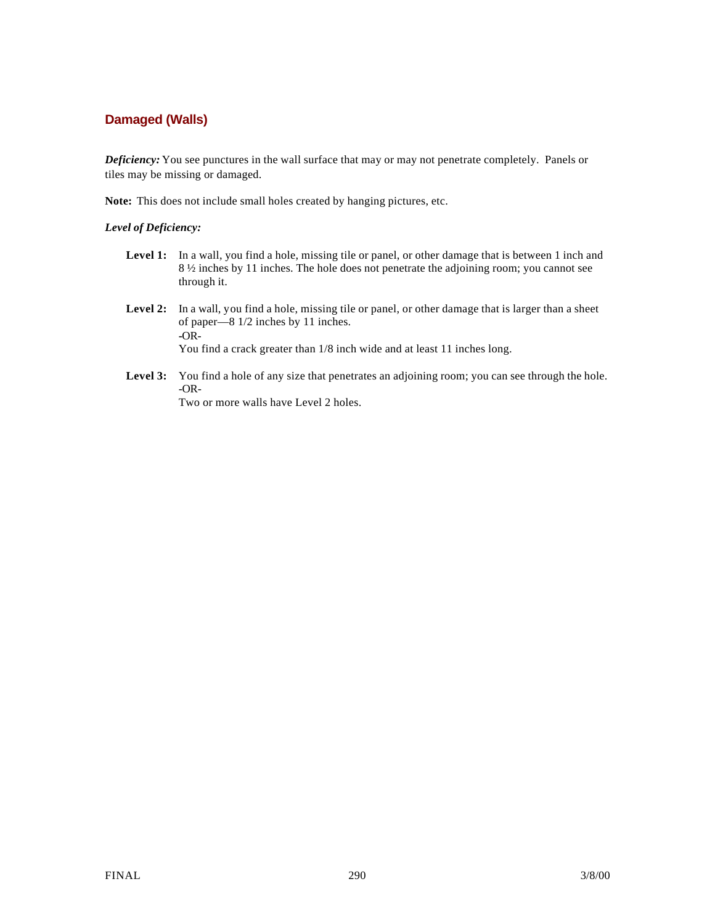### **Damaged (Walls)**

*Deficiency:* You see punctures in the wall surface that may or may not penetrate completely. Panels or tiles may be missing or damaged.

**Note:** This does not include small holes created by hanging pictures, etc.

#### *Level of Deficiency:*

- Level 1: In a wall, you find a hole, missing tile or panel, or other damage that is between 1 inch and 8 ½ inches by 11 inches. The hole does not penetrate the adjoining room; you cannot see through it.
- **Level 2:** In a wall, you find a hole, missing tile or panel, or other damage that is larger than a sheet of paper—8 1/2 inches by 11 inches. **-**OR-You find a crack greater than 1/8 inch wide and at least 11 inches long.
- Level 3: You find a hole of any size that penetrates an adjoining room; you can see through the hole. -OR-

Two or more walls have Level 2 holes.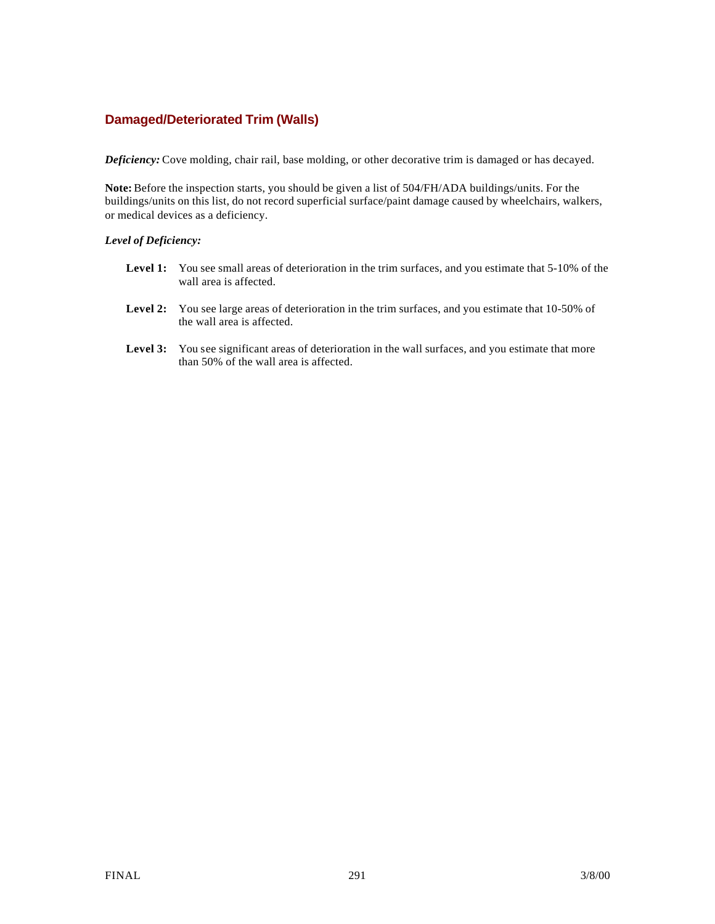#### **Damaged/Deteriorated Trim (Walls)**

*Deficiency:* Cove molding, chair rail, base molding, or other decorative trim is damaged or has decayed.

**Note:** Before the inspection starts, you should be given a list of 504/FH/ADA buildings/units. For the buildings/units on this list, do not record superficial surface/paint damage caused by wheelchairs, walkers, or medical devices as a deficiency.

#### *Level of Deficiency:*

- Level 1: You see small areas of deterioration in the trim surfaces, and you estimate that 5-10% of the wall area is affected.
- Level 2: You see large areas of deterioration in the trim surfaces, and you estimate that 10-50% of the wall area is affected.
- Level 3: You see significant areas of deterioration in the wall surfaces, and you estimate that more than 50% of the wall area is affected.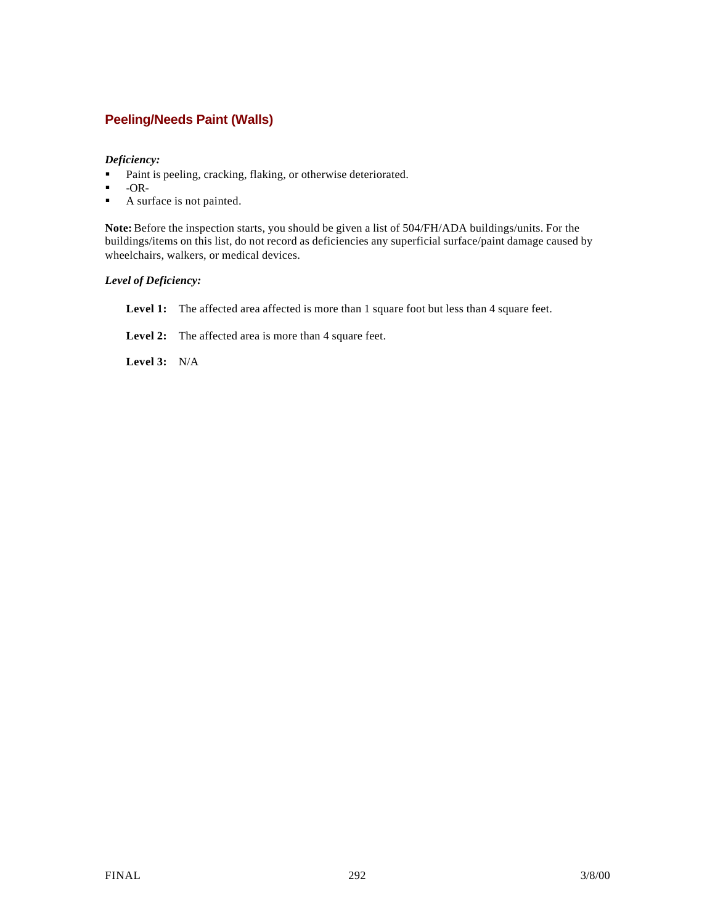### **Peeling/Needs Paint (Walls)**

#### *Deficiency:*

- Paint is peeling, cracking, flaking, or otherwise deteriorated.
- $\blacksquare$  -OR-
- $\blacksquare$  A surface is not painted.

**Note:** Before the inspection starts, you should be given a list of 504/FH/ADA buildings/units. For the buildings/items on this list, do not record as deficiencies any superficial surface/paint damage caused by wheelchairs, walkers, or medical devices.

#### *Level of Deficiency:*

Level 1: The affected area affected is more than 1 square foot but less than 4 square feet.

Level 2: The affected area is more than 4 square feet.

**Level 3:** N/A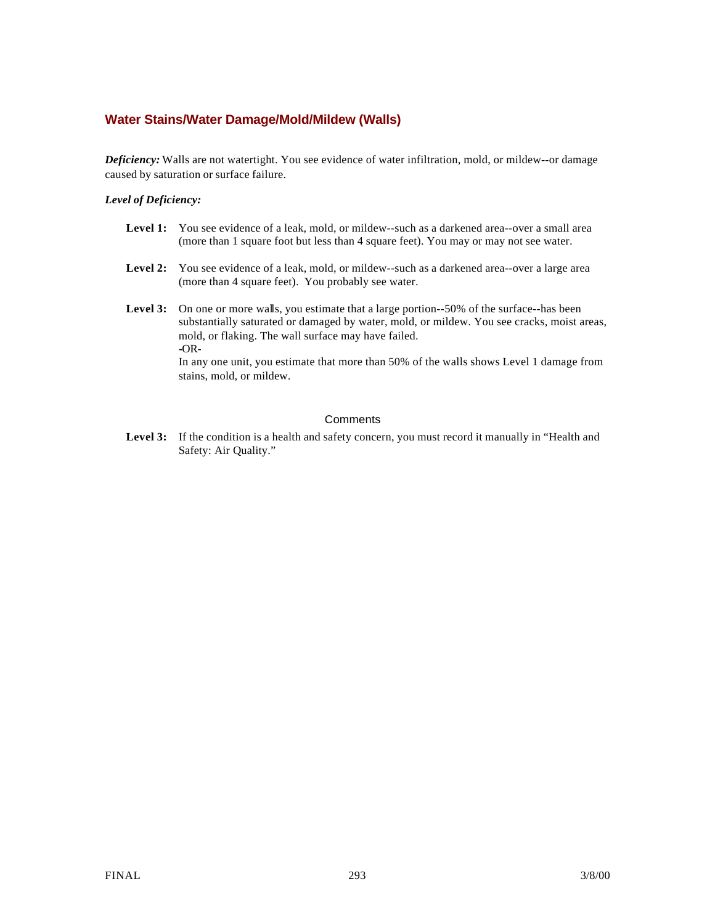#### **Water Stains/Water Damage/Mold/Mildew (Walls)**

*Deficiency:* Walls are not watertight. You see evidence of water infiltration, mold, or mildew--or damage caused by saturation or surface failure.

#### *Level of Deficiency:*

- Level 1: You see evidence of a leak, mold, or mildew--such as a darkened area--over a small area (more than 1 square foot but less than 4 square feet). You may or may not see water.
- Level 2: You see evidence of a leak, mold, or mildew--such as a darkened area--over a large area (more than 4 square feet). You probably see water.
- Level 3: On one or more walls, you estimate that a large portion--50% of the surface--has been substantially saturated or damaged by water, mold, or mildew. You see cracks, moist areas, mold, or flaking. The wall surface may have failed. **-**OR-

In any one unit, you estimate that more than 50% of the walls shows Level 1 damage from stains, mold, or mildew.

#### **Comments**

Level 3: If the condition is a health and safety concern, you must record it manually in "Health and Safety: Air Quality."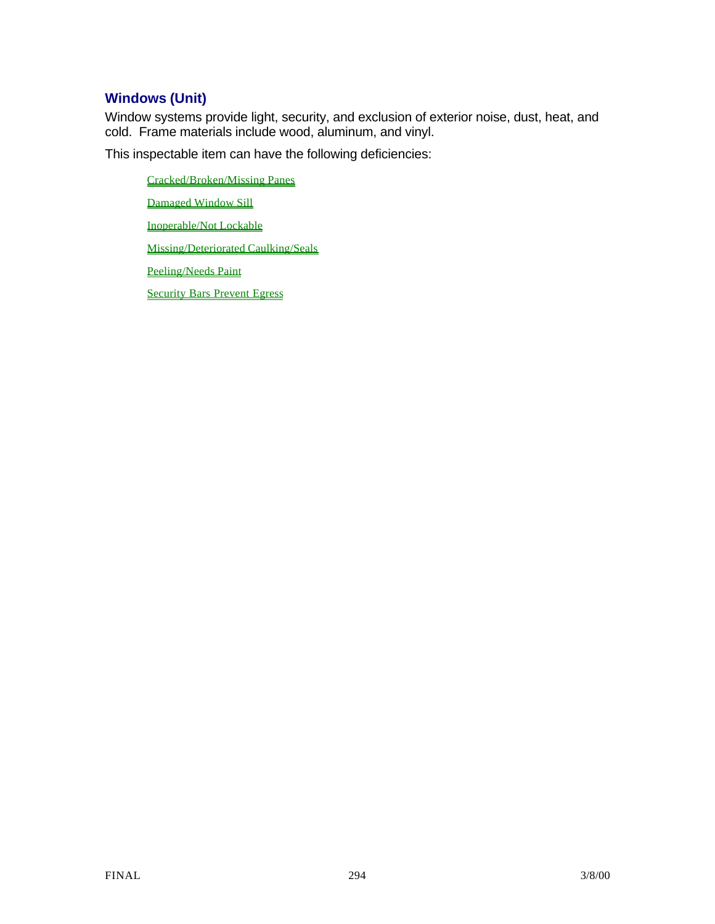### **Windows (Unit)**

Window systems provide light, security, and exclusion of exterior noise, dust, heat, and cold. Frame materials include wood, aluminum, and vinyl.

This inspectable item can have the following deficiencies:

Cracked/Broken/Missing Panes Damaged Window Sill Inoperable/Not Lockable Missing/Deteriorated Caulking/Seals Peeling/Needs Paint Security Bars Prevent Egress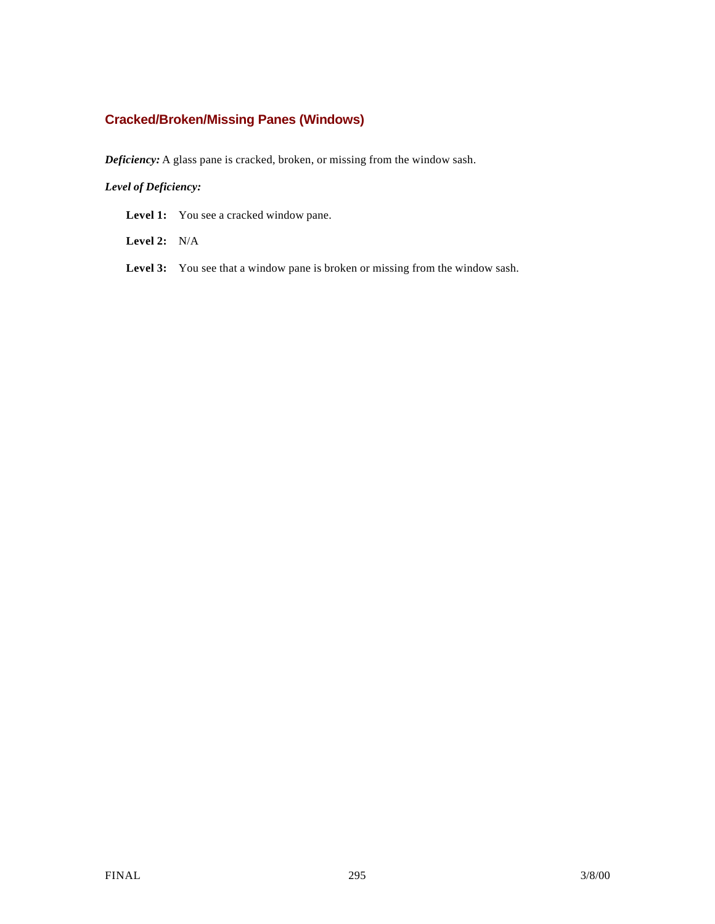## **Cracked/Broken/Missing Panes (Windows)**

*Deficiency:* A glass pane is cracked, broken, or missing from the window sash.

#### *Level of Deficiency:*

Level 1: You see a cracked window pane.

**Level 2:** N/A

Level 3: You see that a window pane is broken or missing from the window sash.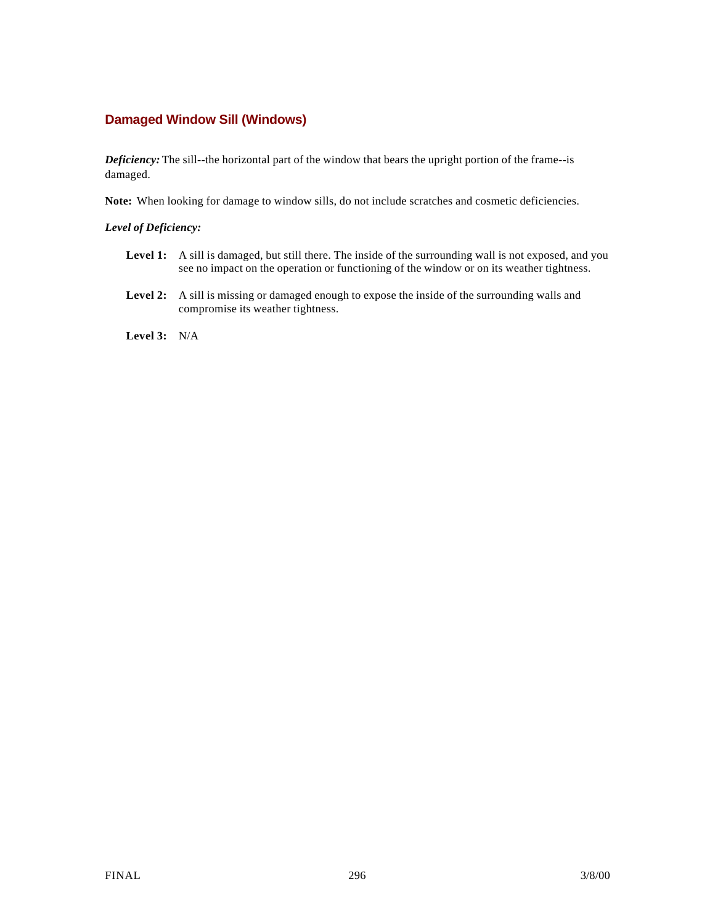### **Damaged Window Sill (Windows)**

*Deficiency:* The sill--the horizontal part of the window that bears the upright portion of the frame--is damaged.

**Note:** When looking for damage to window sills, do not include scratches and cosmetic deficiencies.

#### *Level of Deficiency:*

- Level 1: A sill is damaged, but still there. The inside of the surrounding wall is not exposed, and you see no impact on the operation or functioning of the window or on its weather tightness.
- **Level 2:** A sill is missing or damaged enough to expose the inside of the surrounding walls and compromise its weather tightness.

**Level 3:** N/A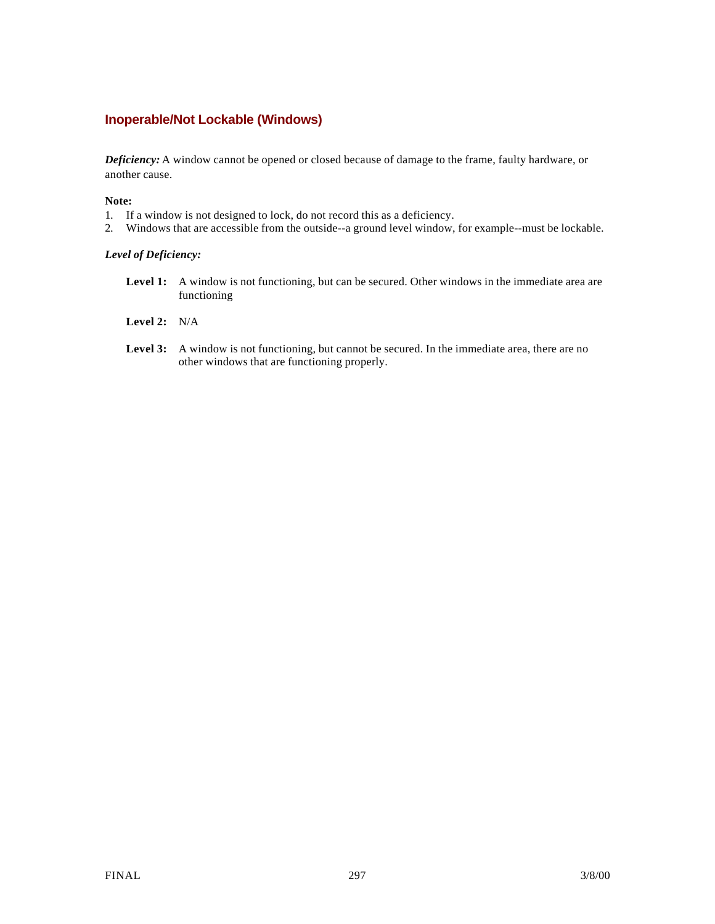### **Inoperable/Not Lockable (Windows)**

*Deficiency:* A window cannot be opened or closed because of damage to the frame, faulty hardware, or another cause.

#### **Note:**

- 1. If a window is not designed to lock, do not record this as a deficiency.
- 2. Windows that are accessible from the outside--a ground level window, for example--must be lockable.

#### *Level of Deficiency:*

- Level 1: A window is not functioning, but can be secured. Other windows in the immediate area are functioning
- **Level 2:** N/A
- Level 3: A window is not functioning, but cannot be secured. In the immediate area, there are no other windows that are functioning properly.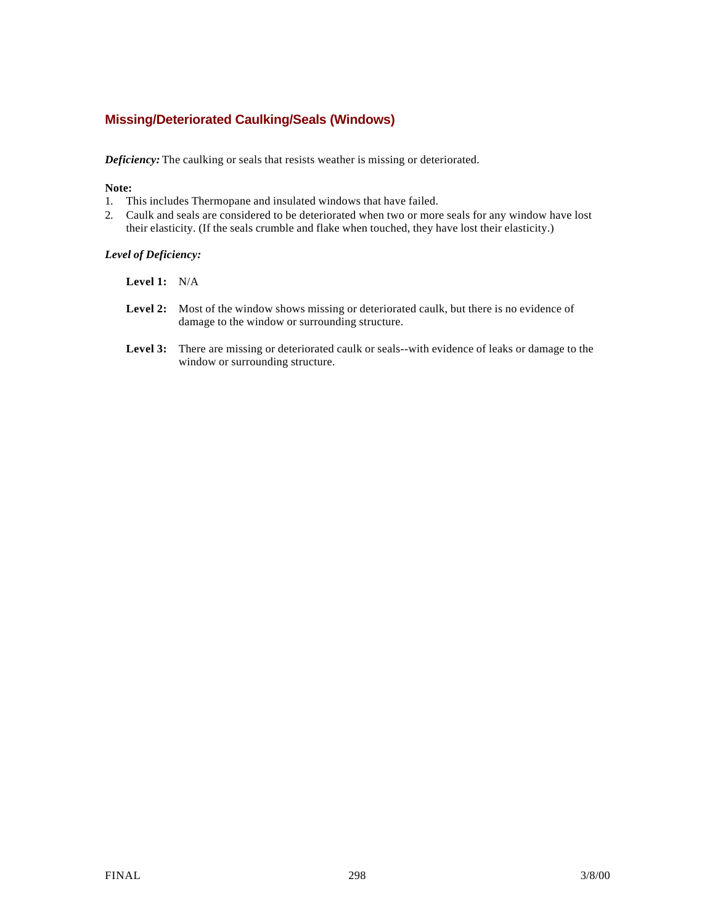### **Missing/Deteriorated Caulking/Seals (Windows)**

*Deficiency:* The caulking or seals that resists weather is missing or deteriorated.

#### **Note:**

- 1. This includes Thermopane and insulated windows that have failed.
- 2. Caulk and seals are considered to be deteriorated when two or more seals for any window have lost their elasticity. (If the seals crumble and flake when touched, they have lost their elasticity.)

#### *Level of Deficiency:*

- **Level 1:** N/A
- Level 2: Most of the window shows missing or deteriorated caulk, but there is no evidence of damage to the window or surrounding structure.
- **Level 3:** There are missing or deteriorated caulk or seals--with evidence of leaks or damage to the window or surrounding structure.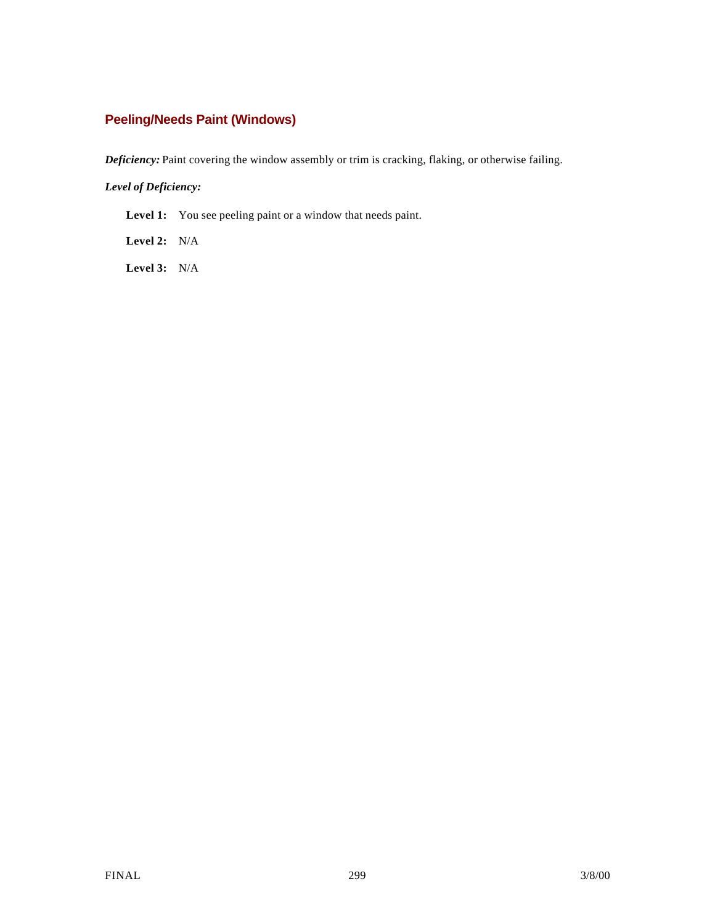## **Peeling/Needs Paint (Windows)**

*Deficiency:* Paint covering the window assembly or trim is cracking, flaking, or otherwise failing.

#### *Level of Deficiency:*

Level 1: You see peeling paint or a window that needs paint.

**Level 2:** N/A

**Level 3:** N/A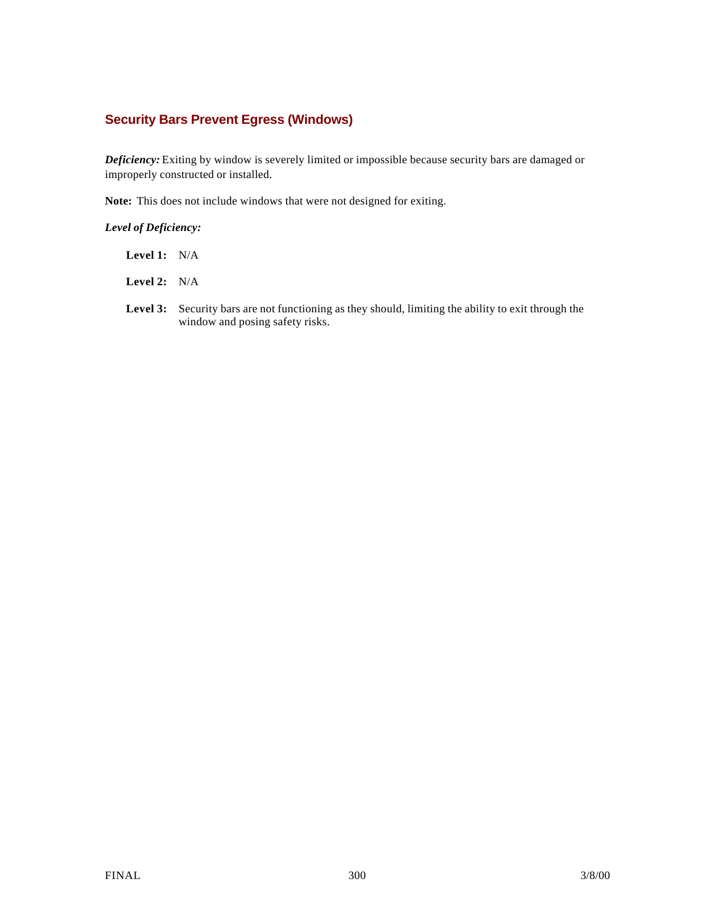### **Security Bars Prevent Egress (Windows)**

*Deficiency:* Exiting by window is severely limited or impossible because security bars are damaged or improperly constructed or installed.

**Note:** This does not include windows that were not designed for exiting.

#### *Level of Deficiency:*

- **Level 1:** N/A
- **Level 2:** N/A
- Level 3: Security bars are not functioning as they should, limiting the ability to exit through the window and posing safety risks.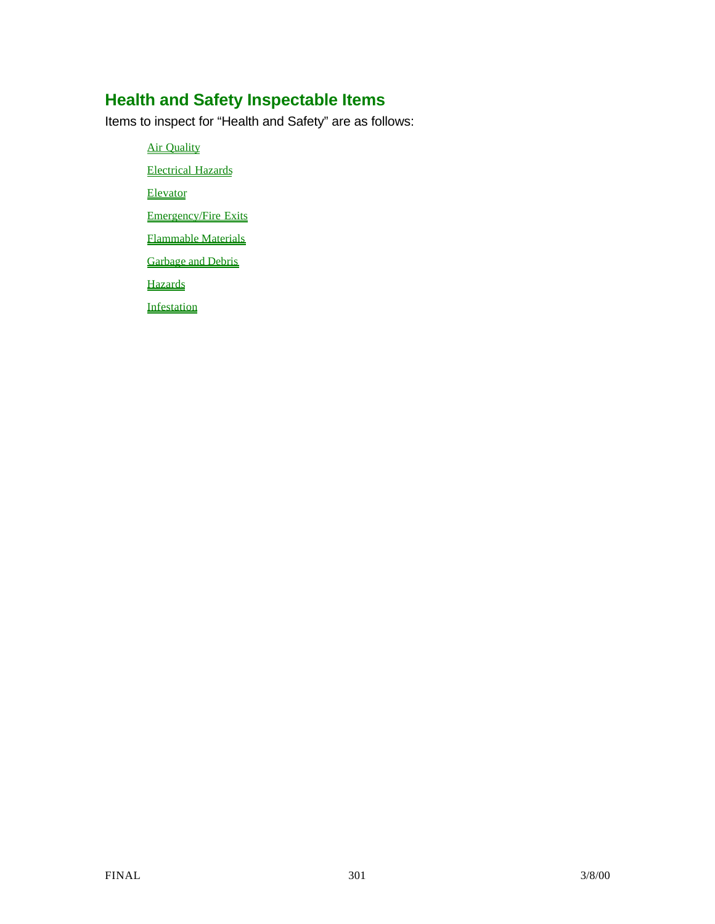# **Health and Safety Inspectable Items**

Items to inspect for "Health and Safety" are as follows:

**Air Quality** 

Electrical Hazards

Elevator

Emergency/Fire Exits

Flammable Materials

**Garbage and Debris** 

**Hazards** 

**Infestation**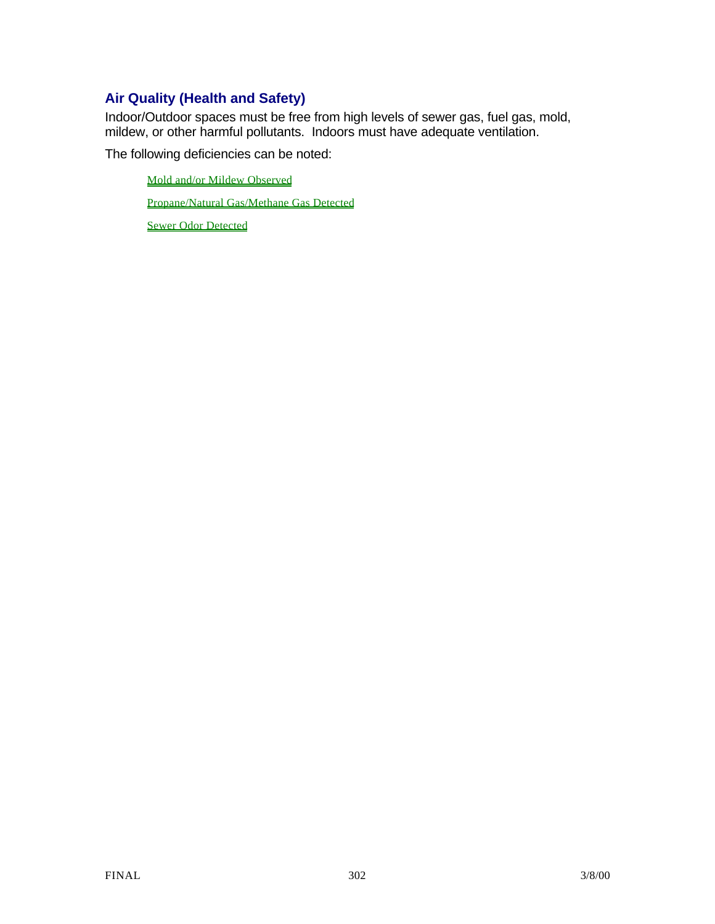## **Air Quality (Health and Safety)**

Indoor/Outdoor spaces must be free from high levels of sewer gas, fuel gas, mold, mildew, or other harmful pollutants. Indoors must have adequate ventilation.

The following deficiencies can be noted:

Mold and/or Mildew Observed

Propane/Natural Gas/Methane Gas Detected

Sewer Odor Detected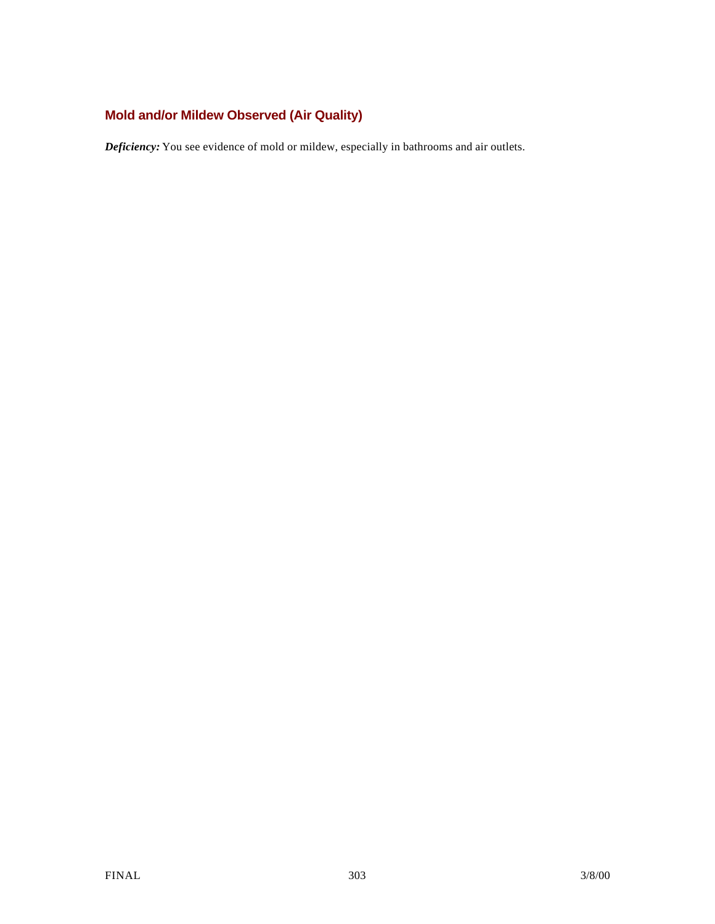## **Mold and/or Mildew Observed (Air Quality)**

*Deficiency:* You see evidence of mold or mildew, especially in bathrooms and air outlets.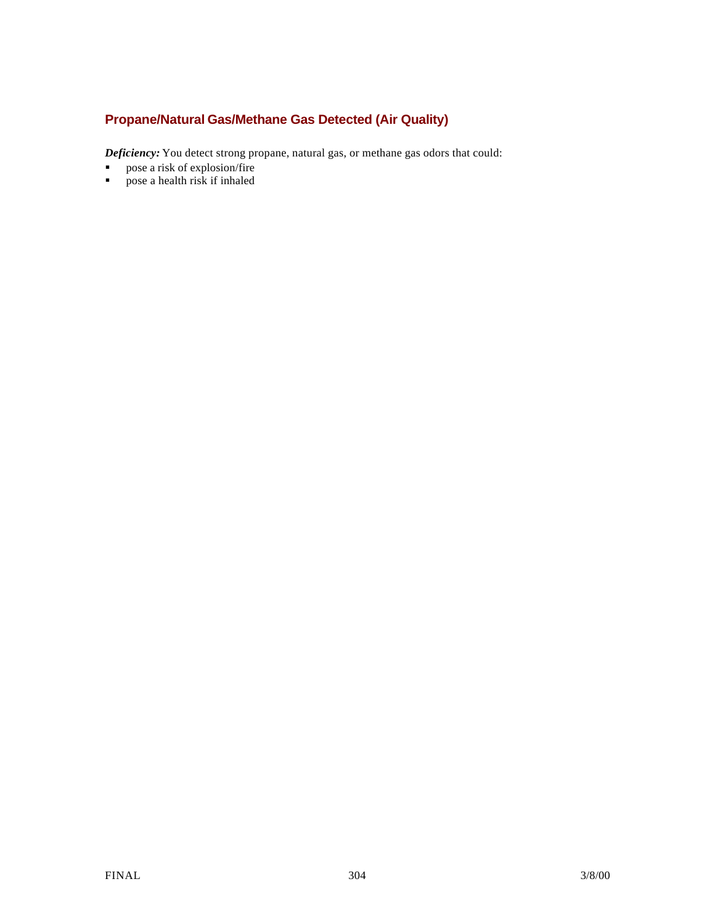### **Propane/Natural Gas/Methane Gas Detected (Air Quality)**

*Deficiency:* You detect strong propane, natural gas, or methane gas odors that could:

- **s** pose a risk of explosion/fire pose a health risk if inhaled
- ß pose a health risk if inhaled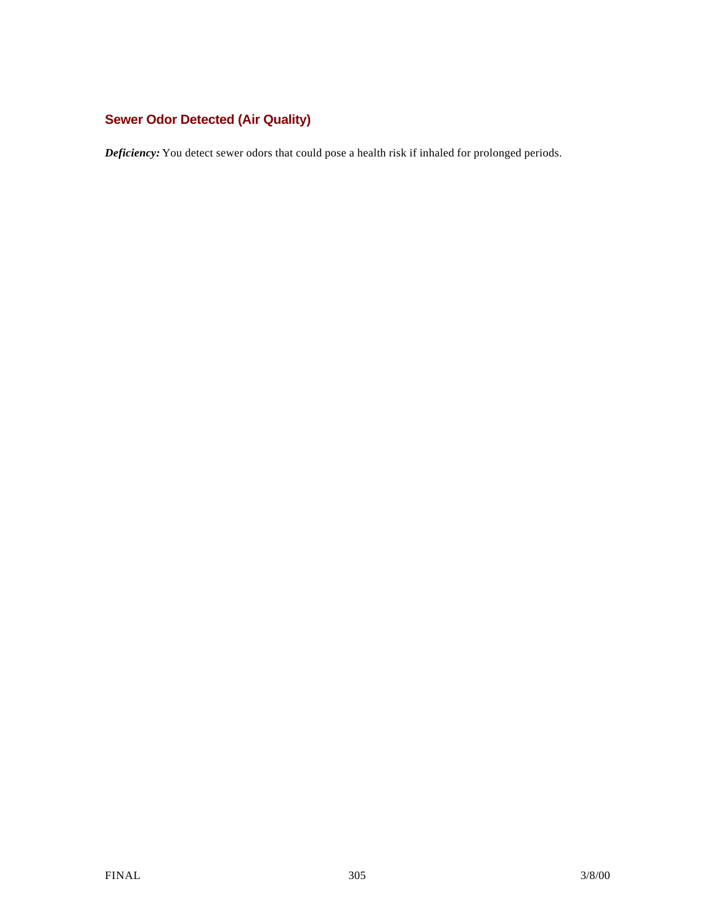## **Sewer Odor Detected (Air Quality)**

*Deficiency:* You detect sewer odors that could pose a health risk if inhaled for prolonged periods.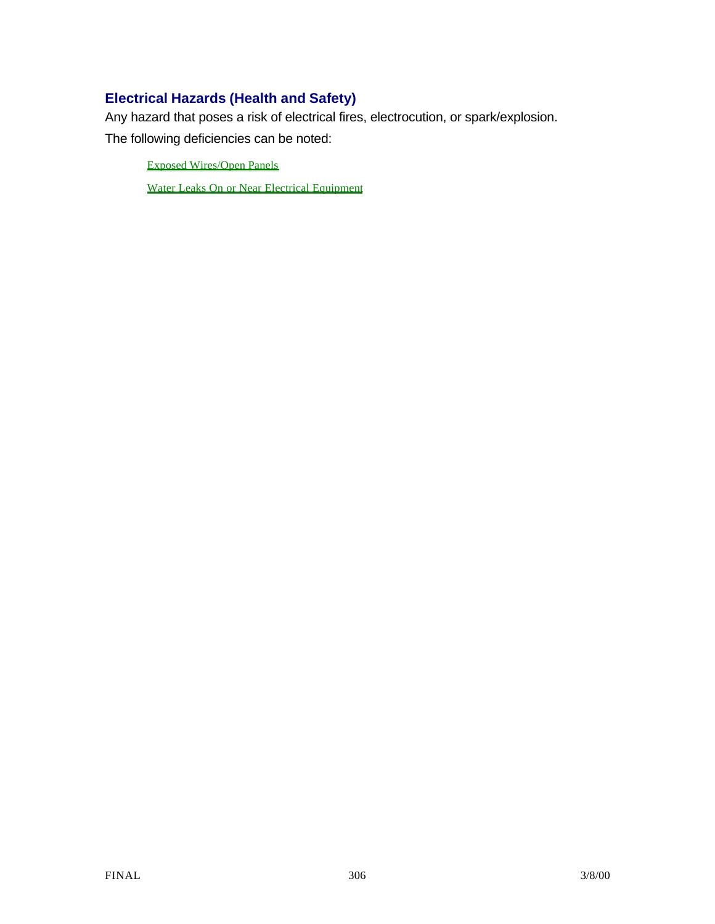## **Electrical Hazards (Health and Safety)**

Any hazard that poses a risk of electrical fires, electrocution, or spark/explosion.

The following deficiencies can be noted:

Exposed Wires/Open Panels

Water Leaks On or Near Electrical Equipment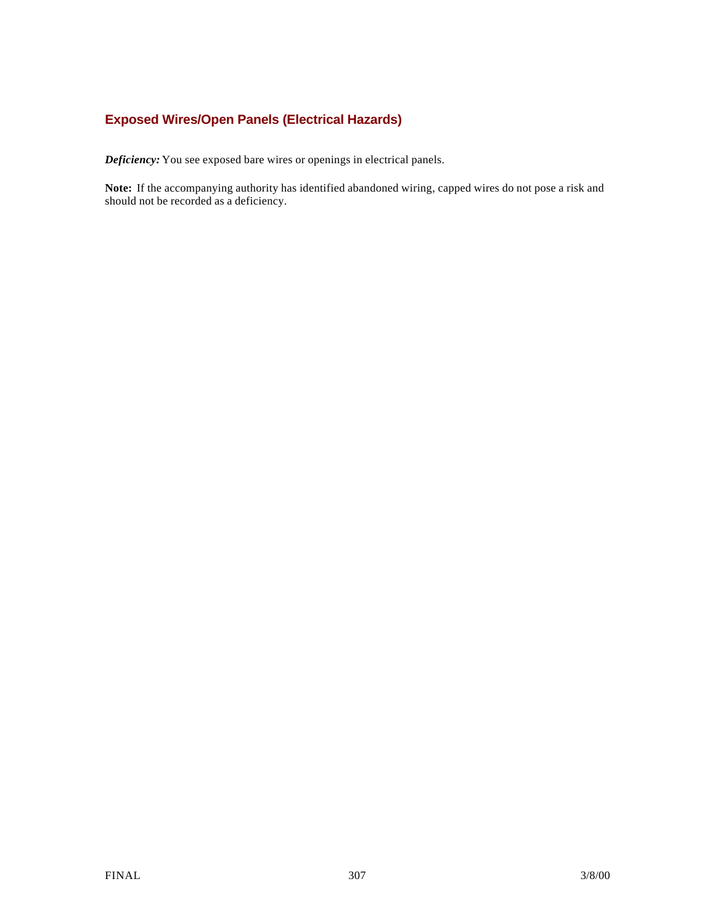### **Exposed Wires/Open Panels (Electrical Hazards)**

*Deficiency:* You see exposed bare wires or openings in electrical panels.

**Note:** If the accompanying authority has identified abandoned wiring, capped wires do not pose a risk and should not be recorded as a deficiency.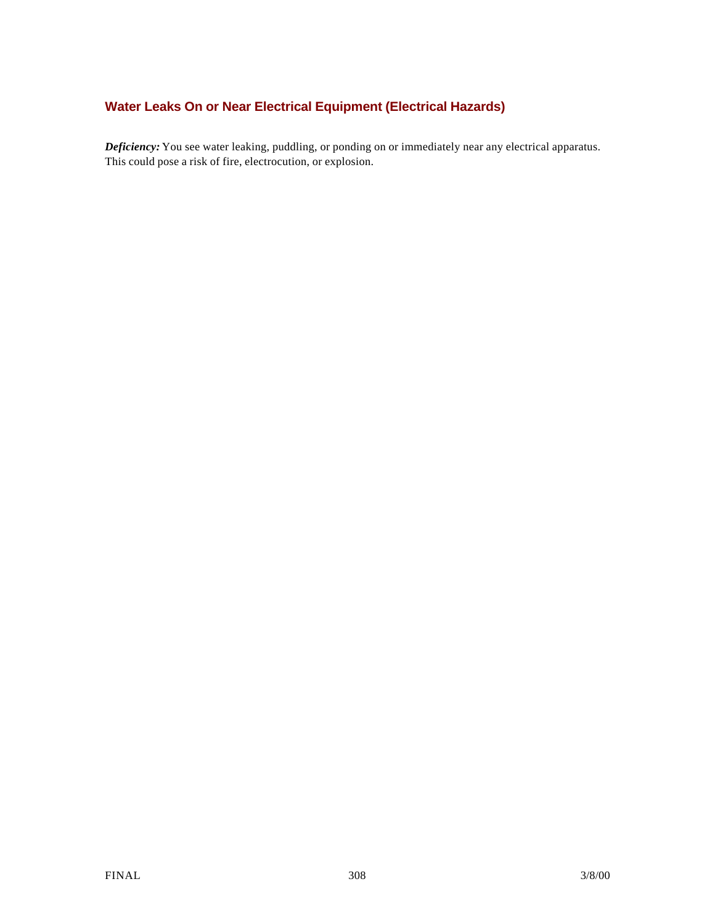## **Water Leaks On or Near Electrical Equipment (Electrical Hazards)**

*Deficiency:* You see water leaking, puddling, or ponding on or immediately near any electrical apparatus. This could pose a risk of fire, electrocution, or explosion.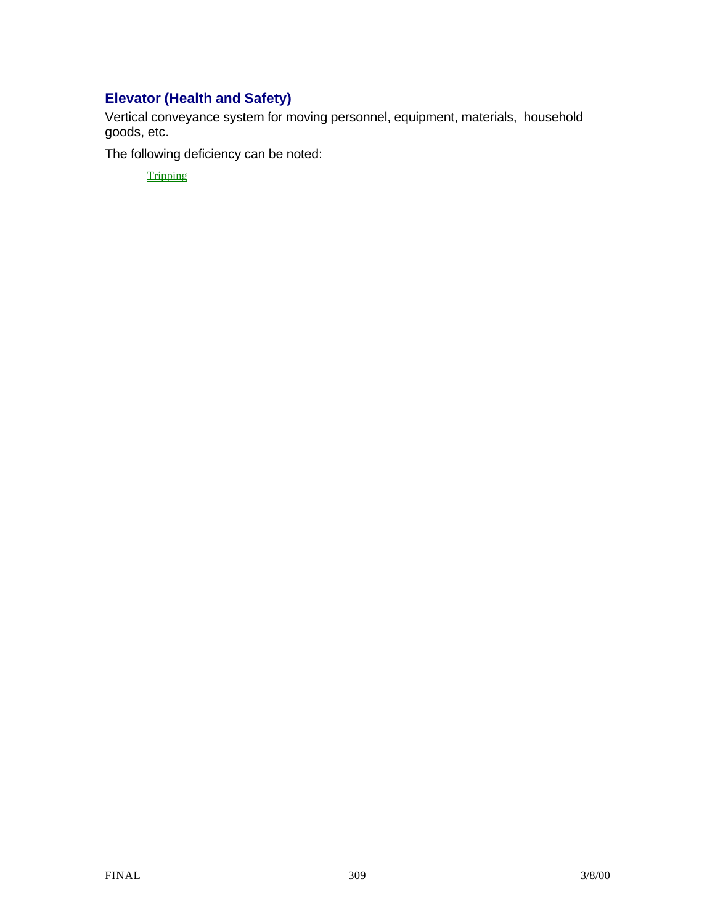## **Elevator (Health and Safety)**

Vertical conveyance system for moving personnel, equipment, materials, household goods, etc.

The following deficiency can be noted:

**Tripping**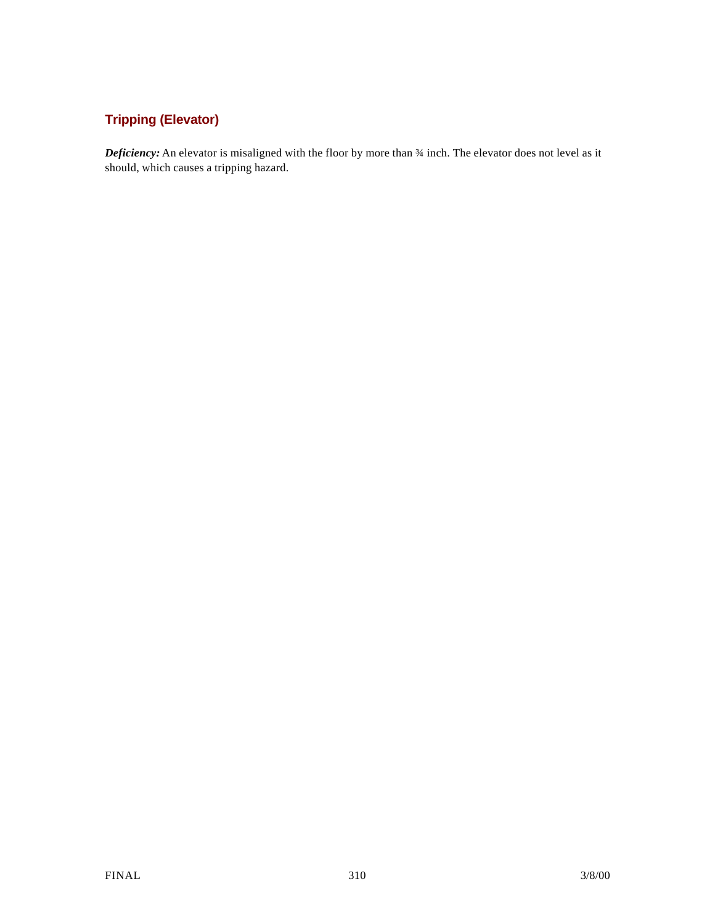## **Tripping (Elevator)**

*Deficiency:* An elevator is misaligned with the floor by more than ¾ inch. The elevator does not level as it should, which causes a tripping hazard.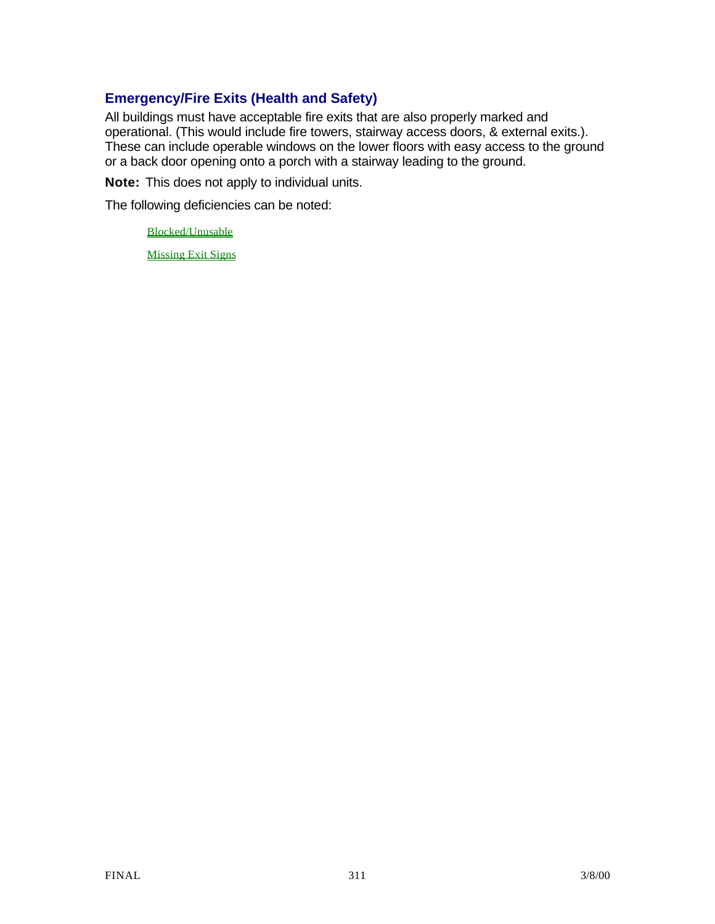## **Emergency/Fire Exits (Health and Safety)**

All buildings must have acceptable fire exits that are also properly marked and operational. (This would include fire towers, stairway access doors, & external exits.). These can include operable windows on the lower floors with easy access to the ground or a back door opening onto a porch with a stairway leading to the ground.

**Note:** This does not apply to individual units.

The following deficiencies can be noted:

Blocked/Unusable

Missing Exit Signs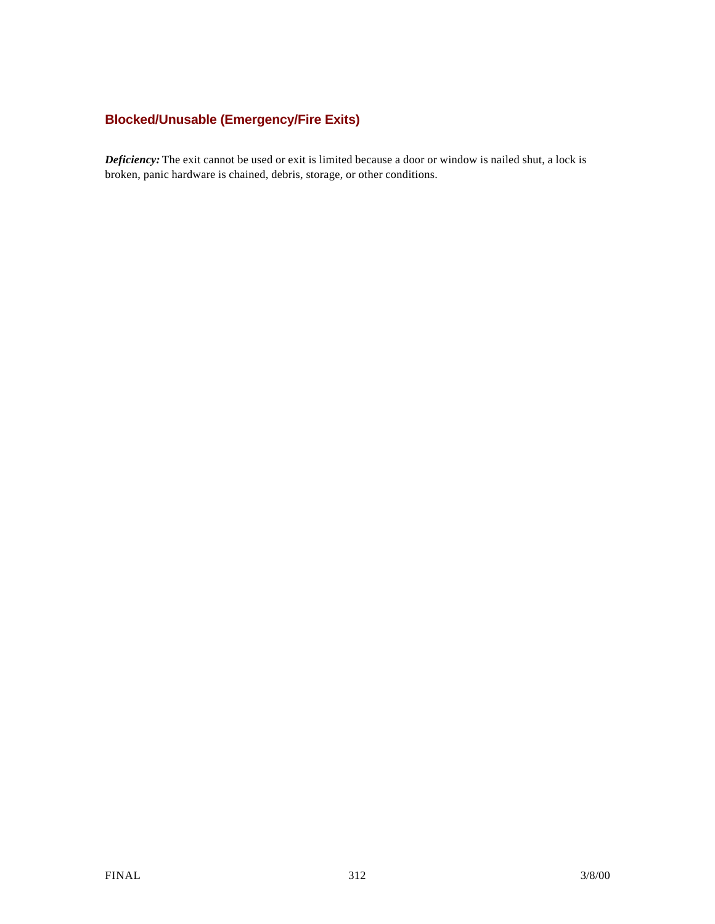## **Blocked/Unusable (Emergency/Fire Exits)**

*Deficiency:* The exit cannot be used or exit is limited because a door or window is nailed shut, a lock is broken, panic hardware is chained, debris, storage, or other conditions.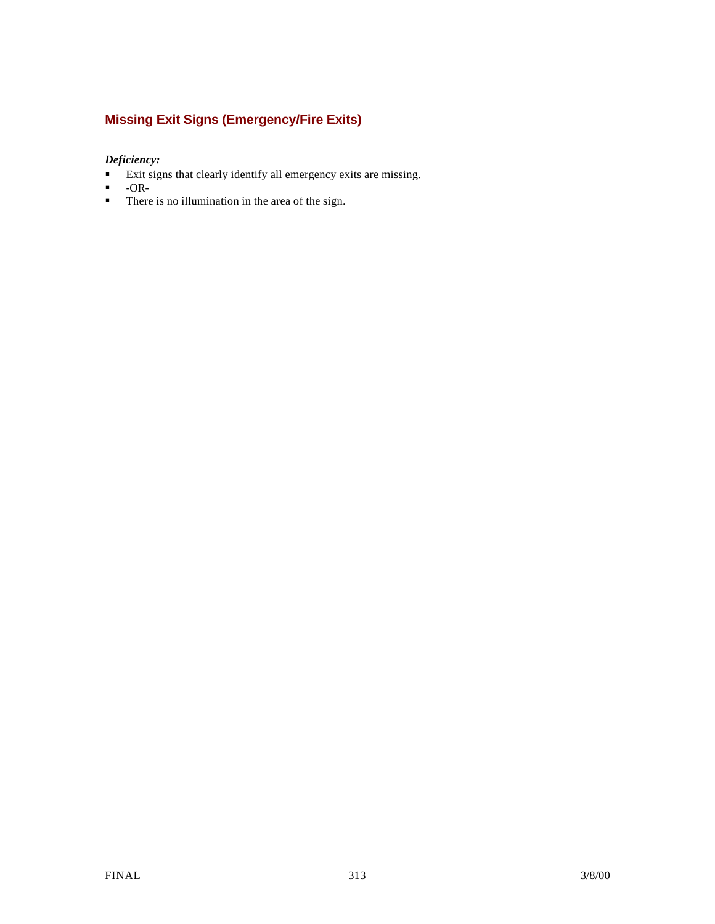## **Missing Exit Signs (Emergency/Fire Exits)**

#### *Deficiency:*

- **Exit signs that clearly identify all emergency exits are missing.**
- $\blacksquare$  -OR-
- $\blacksquare$  There is no illumination in the area of the sign.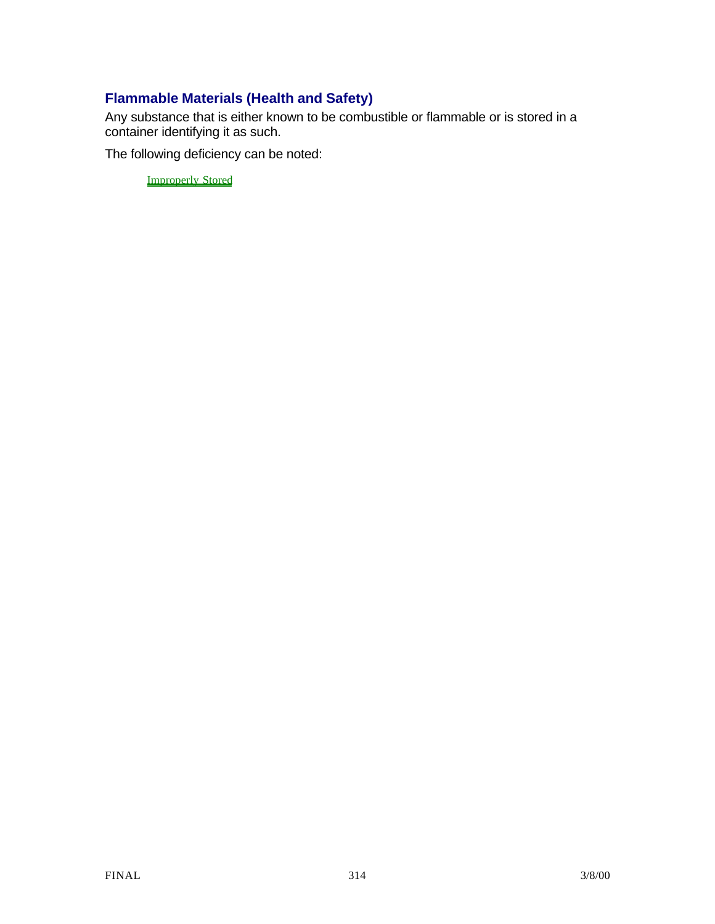## **Flammable Materials (Health and Safety)**

Any substance that is either known to be combustible or flammable or is stored in a container identifying it as such.

The following deficiency can be noted:

Improperly Stored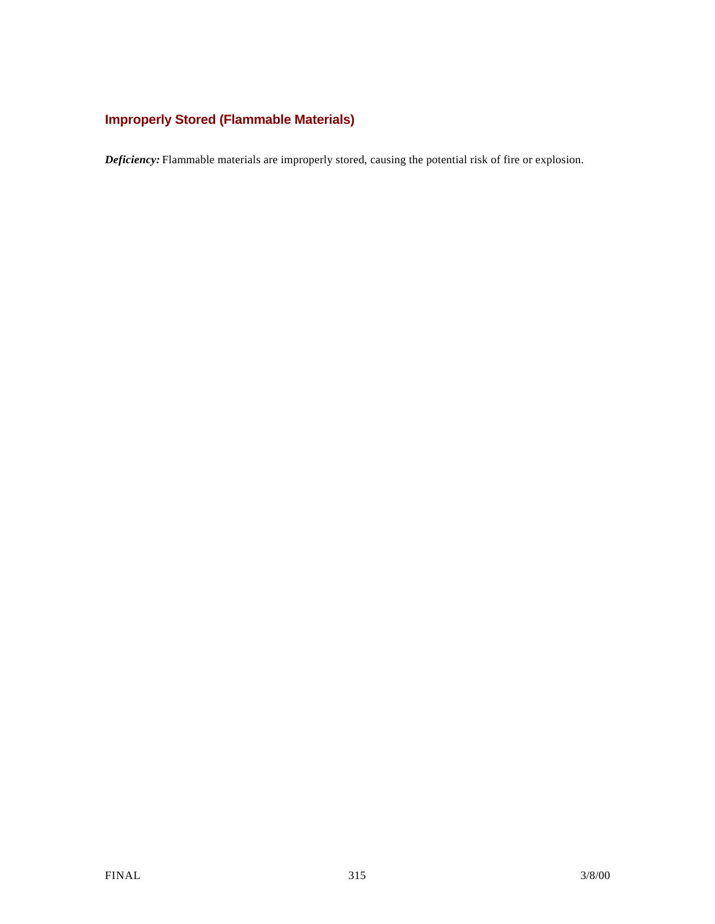## **Improperly Stored (Flammable Materials)**

*Deficiency:* Flammable materials are improperly stored, causing the potential risk of fire or explosion.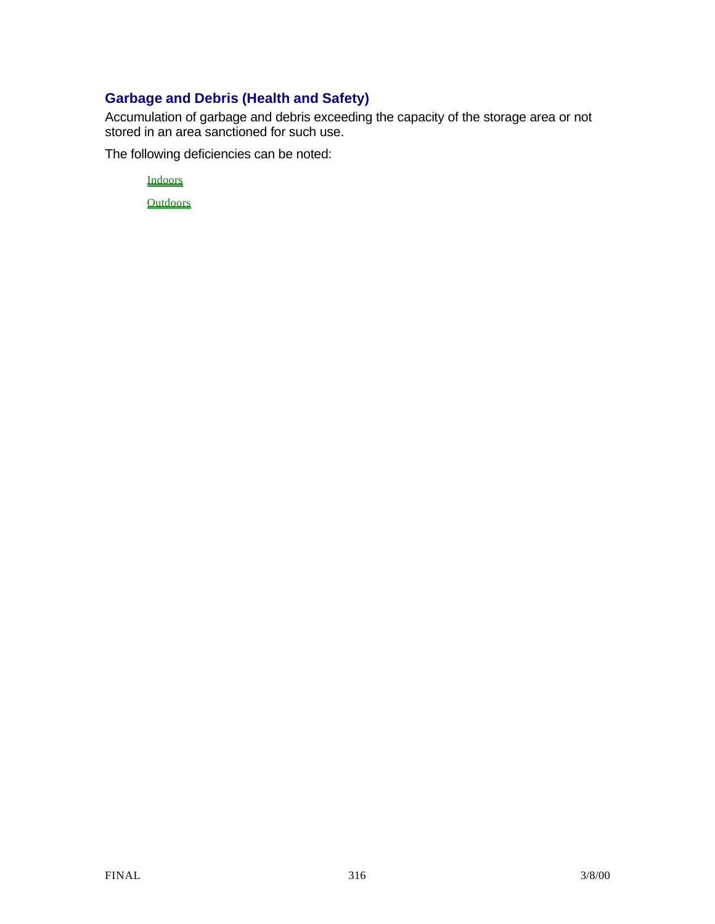## **Garbage and Debris (Health and Safety)**

Accumulation of garbage and debris exceeding the capacity of the storage area or not stored in an area sanctioned for such use.

The following deficiencies can be noted:

Indoors

**Outdoors**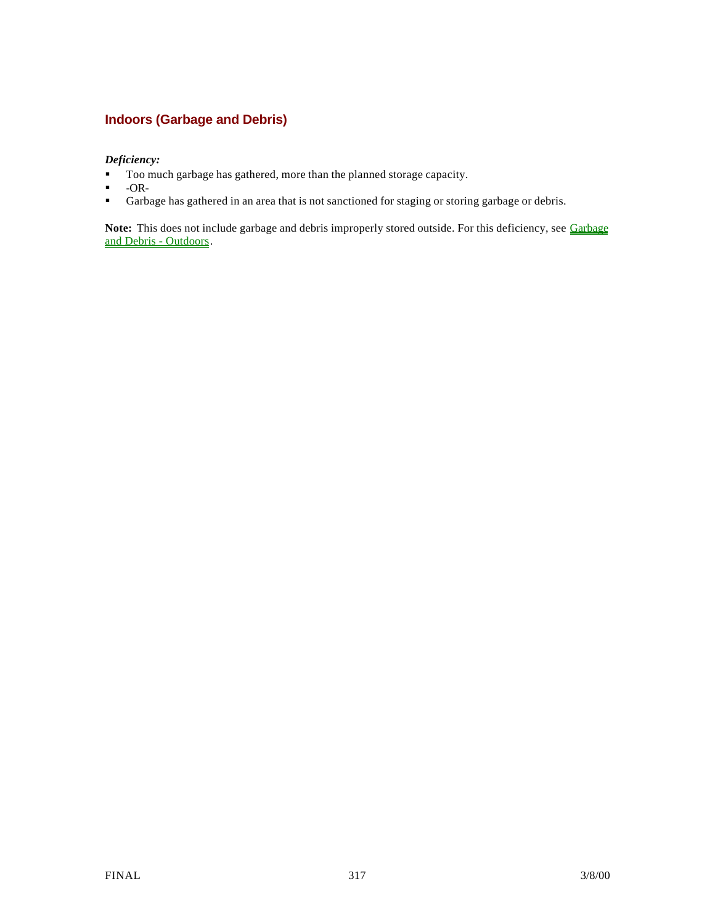### **Indoors (Garbage and Debris)**

#### *Deficiency:*

- Too much garbage has gathered, more than the planned storage capacity.
- $-OR-$
- ß Garbage has gathered in an area that is not sanctioned for staging or storing garbage or debris.

Note: This does not include garbage and debris improperly stored outside. For this deficiency, see Garbage and Debris - Outdoors.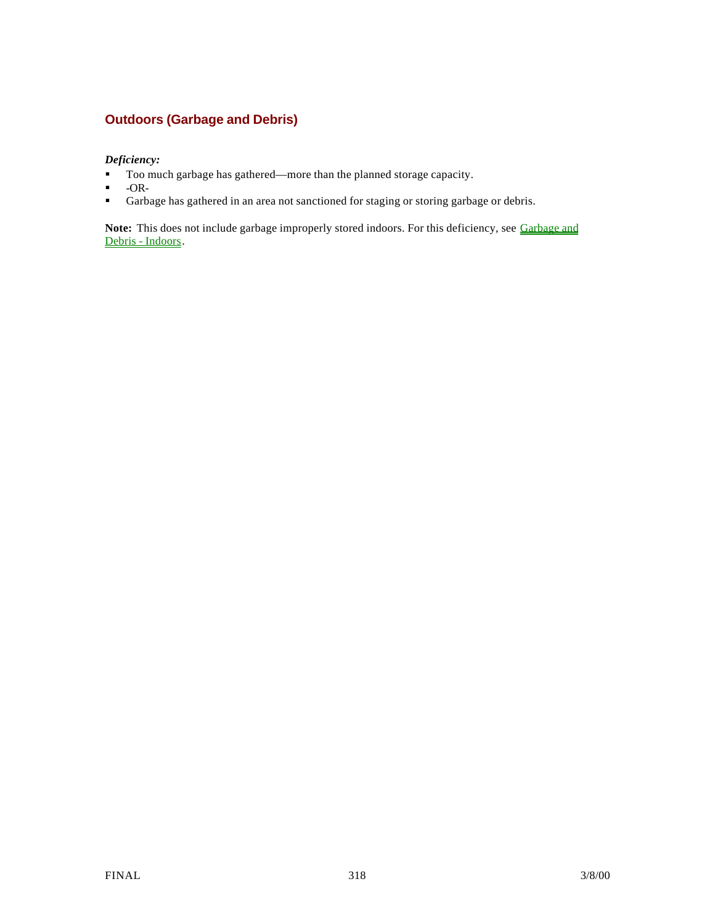### **Outdoors (Garbage and Debris)**

*Deficiency:*

- Too much garbage has gathered—more than the planned storage capacity.
- $-OR-$
- **Garbage has gathered in an area not sanctioned for staging or storing garbage or debris.**

Note: This does not include garbage improperly stored indoors. For this deficiency, see Garbage and Debris - Indoors.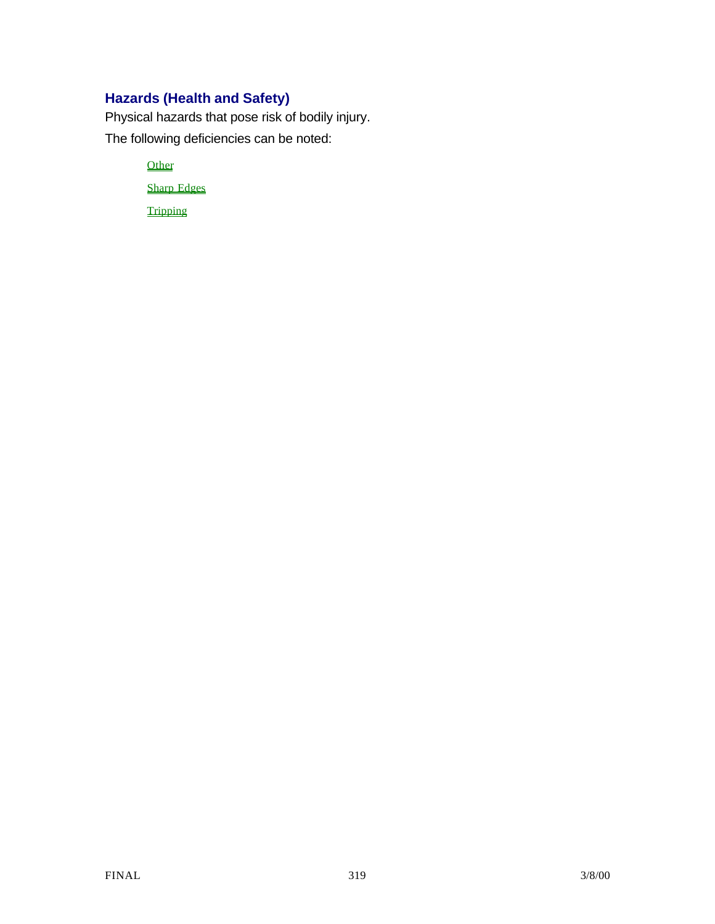## **Hazards (Health and Safety)**

Physical hazards that pose risk of bodily injury. The following deficiencies can be noted:

> **Other** Sharp Edges

**Tripping**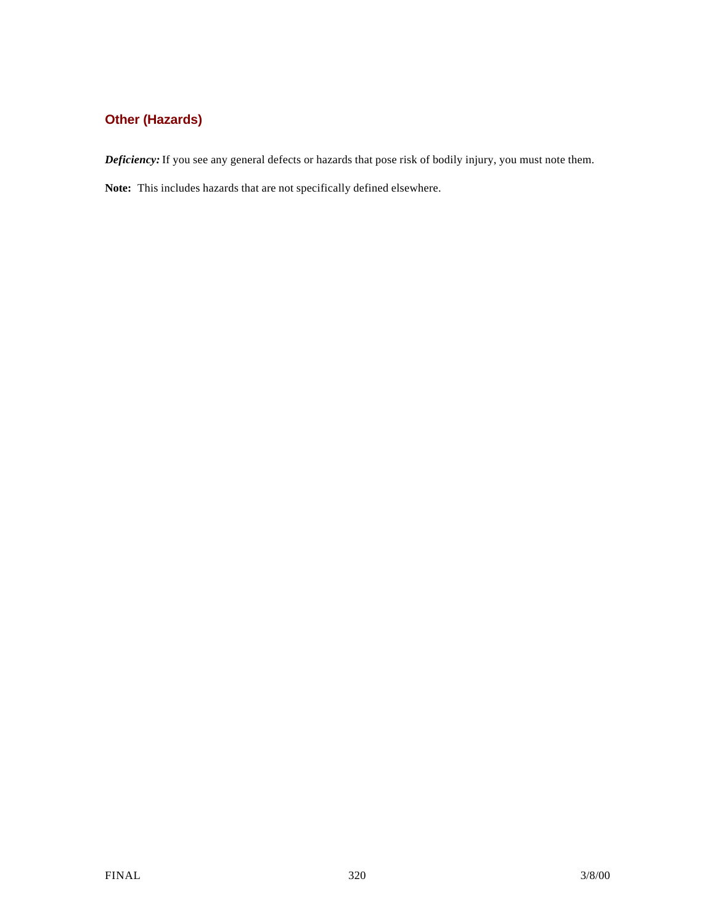## **Other (Hazards)**

*Deficiency:* If you see any general defects or hazards that pose risk of bodily injury, you must note them.

**Note:** This includes hazards that are not specifically defined elsewhere.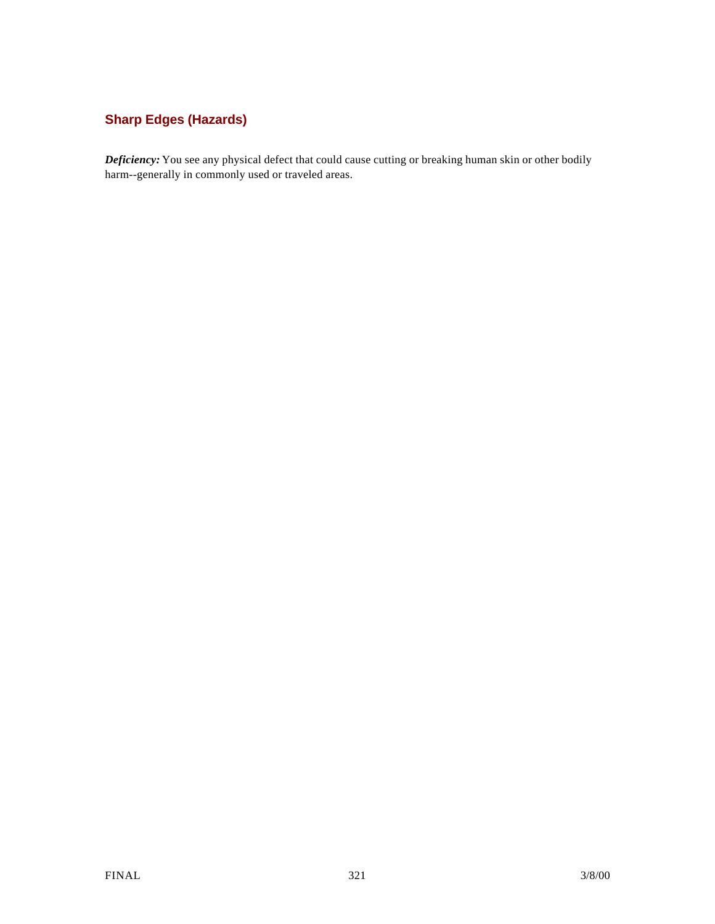## **Sharp Edges (Hazards)**

*Deficiency:* You see any physical defect that could cause cutting or breaking human skin or other bodily harm--generally in commonly used or traveled areas.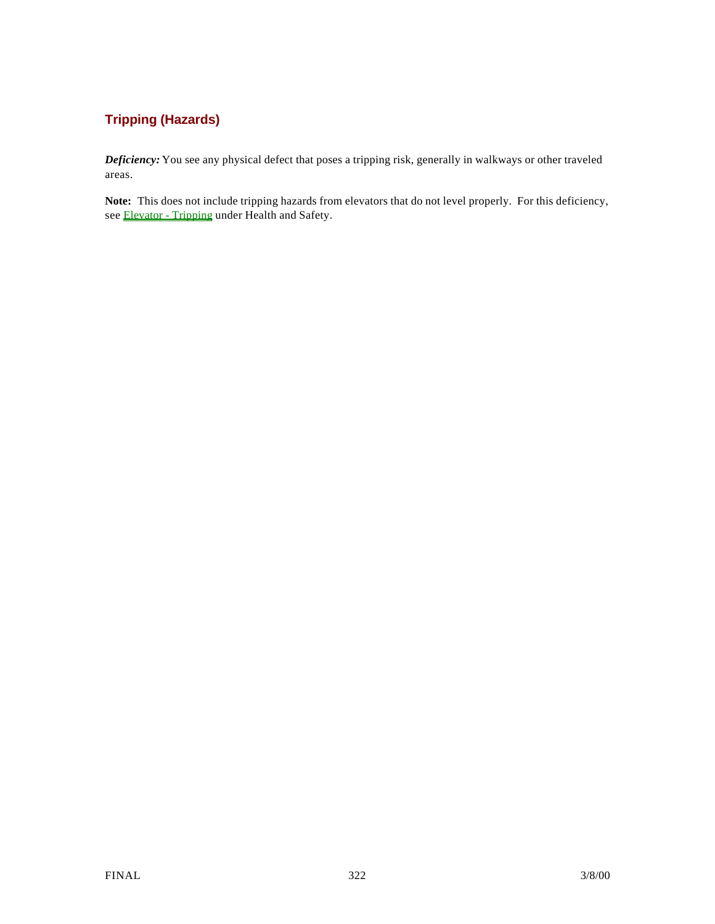## **Tripping (Hazards)**

*Deficiency:* You see any physical defect that poses a tripping risk, generally in walkways or other traveled areas.

**Note:** This does not include tripping hazards from elevators that do not level properly. For this deficiency, see Elevator - Tripping under Health and Safety.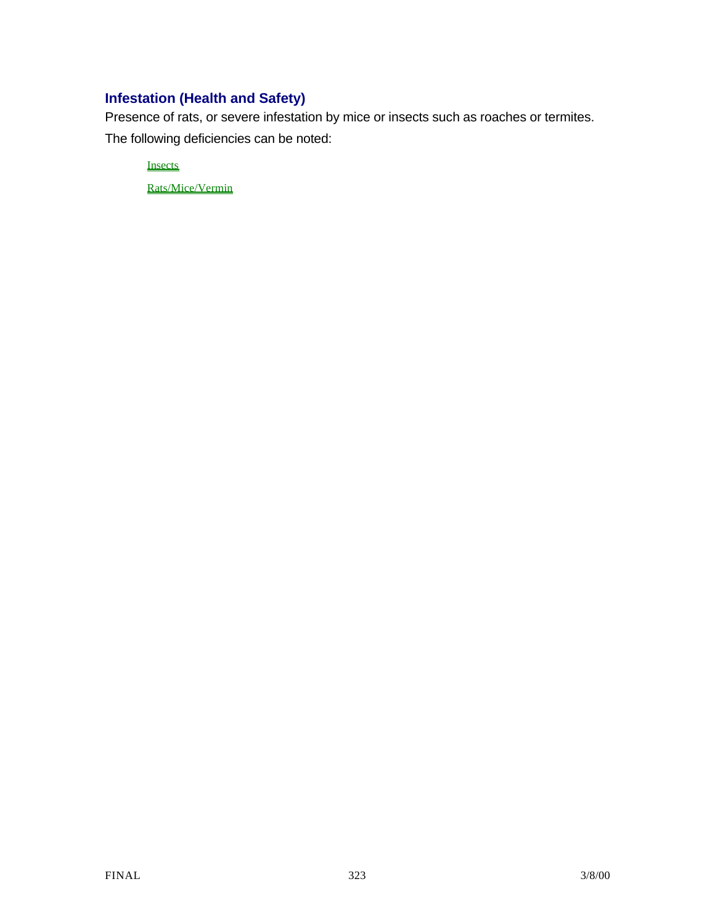## **Infestation (Health and Safety)**

Presence of rats, or severe infestation by mice or insects such as roaches or termites.

The following deficiencies can be noted:

**Insects** 

Rats/Mice/Vermin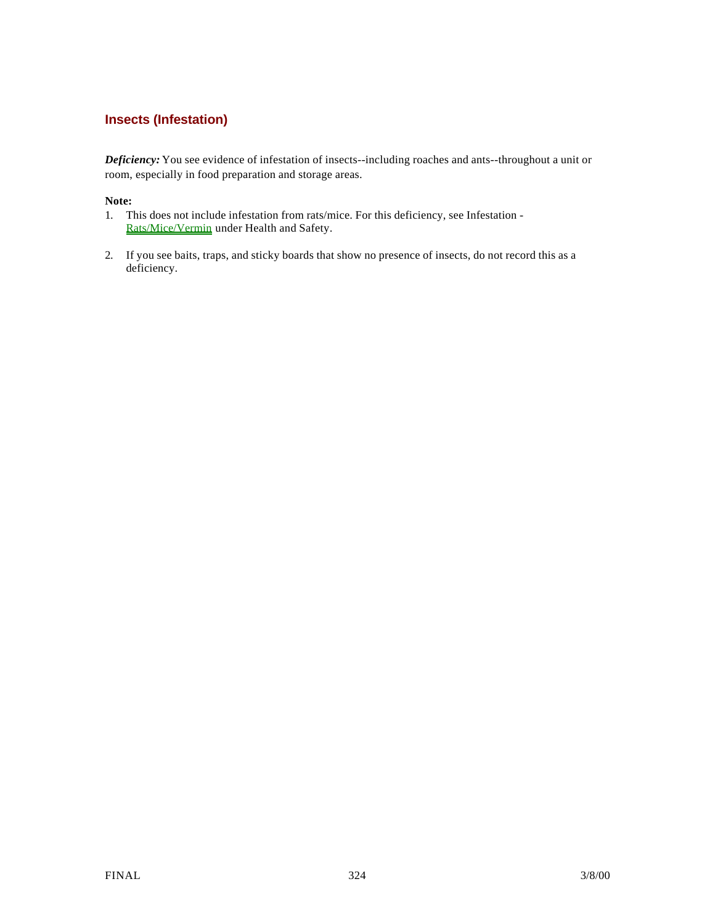### **Insects (Infestation)**

*Deficiency:* You see evidence of infestation of insects--including roaches and ants--throughout a unit or room, especially in food preparation and storage areas.

#### **Note:**

- 1. This does not include infestation from rats/mice. For this deficiency, see Infestation Rats/Mice/Vermin under Health and Safety.
- 2. If you see baits, traps, and sticky boards that show no presence of insects, do not record this as a deficiency.